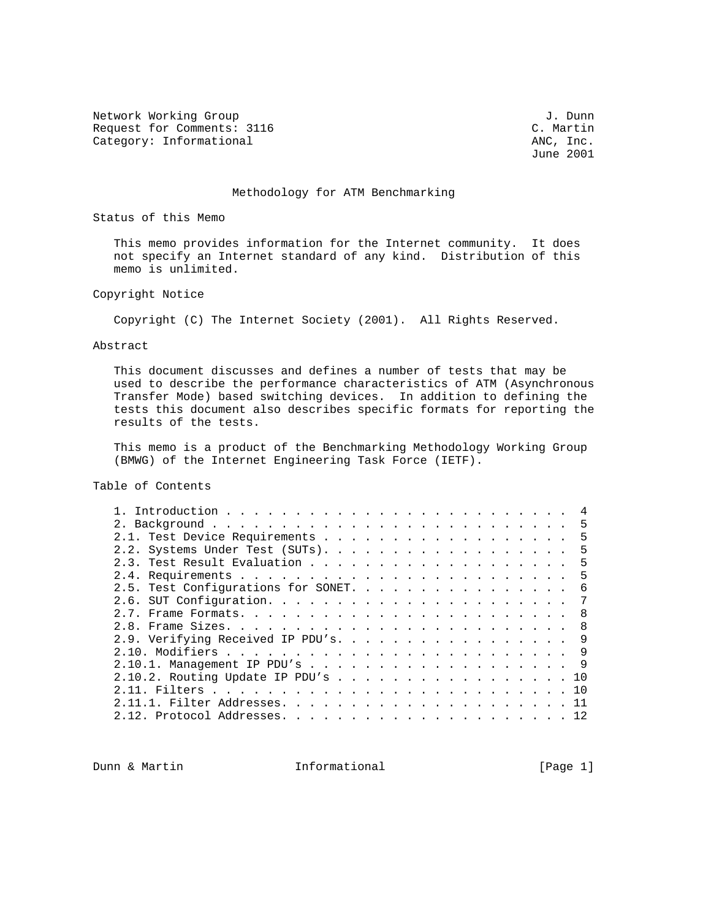Network Working Group J. Dunn Request for Comments: 3116 C. Martin Category: Informational C. Martin Category: Informational Category: Informational

June 2001

## Methodology for ATM Benchmarking

Status of this Memo

 This memo provides information for the Internet community. It does not specify an Internet standard of any kind. Distribution of this memo is unlimited.

Copyright Notice

Copyright (C) The Internet Society (2001). All Rights Reserved.

Abstract

 This document discusses and defines a number of tests that may be used to describe the performance characteristics of ATM (Asynchronous Transfer Mode) based switching devices. In addition to defining the tests this document also describes specific formats for reporting the results of the tests.

 This memo is a product of the Benchmarking Methodology Working Group (BMWG) of the Internet Engineering Task Force (IETF).

Table of Contents

|                                     | 5   |
|-------------------------------------|-----|
|                                     | .5  |
| 2.2. Systems Under Test (SUTs). 5   |     |
|                                     | 5   |
|                                     | 5   |
| 2.5. Test Configurations for SONET. | -6  |
|                                     | 7   |
|                                     | - 8 |
|                                     | - 8 |
| 2.9. Verifying Received IP PDU's.   | 9   |
|                                     |     |
| 2.10.1. Management IP PDU's 9       |     |
| 2.10.2. Routing Update IP PDU's 10  |     |
|                                     |     |
|                                     |     |
|                                     |     |
|                                     |     |

Dunn & Martin **Informational Informational** [Page 1]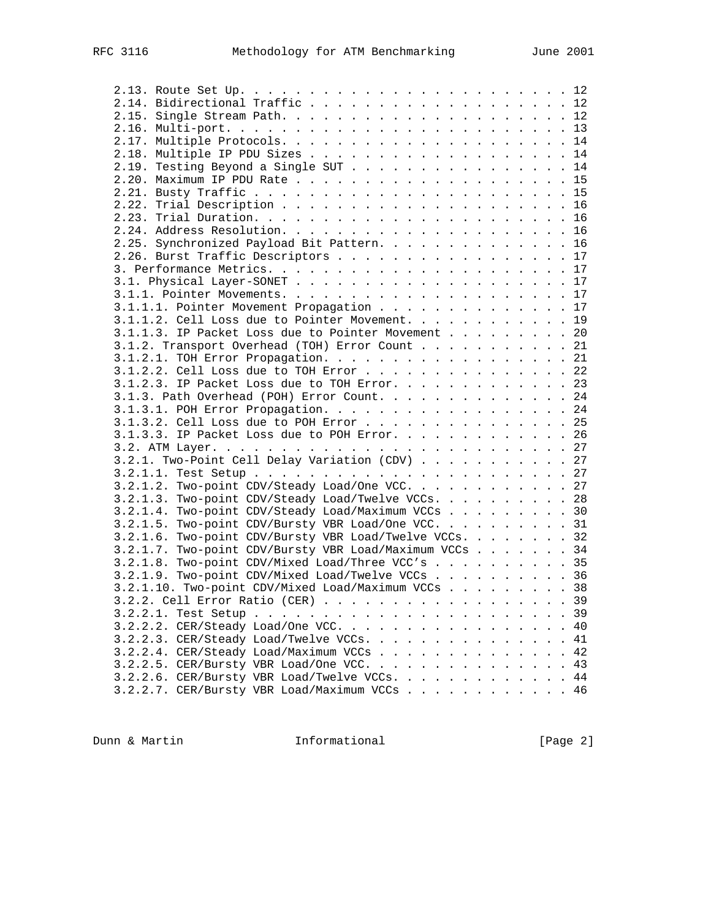| 2.14. Bidirectional Traffic 12                         |                         |  |                            |
|--------------------------------------------------------|-------------------------|--|----------------------------|
|                                                        |                         |  |                            |
|                                                        |                         |  |                            |
|                                                        |                         |  |                            |
| 2.18. Multiple IP PDU Sizes 14                         |                         |  |                            |
| 2.19. Testing Beyond a Single SUT 14                   |                         |  |                            |
|                                                        |                         |  |                            |
|                                                        |                         |  |                            |
|                                                        |                         |  |                            |
|                                                        |                         |  |                            |
|                                                        |                         |  |                            |
|                                                        |                         |  |                            |
| 2.25. Synchronized Payload Bit Pattern. 16             |                         |  |                            |
| 2.26. Burst Traffic Descriptors 17                     |                         |  |                            |
|                                                        |                         |  |                            |
|                                                        |                         |  |                            |
|                                                        |                         |  |                            |
| 3.1.1.1. Pointer Movement Propagation 17               |                         |  |                            |
| 3.1.1.2. Cell Loss due to Pointer Movement. 19         |                         |  |                            |
| 3.1.1.3. IP Packet Loss due to Pointer Movement 20     |                         |  |                            |
| 3.1.2. Transport Overhead (TOH) Error Count 21         |                         |  |                            |
| 3.1.2.1. TOH Error Propagation. 21                     |                         |  |                            |
| 3.1.2.2. Cell Loss due to TOH Error 22                 |                         |  |                            |
| 3.1.2.3. IP Packet Loss due to TOH Error. 23           |                         |  |                            |
| 3.1.3. Path Overhead (POH) Error Count. 24             |                         |  |                            |
| 3.1.3.1. POH Error Propagation. 24                     |                         |  |                            |
| 3.1.3.2. Cell Loss due to POH Error 25                 |                         |  |                            |
| 3.1.3.3. IP Packet Loss due to POH Error. 26           |                         |  |                            |
|                                                        |                         |  |                            |
|                                                        |                         |  |                            |
| 3.2.1. Two-Point Cell Delay Variation (CDV) 27         |                         |  |                            |
|                                                        |                         |  |                            |
| $3.2.1.2.$ Two-point CDV/Steady Load/One VCC. 27       |                         |  |                            |
| 3.2.1.3. Two-point CDV/Steady Load/Twelve VCCs. 28     |                         |  |                            |
| 3.2.1.4. Two-point CDV/Steady Load/Maximum VCCs 30     |                         |  |                            |
| 3.2.1.5. Two-point CDV/Bursty VBR Load/One VCC. 31     |                         |  |                            |
| 3.2.1.6. Two-point CDV/Bursty VBR Load/Twelve VCCs. 32 |                         |  |                            |
| 3.2.1.7. Two-point CDV/Bursty VBR Load/Maximum VCCs 34 |                         |  |                            |
| 3.2.1.8. Two-point CDV/Mixed Load/Three VCC's 35       |                         |  |                            |
| 3.2.1.9. Two-point CDV/Mixed Load/Twelve VCCs 36       |                         |  |                            |
| 3.2.1.10. Two-point CDV/Mixed Load/Maximum VCCs 38     |                         |  |                            |
| 3.2.2. Cell Error Ratio (CER) 39                       |                         |  |                            |
| 3.2.2.1. Test Setup                                    | $\cdot$ $\cdot$ $\cdot$ |  | . 39                       |
| 3.2.2.2. CER/Steady Load/One VCC.                      |                         |  | 40                         |
|                                                        |                         |  | 41<br>$\ddot{\phantom{a}}$ |
| $3.2.2.4.$ CER/Steady Load/Maximum VCCs                |                         |  | 42                         |
| $3.2.2.5$ . CER/Bursty VBR Load/One VCC.               |                         |  | 43                         |
|                                                        |                         |  |                            |
| $3.2.2.6$ . CER/Bursty VBR Load/Twelve VCCs.           |                         |  | 44                         |
| 3.2.2.7. CER/Bursty VBR Load/Maximum VCCs              |                         |  | 46                         |

Dunn & Martin **Informational** [Page 2]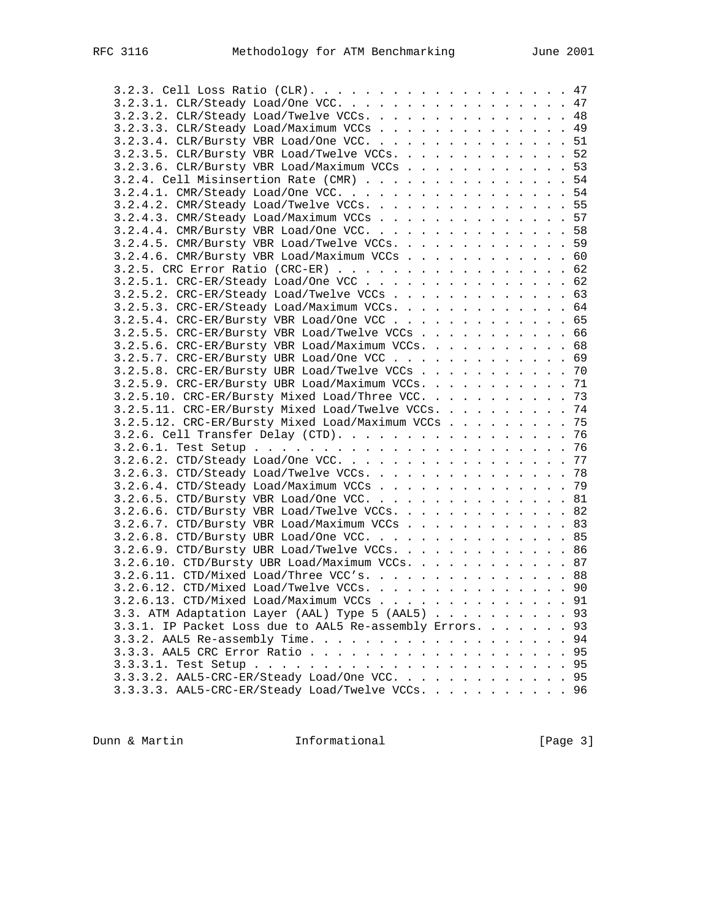| 3.2.3.1. CLR/Steady Load/One VCC. 47                        |  |
|-------------------------------------------------------------|--|
| 3.2.3.2. CLR/Steady Load/Twelve VCCs. 48                    |  |
| 3.2.3.3. CLR/Steady Load/Maximum VCCs 49                    |  |
| 3.2.3.4. CLR/Bursty VBR Load/One VCC. 51                    |  |
| 3.2.3.5. CLR/Bursty VBR Load/Twelve VCCs. 52                |  |
| 3.2.3.6. CLR/Bursty VBR Load/Maximum VCCs 53                |  |
| $3.2.4.$ Cell Misinsertion Rate (CMR) 54                    |  |
| 3.2.4.1. CMR/Steady Load/One VCC. 54                        |  |
| 3.2.4.2. CMR/Steady Load/Twelve VCCs. 55                    |  |
|                                                             |  |
| 3.2.4.3. CMR/Steady Load/Maximum VCCs 57                    |  |
| 3.2.4.4. CMR/Bursty VBR Load/One VCC. 58                    |  |
| 3.2.4.5. CMR/Bursty VBR Load/Twelve VCCs. 59                |  |
| 3.2.4.6. CMR/Bursty VBR Load/Maximum VCCs 60                |  |
| 3.2.5. CRC Error Ratio (CRC-ER) 62                          |  |
| 3.2.5.1. CRC-ER/Steady Load/One VCC 62                      |  |
| $3.2.5.2.$ CRC-ER/Steady Load/Twelve VCCs 63                |  |
| 3.2.5.3. CRC-ER/Steady Load/Maximum VCCs. 64                |  |
| 3.2.5.4. CRC-ER/Bursty VBR Load/One VCC 65                  |  |
| 3.2.5.5. CRC-ER/Bursty VBR Load/Twelve VCCs 66              |  |
| 3.2.5.6. CRC-ER/Bursty VBR Load/Maximum VCCs. 68            |  |
| 3.2.5.7. CRC-ER/Bursty UBR Load/One VCC 69                  |  |
| 3.2.5.8. CRC-ER/Bursty UBR Load/Twelve VCCs 70              |  |
| 3.2.5.9. CRC-ER/Bursty UBR Load/Maximum VCCs. 71            |  |
| 3.2.5.10. CRC-ER/Bursty Mixed Load/Three VCC. 73            |  |
| 3.2.5.11. CRC-ER/Bursty Mixed Load/Twelve VCCs. 74          |  |
|                                                             |  |
| 3.2.5.12. CRC-ER/Bursty Mixed Load/Maximum VCCs 75          |  |
| 3.2.6. Cell Transfer Delay (CTD). 76                        |  |
|                                                             |  |
|                                                             |  |
| 3.2.6.3. CTD/Steady Load/Twelve VCCs. 78                    |  |
| 3.2.6.4. CTD/Steady Load/Maximum VCCs 79                    |  |
| 3.2.6.5. CTD/Bursty VBR Load/One VCC. 81                    |  |
| 3.2.6.6. CTD/Bursty VBR Load/Twelve VCCs. 82                |  |
| 3.2.6.7. CTD/Bursty VBR Load/Maximum VCCs 83                |  |
| 3.2.6.8. CTD/Bursty UBR Load/One VCC. 85                    |  |
| 3.2.6.9. CTD/Bursty UBR Load/Twelve VCCs. 86                |  |
| 3.2.6.10. CTD/Bursty UBR Load/Maximum VCCs. 87              |  |
| 3.2.6.11. CTD/Mixed Load/Three VCC's. 88                    |  |
| 3.2.6.12. CTD/Mixed Load/Twelve VCCs. 90                    |  |
| 3.2.6.13. CTD/Mixed Load/Maximum VCCs 91                    |  |
| 3.3. ATM Adaptation Layer (AAL) Type 5 (AAL5) 93            |  |
|                                                             |  |
| 3.3.1. IP Packet Loss due to AAL5 Re-assembly Errors.<br>93 |  |
| 94                                                          |  |
| 95                                                          |  |
|                                                             |  |
| 3.3.3.2. AAL5-CRC-ER/Steady Load/One VCC. 95                |  |
| 3.3.3.3. AAL5-CRC-ER/Steady Load/Twelve VCCs. 96            |  |

Dunn & Martin **Informational Informational** [Page 3]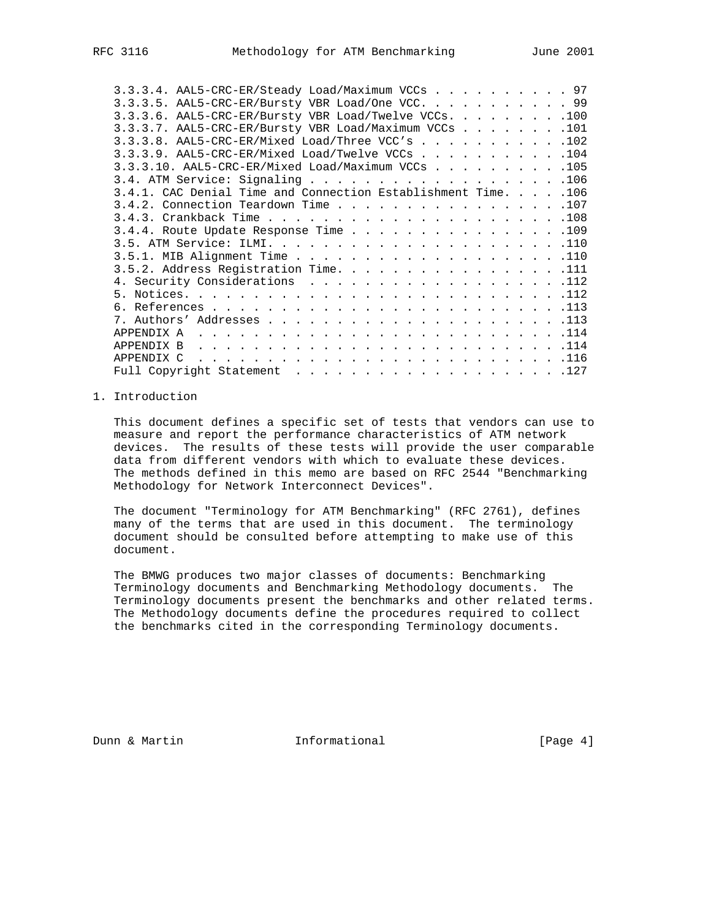| 3.3.3.4. AAL5-CRC-ER/Steady Load/Maximum VCCs 97              |  |  |  |  |
|---------------------------------------------------------------|--|--|--|--|
| 3.3.3.5. AAL5-CRC-ER/Bursty VBR Load/One VCC. 99              |  |  |  |  |
| $3.3.3.6$ . AAL5-CRC-ER/Bursty VBR Load/Twelve VCCs. 100      |  |  |  |  |
| 3.3.3.7. AAL5-CRC-ER/Bursty VBR Load/Maximum VCCs 101         |  |  |  |  |
| 3.3.3.8. AAL5-CRC-ER/Mixed Load/Three VCC's 102               |  |  |  |  |
| $3.3.3.9$ . AAL5-CRC-ER/Mixed Load/Twelve VCCs 104            |  |  |  |  |
| 3.3.3.10. AAL5-CRC-ER/Mixed Load/Maximum VCCs 105             |  |  |  |  |
|                                                               |  |  |  |  |
| 3.4.1. CAC Denial Time and Connection Establishment Time. 106 |  |  |  |  |
| 3.4.2. Connection Teardown Time 107                           |  |  |  |  |
|                                                               |  |  |  |  |
| $3.4.4$ . Route Update Response Time 109                      |  |  |  |  |
|                                                               |  |  |  |  |
|                                                               |  |  |  |  |
| 3.5.2. Address Registration Time. 111                         |  |  |  |  |
| 4. Security Considerations 112                                |  |  |  |  |
|                                                               |  |  |  |  |
|                                                               |  |  |  |  |
|                                                               |  |  |  |  |
|                                                               |  |  |  |  |
|                                                               |  |  |  |  |
| APPENDIX C                                                    |  |  |  |  |
| Full Copyright Statement $\ldots$ 127                         |  |  |  |  |
|                                                               |  |  |  |  |

# 1. Introduction

 This document defines a specific set of tests that vendors can use to measure and report the performance characteristics of ATM network devices. The results of these tests will provide the user comparable data from different vendors with which to evaluate these devices. The methods defined in this memo are based on RFC 2544 "Benchmarking Methodology for Network Interconnect Devices".

 The document "Terminology for ATM Benchmarking" (RFC 2761), defines many of the terms that are used in this document. The terminology document should be consulted before attempting to make use of this document.

 The BMWG produces two major classes of documents: Benchmarking Terminology documents and Benchmarking Methodology documents. The Terminology documents present the benchmarks and other related terms. The Methodology documents define the procedures required to collect the benchmarks cited in the corresponding Terminology documents.

Dunn & Martin **Informational** [Page 4]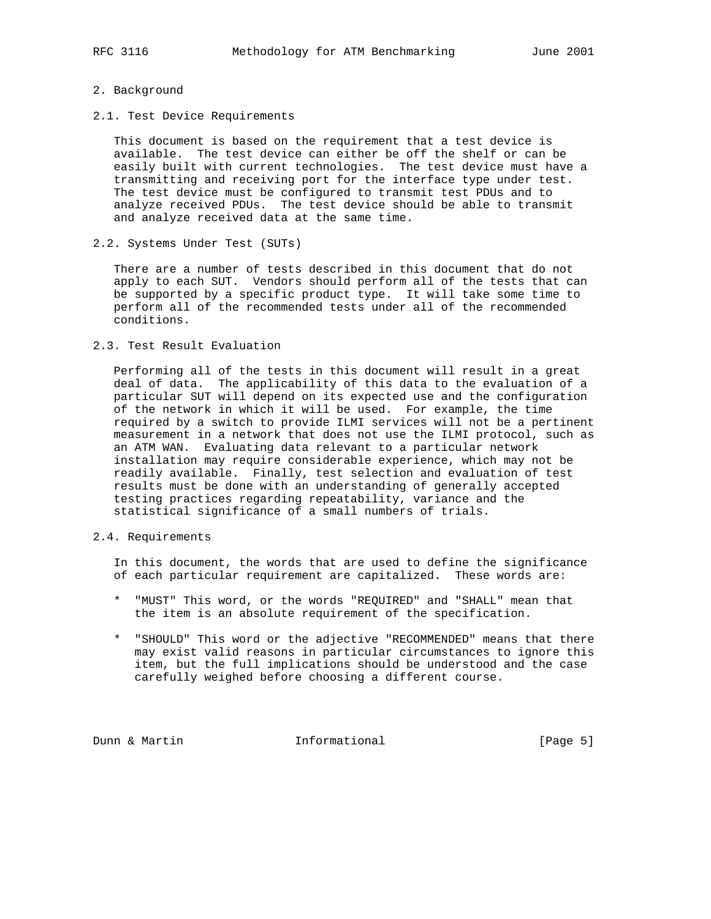## 2. Background

2.1. Test Device Requirements

 This document is based on the requirement that a test device is available. The test device can either be off the shelf or can be easily built with current technologies. The test device must have a transmitting and receiving port for the interface type under test. The test device must be configured to transmit test PDUs and to analyze received PDUs. The test device should be able to transmit and analyze received data at the same time.

2.2. Systems Under Test (SUTs)

 There are a number of tests described in this document that do not apply to each SUT. Vendors should perform all of the tests that can be supported by a specific product type. It will take some time to perform all of the recommended tests under all of the recommended conditions.

2.3. Test Result Evaluation

 Performing all of the tests in this document will result in a great deal of data. The applicability of this data to the evaluation of a particular SUT will depend on its expected use and the configuration of the network in which it will be used. For example, the time required by a switch to provide ILMI services will not be a pertinent measurement in a network that does not use the ILMI protocol, such as an ATM WAN. Evaluating data relevant to a particular network installation may require considerable experience, which may not be readily available. Finally, test selection and evaluation of test results must be done with an understanding of generally accepted testing practices regarding repeatability, variance and the statistical significance of a small numbers of trials.

2.4. Requirements

 In this document, the words that are used to define the significance of each particular requirement are capitalized. These words are:

- \* "MUST" This word, or the words "REQUIRED" and "SHALL" mean that the item is an absolute requirement of the specification.
- \* "SHOULD" This word or the adjective "RECOMMENDED" means that there may exist valid reasons in particular circumstances to ignore this item, but the full implications should be understood and the case carefully weighed before choosing a different course.

Dunn & Martin **Informational Informational** [Page 5]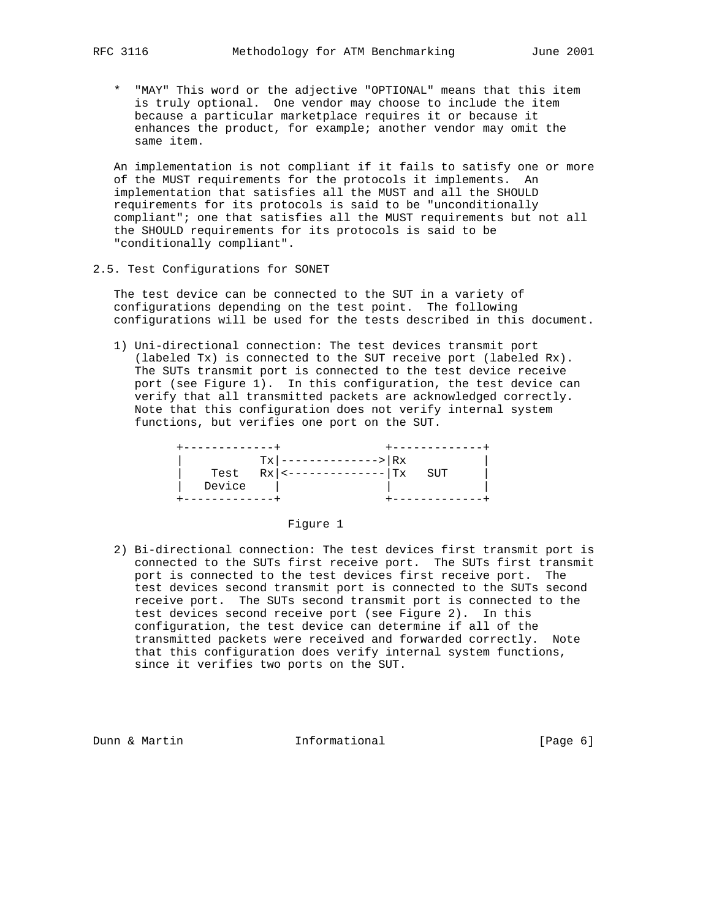\* "MAY" This word or the adjective "OPTIONAL" means that this item is truly optional. One vendor may choose to include the item because a particular marketplace requires it or because it enhances the product, for example; another vendor may omit the same item.

 An implementation is not compliant if it fails to satisfy one or more of the MUST requirements for the protocols it implements. An implementation that satisfies all the MUST and all the SHOULD requirements for its protocols is said to be "unconditionally compliant"; one that satisfies all the MUST requirements but not all the SHOULD requirements for its protocols is said to be "conditionally compliant".

2.5. Test Configurations for SONET

 The test device can be connected to the SUT in a variety of configurations depending on the test point. The following configurations will be used for the tests described in this document.

 1) Uni-directional connection: The test devices transmit port (labeled Tx) is connected to the SUT receive port (labeled Rx). The SUTs transmit port is connected to the test device receive port (see Figure 1). In this configuration, the test device can verify that all transmitted packets are acknowledged correctly. Note that this configuration does not verify internal system functions, but verifies one port on the SUT.

|        | $Tx$ --------------->   Rx       |     |
|--------|----------------------------------|-----|
|        | Test $Rx$   <---------------  Tx | SUT |
| Device |                                  |     |
|        |                                  |     |

# Figure 1

 2) Bi-directional connection: The test devices first transmit port is connected to the SUTs first receive port. The SUTs first transmit port is connected to the test devices first receive port. The test devices second transmit port is connected to the SUTs second receive port. The SUTs second transmit port is connected to the test devices second receive port (see Figure 2). In this configuration, the test device can determine if all of the transmitted packets were received and forwarded correctly. Note that this configuration does verify internal system functions, since it verifies two ports on the SUT.

Dunn & Martin **Informational** [Page 6]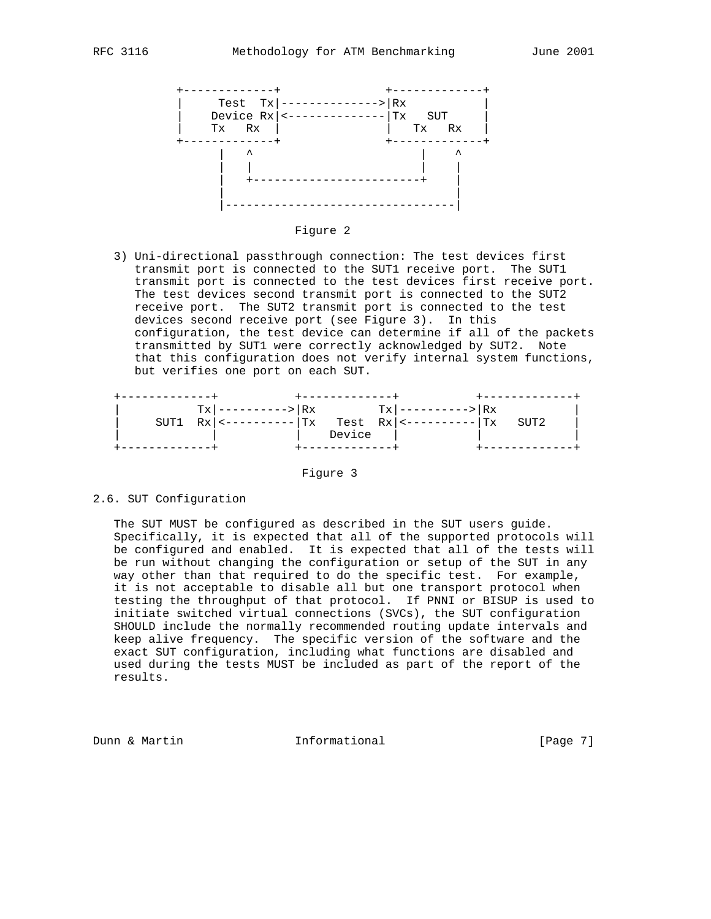



 3) Uni-directional passthrough connection: The test devices first transmit port is connected to the SUT1 receive port. The SUT1 transmit port is connected to the test devices first receive port. The test devices second transmit port is connected to the SUT2 receive port. The SUT2 transmit port is connected to the test devices second receive port (see Figure 3). In this configuration, the test device can determine if all of the packets transmitted by SUT1 were correctly acknowledged by SUT2. Note that this configuration does not verify internal system functions, but verifies one port on each SUT.

|  | $Tx$   ---------->   Rx |        | $Tx$   ---------->   Rx                                              |  |  |
|--|-------------------------|--------|----------------------------------------------------------------------|--|--|
|  |                         |        | SUT1 $Rx \mid \{-------\mid Tx$ Test $Rx \mid \{-------\mid Tx$ SUT2 |  |  |
|  |                         | Device |                                                                      |  |  |
|  |                         |        |                                                                      |  |  |

Figure 3

## 2.6. SUT Configuration

 The SUT MUST be configured as described in the SUT users guide. Specifically, it is expected that all of the supported protocols will be configured and enabled. It is expected that all of the tests will be run without changing the configuration or setup of the SUT in any way other than that required to do the specific test. For example, it is not acceptable to disable all but one transport protocol when testing the throughput of that protocol. If PNNI or BISUP is used to initiate switched virtual connections (SVCs), the SUT configuration SHOULD include the normally recommended routing update intervals and keep alive frequency. The specific version of the software and the exact SUT configuration, including what functions are disabled and used during the tests MUST be included as part of the report of the results.

Dunn & Martin **Informational Informational** [Page 7]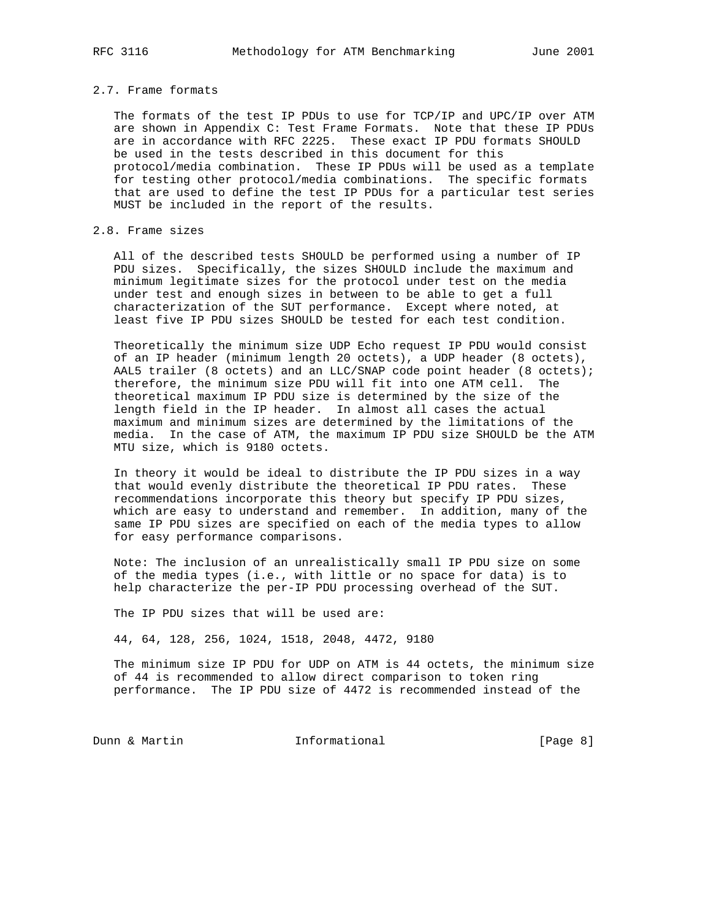## 2.7. Frame formats

 The formats of the test IP PDUs to use for TCP/IP and UPC/IP over ATM are shown in Appendix C: Test Frame Formats. Note that these IP PDUs are in accordance with RFC 2225. These exact IP PDU formats SHOULD be used in the tests described in this document for this protocol/media combination. These IP PDUs will be used as a template for testing other protocol/media combinations. The specific formats that are used to define the test IP PDUs for a particular test series MUST be included in the report of the results.

# 2.8. Frame sizes

 All of the described tests SHOULD be performed using a number of IP PDU sizes. Specifically, the sizes SHOULD include the maximum and minimum legitimate sizes for the protocol under test on the media under test and enough sizes in between to be able to get a full characterization of the SUT performance. Except where noted, at least five IP PDU sizes SHOULD be tested for each test condition.

 Theoretically the minimum size UDP Echo request IP PDU would consist of an IP header (minimum length 20 octets), a UDP header (8 octets), AAL5 trailer (8 octets) and an LLC/SNAP code point header (8 octets); therefore, the minimum size PDU will fit into one ATM cell. The theoretical maximum IP PDU size is determined by the size of the length field in the IP header. In almost all cases the actual maximum and minimum sizes are determined by the limitations of the media. In the case of ATM, the maximum IP PDU size SHOULD be the ATM MTU size, which is 9180 octets.

 In theory it would be ideal to distribute the IP PDU sizes in a way that would evenly distribute the theoretical IP PDU rates. These recommendations incorporate this theory but specify IP PDU sizes, which are easy to understand and remember. In addition, many of the same IP PDU sizes are specified on each of the media types to allow for easy performance comparisons.

 Note: The inclusion of an unrealistically small IP PDU size on some of the media types (i.e., with little or no space for data) is to help characterize the per-IP PDU processing overhead of the SUT.

The IP PDU sizes that will be used are:

44, 64, 128, 256, 1024, 1518, 2048, 4472, 9180

 The minimum size IP PDU for UDP on ATM is 44 octets, the minimum size of 44 is recommended to allow direct comparison to token ring performance. The IP PDU size of 4472 is recommended instead of the

Dunn & Martin **Informational** [Page 8]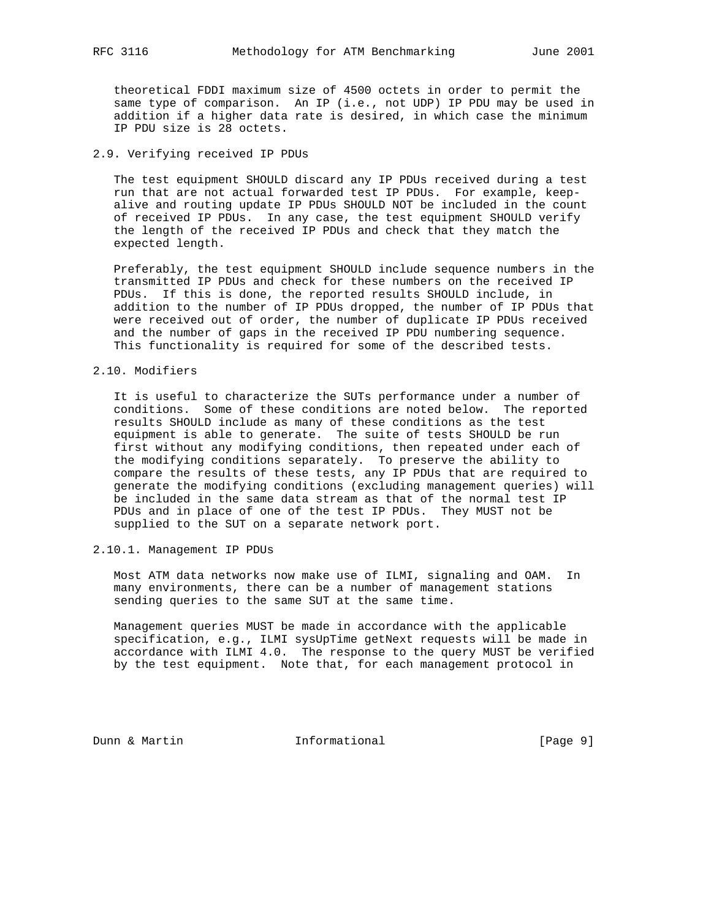theoretical FDDI maximum size of 4500 octets in order to permit the same type of comparison. An IP (i.e., not UDP) IP PDU may be used in addition if a higher data rate is desired, in which case the minimum IP PDU size is 28 octets.

# 2.9. Verifying received IP PDUs

 The test equipment SHOULD discard any IP PDUs received during a test run that are not actual forwarded test IP PDUs. For example, keep alive and routing update IP PDUs SHOULD NOT be included in the count of received IP PDUs. In any case, the test equipment SHOULD verify the length of the received IP PDUs and check that they match the expected length.

 Preferably, the test equipment SHOULD include sequence numbers in the transmitted IP PDUs and check for these numbers on the received IP PDUs. If this is done, the reported results SHOULD include, in addition to the number of IP PDUs dropped, the number of IP PDUs that were received out of order, the number of duplicate IP PDUs received and the number of gaps in the received IP PDU numbering sequence. This functionality is required for some of the described tests.

# 2.10. Modifiers

 It is useful to characterize the SUTs performance under a number of conditions. Some of these conditions are noted below. The reported results SHOULD include as many of these conditions as the test equipment is able to generate. The suite of tests SHOULD be run first without any modifying conditions, then repeated under each of the modifying conditions separately. To preserve the ability to compare the results of these tests, any IP PDUs that are required to generate the modifying conditions (excluding management queries) will be included in the same data stream as that of the normal test IP PDUs and in place of one of the test IP PDUs. They MUST not be supplied to the SUT on a separate network port.

2.10.1. Management IP PDUs

 Most ATM data networks now make use of ILMI, signaling and OAM. In many environments, there can be a number of management stations sending queries to the same SUT at the same time.

 Management queries MUST be made in accordance with the applicable specification, e.g., ILMI sysUpTime getNext requests will be made in accordance with ILMI 4.0. The response to the query MUST be verified by the test equipment. Note that, for each management protocol in

Dunn & Martin **Informational Informational** [Page 9]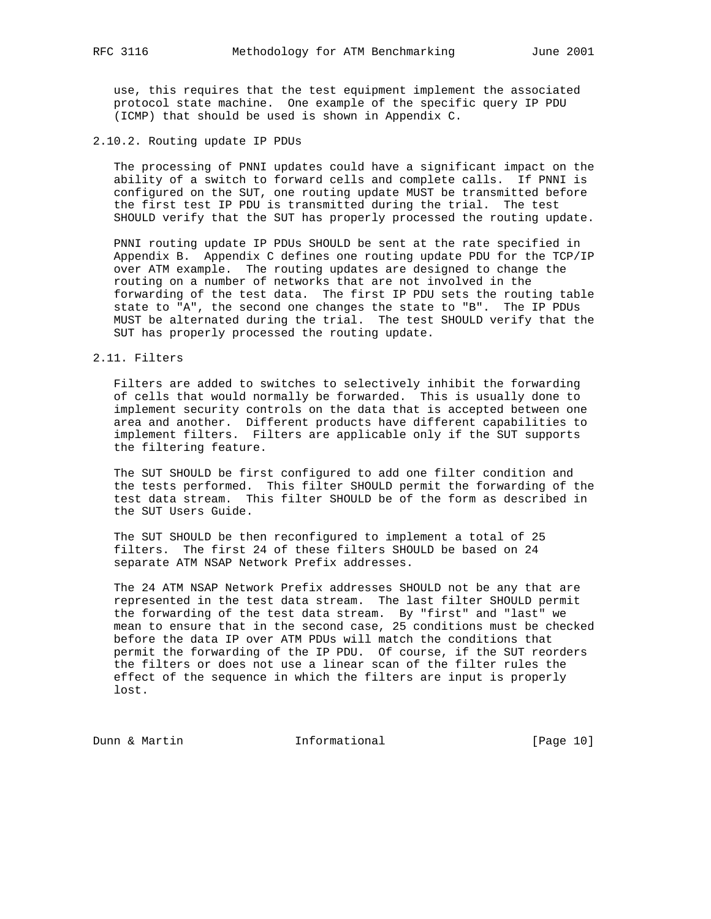use, this requires that the test equipment implement the associated protocol state machine. One example of the specific query IP PDU (ICMP) that should be used is shown in Appendix C.

## 2.10.2. Routing update IP PDUs

 The processing of PNNI updates could have a significant impact on the ability of a switch to forward cells and complete calls. If PNNI is configured on the SUT, one routing update MUST be transmitted before the first test IP PDU is transmitted during the trial. The test SHOULD verify that the SUT has properly processed the routing update.

 PNNI routing update IP PDUs SHOULD be sent at the rate specified in Appendix B. Appendix C defines one routing update PDU for the TCP/IP over ATM example. The routing updates are designed to change the routing on a number of networks that are not involved in the forwarding of the test data. The first IP PDU sets the routing table state to "A", the second one changes the state to "B". The IP PDUs MUST be alternated during the trial. The test SHOULD verify that the SUT has properly processed the routing update.

## 2.11. Filters

 Filters are added to switches to selectively inhibit the forwarding of cells that would normally be forwarded. This is usually done to implement security controls on the data that is accepted between one area and another. Different products have different capabilities to implement filters. Filters are applicable only if the SUT supports the filtering feature.

 The SUT SHOULD be first configured to add one filter condition and the tests performed. This filter SHOULD permit the forwarding of the test data stream. This filter SHOULD be of the form as described in the SUT Users Guide.

 The SUT SHOULD be then reconfigured to implement a total of 25 filters. The first 24 of these filters SHOULD be based on 24 separate ATM NSAP Network Prefix addresses.

 The 24 ATM NSAP Network Prefix addresses SHOULD not be any that are represented in the test data stream. The last filter SHOULD permit the forwarding of the test data stream. By "first" and "last" we mean to ensure that in the second case, 25 conditions must be checked before the data IP over ATM PDUs will match the conditions that permit the forwarding of the IP PDU. Of course, if the SUT reorders the filters or does not use a linear scan of the filter rules the effect of the sequence in which the filters are input is properly lost.

Dunn & Martin **Informational** [Page 10]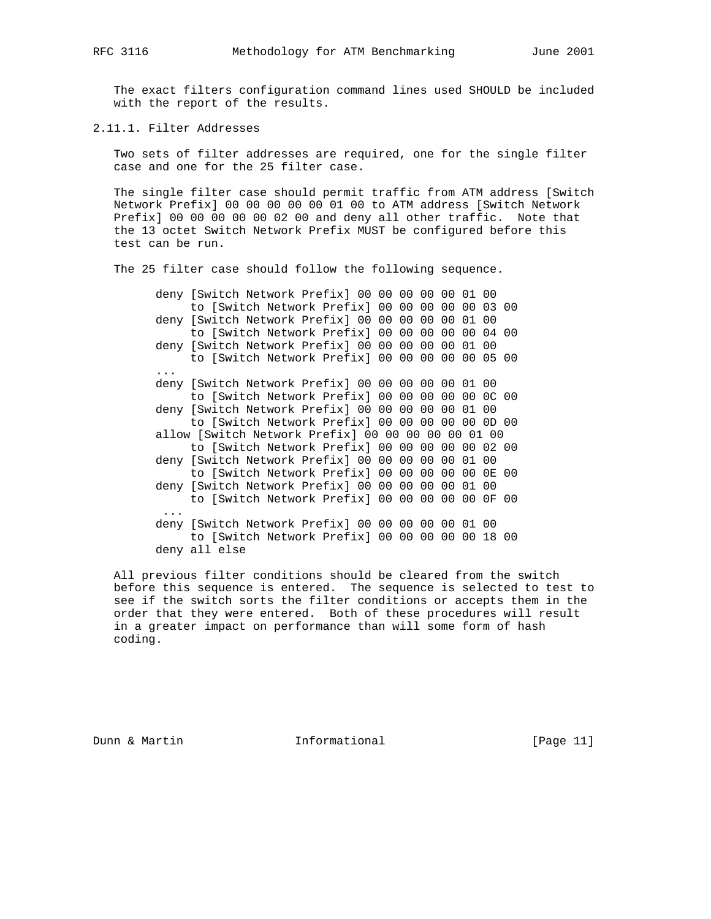The exact filters configuration command lines used SHOULD be included with the report of the results.

2.11.1. Filter Addresses

 Two sets of filter addresses are required, one for the single filter case and one for the 25 filter case.

 The single filter case should permit traffic from ATM address [Switch Network Prefix] 00 00 00 00 00 01 00 to ATM address [Switch Network Prefix] 00 00 00 00 00 02 00 and deny all other traffic. Note that the 13 octet Switch Network Prefix MUST be configured before this test can be run.

The 25 filter case should follow the following sequence.

 deny [Switch Network Prefix] 00 00 00 00 00 01 00 to [Switch Network Prefix] 00 00 00 00 00 03 00 deny [Switch Network Prefix] 00 00 00 00 00 01 00 to [Switch Network Prefix] 00 00 00 00 00 04 00 deny [Switch Network Prefix] 00 00 00 00 00 01 00 to [Switch Network Prefix] 00 00 00 00 00 05 00 ... deny [Switch Network Prefix] 00 00 00 00 00 01 00 to [Switch Network Prefix] 00 00 00 00 00 0C 00 deny [Switch Network Prefix] 00 00 00 00 00 01 00 to [Switch Network Prefix] 00 00 00 00 00 0D 00 allow [Switch Network Prefix] 00 00 00 00 00 01 00 to [Switch Network Prefix] 00 00 00 00 00 02 00 deny [Switch Network Prefix] 00 00 00 00 00 01 00 to [Switch Network Prefix] 00 00 00 00 00 0E 00 deny [Switch Network Prefix] 00 00 00 00 00 01 00 to [Switch Network Prefix] 00 00 00 00 00 0F 00 ... deny [Switch Network Prefix] 00 00 00 00 00 01 00 to [Switch Network Prefix] 00 00 00 00 00 18 00 deny all else

 All previous filter conditions should be cleared from the switch before this sequence is entered. The sequence is selected to test to see if the switch sorts the filter conditions or accepts them in the order that they were entered. Both of these procedures will result in a greater impact on performance than will some form of hash coding.

Dunn & Martin **Informational** [Page 11]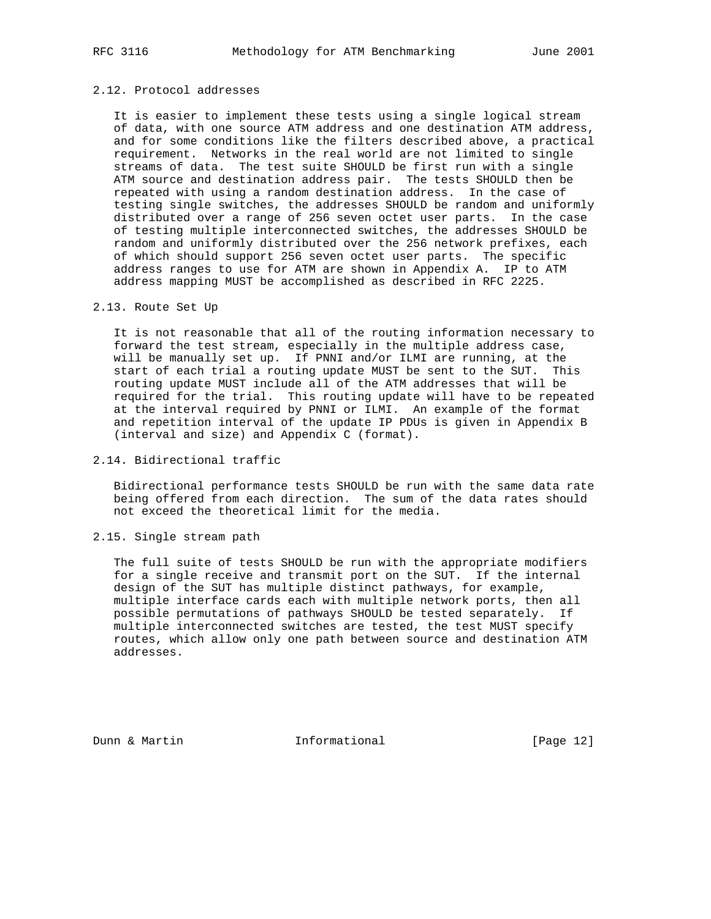# 2.12. Protocol addresses

 It is easier to implement these tests using a single logical stream of data, with one source ATM address and one destination ATM address, and for some conditions like the filters described above, a practical requirement. Networks in the real world are not limited to single streams of data. The test suite SHOULD be first run with a single ATM source and destination address pair. The tests SHOULD then be repeated with using a random destination address. In the case of testing single switches, the addresses SHOULD be random and uniformly distributed over a range of 256 seven octet user parts. In the case of testing multiple interconnected switches, the addresses SHOULD be random and uniformly distributed over the 256 network prefixes, each of which should support 256 seven octet user parts. The specific address ranges to use for ATM are shown in Appendix A. IP to ATM address mapping MUST be accomplished as described in RFC 2225.

# 2.13. Route Set Up

 It is not reasonable that all of the routing information necessary to forward the test stream, especially in the multiple address case, will be manually set up. If PNNI and/or ILMI are running, at the start of each trial a routing update MUST be sent to the SUT. This routing update MUST include all of the ATM addresses that will be required for the trial. This routing update will have to be repeated at the interval required by PNNI or ILMI. An example of the format and repetition interval of the update IP PDUs is given in Appendix B (interval and size) and Appendix C (format).

# 2.14. Bidirectional traffic

 Bidirectional performance tests SHOULD be run with the same data rate being offered from each direction. The sum of the data rates should not exceed the theoretical limit for the media.

# 2.15. Single stream path

 The full suite of tests SHOULD be run with the appropriate modifiers for a single receive and transmit port on the SUT. If the internal design of the SUT has multiple distinct pathways, for example, multiple interface cards each with multiple network ports, then all possible permutations of pathways SHOULD be tested separately. If multiple interconnected switches are tested, the test MUST specify routes, which allow only one path between source and destination ATM addresses.

Dunn & Martin **Informational** [Page 12]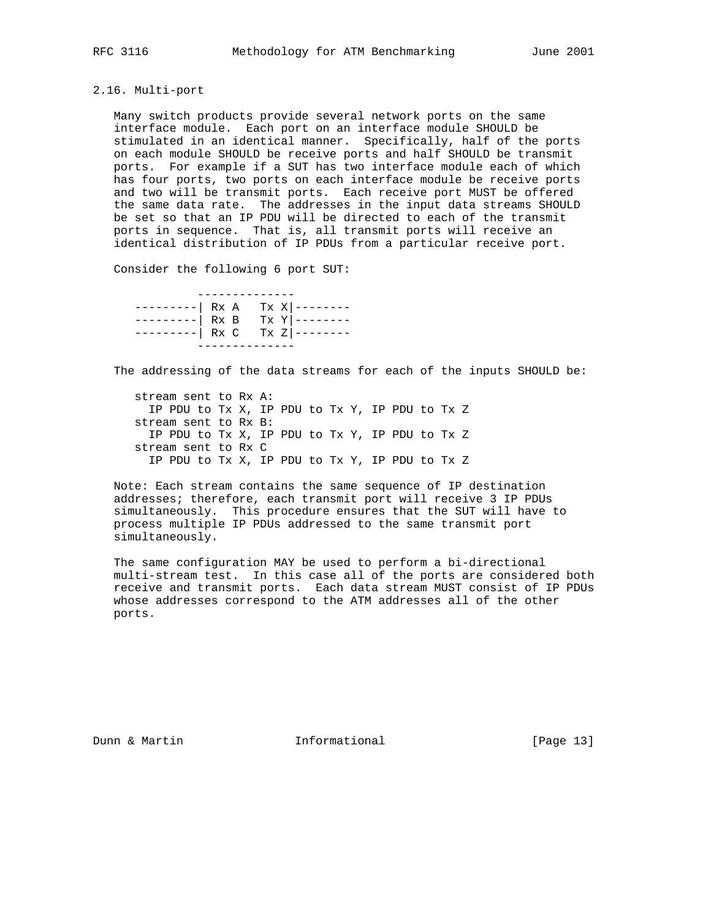# 2.16. Multi-port

 Many switch products provide several network ports on the same interface module. Each port on an interface module SHOULD be stimulated in an identical manner. Specifically, half of the ports on each module SHOULD be receive ports and half SHOULD be transmit ports. For example if a SUT has two interface module each of which has four ports, two ports on each interface module be receive ports and two will be transmit ports. Each receive port MUST be offered the same data rate. The addresses in the input data streams SHOULD be set so that an IP PDU will be directed to each of the transmit ports in sequence. That is, all transmit ports will receive an identical distribution of IP PDUs from a particular receive port.

Consider the following 6 port SUT:

| ---------  Rx A Tx X --------<br>---------  Rx B Tx Y --------<br>---------  Rx C Tx Z -------- |  |  |
|-------------------------------------------------------------------------------------------------|--|--|
|                                                                                                 |  |  |

The addressing of the data streams for each of the inputs SHOULD be:

 stream sent to Rx A: IP PDU to Tx X, IP PDU to Tx Y, IP PDU to Tx Z stream sent to Rx B: IP PDU to Tx X, IP PDU to Tx Y, IP PDU to Tx Z stream sent to Rx C IP PDU to Tx X, IP PDU to Tx Y, IP PDU to Tx Z

 Note: Each stream contains the same sequence of IP destination addresses; therefore, each transmit port will receive 3 IP PDUs simultaneously. This procedure ensures that the SUT will have to process multiple IP PDUs addressed to the same transmit port simultaneously.

 The same configuration MAY be used to perform a bi-directional multi-stream test. In this case all of the ports are considered both receive and transmit ports. Each data stream MUST consist of IP PDUs whose addresses correspond to the ATM addresses all of the other ports.

Dunn & Martin **Informational** [Page 13]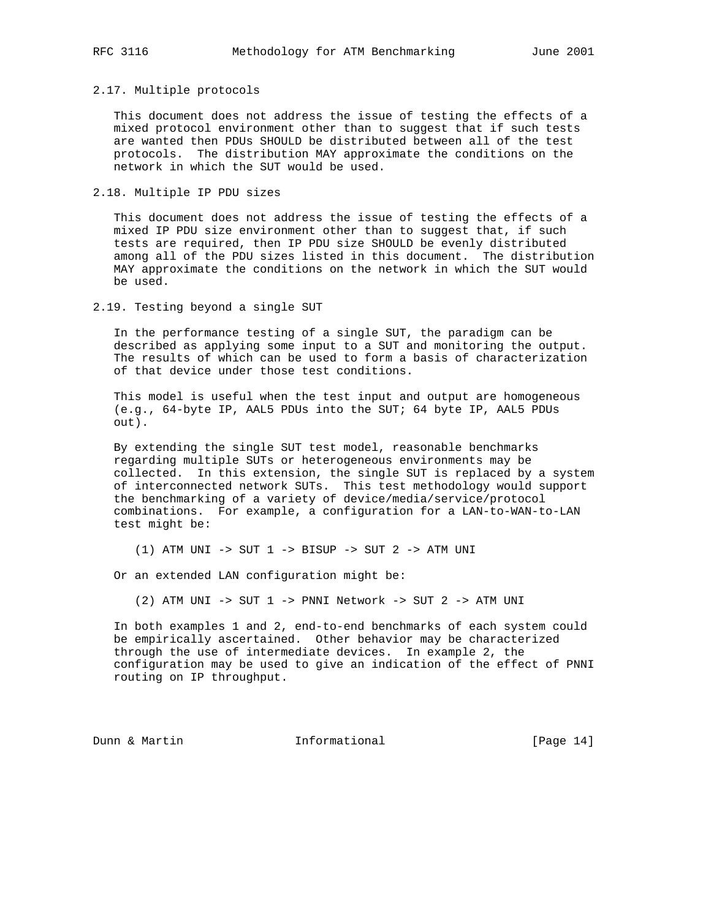## 2.17. Multiple protocols

 This document does not address the issue of testing the effects of a mixed protocol environment other than to suggest that if such tests are wanted then PDUs SHOULD be distributed between all of the test protocols. The distribution MAY approximate the conditions on the network in which the SUT would be used.

2.18. Multiple IP PDU sizes

 This document does not address the issue of testing the effects of a mixed IP PDU size environment other than to suggest that, if such tests are required, then IP PDU size SHOULD be evenly distributed among all of the PDU sizes listed in this document. The distribution MAY approximate the conditions on the network in which the SUT would be used.

2.19. Testing beyond a single SUT

 In the performance testing of a single SUT, the paradigm can be described as applying some input to a SUT and monitoring the output. The results of which can be used to form a basis of characterization of that device under those test conditions.

 This model is useful when the test input and output are homogeneous (e.g., 64-byte IP, AAL5 PDUs into the SUT; 64 byte IP, AAL5 PDUs out).

 By extending the single SUT test model, reasonable benchmarks regarding multiple SUTs or heterogeneous environments may be collected. In this extension, the single SUT is replaced by a system of interconnected network SUTs. This test methodology would support the benchmarking of a variety of device/media/service/protocol combinations. For example, a configuration for a LAN-to-WAN-to-LAN test might be:

(1) ATM UNI -> SUT 1 -> BISUP -> SUT 2 -> ATM UNI

Or an extended LAN configuration might be:

(2) ATM UNI -> SUT 1 -> PNNI Network -> SUT 2 -> ATM UNI

 In both examples 1 and 2, end-to-end benchmarks of each system could be empirically ascertained. Other behavior may be characterized through the use of intermediate devices. In example 2, the configuration may be used to give an indication of the effect of PNNI routing on IP throughput.

Dunn & Martin **Informational** [Page 14]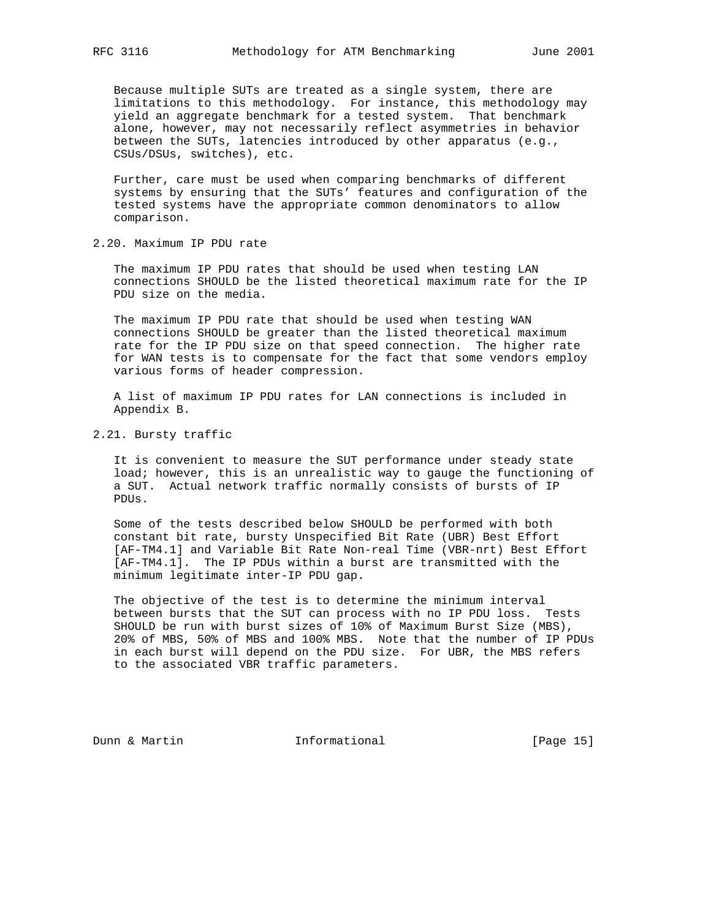Because multiple SUTs are treated as a single system, there are limitations to this methodology. For instance, this methodology may yield an aggregate benchmark for a tested system. That benchmark alone, however, may not necessarily reflect asymmetries in behavior between the SUTs, latencies introduced by other apparatus (e.g., CSUs/DSUs, switches), etc.

 Further, care must be used when comparing benchmarks of different systems by ensuring that the SUTs' features and configuration of the tested systems have the appropriate common denominators to allow comparison.

2.20. Maximum IP PDU rate

 The maximum IP PDU rates that should be used when testing LAN connections SHOULD be the listed theoretical maximum rate for the IP PDU size on the media.

 The maximum IP PDU rate that should be used when testing WAN connections SHOULD be greater than the listed theoretical maximum rate for the IP PDU size on that speed connection. The higher rate for WAN tests is to compensate for the fact that some vendors employ various forms of header compression.

 A list of maximum IP PDU rates for LAN connections is included in Appendix B.

2.21. Bursty traffic

 It is convenient to measure the SUT performance under steady state load; however, this is an unrealistic way to gauge the functioning of a SUT. Actual network traffic normally consists of bursts of IP PDUs.

 Some of the tests described below SHOULD be performed with both constant bit rate, bursty Unspecified Bit Rate (UBR) Best Effort [AF-TM4.1] and Variable Bit Rate Non-real Time (VBR-nrt) Best Effort [AF-TM4.1]. The IP PDUs within a burst are transmitted with the minimum legitimate inter-IP PDU gap.

 The objective of the test is to determine the minimum interval between bursts that the SUT can process with no IP PDU loss. Tests SHOULD be run with burst sizes of 10% of Maximum Burst Size (MBS), 20% of MBS, 50% of MBS and 100% MBS. Note that the number of IP PDUs in each burst will depend on the PDU size. For UBR, the MBS refers to the associated VBR traffic parameters.

Dunn & Martin **Informational** [Page 15]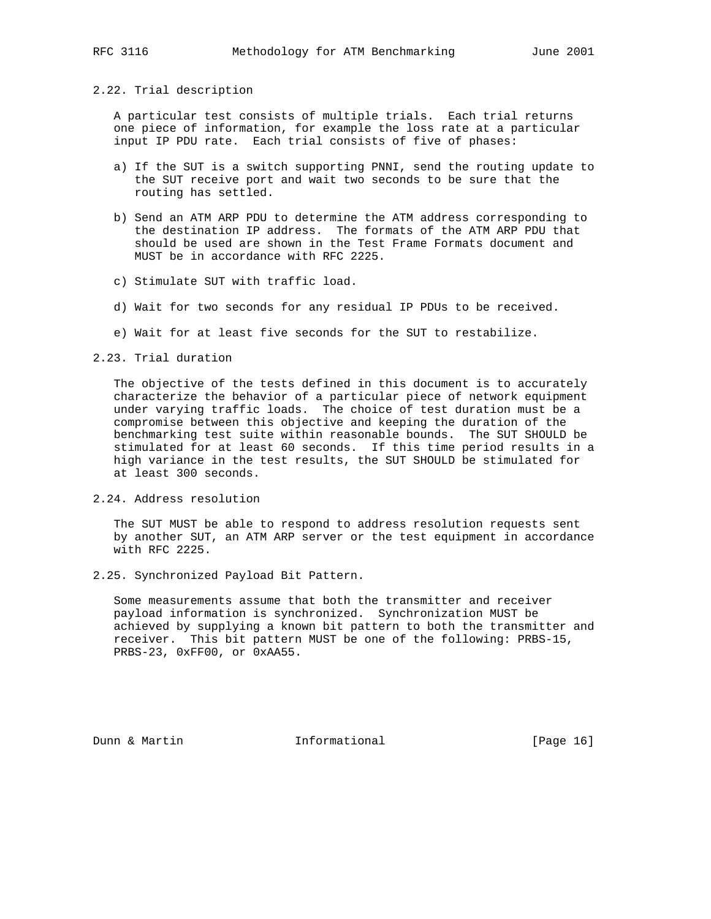# 2.22. Trial description

 A particular test consists of multiple trials. Each trial returns one piece of information, for example the loss rate at a particular input IP PDU rate. Each trial consists of five of phases:

- a) If the SUT is a switch supporting PNNI, send the routing update to the SUT receive port and wait two seconds to be sure that the routing has settled.
- b) Send an ATM ARP PDU to determine the ATM address corresponding to the destination IP address. The formats of the ATM ARP PDU that should be used are shown in the Test Frame Formats document and MUST be in accordance with RFC 2225.
- c) Stimulate SUT with traffic load.
- d) Wait for two seconds for any residual IP PDUs to be received.
- e) Wait for at least five seconds for the SUT to restabilize.

2.23. Trial duration

 The objective of the tests defined in this document is to accurately characterize the behavior of a particular piece of network equipment under varying traffic loads. The choice of test duration must be a compromise between this objective and keeping the duration of the benchmarking test suite within reasonable bounds. The SUT SHOULD be stimulated for at least 60 seconds. If this time period results in a high variance in the test results, the SUT SHOULD be stimulated for at least 300 seconds.

2.24. Address resolution

 The SUT MUST be able to respond to address resolution requests sent by another SUT, an ATM ARP server or the test equipment in accordance with RFC 2225.

2.25. Synchronized Payload Bit Pattern.

 Some measurements assume that both the transmitter and receiver payload information is synchronized. Synchronization MUST be achieved by supplying a known bit pattern to both the transmitter and receiver. This bit pattern MUST be one of the following: PRBS-15, PRBS-23, 0xFF00, or 0xAA55.

Dunn & Martin **Informational** [Page 16]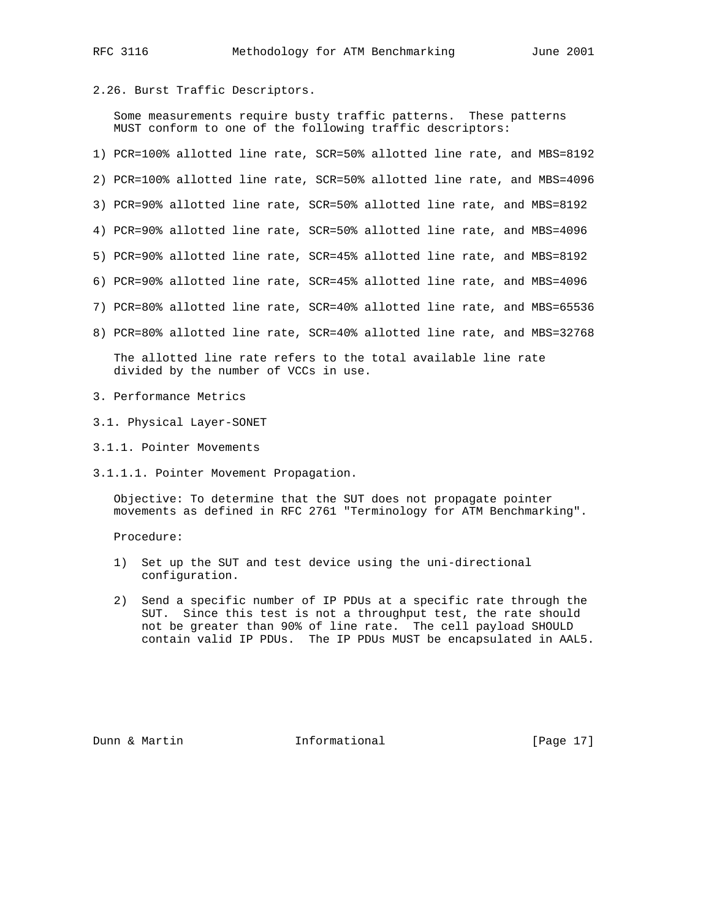2.26. Burst Traffic Descriptors.

 Some measurements require busty traffic patterns. These patterns MUST conform to one of the following traffic descriptors:

1) PCR=100% allotted line rate, SCR=50% allotted line rate, and MBS=8192 2) PCR=100% allotted line rate, SCR=50% allotted line rate, and MBS=4096 3) PCR=90% allotted line rate, SCR=50% allotted line rate, and MBS=8192 4) PCR=90% allotted line rate, SCR=50% allotted line rate, and MBS=4096 5) PCR=90% allotted line rate, SCR=45% allotted line rate, and MBS=8192 6) PCR=90% allotted line rate, SCR=45% allotted line rate, and MBS=4096 7) PCR=80% allotted line rate, SCR=40% allotted line rate, and MBS=65536 8) PCR=80% allotted line rate, SCR=40% allotted line rate, and MBS=32768 The allotted line rate refers to the total available line rate

divided by the number of VCCs in use.

- 3. Performance Metrics
- 3.1. Physical Layer-SONET
- 3.1.1. Pointer Movements
- 3.1.1.1. Pointer Movement Propagation.

 Objective: To determine that the SUT does not propagate pointer movements as defined in RFC 2761 "Terminology for ATM Benchmarking".

Procedure:

- 1) Set up the SUT and test device using the uni-directional configuration.
- 2) Send a specific number of IP PDUs at a specific rate through the SUT. Since this test is not a throughput test, the rate should not be greater than 90% of line rate. The cell payload SHOULD contain valid IP PDUs. The IP PDUs MUST be encapsulated in AAL5.

Dunn & Martin **Informational** [Page 17]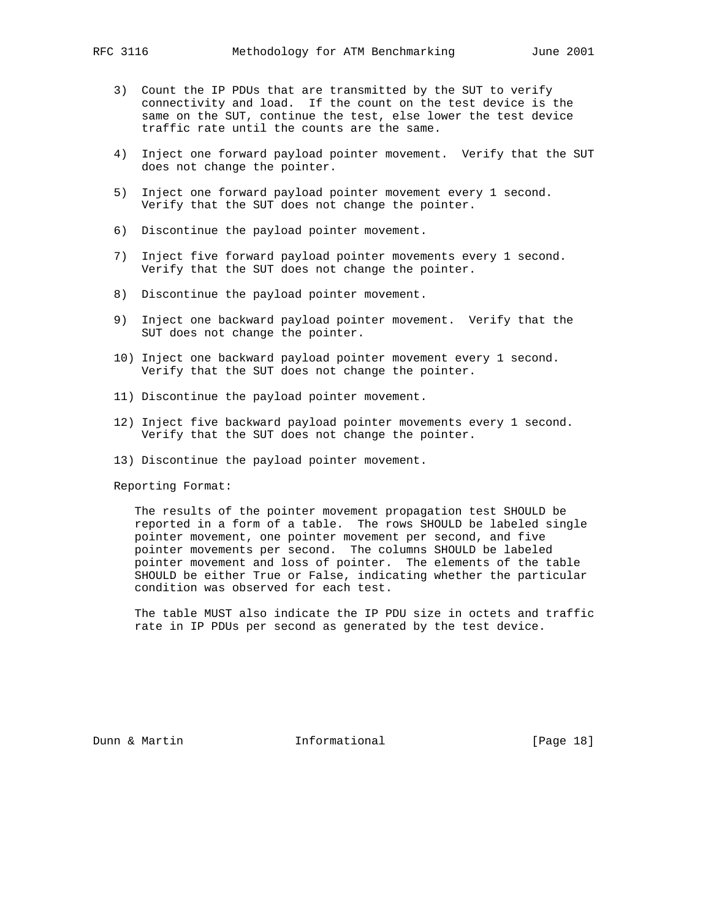- 3) Count the IP PDUs that are transmitted by the SUT to verify connectivity and load. If the count on the test device is the same on the SUT, continue the test, else lower the test device traffic rate until the counts are the same.
- 4) Inject one forward payload pointer movement. Verify that the SUT does not change the pointer.
- 5) Inject one forward payload pointer movement every 1 second. Verify that the SUT does not change the pointer.
- 6) Discontinue the payload pointer movement.
- 7) Inject five forward payload pointer movements every 1 second. Verify that the SUT does not change the pointer.
- 8) Discontinue the payload pointer movement.
- 9) Inject one backward payload pointer movement. Verify that the SUT does not change the pointer.
- 10) Inject one backward payload pointer movement every 1 second. Verify that the SUT does not change the pointer.
- 11) Discontinue the payload pointer movement.
- 12) Inject five backward payload pointer movements every 1 second. Verify that the SUT does not change the pointer.
- 13) Discontinue the payload pointer movement.

 The results of the pointer movement propagation test SHOULD be reported in a form of a table. The rows SHOULD be labeled single pointer movement, one pointer movement per second, and five pointer movements per second. The columns SHOULD be labeled pointer movement and loss of pointer. The elements of the table SHOULD be either True or False, indicating whether the particular condition was observed for each test.

 The table MUST also indicate the IP PDU size in octets and traffic rate in IP PDUs per second as generated by the test device.

Dunn & Martin **Informational** [Page 18]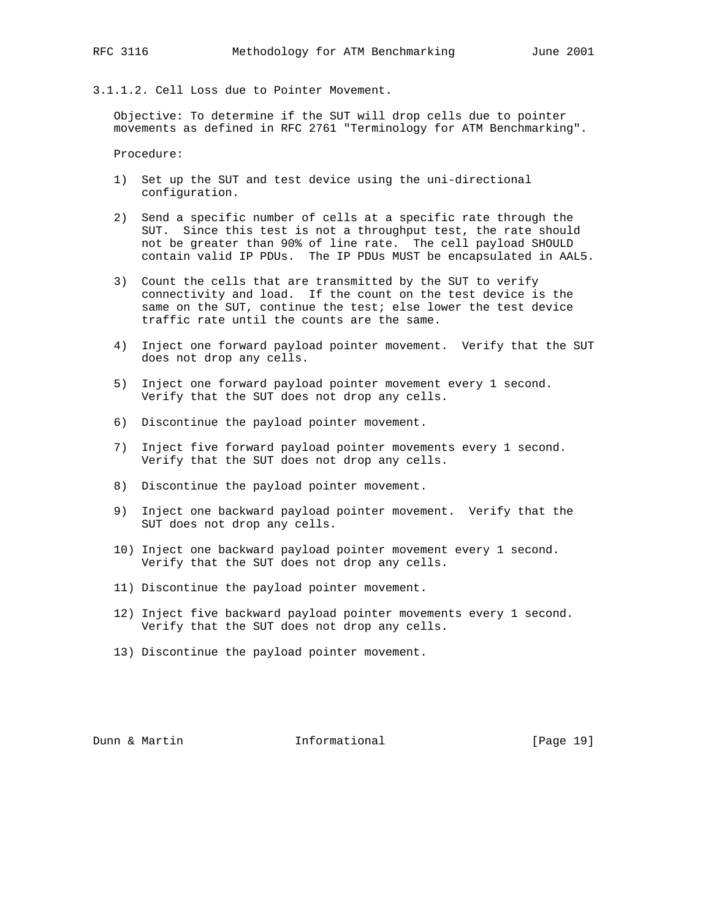3.1.1.2. Cell Loss due to Pointer Movement.

 Objective: To determine if the SUT will drop cells due to pointer movements as defined in RFC 2761 "Terminology for ATM Benchmarking".

Procedure:

- 1) Set up the SUT and test device using the uni-directional configuration.
- 2) Send a specific number of cells at a specific rate through the SUT. Since this test is not a throughput test, the rate should not be greater than 90% of line rate. The cell payload SHOULD contain valid IP PDUs. The IP PDUs MUST be encapsulated in AAL5.
- 3) Count the cells that are transmitted by the SUT to verify connectivity and load. If the count on the test device is the same on the SUT, continue the test; else lower the test device traffic rate until the counts are the same.
- 4) Inject one forward payload pointer movement. Verify that the SUT does not drop any cells.
- 5) Inject one forward payload pointer movement every 1 second. Verify that the SUT does not drop any cells.
- 6) Discontinue the payload pointer movement.
- 7) Inject five forward payload pointer movements every 1 second. Verify that the SUT does not drop any cells.
- 8) Discontinue the payload pointer movement.
- 9) Inject one backward payload pointer movement. Verify that the SUT does not drop any cells.
- 10) Inject one backward payload pointer movement every 1 second. Verify that the SUT does not drop any cells.
- 11) Discontinue the payload pointer movement.
- 12) Inject five backward payload pointer movements every 1 second. Verify that the SUT does not drop any cells.
- 13) Discontinue the payload pointer movement.

Dunn & Martin Informational [Page 19]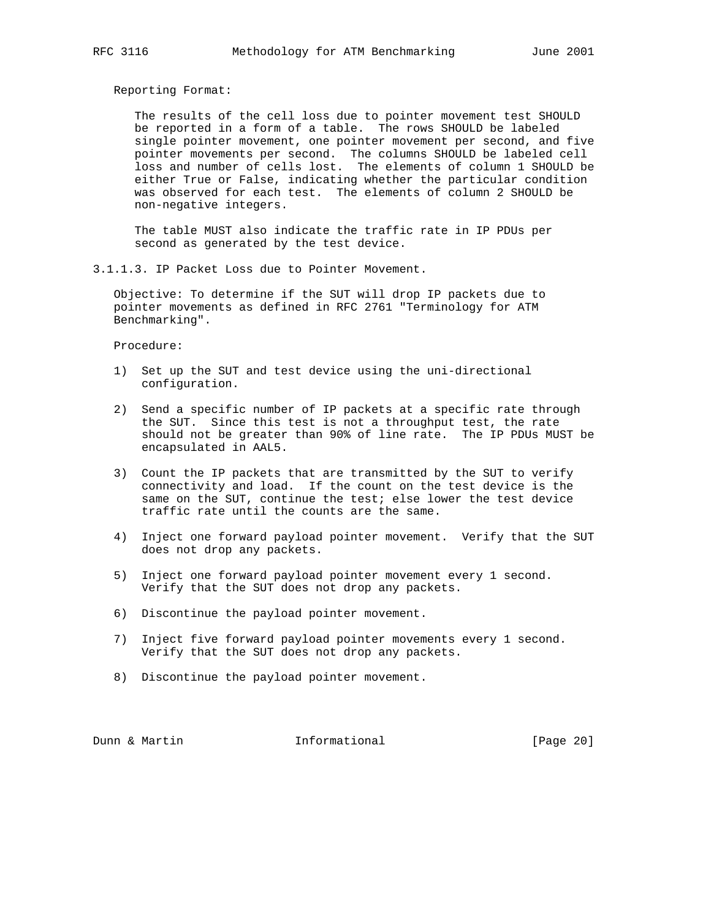The results of the cell loss due to pointer movement test SHOULD be reported in a form of a table. The rows SHOULD be labeled single pointer movement, one pointer movement per second, and five pointer movements per second. The columns SHOULD be labeled cell loss and number of cells lost. The elements of column 1 SHOULD be either True or False, indicating whether the particular condition was observed for each test. The elements of column 2 SHOULD be non-negative integers.

 The table MUST also indicate the traffic rate in IP PDUs per second as generated by the test device.

3.1.1.3. IP Packet Loss due to Pointer Movement.

 Objective: To determine if the SUT will drop IP packets due to pointer movements as defined in RFC 2761 "Terminology for ATM Benchmarking".

Procedure:

- 1) Set up the SUT and test device using the uni-directional configuration.
- 2) Send a specific number of IP packets at a specific rate through the SUT. Since this test is not a throughput test, the rate should not be greater than 90% of line rate. The IP PDUs MUST be encapsulated in AAL5.
- 3) Count the IP packets that are transmitted by the SUT to verify connectivity and load. If the count on the test device is the same on the SUT, continue the test; else lower the test device traffic rate until the counts are the same.
- 4) Inject one forward payload pointer movement. Verify that the SUT does not drop any packets.
- 5) Inject one forward payload pointer movement every 1 second. Verify that the SUT does not drop any packets.
- 6) Discontinue the payload pointer movement.
- 7) Inject five forward payload pointer movements every 1 second. Verify that the SUT does not drop any packets.
- 8) Discontinue the payload pointer movement.

Dunn & Martin **Informational** [Page 20]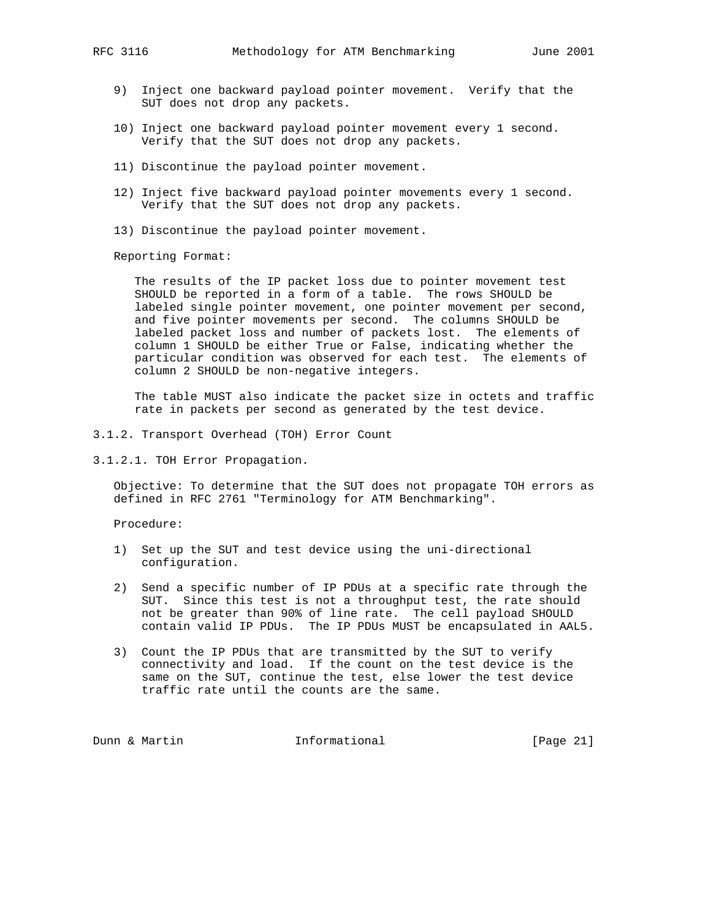- 9) Inject one backward payload pointer movement. Verify that the SUT does not drop any packets.
- 10) Inject one backward payload pointer movement every 1 second. Verify that the SUT does not drop any packets.
- 11) Discontinue the payload pointer movement.
- 12) Inject five backward payload pointer movements every 1 second. Verify that the SUT does not drop any packets.
- 13) Discontinue the payload pointer movement.

 The results of the IP packet loss due to pointer movement test SHOULD be reported in a form of a table. The rows SHOULD be labeled single pointer movement, one pointer movement per second, and five pointer movements per second. The columns SHOULD be labeled packet loss and number of packets lost. The elements of column 1 SHOULD be either True or False, indicating whether the particular condition was observed for each test. The elements of column 2 SHOULD be non-negative integers.

 The table MUST also indicate the packet size in octets and traffic rate in packets per second as generated by the test device.

- 3.1.2. Transport Overhead (TOH) Error Count
- 3.1.2.1. TOH Error Propagation.

 Objective: To determine that the SUT does not propagate TOH errors as defined in RFC 2761 "Terminology for ATM Benchmarking".

Procedure:

- 1) Set up the SUT and test device using the uni-directional configuration.
- 2) Send a specific number of IP PDUs at a specific rate through the SUT. Since this test is not a throughput test, the rate should not be greater than 90% of line rate. The cell payload SHOULD contain valid IP PDUs. The IP PDUs MUST be encapsulated in AAL5.
- 3) Count the IP PDUs that are transmitted by the SUT to verify connectivity and load. If the count on the test device is the same on the SUT, continue the test, else lower the test device traffic rate until the counts are the same.

Dunn & Martin **Informational** [Page 21]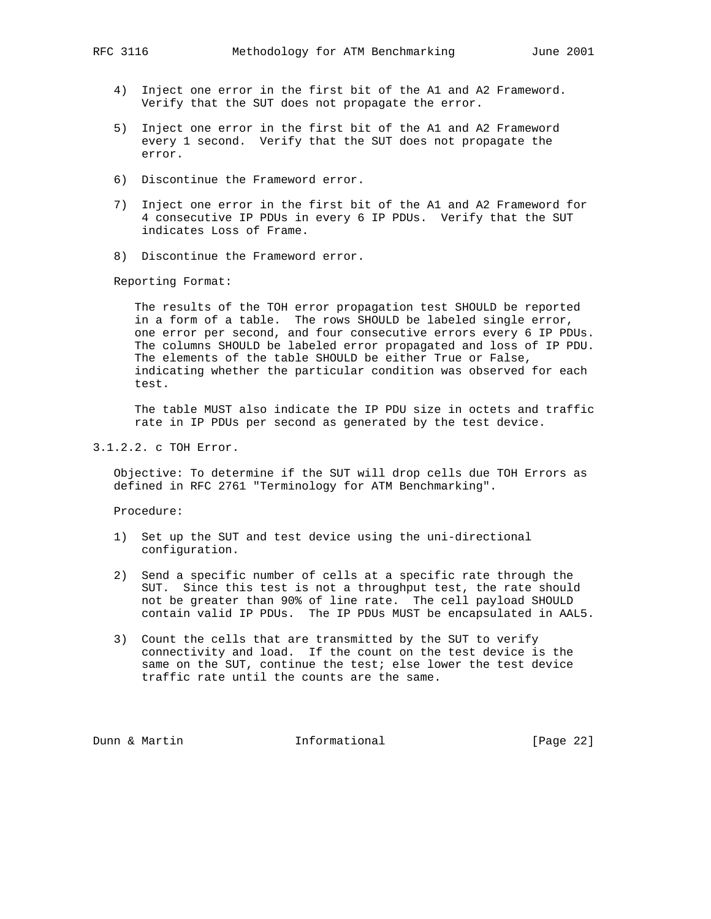- 4) Inject one error in the first bit of the A1 and A2 Frameword. Verify that the SUT does not propagate the error.
- 5) Inject one error in the first bit of the A1 and A2 Frameword every 1 second. Verify that the SUT does not propagate the error.
- 6) Discontinue the Frameword error.
- 7) Inject one error in the first bit of the A1 and A2 Frameword for 4 consecutive IP PDUs in every 6 IP PDUs. Verify that the SUT indicates Loss of Frame.
- 8) Discontinue the Frameword error.

 The results of the TOH error propagation test SHOULD be reported in a form of a table. The rows SHOULD be labeled single error, one error per second, and four consecutive errors every 6 IP PDUs. The columns SHOULD be labeled error propagated and loss of IP PDU. The elements of the table SHOULD be either True or False, indicating whether the particular condition was observed for each test.

 The table MUST also indicate the IP PDU size in octets and traffic rate in IP PDUs per second as generated by the test device.

3.1.2.2. c TOH Error.

 Objective: To determine if the SUT will drop cells due TOH Errors as defined in RFC 2761 "Terminology for ATM Benchmarking".

Procedure:

- 1) Set up the SUT and test device using the uni-directional configuration.
- 2) Send a specific number of cells at a specific rate through the SUT. Since this test is not a throughput test, the rate should not be greater than 90% of line rate. The cell payload SHOULD contain valid IP PDUs. The IP PDUs MUST be encapsulated in AAL5.
- 3) Count the cells that are transmitted by the SUT to verify connectivity and load. If the count on the test device is the same on the SUT, continue the test; else lower the test device traffic rate until the counts are the same.

Dunn & Martin **Informational** [Page 22]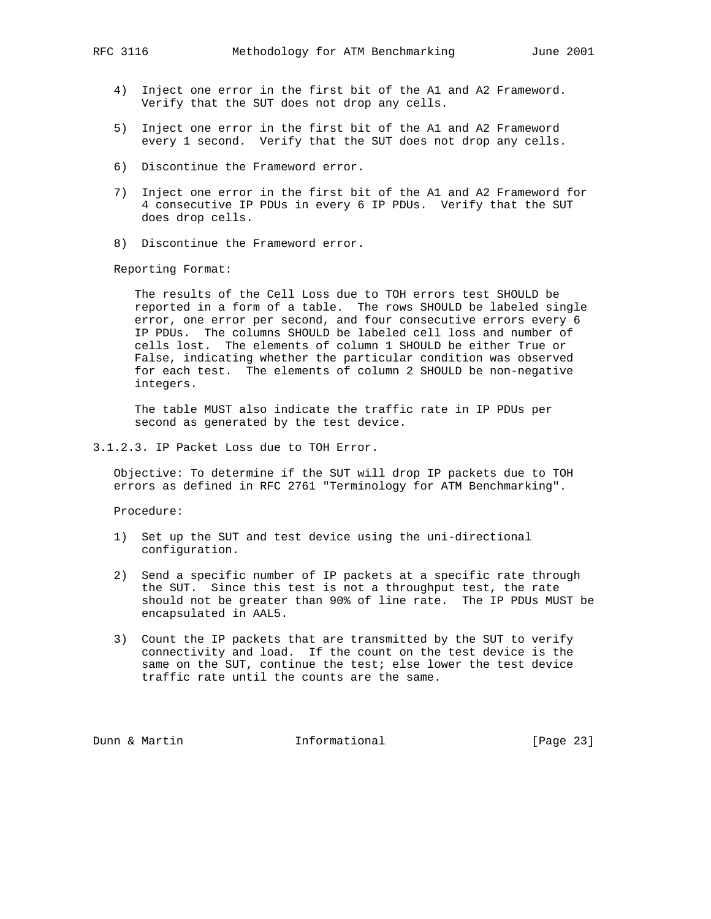- 4) Inject one error in the first bit of the A1 and A2 Frameword. Verify that the SUT does not drop any cells.
- 5) Inject one error in the first bit of the A1 and A2 Frameword every 1 second. Verify that the SUT does not drop any cells.
- 6) Discontinue the Frameword error.
- 7) Inject one error in the first bit of the A1 and A2 Frameword for 4 consecutive IP PDUs in every 6 IP PDUs. Verify that the SUT does drop cells.
- 8) Discontinue the Frameword error.

 The results of the Cell Loss due to TOH errors test SHOULD be reported in a form of a table. The rows SHOULD be labeled single error, one error per second, and four consecutive errors every 6 IP PDUs. The columns SHOULD be labeled cell loss and number of cells lost. The elements of column 1 SHOULD be either True or False, indicating whether the particular condition was observed for each test. The elements of column 2 SHOULD be non-negative integers.

 The table MUST also indicate the traffic rate in IP PDUs per second as generated by the test device.

3.1.2.3. IP Packet Loss due to TOH Error.

 Objective: To determine if the SUT will drop IP packets due to TOH errors as defined in RFC 2761 "Terminology for ATM Benchmarking".

Procedure:

- 1) Set up the SUT and test device using the uni-directional configuration.
- 2) Send a specific number of IP packets at a specific rate through the SUT. Since this test is not a throughput test, the rate should not be greater than 90% of line rate. The IP PDUs MUST be encapsulated in AAL5.
- 3) Count the IP packets that are transmitted by the SUT to verify connectivity and load. If the count on the test device is the same on the SUT, continue the test; else lower the test device traffic rate until the counts are the same.

Dunn & Martin **Informational** [Page 23]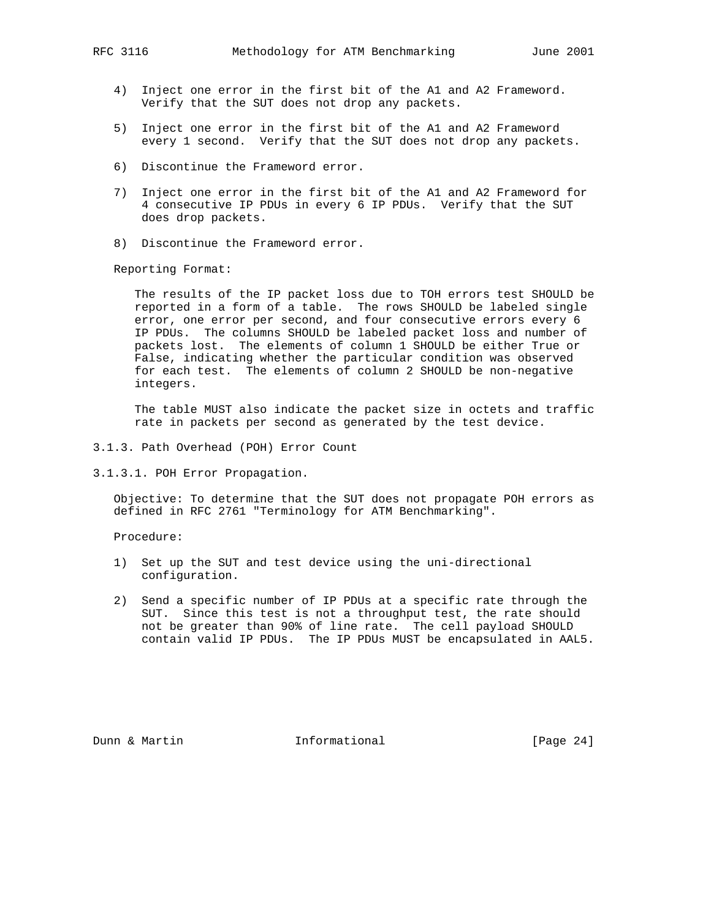- 4) Inject one error in the first bit of the A1 and A2 Frameword. Verify that the SUT does not drop any packets.
- 5) Inject one error in the first bit of the A1 and A2 Frameword every 1 second. Verify that the SUT does not drop any packets.
- 6) Discontinue the Frameword error.
- 7) Inject one error in the first bit of the A1 and A2 Frameword for 4 consecutive IP PDUs in every 6 IP PDUs. Verify that the SUT does drop packets.
- 8) Discontinue the Frameword error.

 The results of the IP packet loss due to TOH errors test SHOULD be reported in a form of a table. The rows SHOULD be labeled single error, one error per second, and four consecutive errors every 6 IP PDUs. The columns SHOULD be labeled packet loss and number of packets lost. The elements of column 1 SHOULD be either True or False, indicating whether the particular condition was observed for each test. The elements of column 2 SHOULD be non-negative integers.

 The table MUST also indicate the packet size in octets and traffic rate in packets per second as generated by the test device.

- 3.1.3. Path Overhead (POH) Error Count
- 3.1.3.1. POH Error Propagation.

 Objective: To determine that the SUT does not propagate POH errors as defined in RFC 2761 "Terminology for ATM Benchmarking".

Procedure:

- 1) Set up the SUT and test device using the uni-directional configuration.
- 2) Send a specific number of IP PDUs at a specific rate through the SUT. Since this test is not a throughput test, the rate should not be greater than 90% of line rate. The cell payload SHOULD contain valid IP PDUs. The IP PDUs MUST be encapsulated in AAL5.

Dunn & Martin **Informational** [Page 24]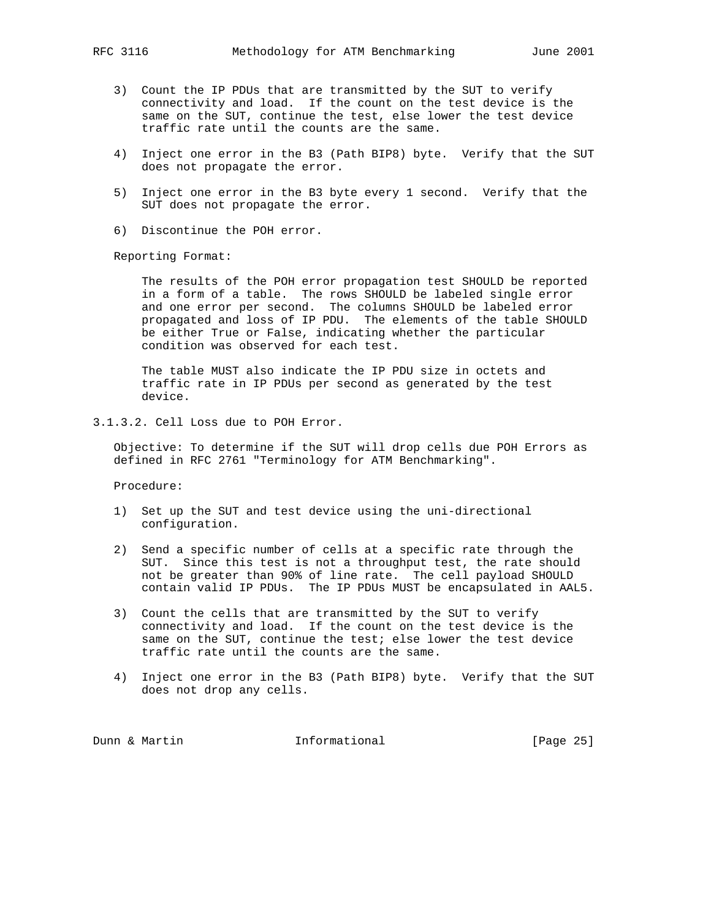- 3) Count the IP PDUs that are transmitted by the SUT to verify connectivity and load. If the count on the test device is the same on the SUT, continue the test, else lower the test device traffic rate until the counts are the same.
- 4) Inject one error in the B3 (Path BIP8) byte. Verify that the SUT does not propagate the error.
- 5) Inject one error in the B3 byte every 1 second. Verify that the SUT does not propagate the error.
- 6) Discontinue the POH error.

 The results of the POH error propagation test SHOULD be reported in a form of a table. The rows SHOULD be labeled single error and one error per second. The columns SHOULD be labeled error propagated and loss of IP PDU. The elements of the table SHOULD be either True or False, indicating whether the particular condition was observed for each test.

 The table MUST also indicate the IP PDU size in octets and traffic rate in IP PDUs per second as generated by the test device.

3.1.3.2. Cell Loss due to POH Error.

 Objective: To determine if the SUT will drop cells due POH Errors as defined in RFC 2761 "Terminology for ATM Benchmarking".

Procedure:

- 1) Set up the SUT and test device using the uni-directional configuration.
- 2) Send a specific number of cells at a specific rate through the SUT. Since this test is not a throughput test, the rate should not be greater than 90% of line rate. The cell payload SHOULD contain valid IP PDUs. The IP PDUs MUST be encapsulated in AAL5.
- 3) Count the cells that are transmitted by the SUT to verify connectivity and load. If the count on the test device is the same on the SUT, continue the test; else lower the test device traffic rate until the counts are the same.
- 4) Inject one error in the B3 (Path BIP8) byte. Verify that the SUT does not drop any cells.

| [Page 25]<br>Informational<br>Dunn & Martin |  |  |
|---------------------------------------------|--|--|
|---------------------------------------------|--|--|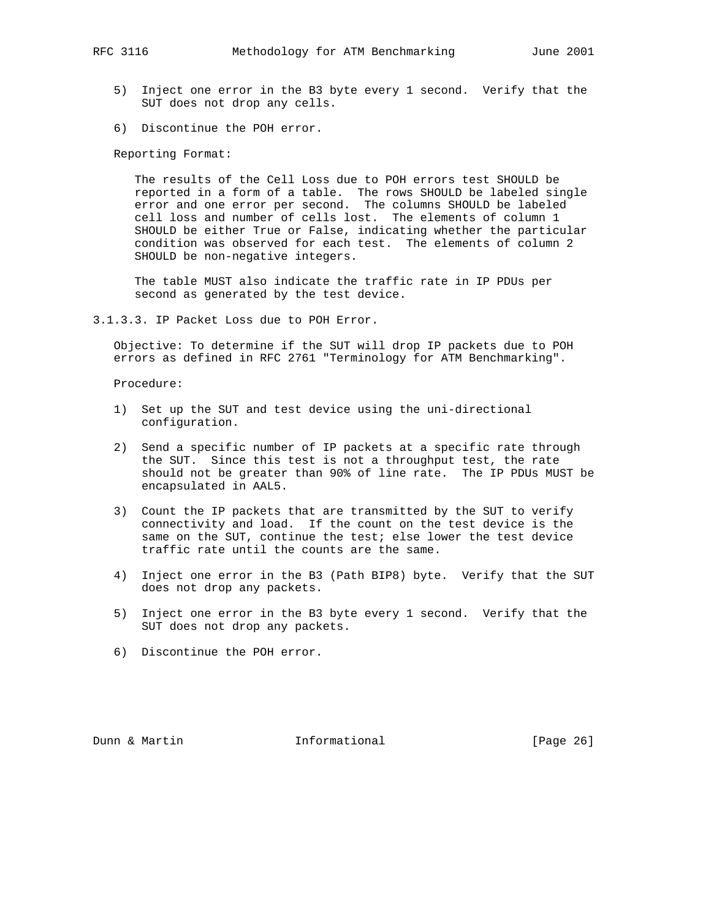- 5) Inject one error in the B3 byte every 1 second. Verify that the SUT does not drop any cells.
- 6) Discontinue the POH error.

 The results of the Cell Loss due to POH errors test SHOULD be reported in a form of a table. The rows SHOULD be labeled single error and one error per second. The columns SHOULD be labeled cell loss and number of cells lost. The elements of column 1 SHOULD be either True or False, indicating whether the particular condition was observed for each test. The elements of column 2 SHOULD be non-negative integers.

 The table MUST also indicate the traffic rate in IP PDUs per second as generated by the test device.

3.1.3.3. IP Packet Loss due to POH Error.

 Objective: To determine if the SUT will drop IP packets due to POH errors as defined in RFC 2761 "Terminology for ATM Benchmarking".

Procedure:

- 1) Set up the SUT and test device using the uni-directional configuration.
- 2) Send a specific number of IP packets at a specific rate through the SUT. Since this test is not a throughput test, the rate should not be greater than 90% of line rate. The IP PDUs MUST be encapsulated in AAL5.
- 3) Count the IP packets that are transmitted by the SUT to verify connectivity and load. If the count on the test device is the same on the SUT, continue the test; else lower the test device traffic rate until the counts are the same.
- 4) Inject one error in the B3 (Path BIP8) byte. Verify that the SUT does not drop any packets.
- 5) Inject one error in the B3 byte every 1 second. Verify that the SUT does not drop any packets.
- 6) Discontinue the POH error.

Dunn & Martin **Informational** [Page 26]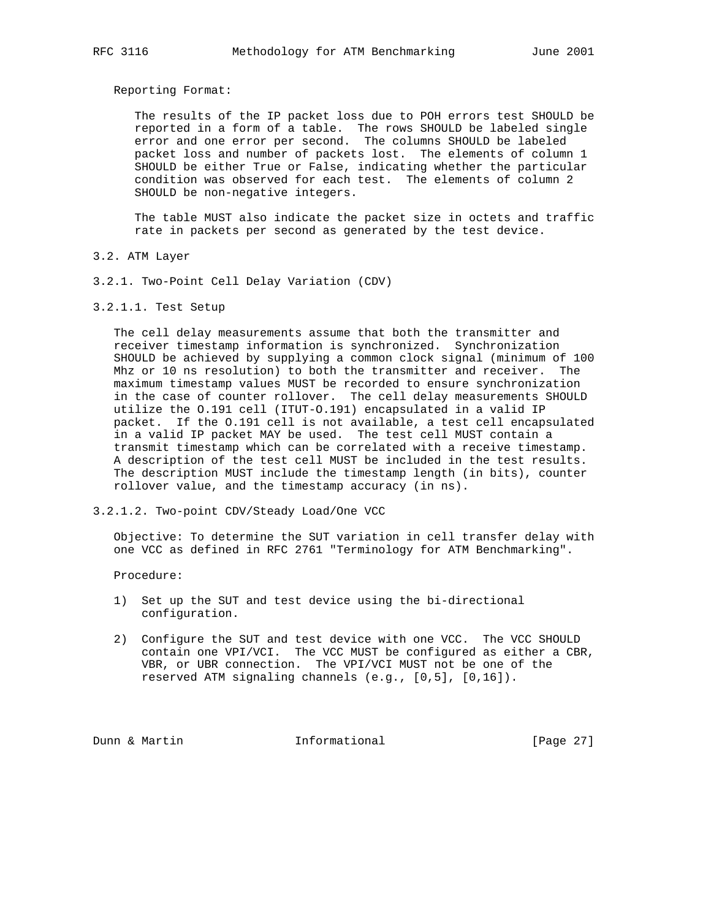The results of the IP packet loss due to POH errors test SHOULD be reported in a form of a table. The rows SHOULD be labeled single error and one error per second. The columns SHOULD be labeled packet loss and number of packets lost. The elements of column 1 SHOULD be either True or False, indicating whether the particular condition was observed for each test. The elements of column 2 SHOULD be non-negative integers.

 The table MUST also indicate the packet size in octets and traffic rate in packets per second as generated by the test device.

- 3.2. ATM Layer
- 3.2.1. Two-Point Cell Delay Variation (CDV)
- 3.2.1.1. Test Setup

 The cell delay measurements assume that both the transmitter and receiver timestamp information is synchronized. Synchronization SHOULD be achieved by supplying a common clock signal (minimum of 100 Mhz or 10 ns resolution) to both the transmitter and receiver. The maximum timestamp values MUST be recorded to ensure synchronization in the case of counter rollover. The cell delay measurements SHOULD utilize the O.191 cell (ITUT-O.191) encapsulated in a valid IP packet. If the O.191 cell is not available, a test cell encapsulated in a valid IP packet MAY be used. The test cell MUST contain a transmit timestamp which can be correlated with a receive timestamp. A description of the test cell MUST be included in the test results. The description MUST include the timestamp length (in bits), counter rollover value, and the timestamp accuracy (in ns).

3.2.1.2. Two-point CDV/Steady Load/One VCC

 Objective: To determine the SUT variation in cell transfer delay with one VCC as defined in RFC 2761 "Terminology for ATM Benchmarking".

Procedure:

- 1) Set up the SUT and test device using the bi-directional configuration.
- 2) Configure the SUT and test device with one VCC. The VCC SHOULD contain one VPI/VCI. The VCC MUST be configured as either a CBR, VBR, or UBR connection. The VPI/VCI MUST not be one of the reserved ATM signaling channels (e.g., [0,5], [0,16]).

Dunn & Martin **Informational** [Page 27]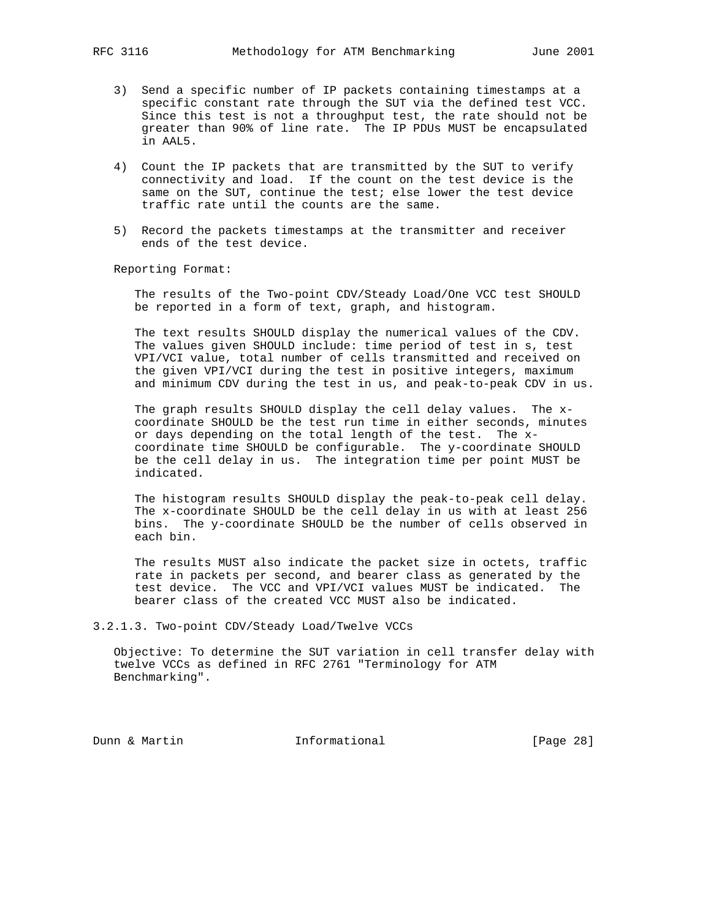- 3) Send a specific number of IP packets containing timestamps at a specific constant rate through the SUT via the defined test VCC. Since this test is not a throughput test, the rate should not be greater than 90% of line rate. The IP PDUs MUST be encapsulated in AAL5.
- 4) Count the IP packets that are transmitted by the SUT to verify connectivity and load. If the count on the test device is the same on the SUT, continue the test; else lower the test device traffic rate until the counts are the same.
- 5) Record the packets timestamps at the transmitter and receiver ends of the test device.

 The results of the Two-point CDV/Steady Load/One VCC test SHOULD be reported in a form of text, graph, and histogram.

 The text results SHOULD display the numerical values of the CDV. The values given SHOULD include: time period of test in s, test VPI/VCI value, total number of cells transmitted and received on the given VPI/VCI during the test in positive integers, maximum and minimum CDV during the test in us, and peak-to-peak CDV in us.

 The graph results SHOULD display the cell delay values. The x coordinate SHOULD be the test run time in either seconds, minutes or days depending on the total length of the test. The x coordinate time SHOULD be configurable. The y-coordinate SHOULD be the cell delay in us. The integration time per point MUST be indicated.

 The histogram results SHOULD display the peak-to-peak cell delay. The x-coordinate SHOULD be the cell delay in us with at least 256 bins. The y-coordinate SHOULD be the number of cells observed in each bin.

 The results MUST also indicate the packet size in octets, traffic rate in packets per second, and bearer class as generated by the test device. The VCC and VPI/VCI values MUST be indicated. The bearer class of the created VCC MUST also be indicated.

3.2.1.3. Two-point CDV/Steady Load/Twelve VCCs

 Objective: To determine the SUT variation in cell transfer delay with twelve VCCs as defined in RFC 2761 "Terminology for ATM Benchmarking".

Dunn & Martin **Informational** [Page 28]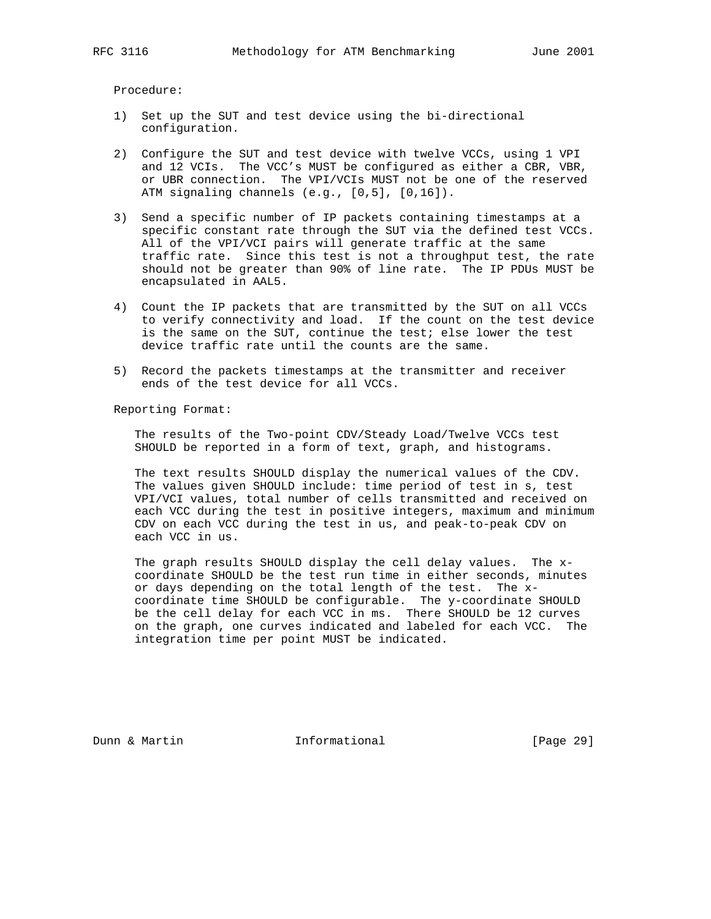Procedure:

- 1) Set up the SUT and test device using the bi-directional configuration.
- 2) Configure the SUT and test device with twelve VCCs, using 1 VPI and 12 VCIs. The VCC's MUST be configured as either a CBR, VBR, or UBR connection. The VPI/VCIs MUST not be one of the reserved ATM signaling channels (e.g., [0,5], [0,16]).
- 3) Send a specific number of IP packets containing timestamps at a specific constant rate through the SUT via the defined test VCCs. All of the VPI/VCI pairs will generate traffic at the same traffic rate. Since this test is not a throughput test, the rate should not be greater than 90% of line rate. The IP PDUs MUST be encapsulated in AAL5.
- 4) Count the IP packets that are transmitted by the SUT on all VCCs to verify connectivity and load. If the count on the test device is the same on the SUT, continue the test; else lower the test device traffic rate until the counts are the same.
- 5) Record the packets timestamps at the transmitter and receiver ends of the test device for all VCCs.

Reporting Format:

 The results of the Two-point CDV/Steady Load/Twelve VCCs test SHOULD be reported in a form of text, graph, and histograms.

 The text results SHOULD display the numerical values of the CDV. The values given SHOULD include: time period of test in s, test VPI/VCI values, total number of cells transmitted and received on each VCC during the test in positive integers, maximum and minimum CDV on each VCC during the test in us, and peak-to-peak CDV on each VCC in us.

 The graph results SHOULD display the cell delay values. The x coordinate SHOULD be the test run time in either seconds, minutes or days depending on the total length of the test. The x coordinate time SHOULD be configurable. The y-coordinate SHOULD be the cell delay for each VCC in ms. There SHOULD be 12 curves on the graph, one curves indicated and labeled for each VCC. The integration time per point MUST be indicated.

Dunn & Martin Informational [Page 29]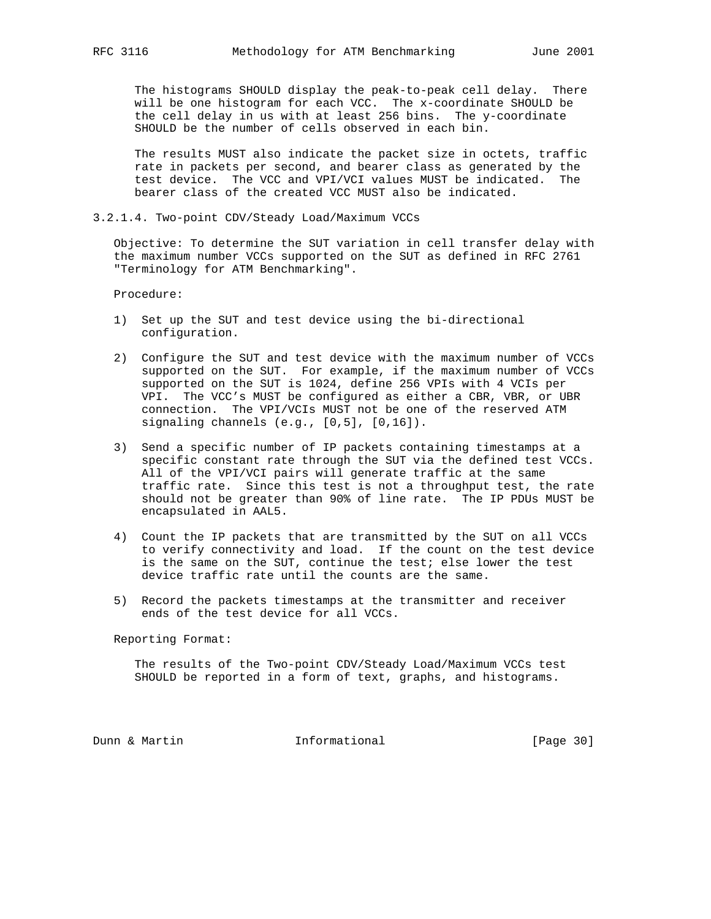The histograms SHOULD display the peak-to-peak cell delay. There will be one histogram for each VCC. The x-coordinate SHOULD be the cell delay in us with at least 256 bins. The y-coordinate SHOULD be the number of cells observed in each bin.

 The results MUST also indicate the packet size in octets, traffic rate in packets per second, and bearer class as generated by the test device. The VCC and VPI/VCI values MUST be indicated. The bearer class of the created VCC MUST also be indicated.

3.2.1.4. Two-point CDV/Steady Load/Maximum VCCs

 Objective: To determine the SUT variation in cell transfer delay with the maximum number VCCs supported on the SUT as defined in RFC 2761 "Terminology for ATM Benchmarking".

Procedure:

- 1) Set up the SUT and test device using the bi-directional configuration.
- 2) Configure the SUT and test device with the maximum number of VCCs supported on the SUT. For example, if the maximum number of VCCs supported on the SUT is 1024, define 256 VPIs with 4 VCIs per VPI. The VCC's MUST be configured as either a CBR, VBR, or UBR connection. The VPI/VCIs MUST not be one of the reserved ATM signaling channels (e.g., [0,5], [0,16]).
- 3) Send a specific number of IP packets containing timestamps at a specific constant rate through the SUT via the defined test VCCs. All of the VPI/VCI pairs will generate traffic at the same traffic rate. Since this test is not a throughput test, the rate should not be greater than 90% of line rate. The IP PDUs MUST be encapsulated in AAL5.
- 4) Count the IP packets that are transmitted by the SUT on all VCCs to verify connectivity and load. If the count on the test device is the same on the SUT, continue the test; else lower the test device traffic rate until the counts are the same.
- 5) Record the packets timestamps at the transmitter and receiver ends of the test device for all VCCs.

Reporting Format:

 The results of the Two-point CDV/Steady Load/Maximum VCCs test SHOULD be reported in a form of text, graphs, and histograms.

Dunn & Martin **Informational** [Page 30]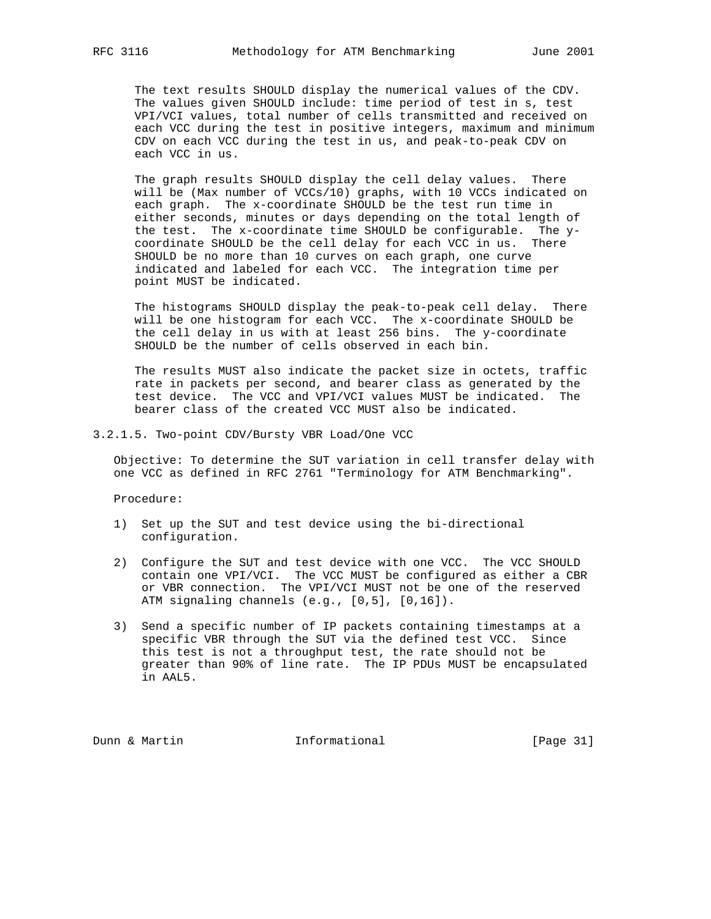The text results SHOULD display the numerical values of the CDV. The values given SHOULD include: time period of test in s, test VPI/VCI values, total number of cells transmitted and received on each VCC during the test in positive integers, maximum and minimum CDV on each VCC during the test in us, and peak-to-peak CDV on each VCC in us.

 The graph results SHOULD display the cell delay values. There will be (Max number of VCCs/10) graphs, with 10 VCCs indicated on each graph. The x-coordinate SHOULD be the test run time in either seconds, minutes or days depending on the total length of the test. The x-coordinate time SHOULD be configurable. The y coordinate SHOULD be the cell delay for each VCC in us. There SHOULD be no more than 10 curves on each graph, one curve indicated and labeled for each VCC. The integration time per point MUST be indicated.

 The histograms SHOULD display the peak-to-peak cell delay. There will be one histogram for each VCC. The x-coordinate SHOULD be the cell delay in us with at least 256 bins. The y-coordinate SHOULD be the number of cells observed in each bin.

 The results MUST also indicate the packet size in octets, traffic rate in packets per second, and bearer class as generated by the test device. The VCC and VPI/VCI values MUST be indicated. The bearer class of the created VCC MUST also be indicated.

3.2.1.5. Two-point CDV/Bursty VBR Load/One VCC

 Objective: To determine the SUT variation in cell transfer delay with one VCC as defined in RFC 2761 "Terminology for ATM Benchmarking".

Procedure:

- 1) Set up the SUT and test device using the bi-directional configuration.
- 2) Configure the SUT and test device with one VCC. The VCC SHOULD contain one VPI/VCI. The VCC MUST be configured as either a CBR or VBR connection. The VPI/VCI MUST not be one of the reserved ATM signaling channels (e.g., [0,5], [0,16]).
- 3) Send a specific number of IP packets containing timestamps at a specific VBR through the SUT via the defined test VCC. Since this test is not a throughput test, the rate should not be greater than 90% of line rate. The IP PDUs MUST be encapsulated in AAL5.

Dunn & Martin **Informational** [Page 31]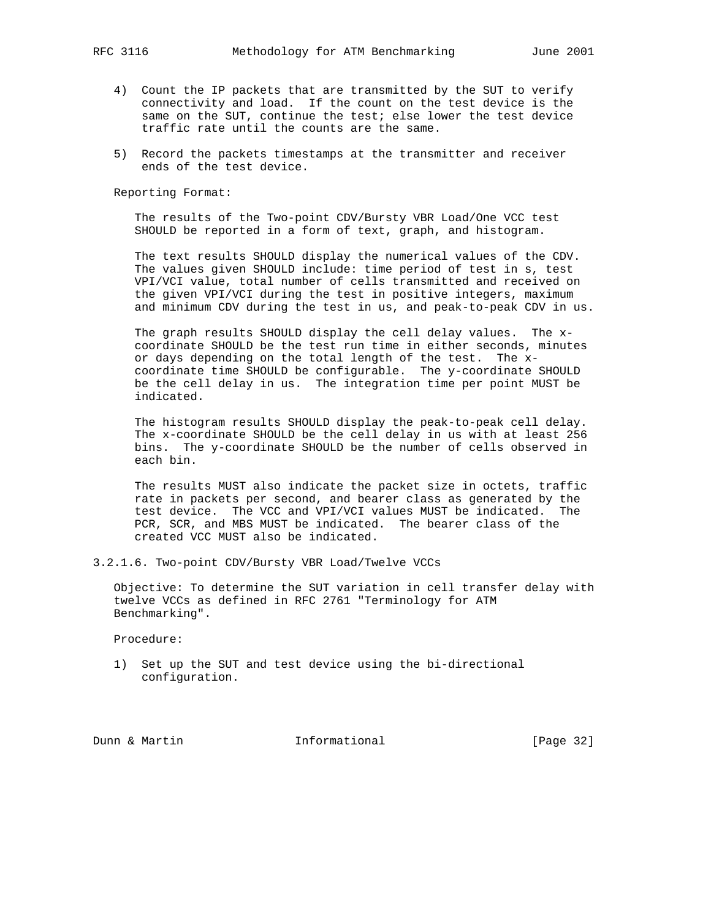- 4) Count the IP packets that are transmitted by the SUT to verify connectivity and load. If the count on the test device is the same on the SUT, continue the test; else lower the test device traffic rate until the counts are the same.
- 5) Record the packets timestamps at the transmitter and receiver ends of the test device.

 The results of the Two-point CDV/Bursty VBR Load/One VCC test SHOULD be reported in a form of text, graph, and histogram.

 The text results SHOULD display the numerical values of the CDV. The values given SHOULD include: time period of test in s, test VPI/VCI value, total number of cells transmitted and received on the given VPI/VCI during the test in positive integers, maximum and minimum CDV during the test in us, and peak-to-peak CDV in us.

 The graph results SHOULD display the cell delay values. The x coordinate SHOULD be the test run time in either seconds, minutes or days depending on the total length of the test. The x coordinate time SHOULD be configurable. The y-coordinate SHOULD be the cell delay in us. The integration time per point MUST be indicated.

 The histogram results SHOULD display the peak-to-peak cell delay. The x-coordinate SHOULD be the cell delay in us with at least 256 bins. The y-coordinate SHOULD be the number of cells observed in each bin.

 The results MUST also indicate the packet size in octets, traffic rate in packets per second, and bearer class as generated by the test device. The VCC and VPI/VCI values MUST be indicated. The PCR, SCR, and MBS MUST be indicated. The bearer class of the created VCC MUST also be indicated.

3.2.1.6. Two-point CDV/Bursty VBR Load/Twelve VCCs

 Objective: To determine the SUT variation in cell transfer delay with twelve VCCs as defined in RFC 2761 "Terminology for ATM Benchmarking".

Procedure:

 1) Set up the SUT and test device using the bi-directional configuration.

Dunn & Martin **Informational** [Page 32]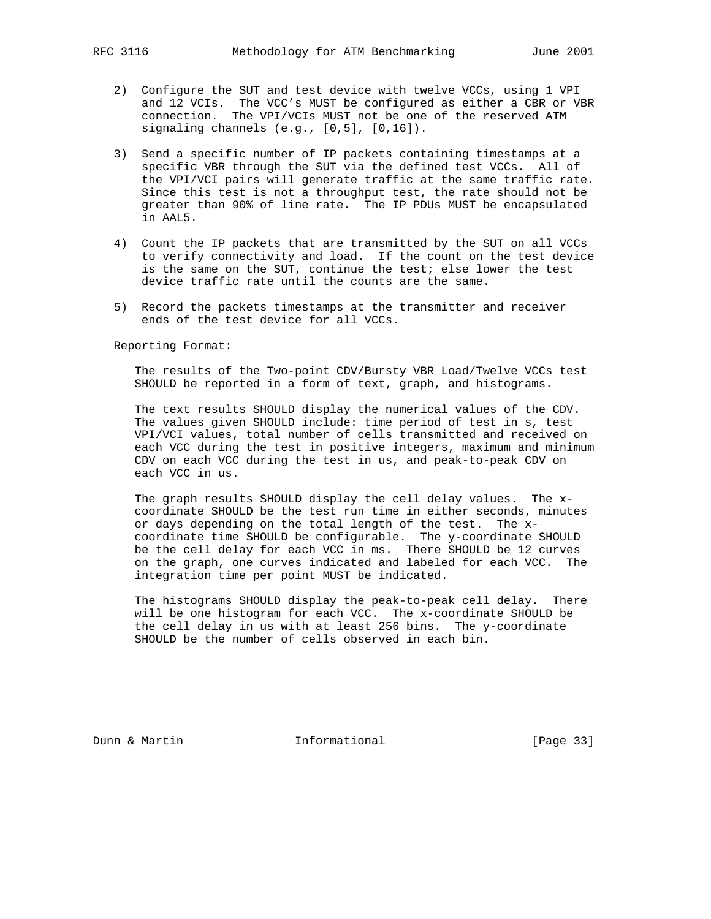- 2) Configure the SUT and test device with twelve VCCs, using 1 VPI and 12 VCIs. The VCC's MUST be configured as either a CBR or VBR connection. The VPI/VCIs MUST not be one of the reserved ATM signaling channels (e.g., [0,5], [0,16]).
- 3) Send a specific number of IP packets containing timestamps at a specific VBR through the SUT via the defined test VCCs. All of the VPI/VCI pairs will generate traffic at the same traffic rate. Since this test is not a throughput test, the rate should not be greater than 90% of line rate. The IP PDUs MUST be encapsulated in AAL5.
- 4) Count the IP packets that are transmitted by the SUT on all VCCs to verify connectivity and load. If the count on the test device is the same on the SUT, continue the test; else lower the test device traffic rate until the counts are the same.
- 5) Record the packets timestamps at the transmitter and receiver ends of the test device for all VCCs.

 The results of the Two-point CDV/Bursty VBR Load/Twelve VCCs test SHOULD be reported in a form of text, graph, and histograms.

 The text results SHOULD display the numerical values of the CDV. The values given SHOULD include: time period of test in s, test VPI/VCI values, total number of cells transmitted and received on each VCC during the test in positive integers, maximum and minimum CDV on each VCC during the test in us, and peak-to-peak CDV on each VCC in us.

 The graph results SHOULD display the cell delay values. The x coordinate SHOULD be the test run time in either seconds, minutes or days depending on the total length of the test. The x coordinate time SHOULD be configurable. The y-coordinate SHOULD be the cell delay for each VCC in ms. There SHOULD be 12 curves on the graph, one curves indicated and labeled for each VCC. The integration time per point MUST be indicated.

 The histograms SHOULD display the peak-to-peak cell delay. There will be one histogram for each VCC. The x-coordinate SHOULD be the cell delay in us with at least 256 bins. The y-coordinate SHOULD be the number of cells observed in each bin.

Dunn & Martin **Informational** [Page 33]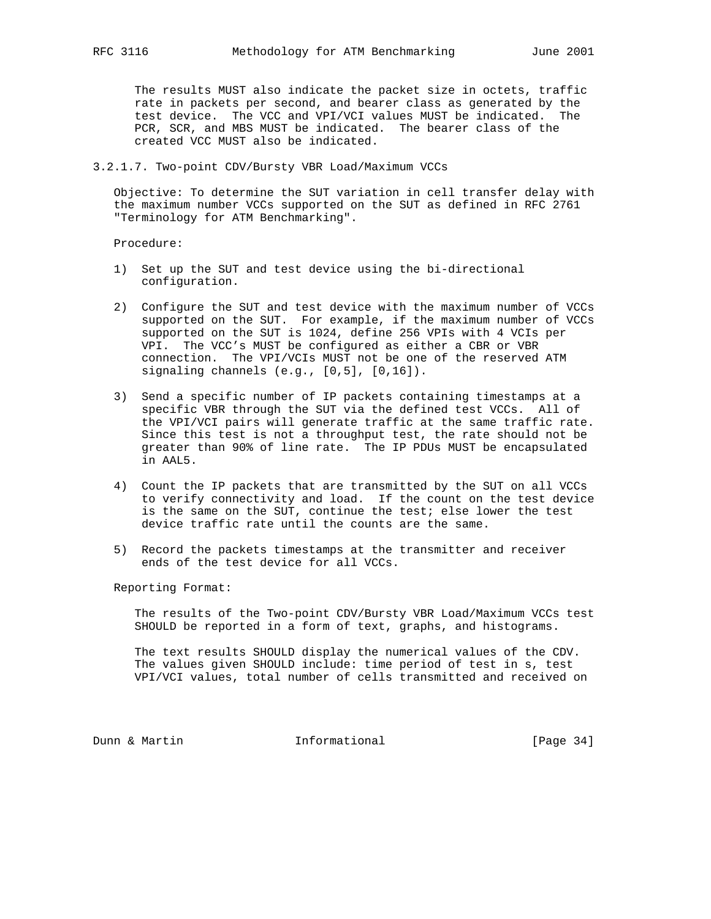The results MUST also indicate the packet size in octets, traffic rate in packets per second, and bearer class as generated by the test device. The VCC and VPI/VCI values MUST be indicated. The PCR, SCR, and MBS MUST be indicated. The bearer class of the created VCC MUST also be indicated.

# 3.2.1.7. Two-point CDV/Bursty VBR Load/Maximum VCCs

 Objective: To determine the SUT variation in cell transfer delay with the maximum number VCCs supported on the SUT as defined in RFC 2761 "Terminology for ATM Benchmarking".

Procedure:

- 1) Set up the SUT and test device using the bi-directional configuration.
- 2) Configure the SUT and test device with the maximum number of VCCs supported on the SUT. For example, if the maximum number of VCCs supported on the SUT is 1024, define 256 VPIs with 4 VCIs per VPI. The VCC's MUST be configured as either a CBR or VBR connection. The VPI/VCIs MUST not be one of the reserved ATM signaling channels (e.g., [0,5], [0,16]).
- 3) Send a specific number of IP packets containing timestamps at a specific VBR through the SUT via the defined test VCCs. All of the VPI/VCI pairs will generate traffic at the same traffic rate. Since this test is not a throughput test, the rate should not be greater than 90% of line rate. The IP PDUs MUST be encapsulated in AAL5.
- 4) Count the IP packets that are transmitted by the SUT on all VCCs to verify connectivity and load. If the count on the test device is the same on the SUT, continue the test; else lower the test device traffic rate until the counts are the same.
- 5) Record the packets timestamps at the transmitter and receiver ends of the test device for all VCCs.

Reporting Format:

 The results of the Two-point CDV/Bursty VBR Load/Maximum VCCs test SHOULD be reported in a form of text, graphs, and histograms.

 The text results SHOULD display the numerical values of the CDV. The values given SHOULD include: time period of test in s, test VPI/VCI values, total number of cells transmitted and received on

Dunn & Martin **Informational** [Page 34]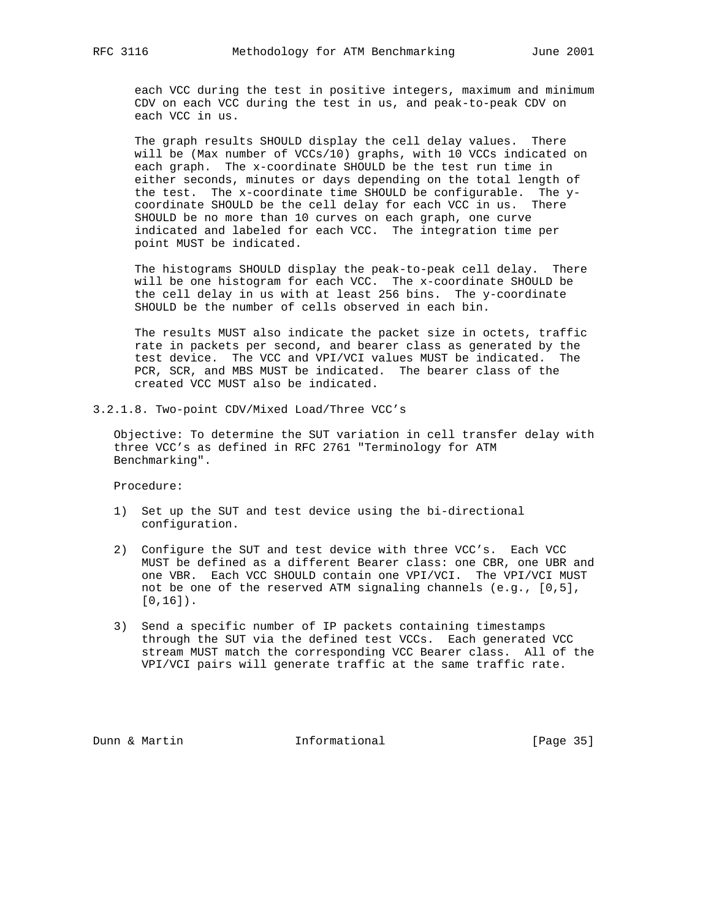each VCC during the test in positive integers, maximum and minimum CDV on each VCC during the test in us, and peak-to-peak CDV on each VCC in us.

 The graph results SHOULD display the cell delay values. There will be (Max number of VCCs/10) graphs, with 10 VCCs indicated on each graph. The x-coordinate SHOULD be the test run time in either seconds, minutes or days depending on the total length of the test. The x-coordinate time SHOULD be configurable. The y coordinate SHOULD be the cell delay for each VCC in us. There SHOULD be no more than 10 curves on each graph, one curve indicated and labeled for each VCC. The integration time per point MUST be indicated.

 The histograms SHOULD display the peak-to-peak cell delay. There will be one histogram for each VCC. The x-coordinate SHOULD be the cell delay in us with at least 256 bins. The y-coordinate SHOULD be the number of cells observed in each bin.

 The results MUST also indicate the packet size in octets, traffic rate in packets per second, and bearer class as generated by the test device. The VCC and VPI/VCI values MUST be indicated. The PCR, SCR, and MBS MUST be indicated. The bearer class of the created VCC MUST also be indicated.

3.2.1.8. Two-point CDV/Mixed Load/Three VCC's

 Objective: To determine the SUT variation in cell transfer delay with three VCC's as defined in RFC 2761 "Terminology for ATM Benchmarking".

Procedure:

- 1) Set up the SUT and test device using the bi-directional configuration.
- 2) Configure the SUT and test device with three VCC's. Each VCC MUST be defined as a different Bearer class: one CBR, one UBR and one VBR. Each VCC SHOULD contain one VPI/VCI. The VPI/VCI MUST not be one of the reserved ATM signaling channels (e.g., [0,5], [0,16]).
- 3) Send a specific number of IP packets containing timestamps through the SUT via the defined test VCCs. Each generated VCC stream MUST match the corresponding VCC Bearer class. All of the VPI/VCI pairs will generate traffic at the same traffic rate.

Dunn & Martin **Informational** [Page 35]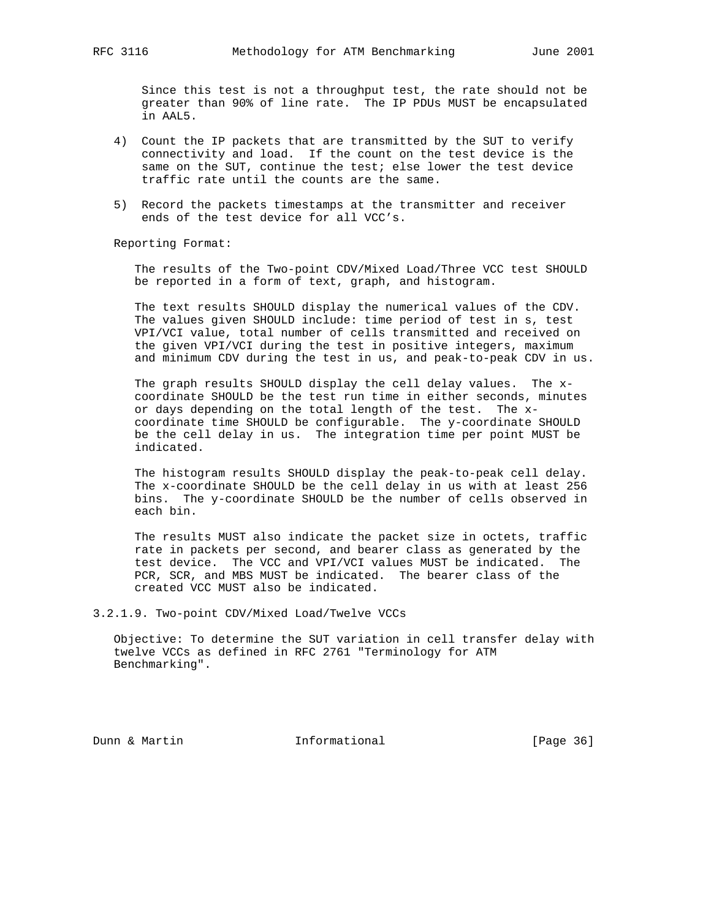Since this test is not a throughput test, the rate should not be greater than 90% of line rate. The IP PDUs MUST be encapsulated in AAL5.

- 4) Count the IP packets that are transmitted by the SUT to verify connectivity and load. If the count on the test device is the same on the SUT, continue the test; else lower the test device traffic rate until the counts are the same.
- 5) Record the packets timestamps at the transmitter and receiver ends of the test device for all VCC's.

Reporting Format:

 The results of the Two-point CDV/Mixed Load/Three VCC test SHOULD be reported in a form of text, graph, and histogram.

 The text results SHOULD display the numerical values of the CDV. The values given SHOULD include: time period of test in s, test VPI/VCI value, total number of cells transmitted and received on the given VPI/VCI during the test in positive integers, maximum and minimum CDV during the test in us, and peak-to-peak CDV in us.

 The graph results SHOULD display the cell delay values. The x coordinate SHOULD be the test run time in either seconds, minutes or days depending on the total length of the test. The x coordinate time SHOULD be configurable. The y-coordinate SHOULD be the cell delay in us. The integration time per point MUST be indicated.

 The histogram results SHOULD display the peak-to-peak cell delay. The x-coordinate SHOULD be the cell delay in us with at least 256 bins. The y-coordinate SHOULD be the number of cells observed in each bin.

 The results MUST also indicate the packet size in octets, traffic rate in packets per second, and bearer class as generated by the test device. The VCC and VPI/VCI values MUST be indicated. The PCR, SCR, and MBS MUST be indicated. The bearer class of the created VCC MUST also be indicated.

3.2.1.9. Two-point CDV/Mixed Load/Twelve VCCs

 Objective: To determine the SUT variation in cell transfer delay with twelve VCCs as defined in RFC 2761 "Terminology for ATM Benchmarking".

Dunn & Martin **Informational** [Page 36]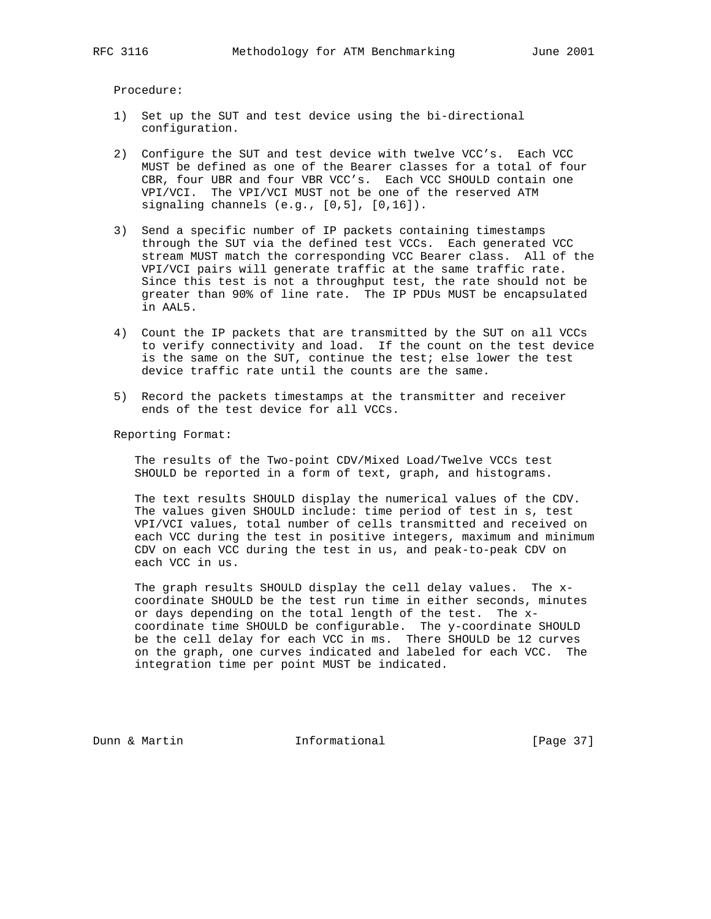Procedure:

- 1) Set up the SUT and test device using the bi-directional configuration.
- 2) Configure the SUT and test device with twelve VCC's. Each VCC MUST be defined as one of the Bearer classes for a total of four CBR, four UBR and four VBR VCC's. Each VCC SHOULD contain one VPI/VCI. The VPI/VCI MUST not be one of the reserved ATM signaling channels (e.g., [0,5], [0,16]).
- 3) Send a specific number of IP packets containing timestamps through the SUT via the defined test VCCs. Each generated VCC stream MUST match the corresponding VCC Bearer class. All of the VPI/VCI pairs will generate traffic at the same traffic rate. Since this test is not a throughput test, the rate should not be greater than 90% of line rate. The IP PDUs MUST be encapsulated in AAL5.
- 4) Count the IP packets that are transmitted by the SUT on all VCCs to verify connectivity and load. If the count on the test device is the same on the SUT, continue the test; else lower the test device traffic rate until the counts are the same.
- 5) Record the packets timestamps at the transmitter and receiver ends of the test device for all VCCs.

Reporting Format:

 The results of the Two-point CDV/Mixed Load/Twelve VCCs test SHOULD be reported in a form of text, graph, and histograms.

 The text results SHOULD display the numerical values of the CDV. The values given SHOULD include: time period of test in s, test VPI/VCI values, total number of cells transmitted and received on each VCC during the test in positive integers, maximum and minimum CDV on each VCC during the test in us, and peak-to-peak CDV on each VCC in us.

 The graph results SHOULD display the cell delay values. The x coordinate SHOULD be the test run time in either seconds, minutes or days depending on the total length of the test. The x coordinate time SHOULD be configurable. The y-coordinate SHOULD be the cell delay for each VCC in ms. There SHOULD be 12 curves on the graph, one curves indicated and labeled for each VCC. The integration time per point MUST be indicated.

Dunn & Martin **Informational** [Page 37]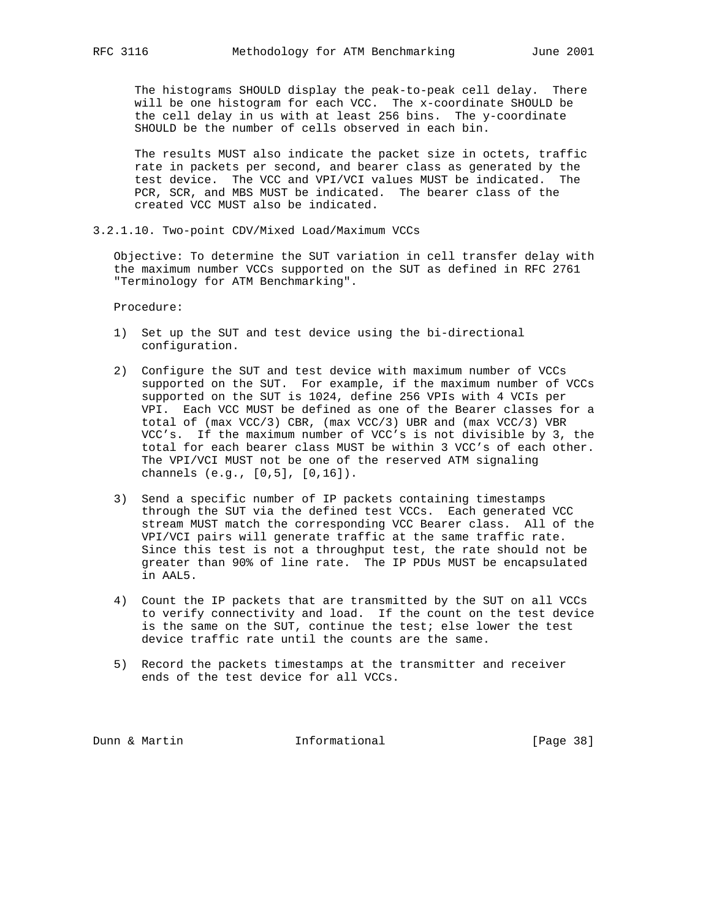The histograms SHOULD display the peak-to-peak cell delay. There will be one histogram for each VCC. The x-coordinate SHOULD be the cell delay in us with at least 256 bins. The y-coordinate SHOULD be the number of cells observed in each bin.

 The results MUST also indicate the packet size in octets, traffic rate in packets per second, and bearer class as generated by the test device. The VCC and VPI/VCI values MUST be indicated. The PCR, SCR, and MBS MUST be indicated. The bearer class of the created VCC MUST also be indicated.

3.2.1.10. Two-point CDV/Mixed Load/Maximum VCCs

 Objective: To determine the SUT variation in cell transfer delay with the maximum number VCCs supported on the SUT as defined in RFC 2761 "Terminology for ATM Benchmarking".

Procedure:

- 1) Set up the SUT and test device using the bi-directional configuration.
- 2) Configure the SUT and test device with maximum number of VCCs supported on the SUT. For example, if the maximum number of VCCs supported on the SUT is 1024, define 256 VPIs with 4 VCIs per VPI. Each VCC MUST be defined as one of the Bearer classes for a total of (max VCC/3) CBR, (max VCC/3) UBR and (max VCC/3) VBR VCC's. If the maximum number of VCC's is not divisible by 3, the total for each bearer class MUST be within 3 VCC's of each other. The VPI/VCI MUST not be one of the reserved ATM signaling channels (e.g., [0,5], [0,16]).
- 3) Send a specific number of IP packets containing timestamps through the SUT via the defined test VCCs. Each generated VCC stream MUST match the corresponding VCC Bearer class. All of the VPI/VCI pairs will generate traffic at the same traffic rate. Since this test is not a throughput test, the rate should not be greater than 90% of line rate. The IP PDUs MUST be encapsulated in AAL5.
- 4) Count the IP packets that are transmitted by the SUT on all VCCs to verify connectivity and load. If the count on the test device is the same on the SUT, continue the test; else lower the test device traffic rate until the counts are the same.
- 5) Record the packets timestamps at the transmitter and receiver ends of the test device for all VCCs.

Dunn & Martin **Informational** [Page 38]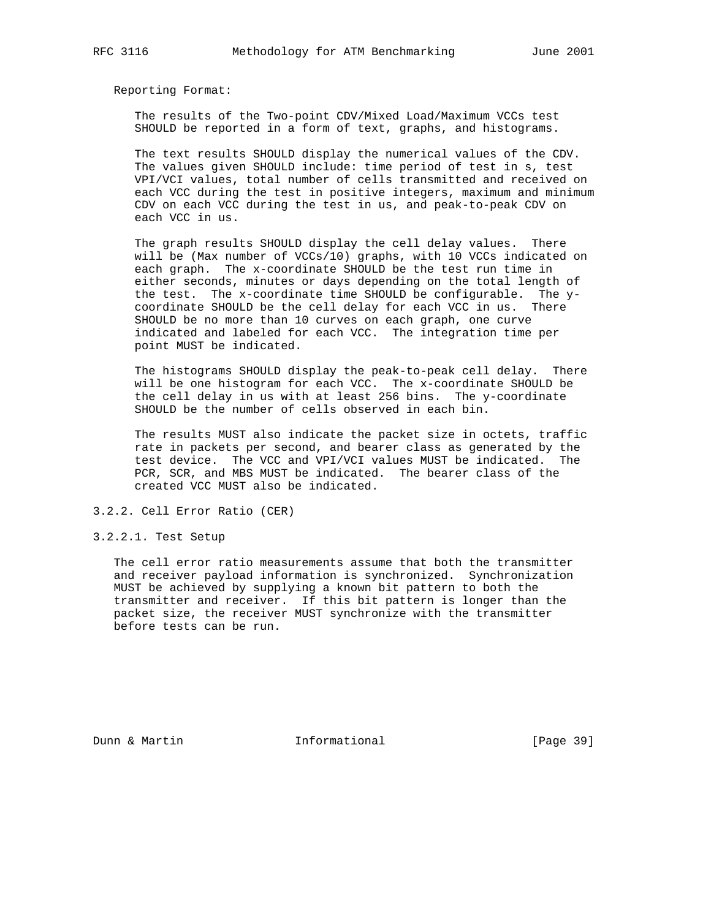The results of the Two-point CDV/Mixed Load/Maximum VCCs test SHOULD be reported in a form of text, graphs, and histograms.

 The text results SHOULD display the numerical values of the CDV. The values given SHOULD include: time period of test in s, test VPI/VCI values, total number of cells transmitted and received on each VCC during the test in positive integers, maximum and minimum CDV on each VCC during the test in us, and peak-to-peak CDV on each VCC in us.

 The graph results SHOULD display the cell delay values. There will be (Max number of VCCs/10) graphs, with 10 VCCs indicated on each graph. The x-coordinate SHOULD be the test run time in either seconds, minutes or days depending on the total length of the test. The x-coordinate time SHOULD be configurable. The y coordinate SHOULD be the cell delay for each VCC in us. There SHOULD be no more than 10 curves on each graph, one curve indicated and labeled for each VCC. The integration time per point MUST be indicated.

 The histograms SHOULD display the peak-to-peak cell delay. There will be one histogram for each VCC. The x-coordinate SHOULD be the cell delay in us with at least 256 bins. The y-coordinate SHOULD be the number of cells observed in each bin.

 The results MUST also indicate the packet size in octets, traffic rate in packets per second, and bearer class as generated by the test device. The VCC and VPI/VCI values MUST be indicated. The PCR, SCR, and MBS MUST be indicated. The bearer class of the created VCC MUST also be indicated.

3.2.2. Cell Error Ratio (CER)

3.2.2.1. Test Setup

 The cell error ratio measurements assume that both the transmitter and receiver payload information is synchronized. Synchronization MUST be achieved by supplying a known bit pattern to both the transmitter and receiver. If this bit pattern is longer than the packet size, the receiver MUST synchronize with the transmitter before tests can be run.

Dunn & Martin **Informational** [Page 39]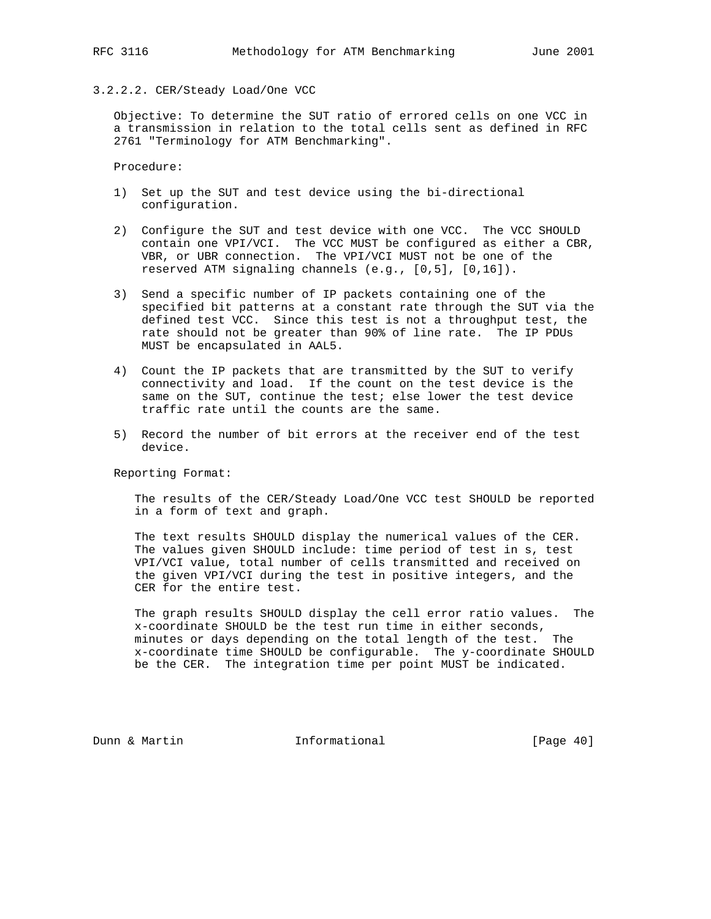# 3.2.2.2. CER/Steady Load/One VCC

 Objective: To determine the SUT ratio of errored cells on one VCC in a transmission in relation to the total cells sent as defined in RFC 2761 "Terminology for ATM Benchmarking".

Procedure:

- 1) Set up the SUT and test device using the bi-directional configuration.
- 2) Configure the SUT and test device with one VCC. The VCC SHOULD contain one VPI/VCI. The VCC MUST be configured as either a CBR, VBR, or UBR connection. The VPI/VCI MUST not be one of the reserved ATM signaling channels (e.g., [0,5], [0,16]).
- 3) Send a specific number of IP packets containing one of the specified bit patterns at a constant rate through the SUT via the defined test VCC. Since this test is not a throughput test, the rate should not be greater than 90% of line rate. The IP PDUs MUST be encapsulated in AAL5.
- 4) Count the IP packets that are transmitted by the SUT to verify connectivity and load. If the count on the test device is the same on the SUT, continue the test; else lower the test device traffic rate until the counts are the same.
- 5) Record the number of bit errors at the receiver end of the test device.

Reporting Format:

 The results of the CER/Steady Load/One VCC test SHOULD be reported in a form of text and graph.

 The text results SHOULD display the numerical values of the CER. The values given SHOULD include: time period of test in s, test VPI/VCI value, total number of cells transmitted and received on the given VPI/VCI during the test in positive integers, and the CER for the entire test.

 The graph results SHOULD display the cell error ratio values. The x-coordinate SHOULD be the test run time in either seconds, minutes or days depending on the total length of the test. The x-coordinate time SHOULD be configurable. The y-coordinate SHOULD be the CER. The integration time per point MUST be indicated.

Dunn & Martin **Informational** [Page 40]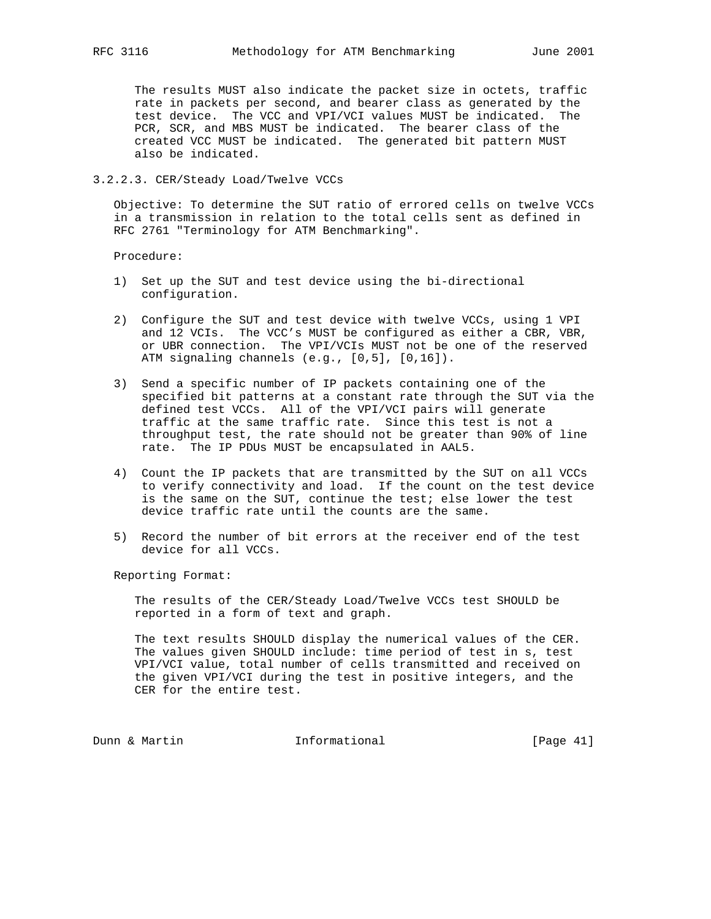The results MUST also indicate the packet size in octets, traffic rate in packets per second, and bearer class as generated by the test device. The VCC and VPI/VCI values MUST be indicated. The PCR, SCR, and MBS MUST be indicated. The bearer class of the created VCC MUST be indicated. The generated bit pattern MUST also be indicated.

3.2.2.3. CER/Steady Load/Twelve VCCs

 Objective: To determine the SUT ratio of errored cells on twelve VCCs in a transmission in relation to the total cells sent as defined in RFC 2761 "Terminology for ATM Benchmarking".

Procedure:

- 1) Set up the SUT and test device using the bi-directional configuration.
- 2) Configure the SUT and test device with twelve VCCs, using 1 VPI and 12 VCIs. The VCC's MUST be configured as either a CBR, VBR, or UBR connection. The VPI/VCIs MUST not be one of the reserved ATM signaling channels (e.g., [0,5], [0,16]).
- 3) Send a specific number of IP packets containing one of the specified bit patterns at a constant rate through the SUT via the defined test VCCs. All of the VPI/VCI pairs will generate traffic at the same traffic rate. Since this test is not a throughput test, the rate should not be greater than 90% of line rate. The IP PDUs MUST be encapsulated in AAL5.
- 4) Count the IP packets that are transmitted by the SUT on all VCCs to verify connectivity and load. If the count on the test device is the same on the SUT, continue the test; else lower the test device traffic rate until the counts are the same.
- 5) Record the number of bit errors at the receiver end of the test device for all VCCs.

Reporting Format:

 The results of the CER/Steady Load/Twelve VCCs test SHOULD be reported in a form of text and graph.

 The text results SHOULD display the numerical values of the CER. The values given SHOULD include: time period of test in s, test VPI/VCI value, total number of cells transmitted and received on the given VPI/VCI during the test in positive integers, and the CER for the entire test.

Dunn & Martin **Informational** [Page 41]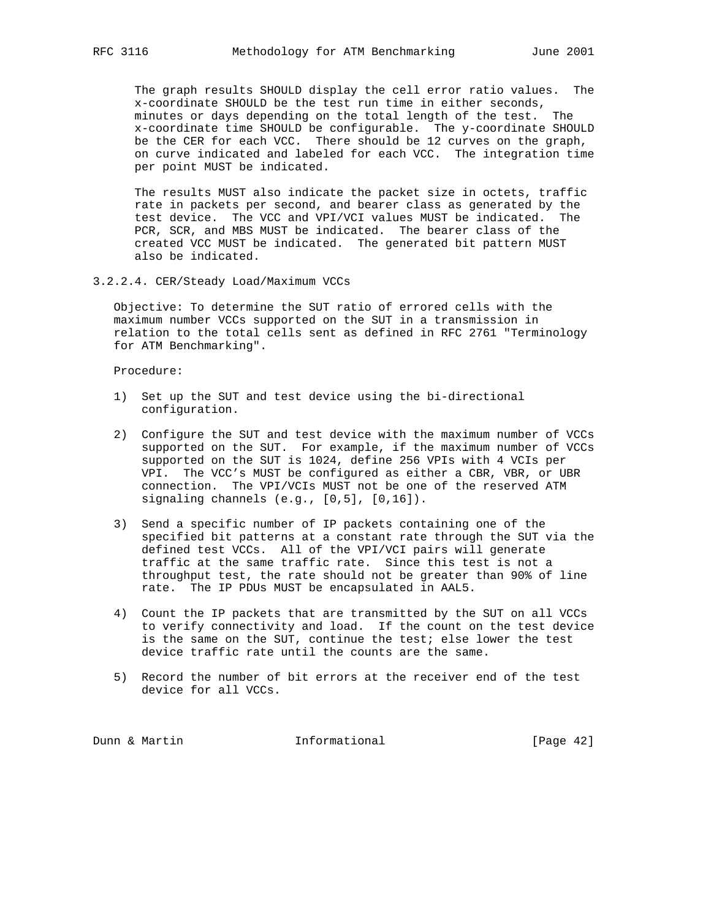The graph results SHOULD display the cell error ratio values. The x-coordinate SHOULD be the test run time in either seconds, minutes or days depending on the total length of the test. The x-coordinate time SHOULD be configurable. The y-coordinate SHOULD be the CER for each VCC. There should be 12 curves on the graph, on curve indicated and labeled for each VCC. The integration time per point MUST be indicated.

 The results MUST also indicate the packet size in octets, traffic rate in packets per second, and bearer class as generated by the test device. The VCC and VPI/VCI values MUST be indicated. The PCR, SCR, and MBS MUST be indicated. The bearer class of the created VCC MUST be indicated. The generated bit pattern MUST also be indicated.

3.2.2.4. CER/Steady Load/Maximum VCCs

 Objective: To determine the SUT ratio of errored cells with the maximum number VCCs supported on the SUT in a transmission in relation to the total cells sent as defined in RFC 2761 "Terminology for ATM Benchmarking".

Procedure:

- 1) Set up the SUT and test device using the bi-directional configuration.
- 2) Configure the SUT and test device with the maximum number of VCCs supported on the SUT. For example, if the maximum number of VCCs supported on the SUT is 1024, define 256 VPIs with 4 VCIs per VPI. The VCC's MUST be configured as either a CBR, VBR, or UBR connection. The VPI/VCIs MUST not be one of the reserved ATM signaling channels (e.g., [0,5], [0,16]).
- 3) Send a specific number of IP packets containing one of the specified bit patterns at a constant rate through the SUT via the defined test VCCs. All of the VPI/VCI pairs will generate traffic at the same traffic rate. Since this test is not a throughput test, the rate should not be greater than 90% of line rate. The IP PDUs MUST be encapsulated in AAL5.
- 4) Count the IP packets that are transmitted by the SUT on all VCCs to verify connectivity and load. If the count on the test device is the same on the SUT, continue the test; else lower the test device traffic rate until the counts are the same.
- 5) Record the number of bit errors at the receiver end of the test device for all VCCs.

Dunn & Martin **Informational** [Page 42]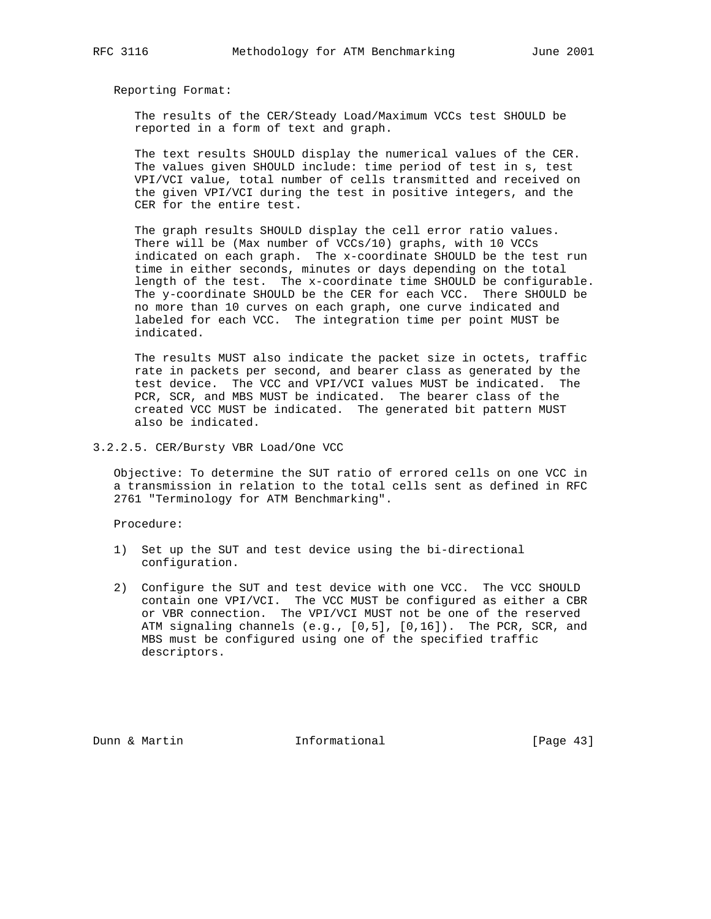The results of the CER/Steady Load/Maximum VCCs test SHOULD be reported in a form of text and graph.

 The text results SHOULD display the numerical values of the CER. The values given SHOULD include: time period of test in s, test VPI/VCI value, total number of cells transmitted and received on the given VPI/VCI during the test in positive integers, and the CER for the entire test.

 The graph results SHOULD display the cell error ratio values. There will be (Max number of VCCs/10) graphs, with 10 VCCs indicated on each graph. The x-coordinate SHOULD be the test run time in either seconds, minutes or days depending on the total length of the test. The x-coordinate time SHOULD be configurable. The y-coordinate SHOULD be the CER for each VCC. There SHOULD be no more than 10 curves on each graph, one curve indicated and labeled for each VCC. The integration time per point MUST be indicated.

 The results MUST also indicate the packet size in octets, traffic rate in packets per second, and bearer class as generated by the test device. The VCC and VPI/VCI values MUST be indicated. The PCR, SCR, and MBS MUST be indicated. The bearer class of the created VCC MUST be indicated. The generated bit pattern MUST also be indicated.

3.2.2.5. CER/Bursty VBR Load/One VCC

 Objective: To determine the SUT ratio of errored cells on one VCC in a transmission in relation to the total cells sent as defined in RFC 2761 "Terminology for ATM Benchmarking".

Procedure:

- 1) Set up the SUT and test device using the bi-directional configuration.
- 2) Configure the SUT and test device with one VCC. The VCC SHOULD contain one VPI/VCI. The VCC MUST be configured as either a CBR or VBR connection. The VPI/VCI MUST not be one of the reserved ATM signaling channels (e.g., [0,5], [0,16]). The PCR, SCR, and MBS must be configured using one of the specified traffic descriptors.

Dunn & Martin **Informational** [Page 43]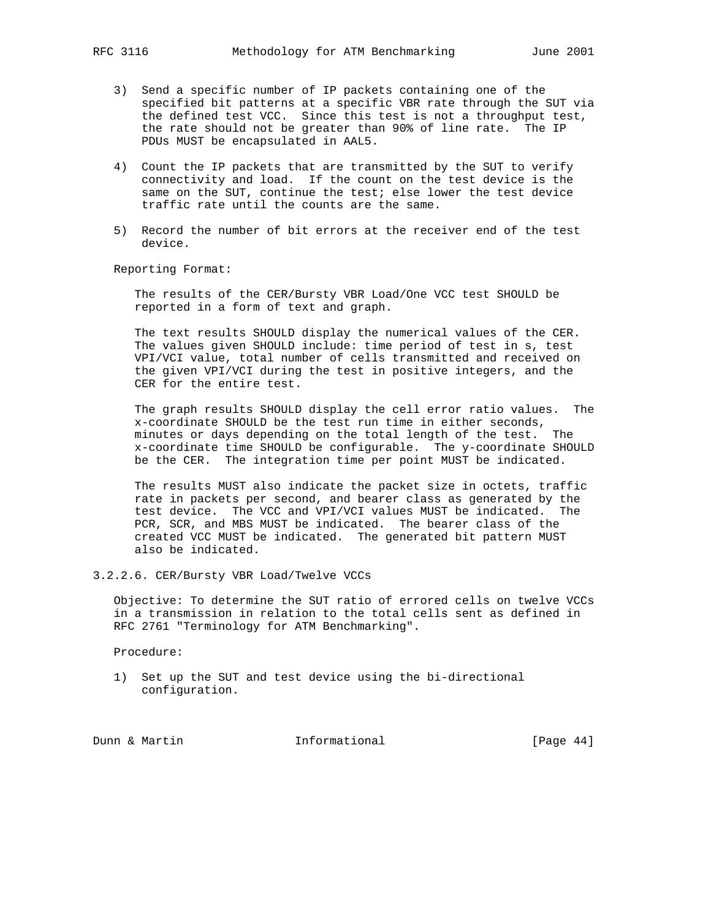- 3) Send a specific number of IP packets containing one of the specified bit patterns at a specific VBR rate through the SUT via the defined test VCC. Since this test is not a throughput test, the rate should not be greater than 90% of line rate. The IP PDUs MUST be encapsulated in AAL5.
- 4) Count the IP packets that are transmitted by the SUT to verify connectivity and load. If the count on the test device is the same on the SUT, continue the test; else lower the test device traffic rate until the counts are the same.
- 5) Record the number of bit errors at the receiver end of the test device.

 The results of the CER/Bursty VBR Load/One VCC test SHOULD be reported in a form of text and graph.

 The text results SHOULD display the numerical values of the CER. The values given SHOULD include: time period of test in s, test VPI/VCI value, total number of cells transmitted and received on the given VPI/VCI during the test in positive integers, and the CER for the entire test.

 The graph results SHOULD display the cell error ratio values. The x-coordinate SHOULD be the test run time in either seconds, minutes or days depending on the total length of the test. The x-coordinate time SHOULD be configurable. The y-coordinate SHOULD be the CER. The integration time per point MUST be indicated.

 The results MUST also indicate the packet size in octets, traffic rate in packets per second, and bearer class as generated by the test device. The VCC and VPI/VCI values MUST be indicated. The PCR, SCR, and MBS MUST be indicated. The bearer class of the created VCC MUST be indicated. The generated bit pattern MUST also be indicated.

3.2.2.6. CER/Bursty VBR Load/Twelve VCCs

 Objective: To determine the SUT ratio of errored cells on twelve VCCs in a transmission in relation to the total cells sent as defined in RFC 2761 "Terminology for ATM Benchmarking".

Procedure:

 1) Set up the SUT and test device using the bi-directional configuration.

Dunn & Martin **Informational** [Page 44]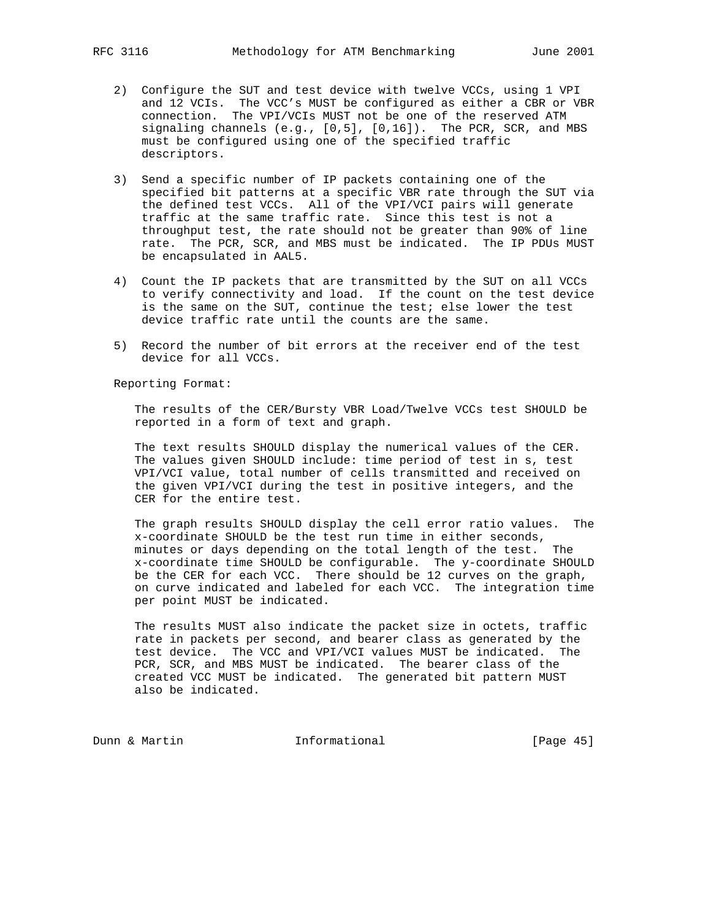- 
- 2) Configure the SUT and test device with twelve VCCs, using 1 VPI and 12 VCIs. The VCC's MUST be configured as either a CBR or VBR connection. The VPI/VCIs MUST not be one of the reserved ATM signaling channels (e.g., [0,5], [0,16]). The PCR, SCR, and MBS must be configured using one of the specified traffic descriptors.
- 3) Send a specific number of IP packets containing one of the specified bit patterns at a specific VBR rate through the SUT via the defined test VCCs. All of the VPI/VCI pairs will generate traffic at the same traffic rate. Since this test is not a throughput test, the rate should not be greater than 90% of line rate. The PCR, SCR, and MBS must be indicated. The IP PDUs MUST be encapsulated in AAL5.
- 4) Count the IP packets that are transmitted by the SUT on all VCCs to verify connectivity and load. If the count on the test device is the same on the SUT, continue the test; else lower the test device traffic rate until the counts are the same.
- 5) Record the number of bit errors at the receiver end of the test device for all VCCs.

 The results of the CER/Bursty VBR Load/Twelve VCCs test SHOULD be reported in a form of text and graph.

 The text results SHOULD display the numerical values of the CER. The values given SHOULD include: time period of test in s, test VPI/VCI value, total number of cells transmitted and received on the given VPI/VCI during the test in positive integers, and the CER for the entire test.

 The graph results SHOULD display the cell error ratio values. The x-coordinate SHOULD be the test run time in either seconds, minutes or days depending on the total length of the test. The x-coordinate time SHOULD be configurable. The y-coordinate SHOULD be the CER for each VCC. There should be 12 curves on the graph, on curve indicated and labeled for each VCC. The integration time per point MUST be indicated.

 The results MUST also indicate the packet size in octets, traffic rate in packets per second, and bearer class as generated by the test device. The VCC and VPI/VCI values MUST be indicated. The PCR, SCR, and MBS MUST be indicated. The bearer class of the created VCC MUST be indicated. The generated bit pattern MUST also be indicated.

Dunn & Martin **Informational** [Page 45]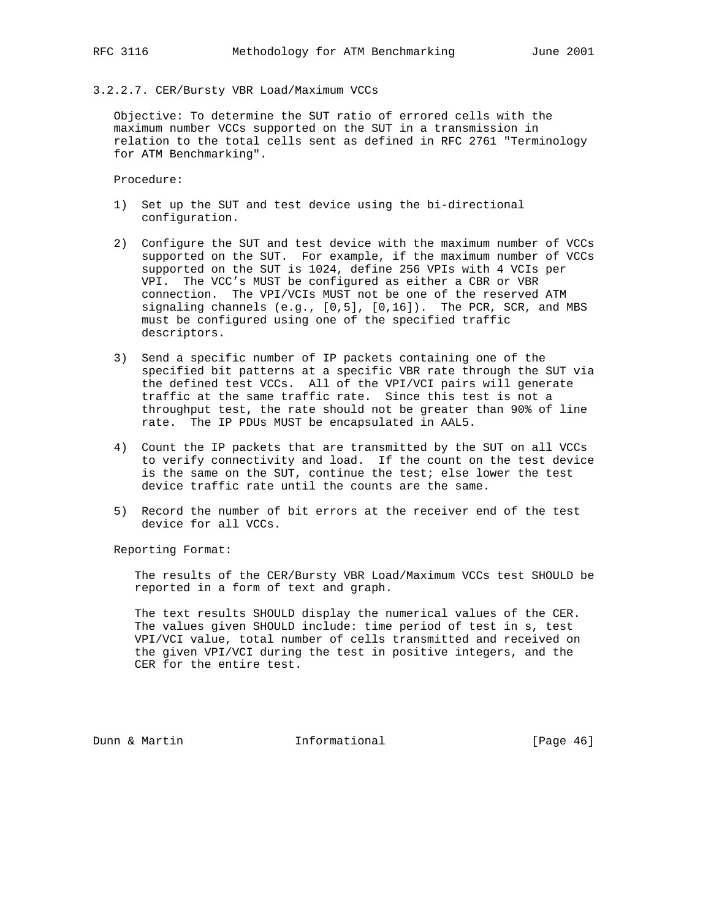# 3.2.2.7. CER/Bursty VBR Load/Maximum VCCs

 Objective: To determine the SUT ratio of errored cells with the maximum number VCCs supported on the SUT in a transmission in relation to the total cells sent as defined in RFC 2761 "Terminology for ATM Benchmarking".

Procedure:

- 1) Set up the SUT and test device using the bi-directional configuration.
- 2) Configure the SUT and test device with the maximum number of VCCs supported on the SUT. For example, if the maximum number of VCCs supported on the SUT is 1024, define 256 VPIs with 4 VCIs per VPI. The VCC's MUST be configured as either a CBR or VBR connection. The VPI/VCIs MUST not be one of the reserved ATM signaling channels  $(e.g., [0,5], [0,16])$ . The PCR, SCR, and MBS must be configured using one of the specified traffic descriptors.
- 3) Send a specific number of IP packets containing one of the specified bit patterns at a specific VBR rate through the SUT via the defined test VCCs. All of the VPI/VCI pairs will generate traffic at the same traffic rate. Since this test is not a throughput test, the rate should not be greater than 90% of line rate. The IP PDUs MUST be encapsulated in AAL5.
- 4) Count the IP packets that are transmitted by the SUT on all VCCs to verify connectivity and load. If the count on the test device is the same on the SUT, continue the test; else lower the test device traffic rate until the counts are the same.
- 5) Record the number of bit errors at the receiver end of the test device for all VCCs.

Reporting Format:

 The results of the CER/Bursty VBR Load/Maximum VCCs test SHOULD be reported in a form of text and graph.

 The text results SHOULD display the numerical values of the CER. The values given SHOULD include: time period of test in s, test VPI/VCI value, total number of cells transmitted and received on the given VPI/VCI during the test in positive integers, and the CER for the entire test.

Dunn & Martin **Informational** [Page 46]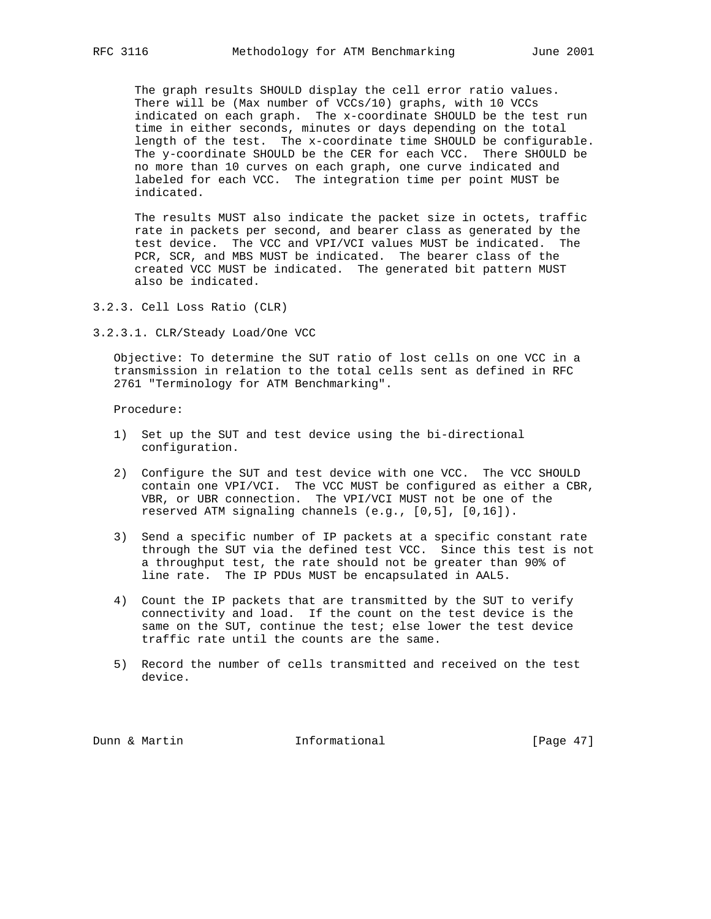The graph results SHOULD display the cell error ratio values. There will be (Max number of VCCs/10) graphs, with 10 VCCs indicated on each graph. The x-coordinate SHOULD be the test run time in either seconds, minutes or days depending on the total length of the test. The x-coordinate time SHOULD be configurable. The y-coordinate SHOULD be the CER for each VCC. There SHOULD be no more than 10 curves on each graph, one curve indicated and labeled for each VCC. The integration time per point MUST be indicated.

 The results MUST also indicate the packet size in octets, traffic rate in packets per second, and bearer class as generated by the test device. The VCC and VPI/VCI values MUST be indicated. The PCR, SCR, and MBS MUST be indicated. The bearer class of the created VCC MUST be indicated. The generated bit pattern MUST also be indicated.

- 3.2.3. Cell Loss Ratio (CLR)
- 3.2.3.1. CLR/Steady Load/One VCC

 Objective: To determine the SUT ratio of lost cells on one VCC in a transmission in relation to the total cells sent as defined in RFC 2761 "Terminology for ATM Benchmarking".

Procedure:

- 1) Set up the SUT and test device using the bi-directional configuration.
- 2) Configure the SUT and test device with one VCC. The VCC SHOULD contain one VPI/VCI. The VCC MUST be configured as either a CBR, VBR, or UBR connection. The VPI/VCI MUST not be one of the reserved ATM signaling channels (e.g., [0,5], [0,16]).
- 3) Send a specific number of IP packets at a specific constant rate through the SUT via the defined test VCC. Since this test is not a throughput test, the rate should not be greater than 90% of line rate. The IP PDUs MUST be encapsulated in AAL5.
- 4) Count the IP packets that are transmitted by the SUT to verify connectivity and load. If the count on the test device is the same on the SUT, continue the test; else lower the test device traffic rate until the counts are the same.
- 5) Record the number of cells transmitted and received on the test device.

Dunn & Martin **Informational** [Page 47]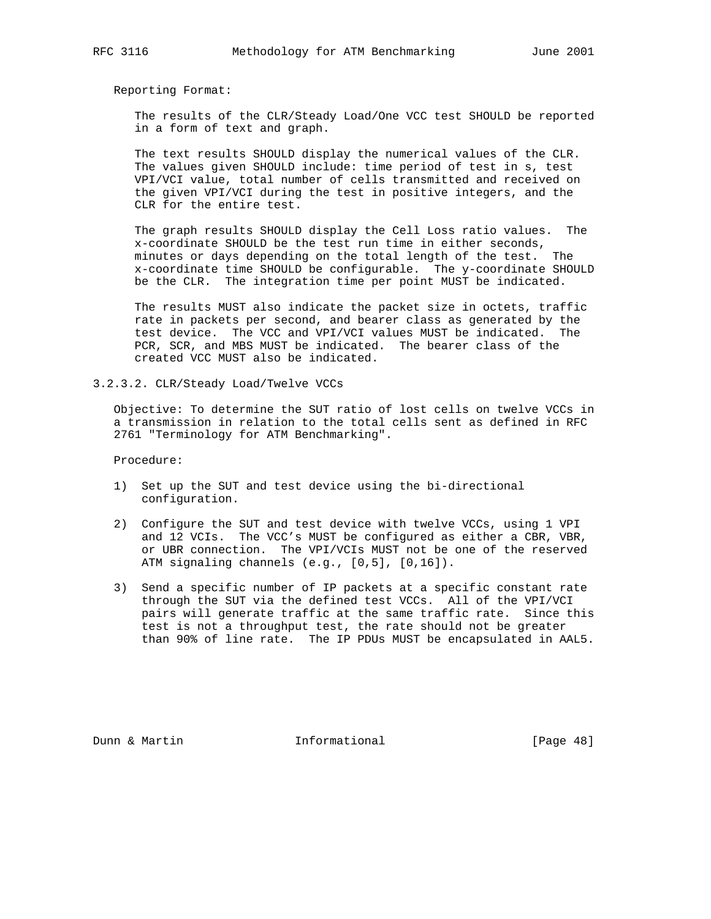The results of the CLR/Steady Load/One VCC test SHOULD be reported in a form of text and graph.

 The text results SHOULD display the numerical values of the CLR. The values given SHOULD include: time period of test in s, test VPI/VCI value, total number of cells transmitted and received on the given VPI/VCI during the test in positive integers, and the CLR for the entire test.

 The graph results SHOULD display the Cell Loss ratio values. The x-coordinate SHOULD be the test run time in either seconds, minutes or days depending on the total length of the test. The x-coordinate time SHOULD be configurable. The y-coordinate SHOULD be the CLR. The integration time per point MUST be indicated.

 The results MUST also indicate the packet size in octets, traffic rate in packets per second, and bearer class as generated by the test device. The VCC and VPI/VCI values MUST be indicated. The PCR, SCR, and MBS MUST be indicated. The bearer class of the created VCC MUST also be indicated.

3.2.3.2. CLR/Steady Load/Twelve VCCs

 Objective: To determine the SUT ratio of lost cells on twelve VCCs in a transmission in relation to the total cells sent as defined in RFC 2761 "Terminology for ATM Benchmarking".

Procedure:

- 1) Set up the SUT and test device using the bi-directional configuration.
- 2) Configure the SUT and test device with twelve VCCs, using 1 VPI and 12 VCIs. The VCC's MUST be configured as either a CBR, VBR, or UBR connection. The VPI/VCIs MUST not be one of the reserved ATM signaling channels (e.g., [0,5], [0,16]).
- 3) Send a specific number of IP packets at a specific constant rate through the SUT via the defined test VCCs. All of the VPI/VCI pairs will generate traffic at the same traffic rate. Since this test is not a throughput test, the rate should not be greater than 90% of line rate. The IP PDUs MUST be encapsulated in AAL5.

Dunn & Martin **Informational** [Page 48]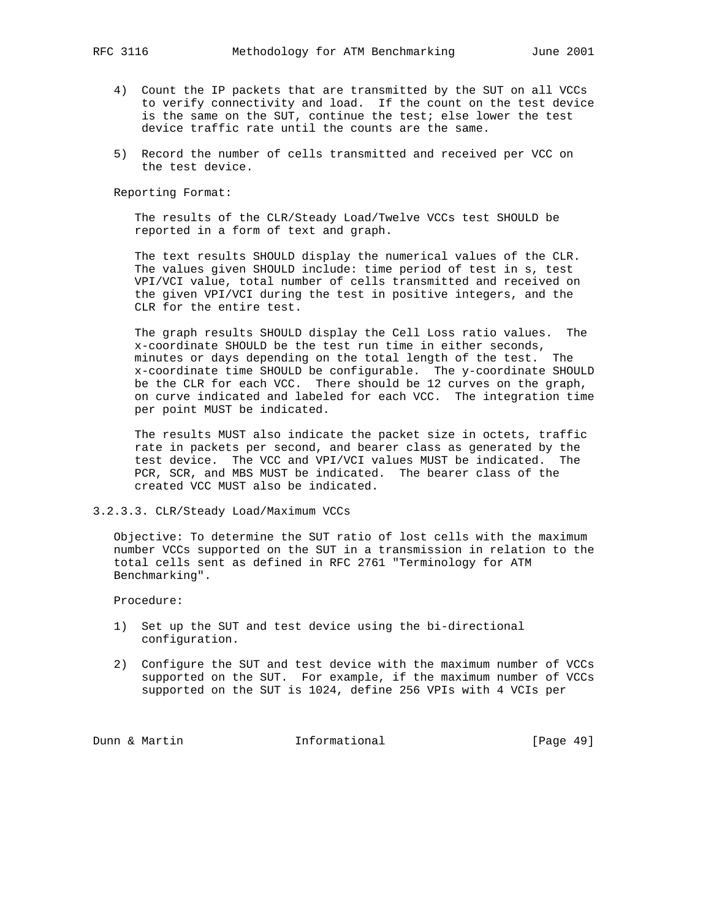- 4) Count the IP packets that are transmitted by the SUT on all VCCs to verify connectivity and load. If the count on the test device is the same on the SUT, continue the test; else lower the test device traffic rate until the counts are the same.
- 5) Record the number of cells transmitted and received per VCC on the test device.

 The results of the CLR/Steady Load/Twelve VCCs test SHOULD be reported in a form of text and graph.

 The text results SHOULD display the numerical values of the CLR. The values given SHOULD include: time period of test in s, test VPI/VCI value, total number of cells transmitted and received on the given VPI/VCI during the test in positive integers, and the CLR for the entire test.

 The graph results SHOULD display the Cell Loss ratio values. The x-coordinate SHOULD be the test run time in either seconds, minutes or days depending on the total length of the test. The x-coordinate time SHOULD be configurable. The y-coordinate SHOULD be the CLR for each VCC. There should be 12 curves on the graph, on curve indicated and labeled for each VCC. The integration time per point MUST be indicated.

 The results MUST also indicate the packet size in octets, traffic rate in packets per second, and bearer class as generated by the test device. The VCC and VPI/VCI values MUST be indicated. The PCR, SCR, and MBS MUST be indicated. The bearer class of the created VCC MUST also be indicated.

3.2.3.3. CLR/Steady Load/Maximum VCCs

 Objective: To determine the SUT ratio of lost cells with the maximum number VCCs supported on the SUT in a transmission in relation to the total cells sent as defined in RFC 2761 "Terminology for ATM Benchmarking".

Procedure:

- 1) Set up the SUT and test device using the bi-directional configuration.
- 2) Configure the SUT and test device with the maximum number of VCCs supported on the SUT. For example, if the maximum number of VCCs supported on the SUT is 1024, define 256 VPIs with 4 VCIs per

Dunn & Martin **Informational** [Page 49]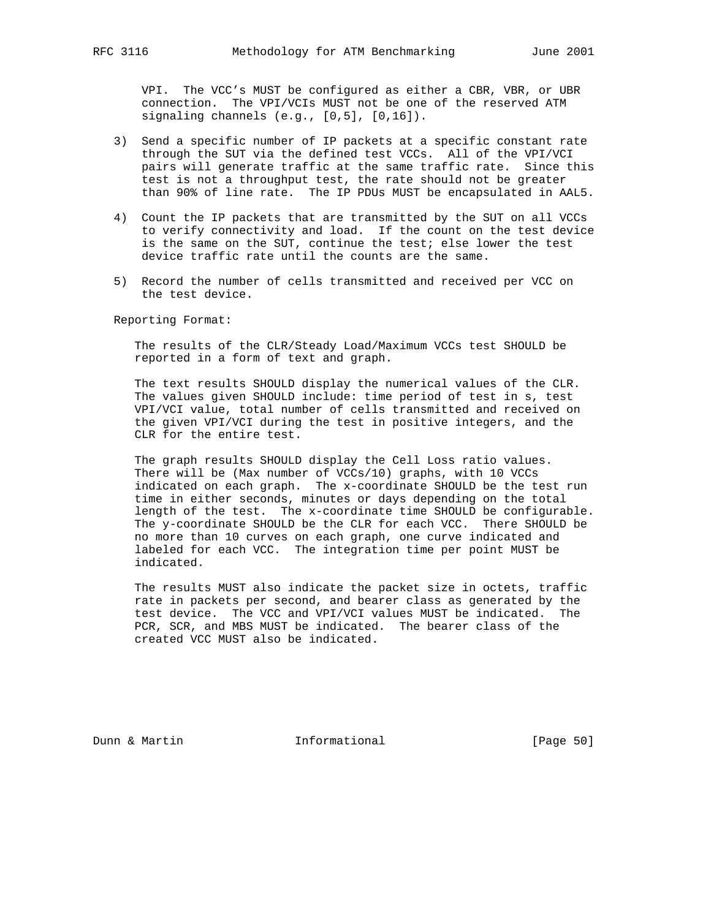VPI. The VCC's MUST be configured as either a CBR, VBR, or UBR connection. The VPI/VCIs MUST not be one of the reserved ATM signaling channels (e.g., [0,5], [0,16]).

- 3) Send a specific number of IP packets at a specific constant rate through the SUT via the defined test VCCs. All of the VPI/VCI pairs will generate traffic at the same traffic rate. Since this test is not a throughput test, the rate should not be greater than 90% of line rate. The IP PDUs MUST be encapsulated in AAL5.
- 4) Count the IP packets that are transmitted by the SUT on all VCCs to verify connectivity and load. If the count on the test device is the same on the SUT, continue the test; else lower the test device traffic rate until the counts are the same.
- 5) Record the number of cells transmitted and received per VCC on the test device.

Reporting Format:

 The results of the CLR/Steady Load/Maximum VCCs test SHOULD be reported in a form of text and graph.

 The text results SHOULD display the numerical values of the CLR. The values given SHOULD include: time period of test in s, test VPI/VCI value, total number of cells transmitted and received on the given VPI/VCI during the test in positive integers, and the CLR for the entire test.

 The graph results SHOULD display the Cell Loss ratio values. There will be (Max number of VCCs/10) graphs, with 10 VCCs indicated on each graph. The x-coordinate SHOULD be the test run time in either seconds, minutes or days depending on the total length of the test. The x-coordinate time SHOULD be configurable. The y-coordinate SHOULD be the CLR for each VCC. There SHOULD be no more than 10 curves on each graph, one curve indicated and labeled for each VCC. The integration time per point MUST be indicated.

 The results MUST also indicate the packet size in octets, traffic rate in packets per second, and bearer class as generated by the test device. The VCC and VPI/VCI values MUST be indicated. The PCR, SCR, and MBS MUST be indicated. The bearer class of the created VCC MUST also be indicated.

Dunn & Martin **Informational** [Page 50]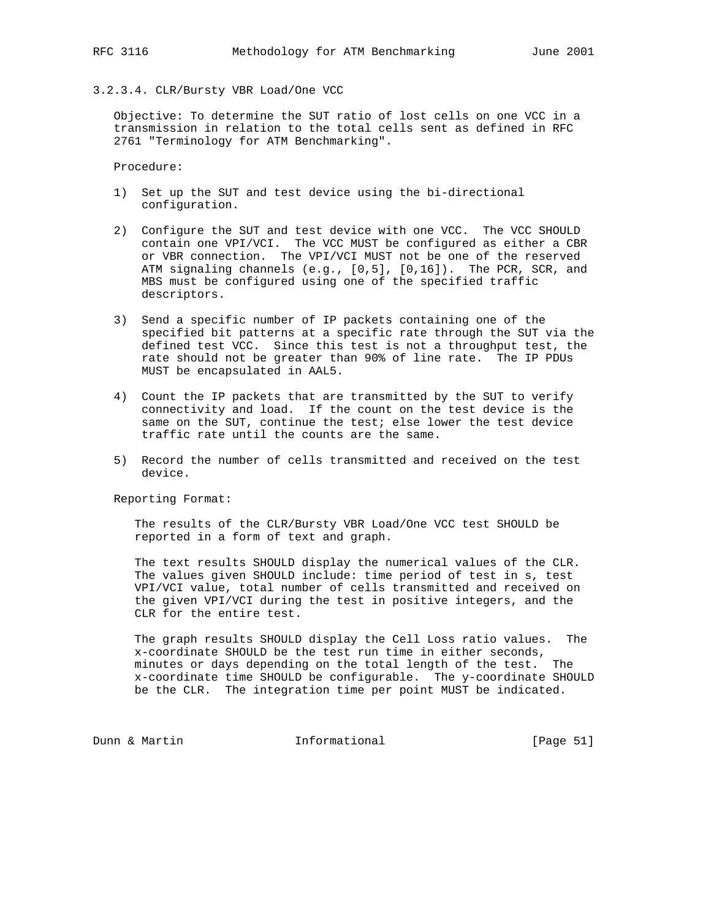# 3.2.3.4. CLR/Bursty VBR Load/One VCC

 Objective: To determine the SUT ratio of lost cells on one VCC in a transmission in relation to the total cells sent as defined in RFC 2761 "Terminology for ATM Benchmarking".

Procedure:

- 1) Set up the SUT and test device using the bi-directional configuration.
- 2) Configure the SUT and test device with one VCC. The VCC SHOULD contain one VPI/VCI. The VCC MUST be configured as either a CBR or VBR connection. The VPI/VCI MUST not be one of the reserved ATM signaling channels (e.g., [0,5], [0,16]). The PCR, SCR, and MBS must be configured using one of the specified traffic descriptors.
- 3) Send a specific number of IP packets containing one of the specified bit patterns at a specific rate through the SUT via the defined test VCC. Since this test is not a throughput test, the rate should not be greater than 90% of line rate. The IP PDUs MUST be encapsulated in AAL5.
- 4) Count the IP packets that are transmitted by the SUT to verify connectivity and load. If the count on the test device is the same on the SUT, continue the test; else lower the test device traffic rate until the counts are the same.
- 5) Record the number of cells transmitted and received on the test device.

Reporting Format:

 The results of the CLR/Bursty VBR Load/One VCC test SHOULD be reported in a form of text and graph.

 The text results SHOULD display the numerical values of the CLR. The values given SHOULD include: time period of test in s, test VPI/VCI value, total number of cells transmitted and received on the given VPI/VCI during the test in positive integers, and the CLR for the entire test.

 The graph results SHOULD display the Cell Loss ratio values. The x-coordinate SHOULD be the test run time in either seconds, minutes or days depending on the total length of the test. The x-coordinate time SHOULD be configurable. The y-coordinate SHOULD be the CLR. The integration time per point MUST be indicated.

Dunn & Martin **Informational** [Page 51]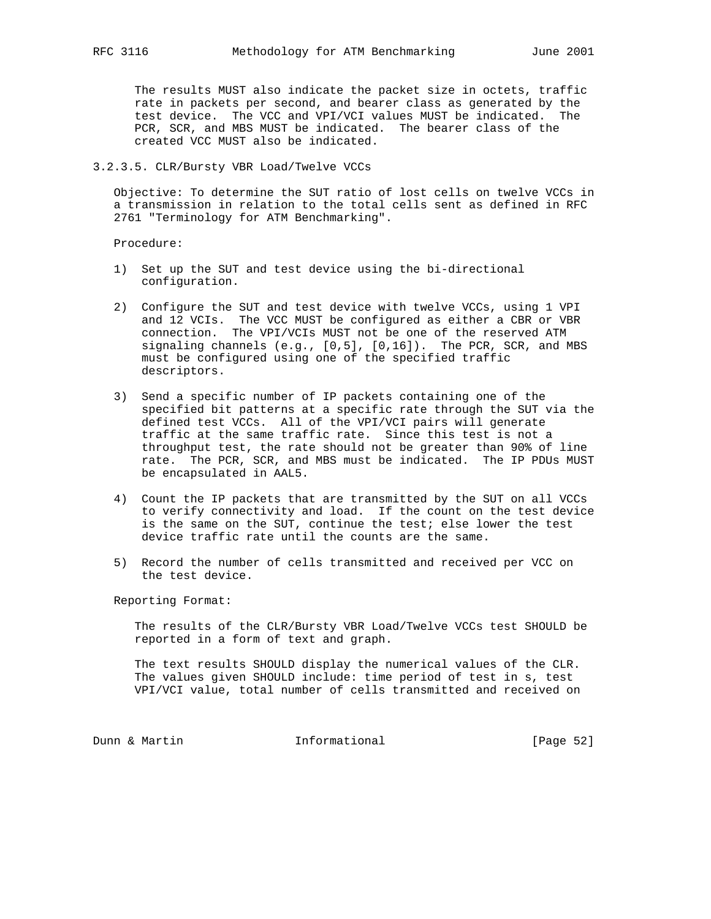The results MUST also indicate the packet size in octets, traffic rate in packets per second, and bearer class as generated by the test device. The VCC and VPI/VCI values MUST be indicated. The PCR, SCR, and MBS MUST be indicated. The bearer class of the created VCC MUST also be indicated.

# 3.2.3.5. CLR/Bursty VBR Load/Twelve VCCs

 Objective: To determine the SUT ratio of lost cells on twelve VCCs in a transmission in relation to the total cells sent as defined in RFC 2761 "Terminology for ATM Benchmarking".

Procedure:

- 1) Set up the SUT and test device using the bi-directional configuration.
- 2) Configure the SUT and test device with twelve VCCs, using 1 VPI and 12 VCIs. The VCC MUST be configured as either a CBR or VBR connection. The VPI/VCIs MUST not be one of the reserved ATM signaling channels  $(e.g., [0,5], [0,16])$ . The PCR, SCR, and MBS must be configured using one of the specified traffic descriptors.
- 3) Send a specific number of IP packets containing one of the specified bit patterns at a specific rate through the SUT via the defined test VCCs. All of the VPI/VCI pairs will generate traffic at the same traffic rate. Since this test is not a throughput test, the rate should not be greater than 90% of line rate. The PCR, SCR, and MBS must be indicated. The IP PDUs MUST be encapsulated in AAL5.
- 4) Count the IP packets that are transmitted by the SUT on all VCCs to verify connectivity and load. If the count on the test device is the same on the SUT, continue the test; else lower the test device traffic rate until the counts are the same.
- 5) Record the number of cells transmitted and received per VCC on the test device.

Reporting Format:

 The results of the CLR/Bursty VBR Load/Twelve VCCs test SHOULD be reported in a form of text and graph.

 The text results SHOULD display the numerical values of the CLR. The values given SHOULD include: time period of test in s, test VPI/VCI value, total number of cells transmitted and received on

Dunn & Martin **Informational** [Page 52]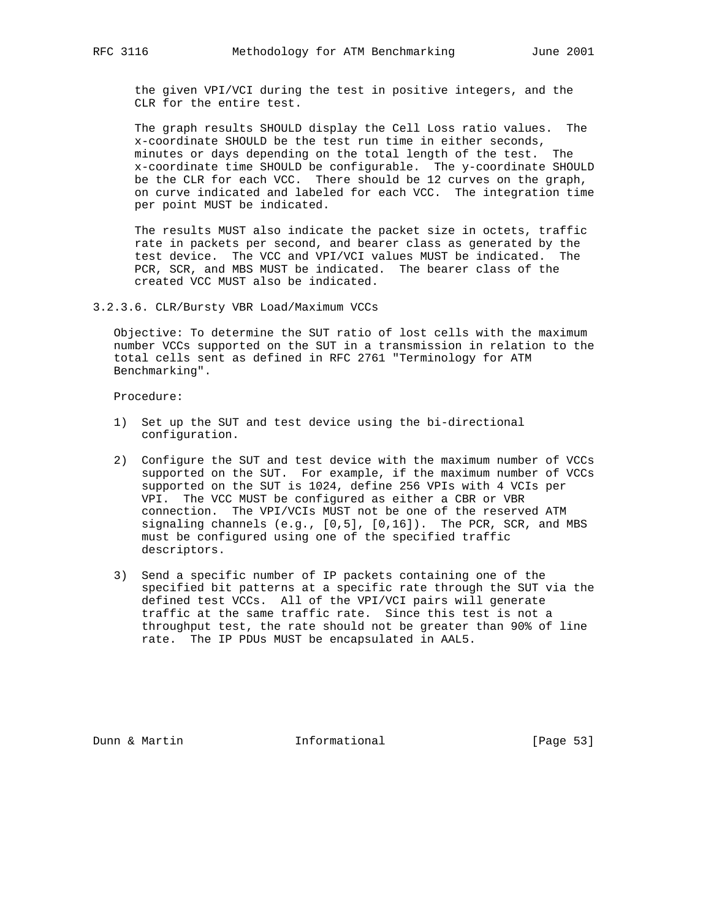the given VPI/VCI during the test in positive integers, and the CLR for the entire test.

 The graph results SHOULD display the Cell Loss ratio values. The x-coordinate SHOULD be the test run time in either seconds, minutes or days depending on the total length of the test. The x-coordinate time SHOULD be configurable. The y-coordinate SHOULD be the CLR for each VCC. There should be 12 curves on the graph, on curve indicated and labeled for each VCC. The integration time per point MUST be indicated.

 The results MUST also indicate the packet size in octets, traffic rate in packets per second, and bearer class as generated by the test device. The VCC and VPI/VCI values MUST be indicated. The PCR, SCR, and MBS MUST be indicated. The bearer class of the created VCC MUST also be indicated.

3.2.3.6. CLR/Bursty VBR Load/Maximum VCCs

 Objective: To determine the SUT ratio of lost cells with the maximum number VCCs supported on the SUT in a transmission in relation to the total cells sent as defined in RFC 2761 "Terminology for ATM Benchmarking".

Procedure:

- 1) Set up the SUT and test device using the bi-directional configuration.
- 2) Configure the SUT and test device with the maximum number of VCCs supported on the SUT. For example, if the maximum number of VCCs supported on the SUT is 1024, define 256 VPIs with 4 VCIs per VPI. The VCC MUST be configured as either a CBR or VBR connection. The VPI/VCIs MUST not be one of the reserved ATM signaling channels (e.g., [0,5], [0,16]). The PCR, SCR, and MBS must be configured using one of the specified traffic descriptors.
- 3) Send a specific number of IP packets containing one of the specified bit patterns at a specific rate through the SUT via the defined test VCCs. All of the VPI/VCI pairs will generate traffic at the same traffic rate. Since this test is not a throughput test, the rate should not be greater than 90% of line rate. The IP PDUs MUST be encapsulated in AAL5.

Dunn & Martin **Informational** [Page 53]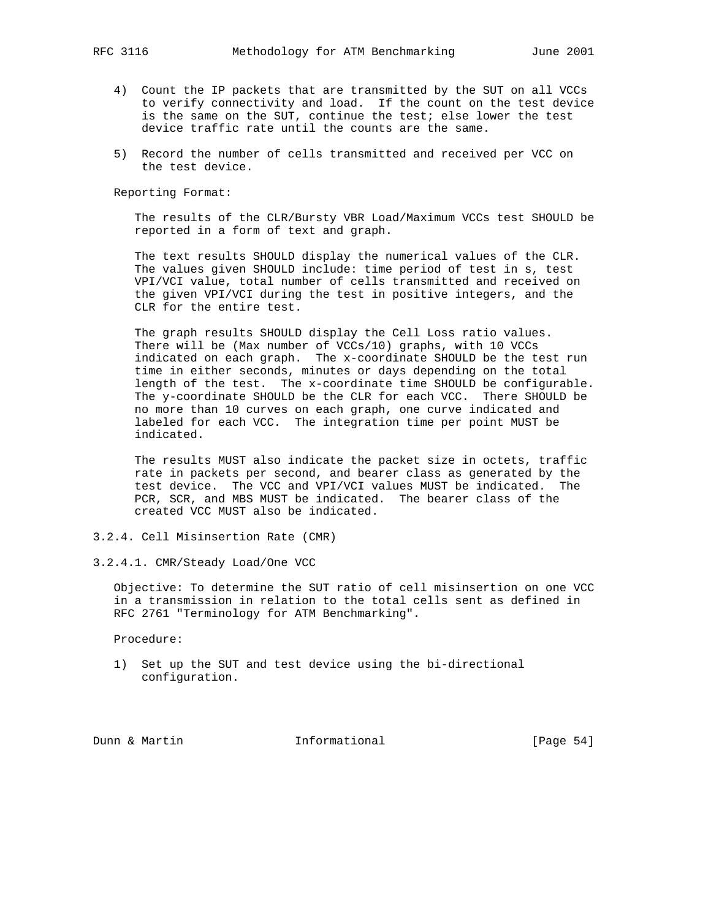- 4) Count the IP packets that are transmitted by the SUT on all VCCs to verify connectivity and load. If the count on the test device is the same on the SUT, continue the test; else lower the test device traffic rate until the counts are the same.
- 5) Record the number of cells transmitted and received per VCC on the test device.

 The results of the CLR/Bursty VBR Load/Maximum VCCs test SHOULD be reported in a form of text and graph.

 The text results SHOULD display the numerical values of the CLR. The values given SHOULD include: time period of test in s, test VPI/VCI value, total number of cells transmitted and received on the given VPI/VCI during the test in positive integers, and the CLR for the entire test.

 The graph results SHOULD display the Cell Loss ratio values. There will be (Max number of VCCs/10) graphs, with 10 VCCs indicated on each graph. The x-coordinate SHOULD be the test run time in either seconds, minutes or days depending on the total length of the test. The x-coordinate time SHOULD be configurable. The y-coordinate SHOULD be the CLR for each VCC. There SHOULD be no more than 10 curves on each graph, one curve indicated and labeled for each VCC. The integration time per point MUST be indicated.

 The results MUST also indicate the packet size in octets, traffic rate in packets per second, and bearer class as generated by the test device. The VCC and VPI/VCI values MUST be indicated. The PCR, SCR, and MBS MUST be indicated. The bearer class of the created VCC MUST also be indicated.

3.2.4. Cell Misinsertion Rate (CMR)

3.2.4.1. CMR/Steady Load/One VCC

 Objective: To determine the SUT ratio of cell misinsertion on one VCC in a transmission in relation to the total cells sent as defined in RFC 2761 "Terminology for ATM Benchmarking".

Procedure:

 1) Set up the SUT and test device using the bi-directional configuration.

Dunn & Martin **Informational** [Page 54]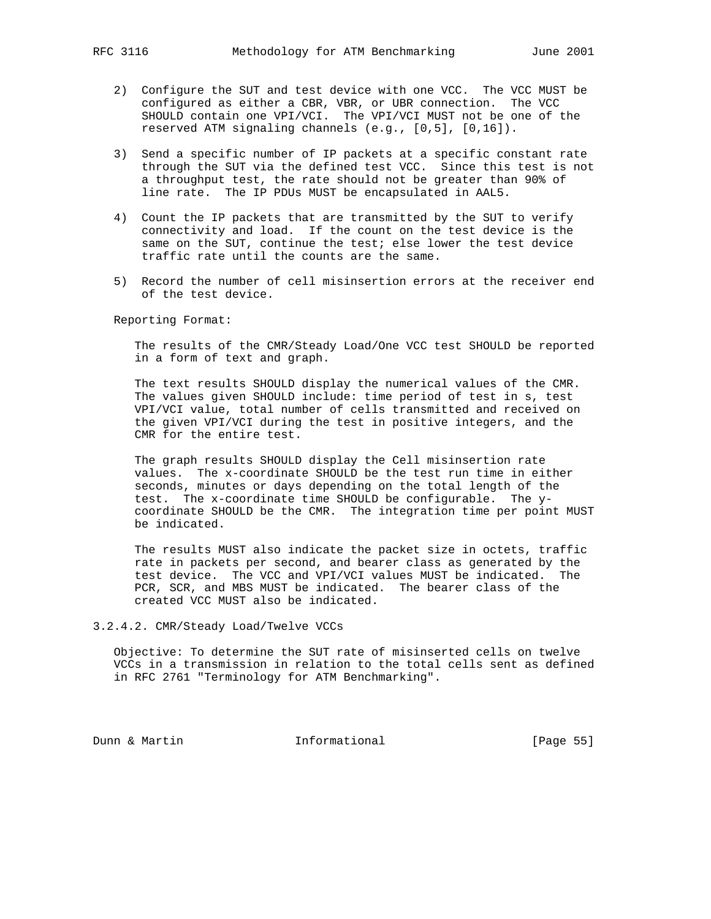- 2) Configure the SUT and test device with one VCC. The VCC MUST be configured as either a CBR, VBR, or UBR connection. The VCC SHOULD contain one VPI/VCI. The VPI/VCI MUST not be one of the reserved ATM signaling channels (e.g., [0,5], [0,16]).
- 3) Send a specific number of IP packets at a specific constant rate through the SUT via the defined test VCC. Since this test is not a throughput test, the rate should not be greater than 90% of line rate. The IP PDUs MUST be encapsulated in AAL5.
- 4) Count the IP packets that are transmitted by the SUT to verify connectivity and load. If the count on the test device is the same on the SUT, continue the test; else lower the test device traffic rate until the counts are the same.
- 5) Record the number of cell misinsertion errors at the receiver end of the test device.

 The results of the CMR/Steady Load/One VCC test SHOULD be reported in a form of text and graph.

 The text results SHOULD display the numerical values of the CMR. The values given SHOULD include: time period of test in s, test VPI/VCI value, total number of cells transmitted and received on the given VPI/VCI during the test in positive integers, and the CMR for the entire test.

 The graph results SHOULD display the Cell misinsertion rate values. The x-coordinate SHOULD be the test run time in either seconds, minutes or days depending on the total length of the test. The x-coordinate time SHOULD be configurable. The y coordinate SHOULD be the CMR. The integration time per point MUST be indicated.

 The results MUST also indicate the packet size in octets, traffic rate in packets per second, and bearer class as generated by the test device. The VCC and VPI/VCI values MUST be indicated. The PCR, SCR, and MBS MUST be indicated. The bearer class of the created VCC MUST also be indicated.

### 3.2.4.2. CMR/Steady Load/Twelve VCCs

 Objective: To determine the SUT rate of misinserted cells on twelve VCCs in a transmission in relation to the total cells sent as defined in RFC 2761 "Terminology for ATM Benchmarking".

Dunn & Martin **Informational** [Page 55]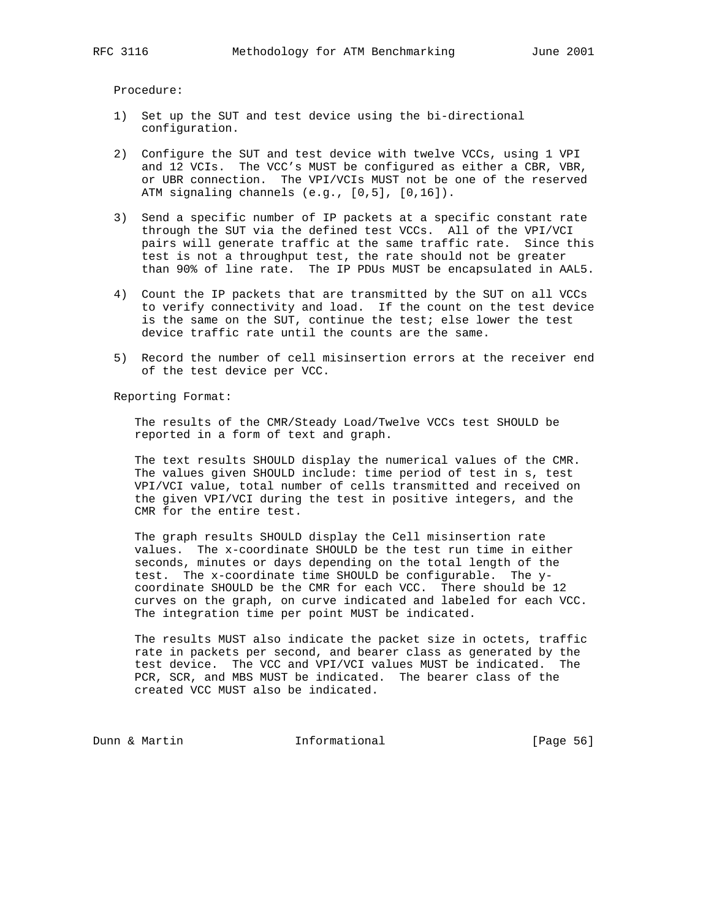Procedure:

- 1) Set up the SUT and test device using the bi-directional configuration.
- 2) Configure the SUT and test device with twelve VCCs, using 1 VPI and 12 VCIs. The VCC's MUST be configured as either a CBR, VBR, or UBR connection. The VPI/VCIs MUST not be one of the reserved ATM signaling channels (e.g., [0,5], [0,16]).
- 3) Send a specific number of IP packets at a specific constant rate through the SUT via the defined test VCCs. All of the VPI/VCI pairs will generate traffic at the same traffic rate. Since this test is not a throughput test, the rate should not be greater than 90% of line rate. The IP PDUs MUST be encapsulated in AAL5.
- 4) Count the IP packets that are transmitted by the SUT on all VCCs to verify connectivity and load. If the count on the test device is the same on the SUT, continue the test; else lower the test device traffic rate until the counts are the same.
- 5) Record the number of cell misinsertion errors at the receiver end of the test device per VCC.

Reporting Format:

 The results of the CMR/Steady Load/Twelve VCCs test SHOULD be reported in a form of text and graph.

 The text results SHOULD display the numerical values of the CMR. The values given SHOULD include: time period of test in s, test VPI/VCI value, total number of cells transmitted and received on the given VPI/VCI during the test in positive integers, and the CMR for the entire test.

 The graph results SHOULD display the Cell misinsertion rate values. The x-coordinate SHOULD be the test run time in either seconds, minutes or days depending on the total length of the test. The x-coordinate time SHOULD be configurable. The y coordinate SHOULD be the CMR for each VCC. There should be 12 curves on the graph, on curve indicated and labeled for each VCC. The integration time per point MUST be indicated.

 The results MUST also indicate the packet size in octets, traffic rate in packets per second, and bearer class as generated by the test device. The VCC and VPI/VCI values MUST be indicated. The PCR, SCR, and MBS MUST be indicated. The bearer class of the created VCC MUST also be indicated.

Dunn & Martin **Informational** [Page 56]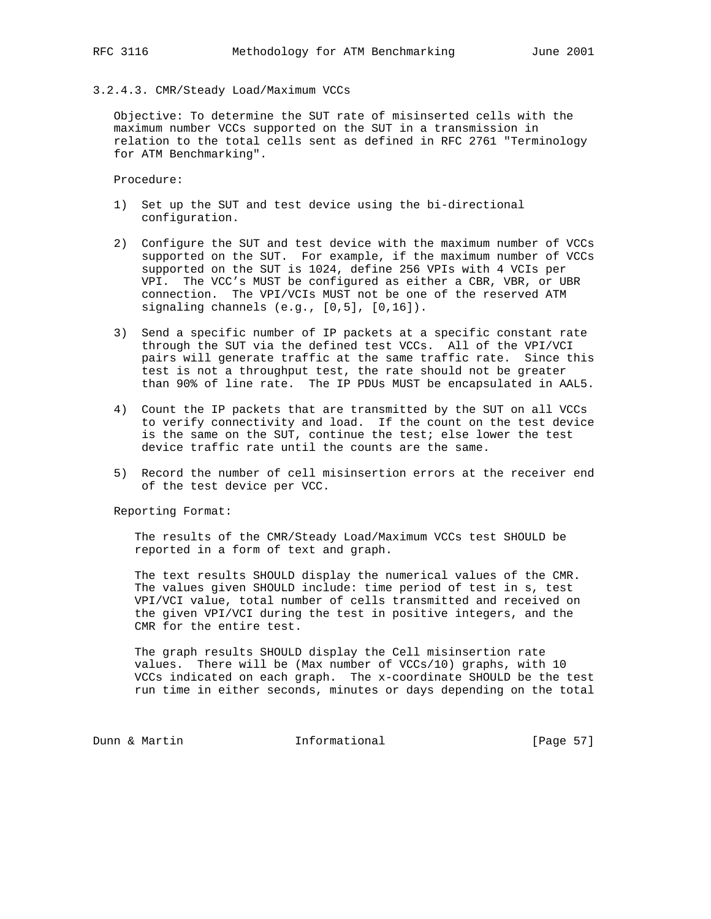# 3.2.4.3. CMR/Steady Load/Maximum VCCs

 Objective: To determine the SUT rate of misinserted cells with the maximum number VCCs supported on the SUT in a transmission in relation to the total cells sent as defined in RFC 2761 "Terminology for ATM Benchmarking".

Procedure:

- 1) Set up the SUT and test device using the bi-directional configuration.
- 2) Configure the SUT and test device with the maximum number of VCCs supported on the SUT. For example, if the maximum number of VCCs supported on the SUT is 1024, define 256 VPIs with 4 VCIs per VPI. The VCC's MUST be configured as either a CBR, VBR, or UBR connection. The VPI/VCIs MUST not be one of the reserved ATM signaling channels (e.g., [0,5], [0,16]).
- 3) Send a specific number of IP packets at a specific constant rate through the SUT via the defined test VCCs. All of the VPI/VCI pairs will generate traffic at the same traffic rate. Since this test is not a throughput test, the rate should not be greater than 90% of line rate. The IP PDUs MUST be encapsulated in AAL5.
- 4) Count the IP packets that are transmitted by the SUT on all VCCs to verify connectivity and load. If the count on the test device is the same on the SUT, continue the test; else lower the test device traffic rate until the counts are the same.
- 5) Record the number of cell misinsertion errors at the receiver end of the test device per VCC.

Reporting Format:

 The results of the CMR/Steady Load/Maximum VCCs test SHOULD be reported in a form of text and graph.

 The text results SHOULD display the numerical values of the CMR. The values given SHOULD include: time period of test in s, test VPI/VCI value, total number of cells transmitted and received on the given VPI/VCI during the test in positive integers, and the CMR for the entire test.

 The graph results SHOULD display the Cell misinsertion rate values. There will be (Max number of VCCs/10) graphs, with 10 VCCs indicated on each graph. The x-coordinate SHOULD be the test run time in either seconds, minutes or days depending on the total

Dunn & Martin **Informational** [Page 57]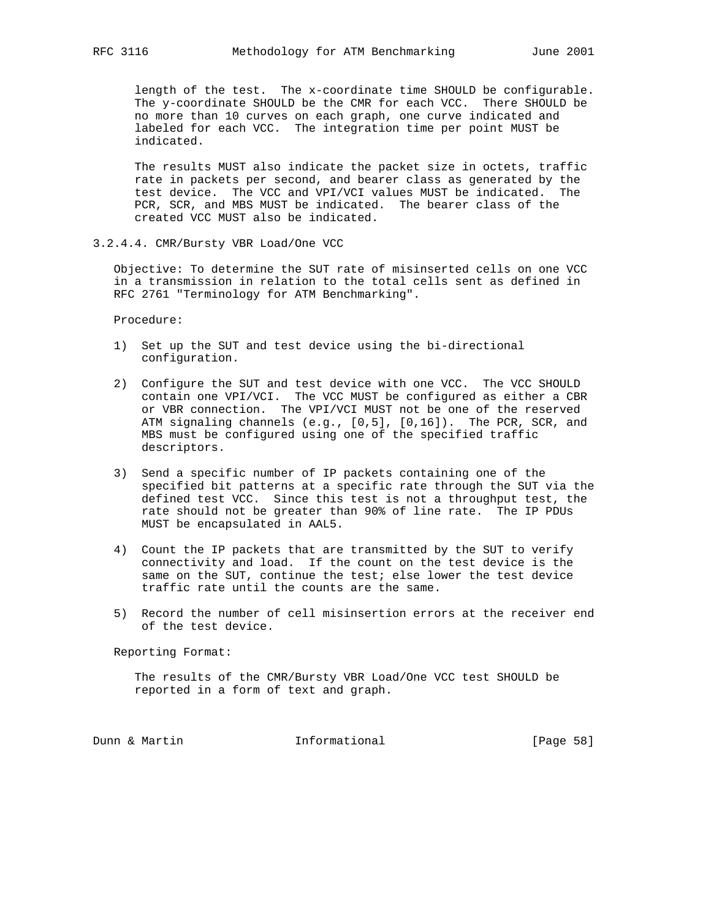length of the test. The x-coordinate time SHOULD be configurable. The y-coordinate SHOULD be the CMR for each VCC. There SHOULD be no more than 10 curves on each graph, one curve indicated and labeled for each VCC. The integration time per point MUST be indicated.

 The results MUST also indicate the packet size in octets, traffic rate in packets per second, and bearer class as generated by the test device. The VCC and VPI/VCI values MUST be indicated. The PCR, SCR, and MBS MUST be indicated. The bearer class of the created VCC MUST also be indicated.

3.2.4.4. CMR/Bursty VBR Load/One VCC

 Objective: To determine the SUT rate of misinserted cells on one VCC in a transmission in relation to the total cells sent as defined in RFC 2761 "Terminology for ATM Benchmarking".

Procedure:

- 1) Set up the SUT and test device using the bi-directional configuration.
- 2) Configure the SUT and test device with one VCC. The VCC SHOULD contain one VPI/VCI. The VCC MUST be configured as either a CBR or VBR connection. The VPI/VCI MUST not be one of the reserved ATM signaling channels (e.g., [0,5], [0,16]). The PCR, SCR, and MBS must be configured using one of the specified traffic descriptors.
- 3) Send a specific number of IP packets containing one of the specified bit patterns at a specific rate through the SUT via the defined test VCC. Since this test is not a throughput test, the rate should not be greater than 90% of line rate. The IP PDUs MUST be encapsulated in AAL5.
- 4) Count the IP packets that are transmitted by the SUT to verify connectivity and load. If the count on the test device is the same on the SUT, continue the test; else lower the test device traffic rate until the counts are the same.
- 5) Record the number of cell misinsertion errors at the receiver end of the test device.

Reporting Format:

 The results of the CMR/Bursty VBR Load/One VCC test SHOULD be reported in a form of text and graph.

Dunn & Martin **Informational** [Page 58]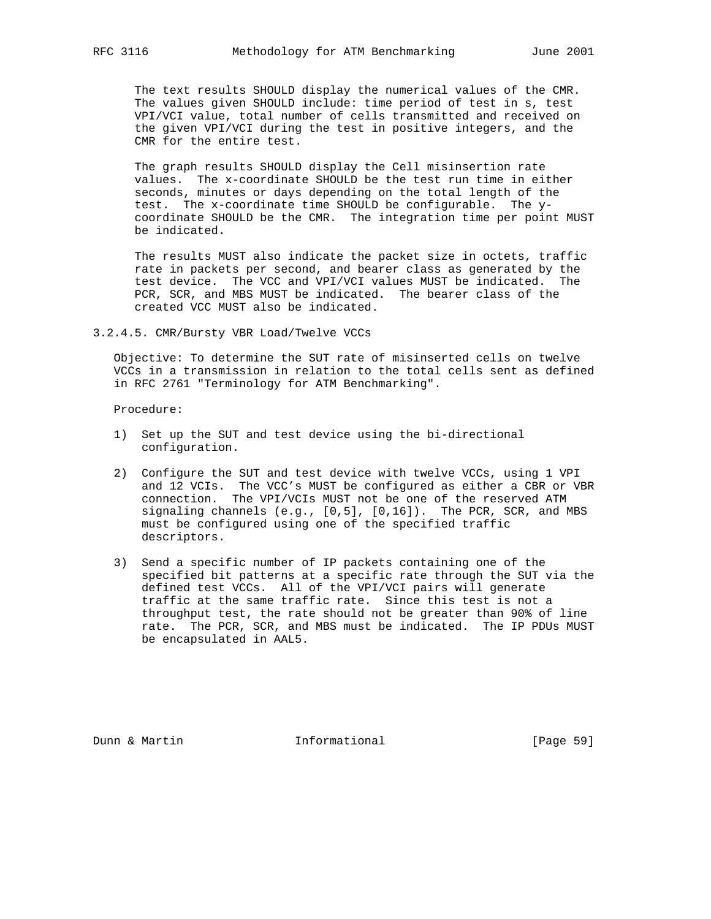The text results SHOULD display the numerical values of the CMR. The values given SHOULD include: time period of test in s, test VPI/VCI value, total number of cells transmitted and received on the given VPI/VCI during the test in positive integers, and the CMR for the entire test.

 The graph results SHOULD display the Cell misinsertion rate values. The x-coordinate SHOULD be the test run time in either seconds, minutes or days depending on the total length of the test. The x-coordinate time SHOULD be configurable. The y coordinate SHOULD be the CMR. The integration time per point MUST be indicated.

 The results MUST also indicate the packet size in octets, traffic rate in packets per second, and bearer class as generated by the test device. The VCC and VPI/VCI values MUST be indicated. The PCR, SCR, and MBS MUST be indicated. The bearer class of the created VCC MUST also be indicated.

3.2.4.5. CMR/Bursty VBR Load/Twelve VCCs

 Objective: To determine the SUT rate of misinserted cells on twelve VCCs in a transmission in relation to the total cells sent as defined in RFC 2761 "Terminology for ATM Benchmarking".

Procedure:

- 1) Set up the SUT and test device using the bi-directional configuration.
- 2) Configure the SUT and test device with twelve VCCs, using 1 VPI and 12 VCIs. The VCC's MUST be configured as either a CBR or VBR connection. The VPI/VCIs MUST not be one of the reserved ATM signaling channels (e.g., [0,5], [0,16]). The PCR, SCR, and MBS must be configured using one of the specified traffic descriptors.
- 3) Send a specific number of IP packets containing one of the specified bit patterns at a specific rate through the SUT via the defined test VCCs. All of the VPI/VCI pairs will generate traffic at the same traffic rate. Since this test is not a throughput test, the rate should not be greater than 90% of line rate. The PCR, SCR, and MBS must be indicated. The IP PDUs MUST be encapsulated in AAL5.

Dunn & Martin **Informational** [Page 59]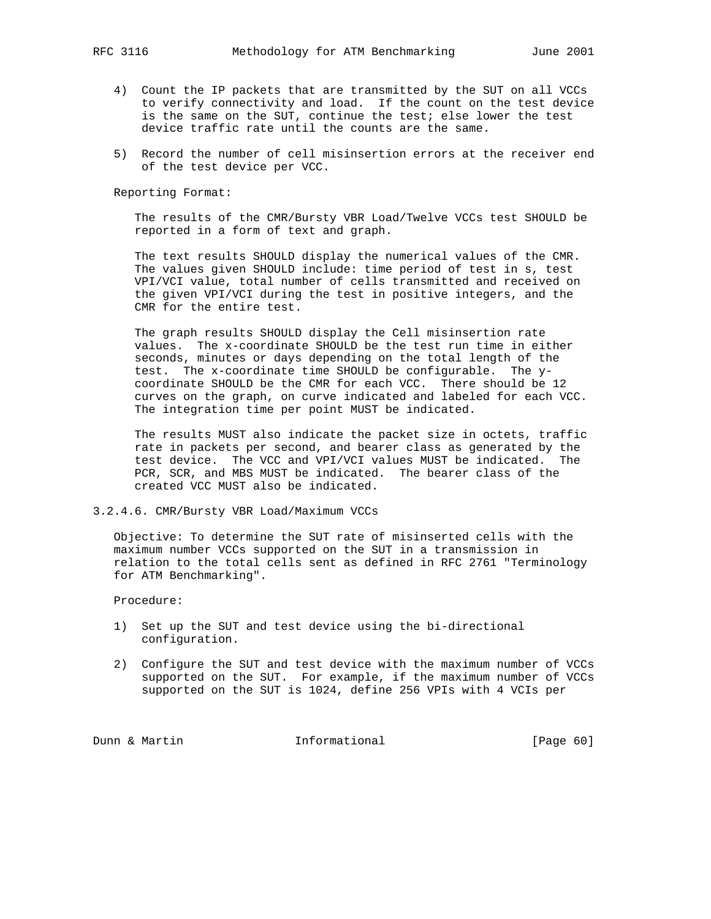- 4) Count the IP packets that are transmitted by the SUT on all VCCs to verify connectivity and load. If the count on the test device is the same on the SUT, continue the test; else lower the test device traffic rate until the counts are the same.
- 5) Record the number of cell misinsertion errors at the receiver end of the test device per VCC.

 The results of the CMR/Bursty VBR Load/Twelve VCCs test SHOULD be reported in a form of text and graph.

 The text results SHOULD display the numerical values of the CMR. The values given SHOULD include: time period of test in s, test VPI/VCI value, total number of cells transmitted and received on the given VPI/VCI during the test in positive integers, and the CMR for the entire test.

 The graph results SHOULD display the Cell misinsertion rate values. The x-coordinate SHOULD be the test run time in either seconds, minutes or days depending on the total length of the test. The x-coordinate time SHOULD be configurable. The y coordinate SHOULD be the CMR for each VCC. There should be 12 curves on the graph, on curve indicated and labeled for each VCC. The integration time per point MUST be indicated.

 The results MUST also indicate the packet size in octets, traffic rate in packets per second, and bearer class as generated by the test device. The VCC and VPI/VCI values MUST be indicated. The PCR, SCR, and MBS MUST be indicated. The bearer class of the created VCC MUST also be indicated.

3.2.4.6. CMR/Bursty VBR Load/Maximum VCCs

 Objective: To determine the SUT rate of misinserted cells with the maximum number VCCs supported on the SUT in a transmission in relation to the total cells sent as defined in RFC 2761 "Terminology for ATM Benchmarking".

Procedure:

- 1) Set up the SUT and test device using the bi-directional configuration.
- 2) Configure the SUT and test device with the maximum number of VCCs supported on the SUT. For example, if the maximum number of VCCs supported on the SUT is 1024, define 256 VPIs with 4 VCIs per

Dunn & Martin **Informational** [Page 60]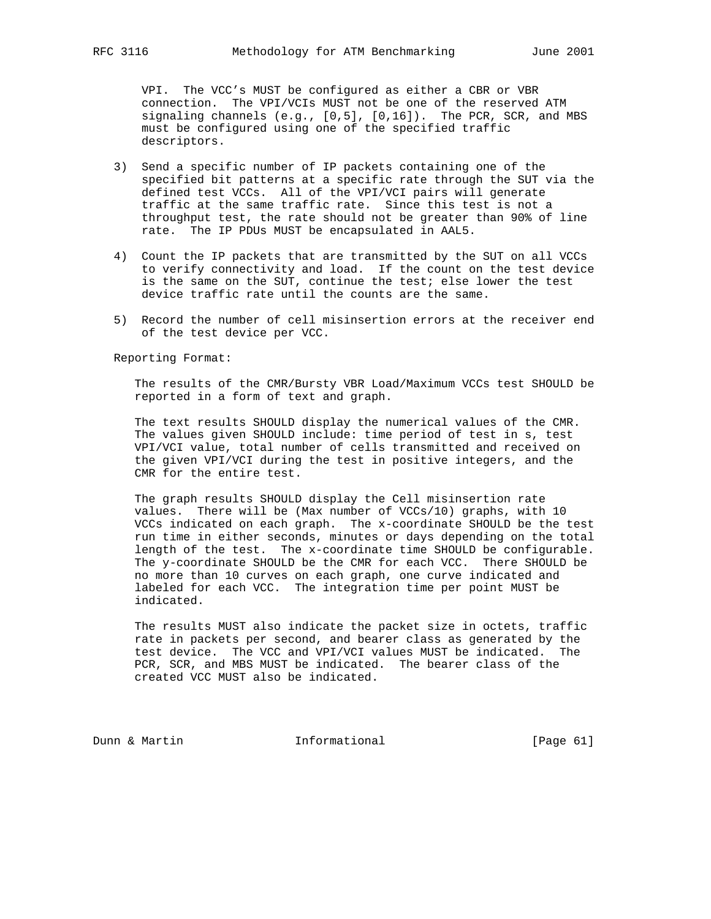VPI. The VCC's MUST be configured as either a CBR or VBR connection. The VPI/VCIs MUST not be one of the reserved ATM signaling channels (e.g., [0,5], [0,16]). The PCR, SCR, and MBS must be configured using one of the specified traffic descriptors.

- 3) Send a specific number of IP packets containing one of the specified bit patterns at a specific rate through the SUT via the defined test VCCs. All of the VPI/VCI pairs will generate traffic at the same traffic rate. Since this test is not a throughput test, the rate should not be greater than 90% of line rate. The IP PDUs MUST be encapsulated in AAL5.
- 4) Count the IP packets that are transmitted by the SUT on all VCCs to verify connectivity and load. If the count on the test device is the same on the SUT, continue the test; else lower the test device traffic rate until the counts are the same.
- 5) Record the number of cell misinsertion errors at the receiver end of the test device per VCC.

Reporting Format:

 The results of the CMR/Bursty VBR Load/Maximum VCCs test SHOULD be reported in a form of text and graph.

 The text results SHOULD display the numerical values of the CMR. The values given SHOULD include: time period of test in s, test VPI/VCI value, total number of cells transmitted and received on the given VPI/VCI during the test in positive integers, and the CMR for the entire test.

 The graph results SHOULD display the Cell misinsertion rate values. There will be (Max number of VCCs/10) graphs, with 10 VCCs indicated on each graph. The x-coordinate SHOULD be the test run time in either seconds, minutes or days depending on the total length of the test. The x-coordinate time SHOULD be configurable. The y-coordinate SHOULD be the CMR for each VCC. There SHOULD be no more than 10 curves on each graph, one curve indicated and labeled for each VCC. The integration time per point MUST be indicated.

 The results MUST also indicate the packet size in octets, traffic rate in packets per second, and bearer class as generated by the test device. The VCC and VPI/VCI values MUST be indicated. The PCR, SCR, and MBS MUST be indicated. The bearer class of the created VCC MUST also be indicated.

Dunn & Martin **Informational** [Page 61]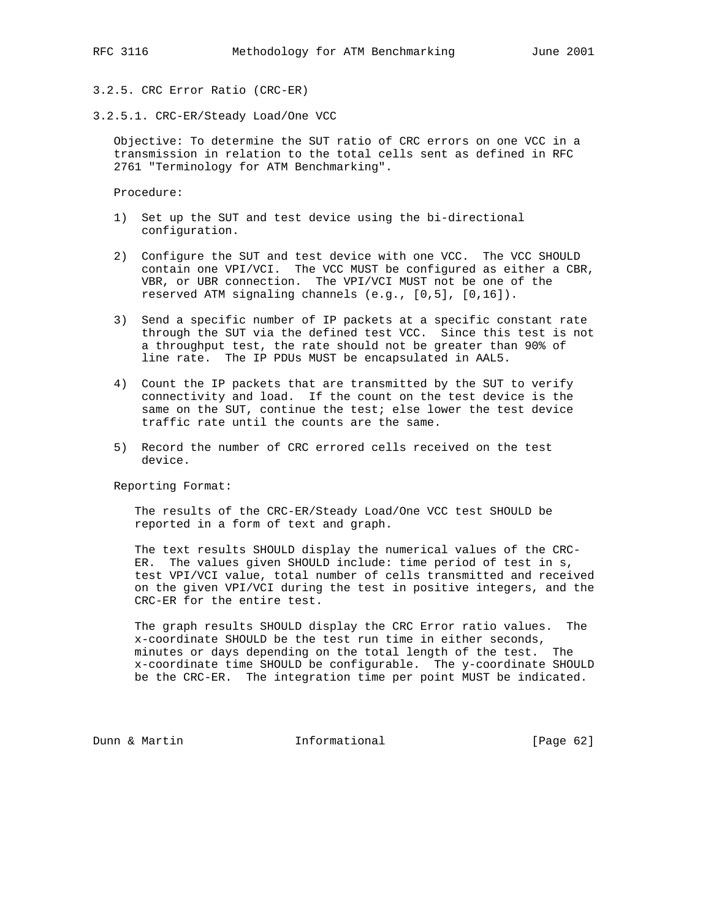3.2.5. CRC Error Ratio (CRC-ER)

3.2.5.1. CRC-ER/Steady Load/One VCC

 Objective: To determine the SUT ratio of CRC errors on one VCC in a transmission in relation to the total cells sent as defined in RFC 2761 "Terminology for ATM Benchmarking".

Procedure:

- 1) Set up the SUT and test device using the bi-directional configuration.
- 2) Configure the SUT and test device with one VCC. The VCC SHOULD contain one VPI/VCI. The VCC MUST be configured as either a CBR, VBR, or UBR connection. The VPI/VCI MUST not be one of the reserved ATM signaling channels (e.g., [0,5], [0,16]).
- 3) Send a specific number of IP packets at a specific constant rate through the SUT via the defined test VCC. Since this test is not a throughput test, the rate should not be greater than 90% of line rate. The IP PDUs MUST be encapsulated in AAL5.
- 4) Count the IP packets that are transmitted by the SUT to verify connectivity and load. If the count on the test device is the same on the SUT, continue the test; else lower the test device traffic rate until the counts are the same.
- 5) Record the number of CRC errored cells received on the test device.

Reporting Format:

 The results of the CRC-ER/Steady Load/One VCC test SHOULD be reported in a form of text and graph.

 The text results SHOULD display the numerical values of the CRC- ER. The values given SHOULD include: time period of test in s, test VPI/VCI value, total number of cells transmitted and received on the given VPI/VCI during the test in positive integers, and the CRC-ER for the entire test.

 The graph results SHOULD display the CRC Error ratio values. The x-coordinate SHOULD be the test run time in either seconds, minutes or days depending on the total length of the test. The x-coordinate time SHOULD be configurable. The y-coordinate SHOULD be the CRC-ER. The integration time per point MUST be indicated.

Dunn & Martin **Informational** [Page 62]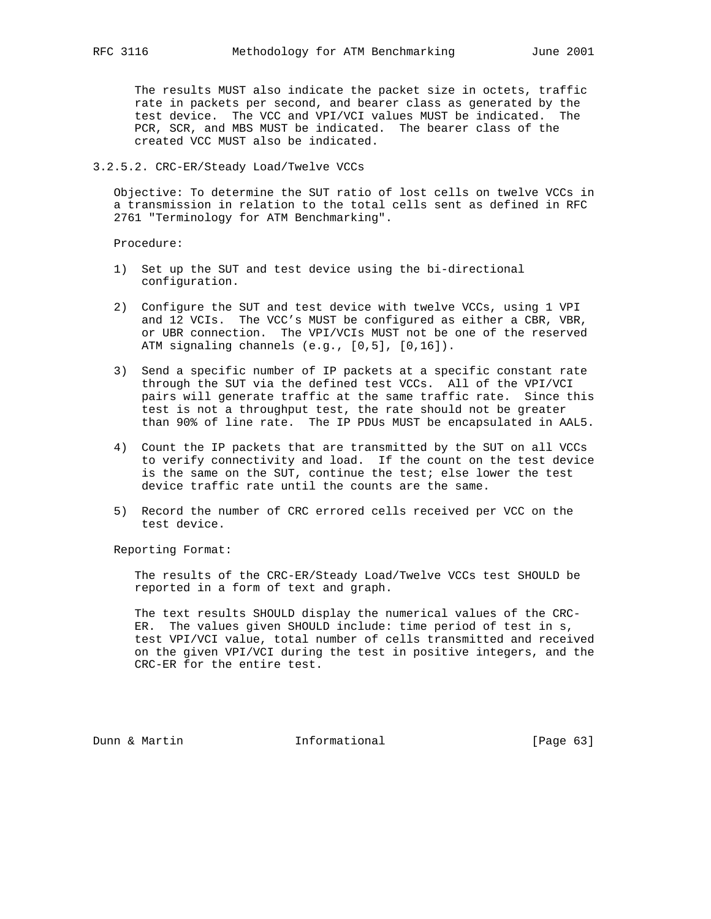The results MUST also indicate the packet size in octets, traffic rate in packets per second, and bearer class as generated by the test device. The VCC and VPI/VCI values MUST be indicated. The PCR, SCR, and MBS MUST be indicated. The bearer class of the created VCC MUST also be indicated.

# 3.2.5.2. CRC-ER/Steady Load/Twelve VCCs

 Objective: To determine the SUT ratio of lost cells on twelve VCCs in a transmission in relation to the total cells sent as defined in RFC 2761 "Terminology for ATM Benchmarking".

Procedure:

- 1) Set up the SUT and test device using the bi-directional configuration.
- 2) Configure the SUT and test device with twelve VCCs, using 1 VPI and 12 VCIs. The VCC's MUST be configured as either a CBR, VBR, or UBR connection. The VPI/VCIs MUST not be one of the reserved ATM signaling channels (e.g., [0,5], [0,16]).
- 3) Send a specific number of IP packets at a specific constant rate through the SUT via the defined test VCCs. All of the VPI/VCI pairs will generate traffic at the same traffic rate. Since this test is not a throughput test, the rate should not be greater than 90% of line rate. The IP PDUs MUST be encapsulated in AAL5.
	- 4) Count the IP packets that are transmitted by the SUT on all VCCs to verify connectivity and load. If the count on the test device is the same on the SUT, continue the test; else lower the test device traffic rate until the counts are the same.
	- 5) Record the number of CRC errored cells received per VCC on the test device.

Reporting Format:

 The results of the CRC-ER/Steady Load/Twelve VCCs test SHOULD be reported in a form of text and graph.

 The text results SHOULD display the numerical values of the CRC- ER. The values given SHOULD include: time period of test in s, test VPI/VCI value, total number of cells transmitted and received on the given VPI/VCI during the test in positive integers, and the CRC-ER for the entire test.

Dunn & Martin **Informational** [Page 63]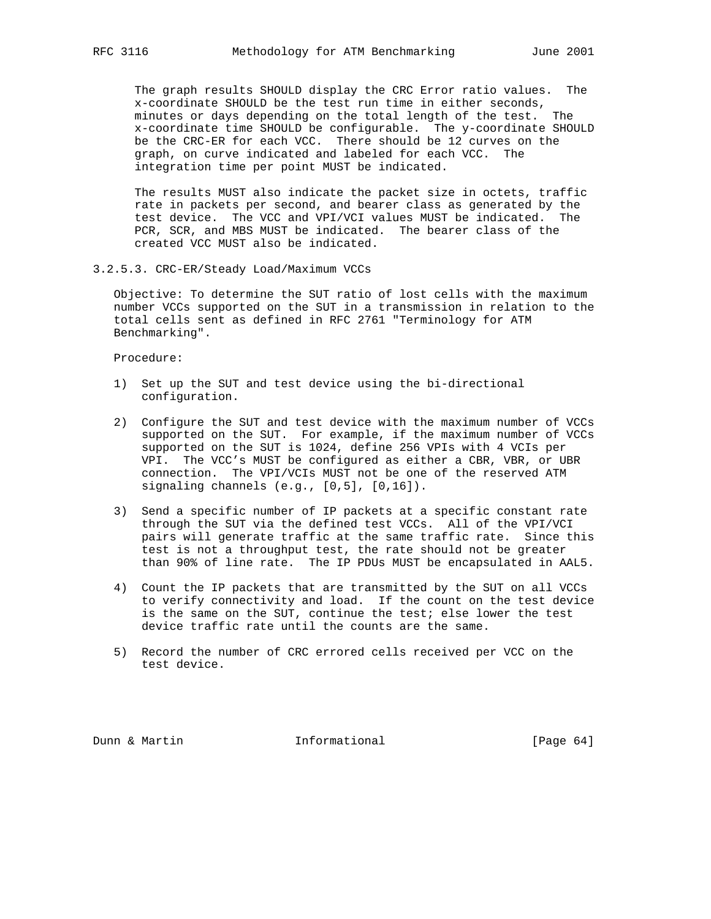The graph results SHOULD display the CRC Error ratio values. The x-coordinate SHOULD be the test run time in either seconds, minutes or days depending on the total length of the test. The x-coordinate time SHOULD be configurable. The y-coordinate SHOULD be the CRC-ER for each VCC. There should be 12 curves on the graph, on curve indicated and labeled for each VCC. The integration time per point MUST be indicated.

 The results MUST also indicate the packet size in octets, traffic rate in packets per second, and bearer class as generated by the test device. The VCC and VPI/VCI values MUST be indicated. The PCR, SCR, and MBS MUST be indicated. The bearer class of the created VCC MUST also be indicated.

3.2.5.3. CRC-ER/Steady Load/Maximum VCCs

 Objective: To determine the SUT ratio of lost cells with the maximum number VCCs supported on the SUT in a transmission in relation to the total cells sent as defined in RFC 2761 "Terminology for ATM Benchmarking".

Procedure:

- 1) Set up the SUT and test device using the bi-directional configuration.
- 2) Configure the SUT and test device with the maximum number of VCCs supported on the SUT. For example, if the maximum number of VCCs supported on the SUT is 1024, define 256 VPIs with 4 VCIs per VPI. The VCC's MUST be configured as either a CBR, VBR, or UBR connection. The VPI/VCIs MUST not be one of the reserved ATM signaling channels (e.g., [0,5], [0,16]).
- 3) Send a specific number of IP packets at a specific constant rate through the SUT via the defined test VCCs. All of the VPI/VCI pairs will generate traffic at the same traffic rate. Since this test is not a throughput test, the rate should not be greater than 90% of line rate. The IP PDUs MUST be encapsulated in AAL5.
- 4) Count the IP packets that are transmitted by the SUT on all VCCs to verify connectivity and load. If the count on the test device is the same on the SUT, continue the test; else lower the test device traffic rate until the counts are the same.
- 5) Record the number of CRC errored cells received per VCC on the test device.

Dunn & Martin **Informational** [Page 64]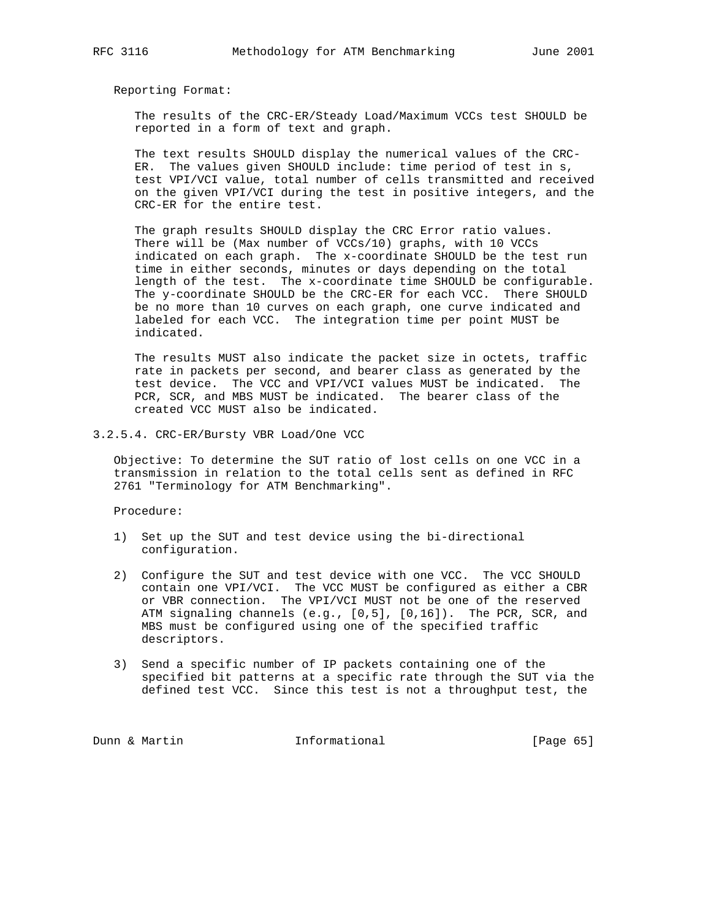The results of the CRC-ER/Steady Load/Maximum VCCs test SHOULD be reported in a form of text and graph.

 The text results SHOULD display the numerical values of the CRC- ER. The values given SHOULD include: time period of test in s, test VPI/VCI value, total number of cells transmitted and received on the given VPI/VCI during the test in positive integers, and the CRC-ER for the entire test.

 The graph results SHOULD display the CRC Error ratio values. There will be (Max number of VCCs/10) graphs, with 10 VCCs indicated on each graph. The x-coordinate SHOULD be the test run time in either seconds, minutes or days depending on the total length of the test. The x-coordinate time SHOULD be configurable. The y-coordinate SHOULD be the CRC-ER for each VCC. There SHOULD be no more than 10 curves on each graph, one curve indicated and labeled for each VCC. The integration time per point MUST be indicated.

 The results MUST also indicate the packet size in octets, traffic rate in packets per second, and bearer class as generated by the test device. The VCC and VPI/VCI values MUST be indicated. The PCR, SCR, and MBS MUST be indicated. The bearer class of the created VCC MUST also be indicated.

3.2.5.4. CRC-ER/Bursty VBR Load/One VCC

 Objective: To determine the SUT ratio of lost cells on one VCC in a transmission in relation to the total cells sent as defined in RFC 2761 "Terminology for ATM Benchmarking".

Procedure:

- 1) Set up the SUT and test device using the bi-directional configuration.
- 2) Configure the SUT and test device with one VCC. The VCC SHOULD contain one VPI/VCI. The VCC MUST be configured as either a CBR or VBR connection. The VPI/VCI MUST not be one of the reserved ATM signaling channels (e.g., [0,5], [0,16]). The PCR, SCR, and MBS must be configured using one of the specified traffic descriptors.
- 3) Send a specific number of IP packets containing one of the specified bit patterns at a specific rate through the SUT via the defined test VCC. Since this test is not a throughput test, the

Dunn & Martin **Informational** [Page 65]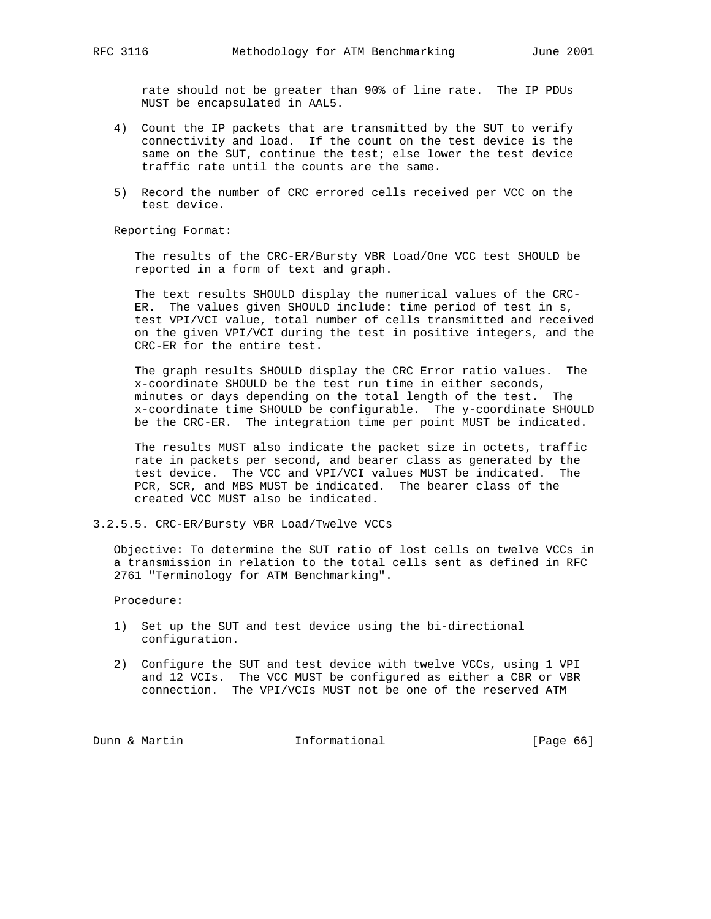rate should not be greater than 90% of line rate. The IP PDUs MUST be encapsulated in AAL5.

- 4) Count the IP packets that are transmitted by the SUT to verify connectivity and load. If the count on the test device is the same on the SUT, continue the test; else lower the test device traffic rate until the counts are the same.
- 5) Record the number of CRC errored cells received per VCC on the test device.

Reporting Format:

 The results of the CRC-ER/Bursty VBR Load/One VCC test SHOULD be reported in a form of text and graph.

 The text results SHOULD display the numerical values of the CRC- ER. The values given SHOULD include: time period of test in s, test VPI/VCI value, total number of cells transmitted and received on the given VPI/VCI during the test in positive integers, and the CRC-ER for the entire test.

 The graph results SHOULD display the CRC Error ratio values. The x-coordinate SHOULD be the test run time in either seconds, minutes or days depending on the total length of the test. The x-coordinate time SHOULD be configurable. The y-coordinate SHOULD be the CRC-ER. The integration time per point MUST be indicated.

 The results MUST also indicate the packet size in octets, traffic rate in packets per second, and bearer class as generated by the test device. The VCC and VPI/VCI values MUST be indicated. The PCR, SCR, and MBS MUST be indicated. The bearer class of the created VCC MUST also be indicated.

3.2.5.5. CRC-ER/Bursty VBR Load/Twelve VCCs

 Objective: To determine the SUT ratio of lost cells on twelve VCCs in a transmission in relation to the total cells sent as defined in RFC 2761 "Terminology for ATM Benchmarking".

Procedure:

- 1) Set up the SUT and test device using the bi-directional configuration.
- 2) Configure the SUT and test device with twelve VCCs, using 1 VPI and 12 VCIs. The VCC MUST be configured as either a CBR or VBR connection. The VPI/VCIs MUST not be one of the reserved ATM

Dunn & Martin **Informational** [Page 66]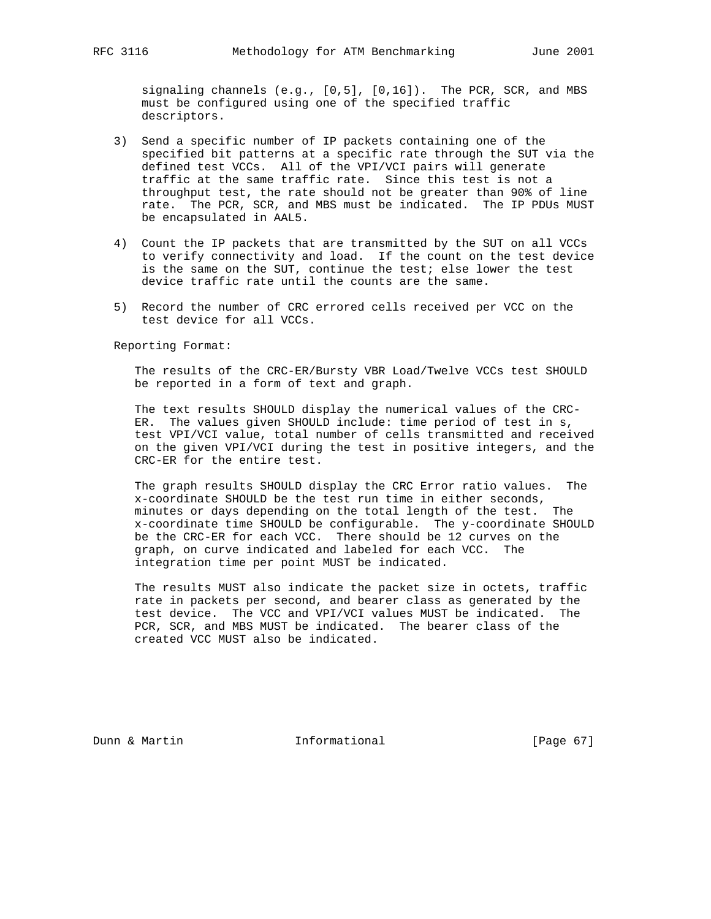signaling channels (e.g., [0,5], [0,16]). The PCR, SCR, and MBS must be configured using one of the specified traffic descriptors.

- 3) Send a specific number of IP packets containing one of the specified bit patterns at a specific rate through the SUT via the defined test VCCs. All of the VPI/VCI pairs will generate traffic at the same traffic rate. Since this test is not a throughput test, the rate should not be greater than 90% of line rate. The PCR, SCR, and MBS must be indicated. The IP PDUs MUST be encapsulated in AAL5.
- 4) Count the IP packets that are transmitted by the SUT on all VCCs to verify connectivity and load. If the count on the test device is the same on the SUT, continue the test; else lower the test device traffic rate until the counts are the same.
- 5) Record the number of CRC errored cells received per VCC on the test device for all VCCs.

Reporting Format:

 The results of the CRC-ER/Bursty VBR Load/Twelve VCCs test SHOULD be reported in a form of text and graph.

 The text results SHOULD display the numerical values of the CRC- ER. The values given SHOULD include: time period of test in s, test VPI/VCI value, total number of cells transmitted and received on the given VPI/VCI during the test in positive integers, and the CRC-ER for the entire test.

 The graph results SHOULD display the CRC Error ratio values. The x-coordinate SHOULD be the test run time in either seconds, minutes or days depending on the total length of the test. The x-coordinate time SHOULD be configurable. The y-coordinate SHOULD be the CRC-ER for each VCC. There should be 12 curves on the graph, on curve indicated and labeled for each VCC. The integration time per point MUST be indicated.

 The results MUST also indicate the packet size in octets, traffic rate in packets per second, and bearer class as generated by the test device. The VCC and VPI/VCI values MUST be indicated. The PCR, SCR, and MBS MUST be indicated. The bearer class of the created VCC MUST also be indicated.

Dunn & Martin **Informational** [Page 67]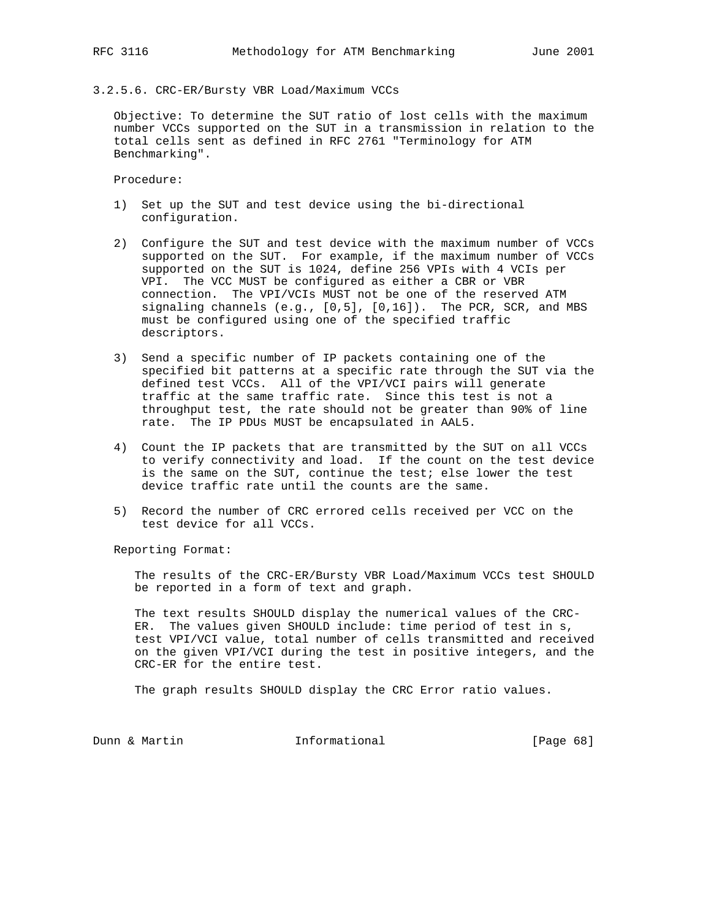### 3.2.5.6. CRC-ER/Bursty VBR Load/Maximum VCCs

 Objective: To determine the SUT ratio of lost cells with the maximum number VCCs supported on the SUT in a transmission in relation to the total cells sent as defined in RFC 2761 "Terminology for ATM Benchmarking".

Procedure:

- 1) Set up the SUT and test device using the bi-directional configuration.
- 2) Configure the SUT and test device with the maximum number of VCCs supported on the SUT. For example, if the maximum number of VCCs supported on the SUT is 1024, define 256 VPIs with 4 VCIs per VPI. The VCC MUST be configured as either a CBR or VBR connection. The VPI/VCIs MUST not be one of the reserved ATM signaling channels  $(e.g., [0,5], [0,16])$ . The PCR, SCR, and MBS must be configured using one of the specified traffic descriptors.
- 3) Send a specific number of IP packets containing one of the specified bit patterns at a specific rate through the SUT via the defined test VCCs. All of the VPI/VCI pairs will generate traffic at the same traffic rate. Since this test is not a throughput test, the rate should not be greater than 90% of line rate. The IP PDUs MUST be encapsulated in AAL5.
- 4) Count the IP packets that are transmitted by the SUT on all VCCs to verify connectivity and load. If the count on the test device is the same on the SUT, continue the test; else lower the test device traffic rate until the counts are the same.
- 5) Record the number of CRC errored cells received per VCC on the test device for all VCCs.

Reporting Format:

 The results of the CRC-ER/Bursty VBR Load/Maximum VCCs test SHOULD be reported in a form of text and graph.

 The text results SHOULD display the numerical values of the CRC- ER. The values given SHOULD include: time period of test in s, test VPI/VCI value, total number of cells transmitted and received on the given VPI/VCI during the test in positive integers, and the CRC-ER for the entire test.

The graph results SHOULD display the CRC Error ratio values.

Dunn & Martin **Informational** [Page 68]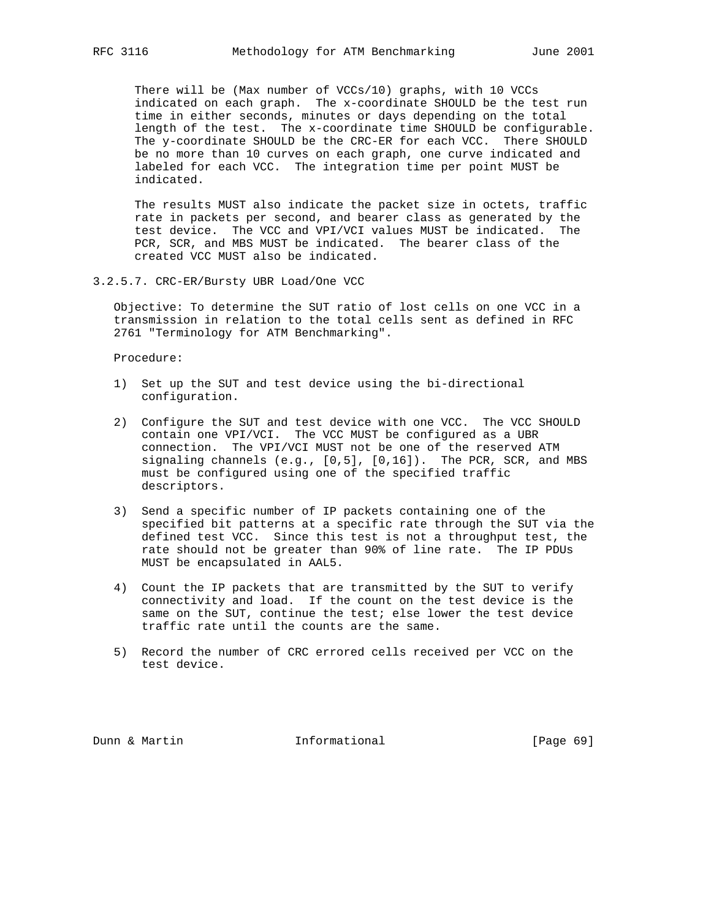There will be (Max number of VCCs/10) graphs, with 10 VCCs indicated on each graph. The x-coordinate SHOULD be the test run time in either seconds, minutes or days depending on the total length of the test. The x-coordinate time SHOULD be configurable. The y-coordinate SHOULD be the CRC-ER for each VCC. There SHOULD be no more than 10 curves on each graph, one curve indicated and labeled for each VCC. The integration time per point MUST be indicated.

 The results MUST also indicate the packet size in octets, traffic rate in packets per second, and bearer class as generated by the test device. The VCC and VPI/VCI values MUST be indicated. The PCR, SCR, and MBS MUST be indicated. The bearer class of the created VCC MUST also be indicated.

3.2.5.7. CRC-ER/Bursty UBR Load/One VCC

 Objective: To determine the SUT ratio of lost cells on one VCC in a transmission in relation to the total cells sent as defined in RFC 2761 "Terminology for ATM Benchmarking".

Procedure:

- 1) Set up the SUT and test device using the bi-directional configuration.
- 2) Configure the SUT and test device with one VCC. The VCC SHOULD contain one VPI/VCI. The VCC MUST be configured as a UBR connection. The VPI/VCI MUST not be one of the reserved ATM signaling channels (e.g., [0,5], [0,16]). The PCR, SCR, and MBS must be configured using one of the specified traffic descriptors.
- 3) Send a specific number of IP packets containing one of the specified bit patterns at a specific rate through the SUT via the defined test VCC. Since this test is not a throughput test, the rate should not be greater than 90% of line rate. The IP PDUs MUST be encapsulated in AAL5.
- 4) Count the IP packets that are transmitted by the SUT to verify connectivity and load. If the count on the test device is the same on the SUT, continue the test; else lower the test device traffic rate until the counts are the same.
- 5) Record the number of CRC errored cells received per VCC on the test device.

Dunn & Martin **Informational** [Page 69]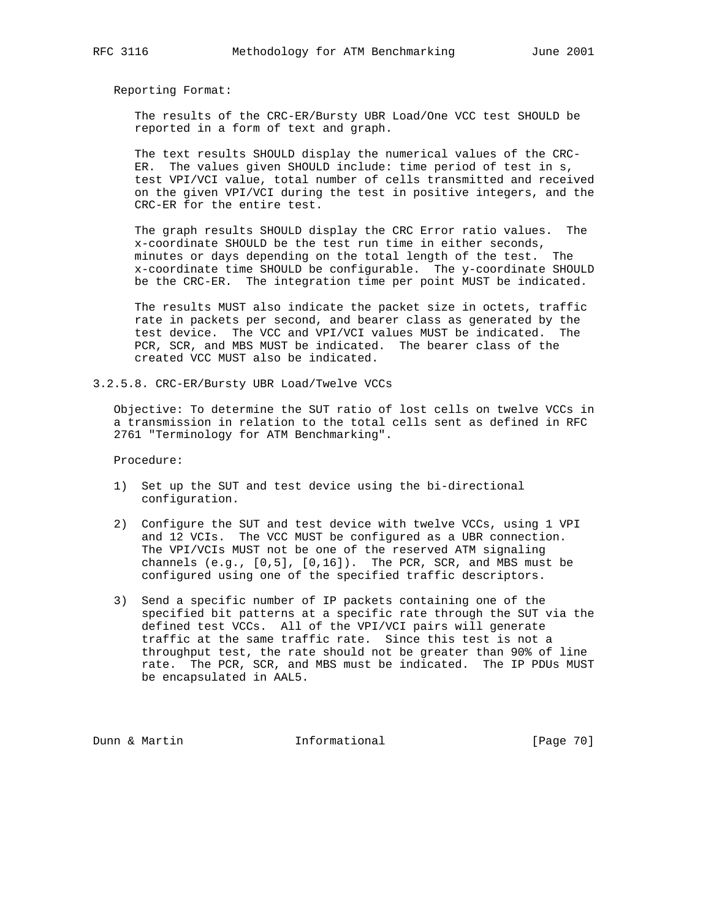The results of the CRC-ER/Bursty UBR Load/One VCC test SHOULD be reported in a form of text and graph.

 The text results SHOULD display the numerical values of the CRC- ER. The values given SHOULD include: time period of test in s, test VPI/VCI value, total number of cells transmitted and received on the given VPI/VCI during the test in positive integers, and the CRC-ER for the entire test.

 The graph results SHOULD display the CRC Error ratio values. The x-coordinate SHOULD be the test run time in either seconds, minutes or days depending on the total length of the test. The x-coordinate time SHOULD be configurable. The y-coordinate SHOULD be the CRC-ER. The integration time per point MUST be indicated.

 The results MUST also indicate the packet size in octets, traffic rate in packets per second, and bearer class as generated by the test device. The VCC and VPI/VCI values MUST be indicated. The PCR, SCR, and MBS MUST be indicated. The bearer class of the created VCC MUST also be indicated.

3.2.5.8. CRC-ER/Bursty UBR Load/Twelve VCCs

 Objective: To determine the SUT ratio of lost cells on twelve VCCs in a transmission in relation to the total cells sent as defined in RFC 2761 "Terminology for ATM Benchmarking".

Procedure:

- 1) Set up the SUT and test device using the bi-directional configuration.
- 2) Configure the SUT and test device with twelve VCCs, using 1 VPI and 12 VCIs. The VCC MUST be configured as a UBR connection. The VPI/VCIs MUST not be one of the reserved ATM signaling channels (e.g., [0,5], [0,16]). The PCR, SCR, and MBS must be configured using one of the specified traffic descriptors.
- 3) Send a specific number of IP packets containing one of the specified bit patterns at a specific rate through the SUT via the defined test VCCs. All of the VPI/VCI pairs will generate traffic at the same traffic rate. Since this test is not a throughput test, the rate should not be greater than 90% of line rate. The PCR, SCR, and MBS must be indicated. The IP PDUs MUST be encapsulated in AAL5.

Dunn & Martin **Informational** [Page 70]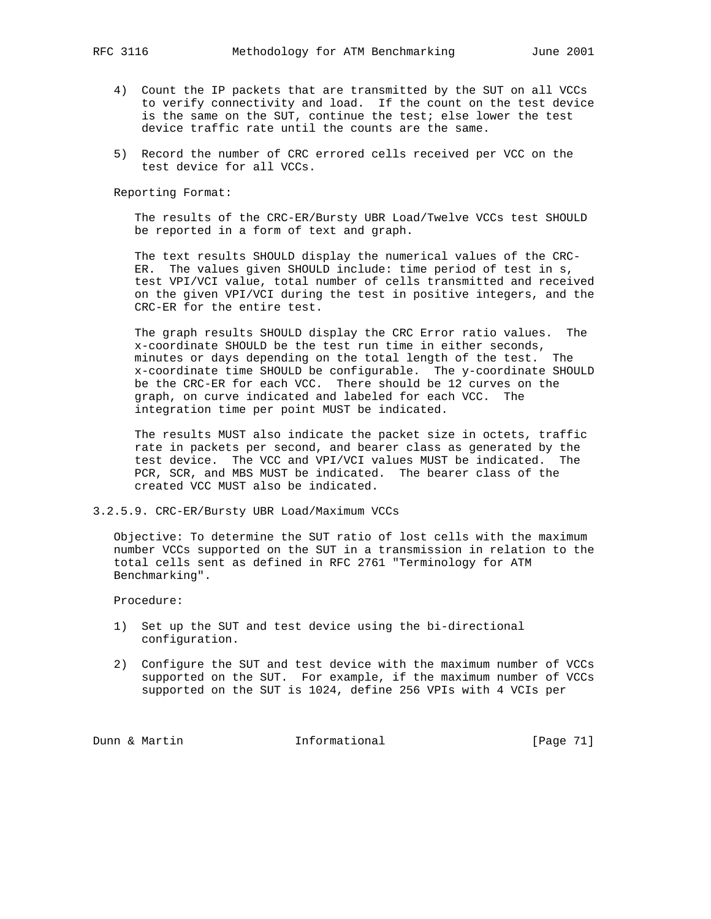- 4) Count the IP packets that are transmitted by the SUT on all VCCs to verify connectivity and load. If the count on the test device is the same on the SUT, continue the test; else lower the test device traffic rate until the counts are the same.
- 5) Record the number of CRC errored cells received per VCC on the test device for all VCCs.

 The results of the CRC-ER/Bursty UBR Load/Twelve VCCs test SHOULD be reported in a form of text and graph.

 The text results SHOULD display the numerical values of the CRC- ER. The values given SHOULD include: time period of test in s, test VPI/VCI value, total number of cells transmitted and received on the given VPI/VCI during the test in positive integers, and the CRC-ER for the entire test.

 The graph results SHOULD display the CRC Error ratio values. The x-coordinate SHOULD be the test run time in either seconds, minutes or days depending on the total length of the test. The x-coordinate time SHOULD be configurable. The y-coordinate SHOULD be the CRC-ER for each VCC. There should be 12 curves on the graph, on curve indicated and labeled for each VCC. The integration time per point MUST be indicated.

 The results MUST also indicate the packet size in octets, traffic rate in packets per second, and bearer class as generated by the test device. The VCC and VPI/VCI values MUST be indicated. The PCR, SCR, and MBS MUST be indicated. The bearer class of the created VCC MUST also be indicated.

3.2.5.9. CRC-ER/Bursty UBR Load/Maximum VCCs

 Objective: To determine the SUT ratio of lost cells with the maximum number VCCs supported on the SUT in a transmission in relation to the total cells sent as defined in RFC 2761 "Terminology for ATM Benchmarking".

Procedure:

- 1) Set up the SUT and test device using the bi-directional configuration.
- 2) Configure the SUT and test device with the maximum number of VCCs supported on the SUT. For example, if the maximum number of VCCs supported on the SUT is 1024, define 256 VPIs with 4 VCIs per

Dunn & Martin **Informational** [Page 71]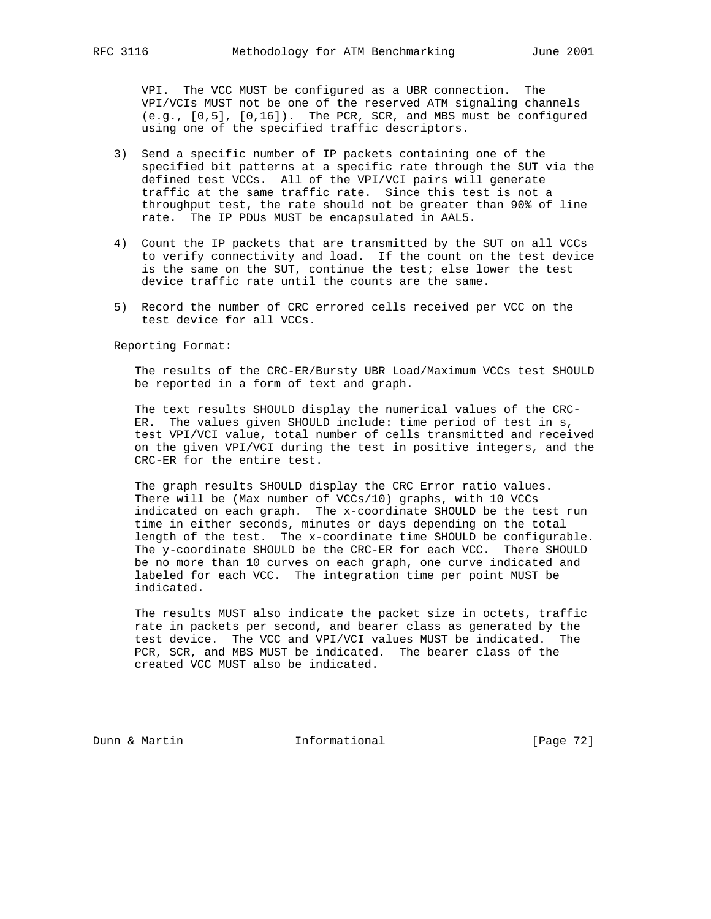VPI. The VCC MUST be configured as a UBR connection. The VPI/VCIs MUST not be one of the reserved ATM signaling channels (e.g., [0,5], [0,16]). The PCR, SCR, and MBS must be configured using one of the specified traffic descriptors.

- 3) Send a specific number of IP packets containing one of the specified bit patterns at a specific rate through the SUT via the defined test VCCs. All of the VPI/VCI pairs will generate traffic at the same traffic rate. Since this test is not a throughput test, the rate should not be greater than 90% of line rate. The IP PDUs MUST be encapsulated in AAL5.
- 4) Count the IP packets that are transmitted by the SUT on all VCCs to verify connectivity and load. If the count on the test device is the same on the SUT, continue the test; else lower the test device traffic rate until the counts are the same.
- 5) Record the number of CRC errored cells received per VCC on the test device for all VCCs.

Reporting Format:

 The results of the CRC-ER/Bursty UBR Load/Maximum VCCs test SHOULD be reported in a form of text and graph.

 The text results SHOULD display the numerical values of the CRC- ER. The values given SHOULD include: time period of test in s, test VPI/VCI value, total number of cells transmitted and received on the given VPI/VCI during the test in positive integers, and the CRC-ER for the entire test.

 The graph results SHOULD display the CRC Error ratio values. There will be (Max number of VCCs/10) graphs, with 10 VCCs indicated on each graph. The x-coordinate SHOULD be the test run time in either seconds, minutes or days depending on the total length of the test. The x-coordinate time SHOULD be configurable. The y-coordinate SHOULD be the CRC-ER for each VCC. There SHOULD be no more than 10 curves on each graph, one curve indicated and labeled for each VCC. The integration time per point MUST be indicated.

 The results MUST also indicate the packet size in octets, traffic rate in packets per second, and bearer class as generated by the test device. The VCC and VPI/VCI values MUST be indicated. The PCR, SCR, and MBS MUST be indicated. The bearer class of the created VCC MUST also be indicated.

Dunn & Martin **Informational** [Page 72]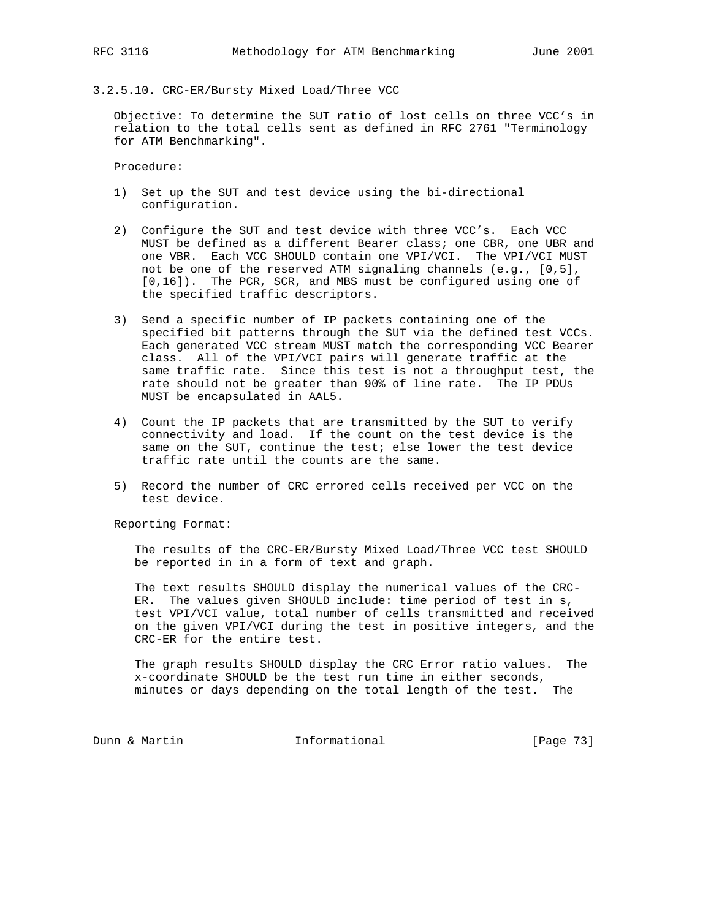#### 3.2.5.10. CRC-ER/Bursty Mixed Load/Three VCC

 Objective: To determine the SUT ratio of lost cells on three VCC's in relation to the total cells sent as defined in RFC 2761 "Terminology for ATM Benchmarking".

Procedure:

- 1) Set up the SUT and test device using the bi-directional configuration.
- 2) Configure the SUT and test device with three VCC's. Each VCC MUST be defined as a different Bearer class; one CBR, one UBR and one VBR. Each VCC SHOULD contain one VPI/VCI. The VPI/VCI MUST not be one of the reserved ATM signaling channels (e.g., [0,5], [0,16]). The PCR, SCR, and MBS must be configured using one of the specified traffic descriptors.
- 3) Send a specific number of IP packets containing one of the specified bit patterns through the SUT via the defined test VCCs. Each generated VCC stream MUST match the corresponding VCC Bearer class. All of the VPI/VCI pairs will generate traffic at the same traffic rate. Since this test is not a throughput test, the rate should not be greater than 90% of line rate. The IP PDUs MUST be encapsulated in AAL5.
- 4) Count the IP packets that are transmitted by the SUT to verify connectivity and load. If the count on the test device is the same on the SUT, continue the test; else lower the test device traffic rate until the counts are the same.
- 5) Record the number of CRC errored cells received per VCC on the test device.

Reporting Format:

 The results of the CRC-ER/Bursty Mixed Load/Three VCC test SHOULD be reported in in a form of text and graph.

 The text results SHOULD display the numerical values of the CRC- ER. The values given SHOULD include: time period of test in s, test VPI/VCI value, total number of cells transmitted and received on the given VPI/VCI during the test in positive integers, and the CRC-ER for the entire test.

 The graph results SHOULD display the CRC Error ratio values. The x-coordinate SHOULD be the test run time in either seconds, minutes or days depending on the total length of the test. The

Dunn & Martin **Informational** [Page 73]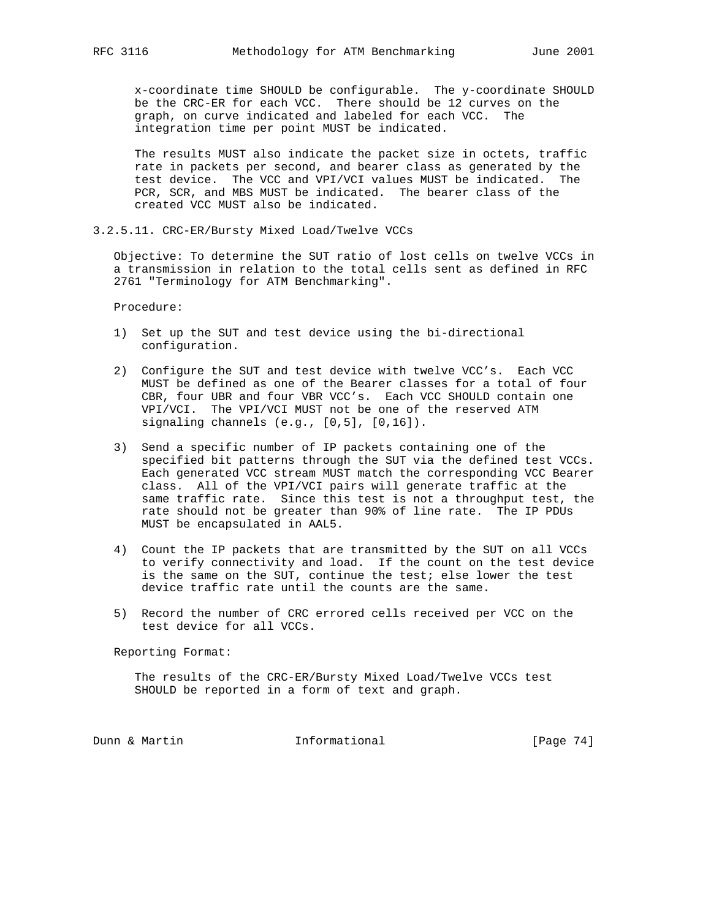x-coordinate time SHOULD be configurable. The y-coordinate SHOULD be the CRC-ER for each VCC. There should be 12 curves on the graph, on curve indicated and labeled for each VCC. The integration time per point MUST be indicated.

 The results MUST also indicate the packet size in octets, traffic rate in packets per second, and bearer class as generated by the test device. The VCC and VPI/VCI values MUST be indicated. The PCR, SCR, and MBS MUST be indicated. The bearer class of the created VCC MUST also be indicated.

3.2.5.11. CRC-ER/Bursty Mixed Load/Twelve VCCs

 Objective: To determine the SUT ratio of lost cells on twelve VCCs in a transmission in relation to the total cells sent as defined in RFC 2761 "Terminology for ATM Benchmarking".

Procedure:

- 1) Set up the SUT and test device using the bi-directional configuration.
- 2) Configure the SUT and test device with twelve VCC's. Each VCC MUST be defined as one of the Bearer classes for a total of four CBR, four UBR and four VBR VCC's. Each VCC SHOULD contain one VPI/VCI. The VPI/VCI MUST not be one of the reserved ATM signaling channels (e.g., [0,5], [0,16]).
- 3) Send a specific number of IP packets containing one of the specified bit patterns through the SUT via the defined test VCCs. Each generated VCC stream MUST match the corresponding VCC Bearer class. All of the VPI/VCI pairs will generate traffic at the same traffic rate. Since this test is not a throughput test, the rate should not be greater than 90% of line rate. The IP PDUs MUST be encapsulated in AAL5.
- 4) Count the IP packets that are transmitted by the SUT on all VCCs to verify connectivity and load. If the count on the test device is the same on the SUT, continue the test; else lower the test device traffic rate until the counts are the same.
- 5) Record the number of CRC errored cells received per VCC on the test device for all VCCs.

Reporting Format:

 The results of the CRC-ER/Bursty Mixed Load/Twelve VCCs test SHOULD be reported in a form of text and graph.

Dunn & Martin **Informational** [Page 74]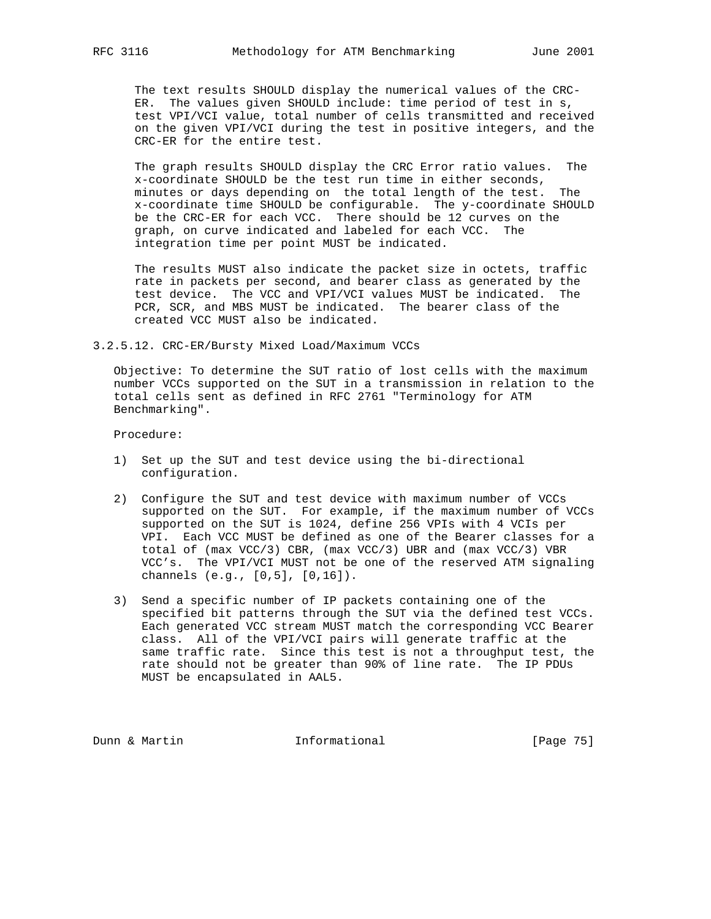The text results SHOULD display the numerical values of the CRC- ER. The values given SHOULD include: time period of test in s, test VPI/VCI value, total number of cells transmitted and received on the given VPI/VCI during the test in positive integers, and the CRC-ER for the entire test.

 The graph results SHOULD display the CRC Error ratio values. The x-coordinate SHOULD be the test run time in either seconds, minutes or days depending on the total length of the test. The x-coordinate time SHOULD be configurable. The y-coordinate SHOULD be the CRC-ER for each VCC. There should be 12 curves on the graph, on curve indicated and labeled for each VCC. The integration time per point MUST be indicated.

 The results MUST also indicate the packet size in octets, traffic rate in packets per second, and bearer class as generated by the test device. The VCC and VPI/VCI values MUST be indicated. The PCR, SCR, and MBS MUST be indicated. The bearer class of the created VCC MUST also be indicated.

3.2.5.12. CRC-ER/Bursty Mixed Load/Maximum VCCs

 Objective: To determine the SUT ratio of lost cells with the maximum number VCCs supported on the SUT in a transmission in relation to the total cells sent as defined in RFC 2761 "Terminology for ATM Benchmarking".

Procedure:

- 1) Set up the SUT and test device using the bi-directional configuration.
- 2) Configure the SUT and test device with maximum number of VCCs supported on the SUT. For example, if the maximum number of VCCs supported on the SUT is 1024, define 256 VPIs with 4 VCIs per VPI. Each VCC MUST be defined as one of the Bearer classes for a total of (max VCC/3) CBR, (max VCC/3) UBR and (max VCC/3) VBR VCC's. The VPI/VCI MUST not be one of the reserved ATM signaling channels (e.g., [0,5], [0,16]).
- 3) Send a specific number of IP packets containing one of the specified bit patterns through the SUT via the defined test VCCs. Each generated VCC stream MUST match the corresponding VCC Bearer class. All of the VPI/VCI pairs will generate traffic at the same traffic rate. Since this test is not a throughput test, the rate should not be greater than 90% of line rate. The IP PDUs MUST be encapsulated in AAL5.

Dunn & Martin **Informational** [Page 75]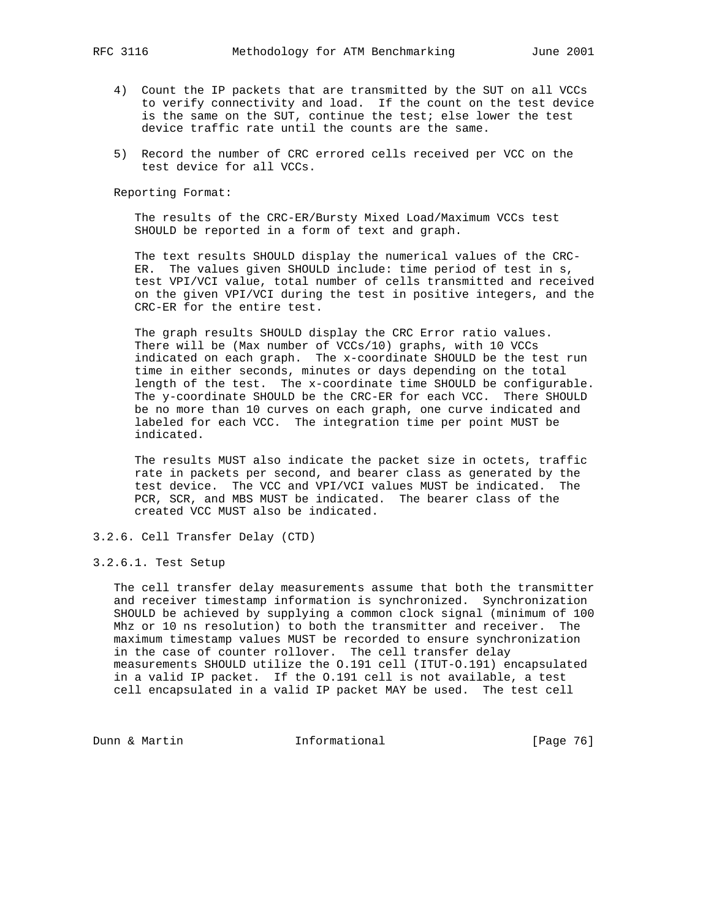- 4) Count the IP packets that are transmitted by the SUT on all VCCs to verify connectivity and load. If the count on the test device is the same on the SUT, continue the test; else lower the test device traffic rate until the counts are the same.
- 5) Record the number of CRC errored cells received per VCC on the test device for all VCCs.

 The results of the CRC-ER/Bursty Mixed Load/Maximum VCCs test SHOULD be reported in a form of text and graph.

 The text results SHOULD display the numerical values of the CRC- ER. The values given SHOULD include: time period of test in s, test VPI/VCI value, total number of cells transmitted and received on the given VPI/VCI during the test in positive integers, and the CRC-ER for the entire test.

 The graph results SHOULD display the CRC Error ratio values. There will be (Max number of VCCs/10) graphs, with 10 VCCs indicated on each graph. The x-coordinate SHOULD be the test run time in either seconds, minutes or days depending on the total length of the test. The x-coordinate time SHOULD be configurable. The y-coordinate SHOULD be the CRC-ER for each VCC. There SHOULD be no more than 10 curves on each graph, one curve indicated and labeled for each VCC. The integration time per point MUST be indicated.

 The results MUST also indicate the packet size in octets, traffic rate in packets per second, and bearer class as generated by the test device. The VCC and VPI/VCI values MUST be indicated. The PCR, SCR, and MBS MUST be indicated. The bearer class of the created VCC MUST also be indicated.

3.2.6. Cell Transfer Delay (CTD)

#### 3.2.6.1. Test Setup

 The cell transfer delay measurements assume that both the transmitter and receiver timestamp information is synchronized. Synchronization SHOULD be achieved by supplying a common clock signal (minimum of 100 Mhz or 10 ns resolution) to both the transmitter and receiver. The maximum timestamp values MUST be recorded to ensure synchronization in the case of counter rollover. The cell transfer delay measurements SHOULD utilize the O.191 cell (ITUT-O.191) encapsulated in a valid IP packet. If the O.191 cell is not available, a test cell encapsulated in a valid IP packet MAY be used. The test cell

Dunn & Martin **Informational** [Page 76]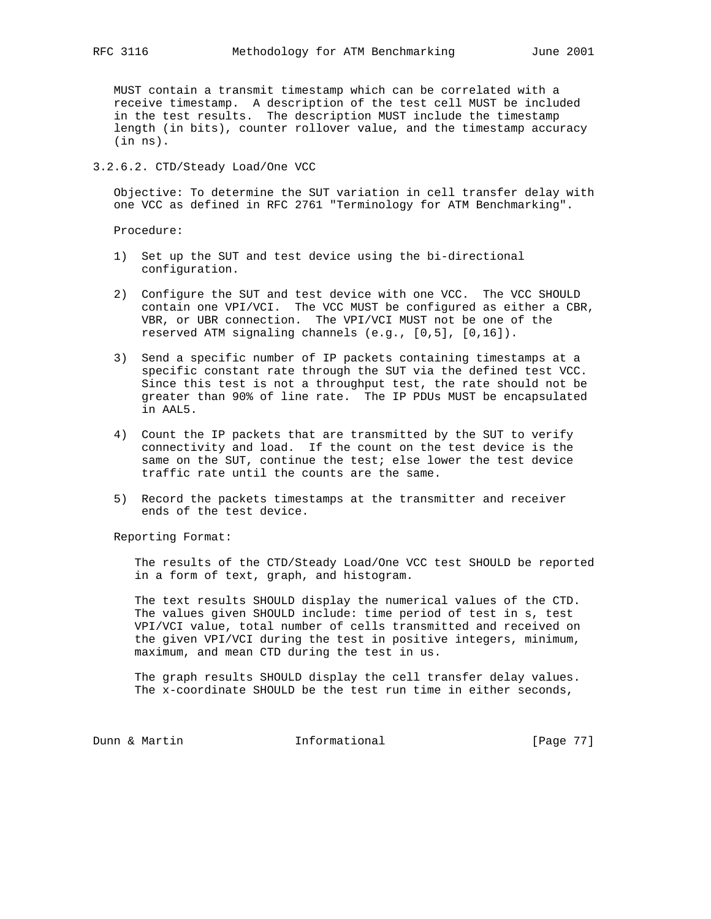MUST contain a transmit timestamp which can be correlated with a receive timestamp. A description of the test cell MUST be included in the test results. The description MUST include the timestamp length (in bits), counter rollover value, and the timestamp accuracy (in ns).

## 3.2.6.2. CTD/Steady Load/One VCC

 Objective: To determine the SUT variation in cell transfer delay with one VCC as defined in RFC 2761 "Terminology for ATM Benchmarking".

Procedure:

- 1) Set up the SUT and test device using the bi-directional configuration.
- 2) Configure the SUT and test device with one VCC. The VCC SHOULD contain one VPI/VCI. The VCC MUST be configured as either a CBR, VBR, or UBR connection. The VPI/VCI MUST not be one of the reserved ATM signaling channels (e.g., [0,5], [0,16]).
- 3) Send a specific number of IP packets containing timestamps at a specific constant rate through the SUT via the defined test VCC. Since this test is not a throughput test, the rate should not be greater than 90% of line rate. The IP PDUs MUST be encapsulated in AAL5.
- 4) Count the IP packets that are transmitted by the SUT to verify connectivity and load. If the count on the test device is the same on the SUT, continue the test; else lower the test device traffic rate until the counts are the same.
- 5) Record the packets timestamps at the transmitter and receiver ends of the test device.

Reporting Format:

 The results of the CTD/Steady Load/One VCC test SHOULD be reported in a form of text, graph, and histogram.

 The text results SHOULD display the numerical values of the CTD. The values given SHOULD include: time period of test in s, test VPI/VCI value, total number of cells transmitted and received on the given VPI/VCI during the test in positive integers, minimum, maximum, and mean CTD during the test in us.

 The graph results SHOULD display the cell transfer delay values. The x-coordinate SHOULD be the test run time in either seconds,

Dunn & Martin **Informational** [Page 77]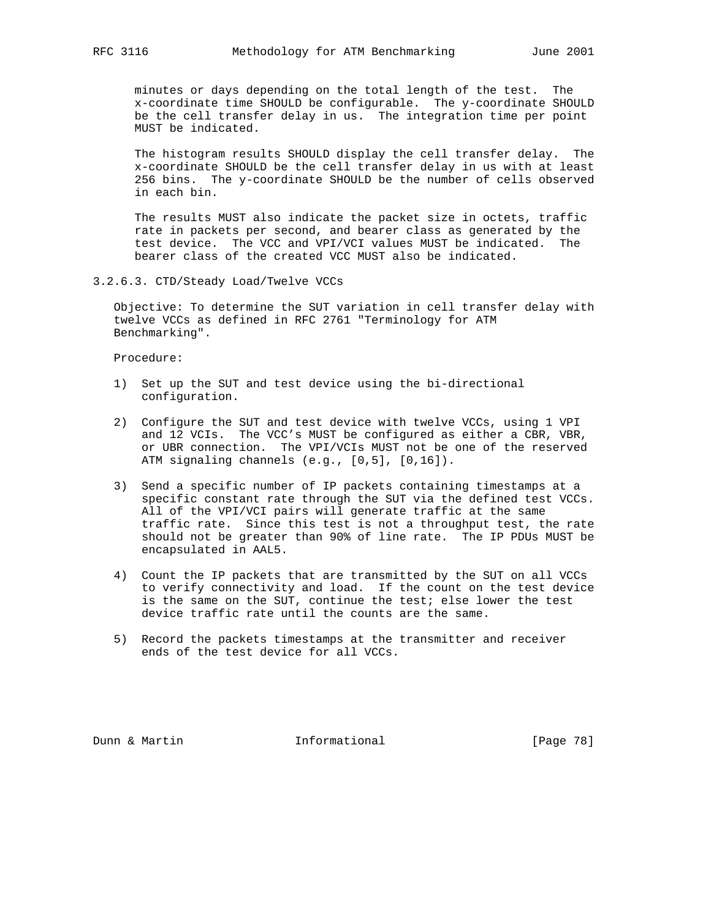minutes or days depending on the total length of the test. The x-coordinate time SHOULD be configurable. The y-coordinate SHOULD be the cell transfer delay in us. The integration time per point MUST be indicated.

 The histogram results SHOULD display the cell transfer delay. The x-coordinate SHOULD be the cell transfer delay in us with at least 256 bins. The y-coordinate SHOULD be the number of cells observed in each bin.

 The results MUST also indicate the packet size in octets, traffic rate in packets per second, and bearer class as generated by the test device. The VCC and VPI/VCI values MUST be indicated. The bearer class of the created VCC MUST also be indicated.

#### 3.2.6.3. CTD/Steady Load/Twelve VCCs

 Objective: To determine the SUT variation in cell transfer delay with twelve VCCs as defined in RFC 2761 "Terminology for ATM Benchmarking".

Procedure:

- 1) Set up the SUT and test device using the bi-directional configuration.
- 2) Configure the SUT and test device with twelve VCCs, using 1 VPI and 12 VCIs. The VCC's MUST be configured as either a CBR, VBR, or UBR connection. The VPI/VCIs MUST not be one of the reserved ATM signaling channels (e.g., [0,5], [0,16]).
- 3) Send a specific number of IP packets containing timestamps at a specific constant rate through the SUT via the defined test VCCs. All of the VPI/VCI pairs will generate traffic at the same traffic rate. Since this test is not a throughput test, the rate should not be greater than 90% of line rate. The IP PDUs MUST be encapsulated in AAL5.
- 4) Count the IP packets that are transmitted by the SUT on all VCCs to verify connectivity and load. If the count on the test device is the same on the SUT, continue the test; else lower the test device traffic rate until the counts are the same.
- 5) Record the packets timestamps at the transmitter and receiver ends of the test device for all VCCs.

Dunn & Martin **Informational** [Page 78]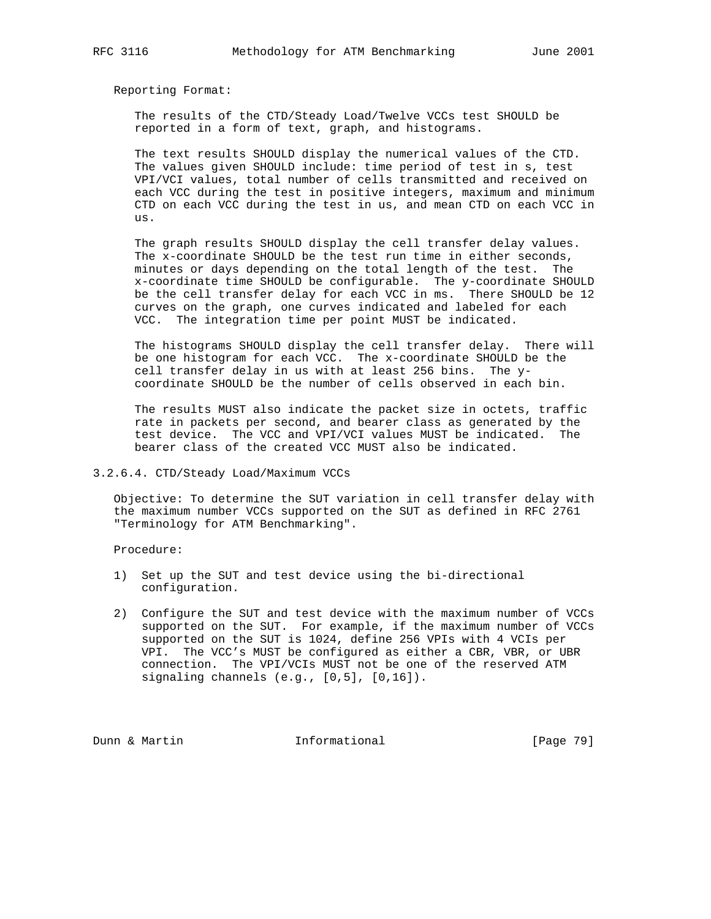The results of the CTD/Steady Load/Twelve VCCs test SHOULD be reported in a form of text, graph, and histograms.

 The text results SHOULD display the numerical values of the CTD. The values given SHOULD include: time period of test in s, test VPI/VCI values, total number of cells transmitted and received on each VCC during the test in positive integers, maximum and minimum CTD on each VCC during the test in us, and mean CTD on each VCC in us.

 The graph results SHOULD display the cell transfer delay values. The x-coordinate SHOULD be the test run time in either seconds, minutes or days depending on the total length of the test. The x-coordinate time SHOULD be configurable. The y-coordinate SHOULD be the cell transfer delay for each VCC in ms. There SHOULD be 12 curves on the graph, one curves indicated and labeled for each VCC. The integration time per point MUST be indicated.

 The histograms SHOULD display the cell transfer delay. There will be one histogram for each VCC. The x-coordinate SHOULD be the cell transfer delay in us with at least 256 bins. The y coordinate SHOULD be the number of cells observed in each bin.

 The results MUST also indicate the packet size in octets, traffic rate in packets per second, and bearer class as generated by the test device. The VCC and VPI/VCI values MUST be indicated. The bearer class of the created VCC MUST also be indicated.

# 3.2.6.4. CTD/Steady Load/Maximum VCCs

 Objective: To determine the SUT variation in cell transfer delay with the maximum number VCCs supported on the SUT as defined in RFC 2761 "Terminology for ATM Benchmarking".

Procedure:

- 1) Set up the SUT and test device using the bi-directional configuration.
- 2) Configure the SUT and test device with the maximum number of VCCs supported on the SUT. For example, if the maximum number of VCCs supported on the SUT is 1024, define 256 VPIs with 4 VCIs per VPI. The VCC's MUST be configured as either a CBR, VBR, or UBR connection. The VPI/VCIs MUST not be one of the reserved ATM signaling channels (e.g., [0,5], [0,16]).

Dunn & Martin **Informational** [Page 79]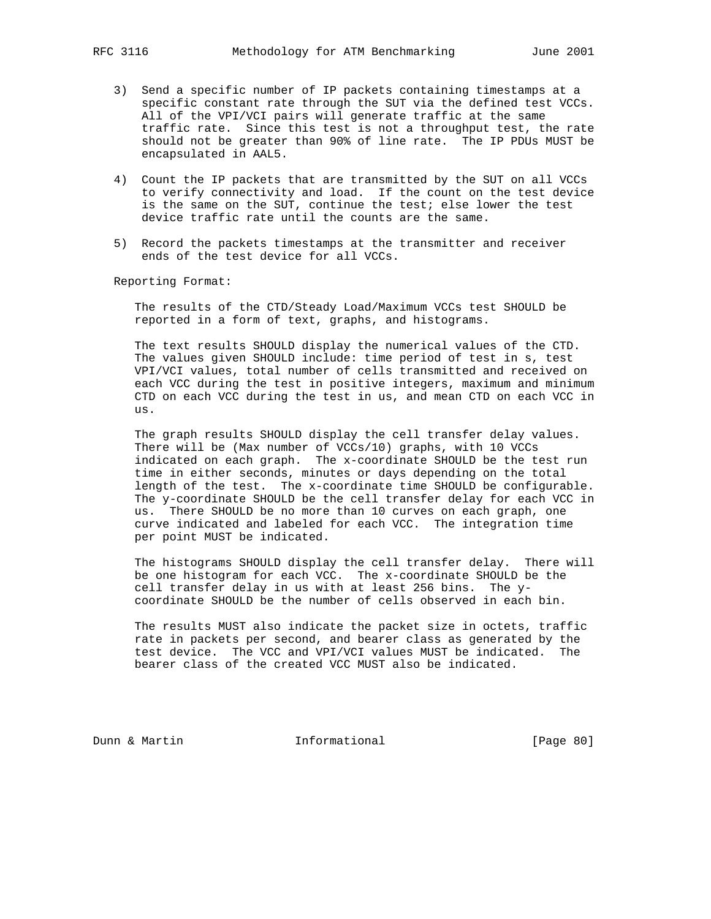- 3) Send a specific number of IP packets containing timestamps at a specific constant rate through the SUT via the defined test VCCs. All of the VPI/VCI pairs will generate traffic at the same traffic rate. Since this test is not a throughput test, the rate should not be greater than 90% of line rate. The IP PDUs MUST be encapsulated in AAL5.
- 4) Count the IP packets that are transmitted by the SUT on all VCCs to verify connectivity and load. If the count on the test device is the same on the SUT, continue the test; else lower the test device traffic rate until the counts are the same.
- 5) Record the packets timestamps at the transmitter and receiver ends of the test device for all VCCs.

 The results of the CTD/Steady Load/Maximum VCCs test SHOULD be reported in a form of text, graphs, and histograms.

 The text results SHOULD display the numerical values of the CTD. The values given SHOULD include: time period of test in s, test VPI/VCI values, total number of cells transmitted and received on each VCC during the test in positive integers, maximum and minimum CTD on each VCC during the test in us, and mean CTD on each VCC in us.

 The graph results SHOULD display the cell transfer delay values. There will be (Max number of VCCs/10) graphs, with 10 VCCs indicated on each graph. The x-coordinate SHOULD be the test run time in either seconds, minutes or days depending on the total length of the test. The x-coordinate time SHOULD be configurable. The y-coordinate SHOULD be the cell transfer delay for each VCC in us. There SHOULD be no more than 10 curves on each graph, one curve indicated and labeled for each VCC. The integration time per point MUST be indicated.

 The histograms SHOULD display the cell transfer delay. There will be one histogram for each VCC. The x-coordinate SHOULD be the cell transfer delay in us with at least 256 bins. The y coordinate SHOULD be the number of cells observed in each bin.

 The results MUST also indicate the packet size in octets, traffic rate in packets per second, and bearer class as generated by the test device. The VCC and VPI/VCI values MUST be indicated. The bearer class of the created VCC MUST also be indicated.

Dunn & Martin **Informational** [Page 80]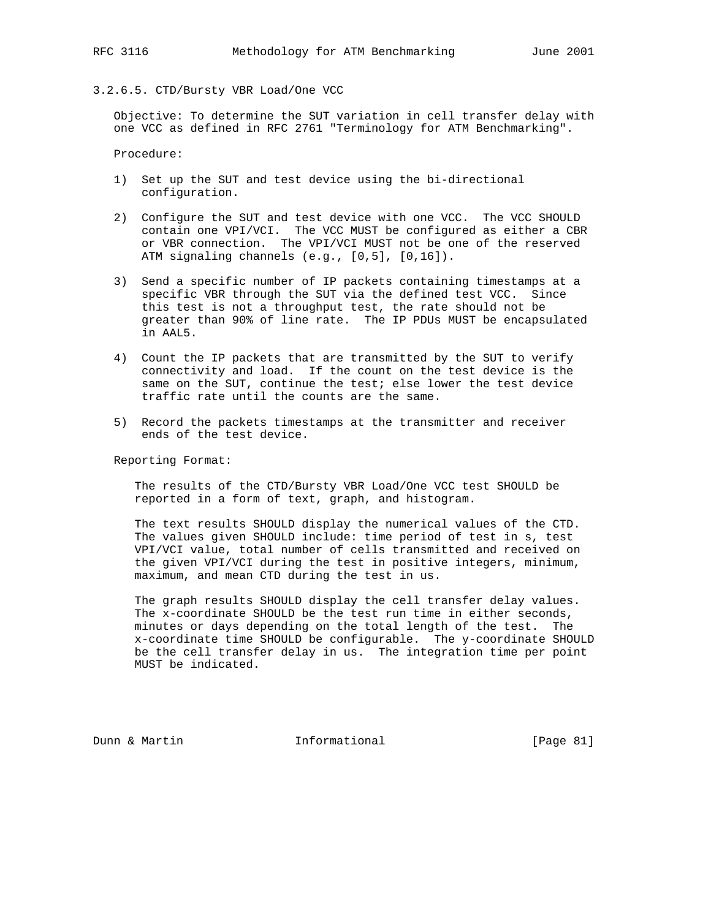## 3.2.6.5. CTD/Bursty VBR Load/One VCC

 Objective: To determine the SUT variation in cell transfer delay with one VCC as defined in RFC 2761 "Terminology for ATM Benchmarking".

Procedure:

- 1) Set up the SUT and test device using the bi-directional configuration.
- 2) Configure the SUT and test device with one VCC. The VCC SHOULD contain one VPI/VCI. The VCC MUST be configured as either a CBR or VBR connection. The VPI/VCI MUST not be one of the reserved ATM signaling channels (e.g., [0,5], [0,16]).
- 3) Send a specific number of IP packets containing timestamps at a specific VBR through the SUT via the defined test VCC. Since this test is not a throughput test, the rate should not be greater than 90% of line rate. The IP PDUs MUST be encapsulated in AAL5.
- 4) Count the IP packets that are transmitted by the SUT to verify connectivity and load. If the count on the test device is the same on the SUT, continue the test; else lower the test device traffic rate until the counts are the same.
- 5) Record the packets timestamps at the transmitter and receiver ends of the test device.

Reporting Format:

 The results of the CTD/Bursty VBR Load/One VCC test SHOULD be reported in a form of text, graph, and histogram.

 The text results SHOULD display the numerical values of the CTD. The values given SHOULD include: time period of test in s, test VPI/VCI value, total number of cells transmitted and received on the given VPI/VCI during the test in positive integers, minimum, maximum, and mean CTD during the test in us.

 The graph results SHOULD display the cell transfer delay values. The x-coordinate SHOULD be the test run time in either seconds, minutes or days depending on the total length of the test. The x-coordinate time SHOULD be configurable. The y-coordinate SHOULD be the cell transfer delay in us. The integration time per point MUST be indicated.

Dunn & Martin Informational [Page 81]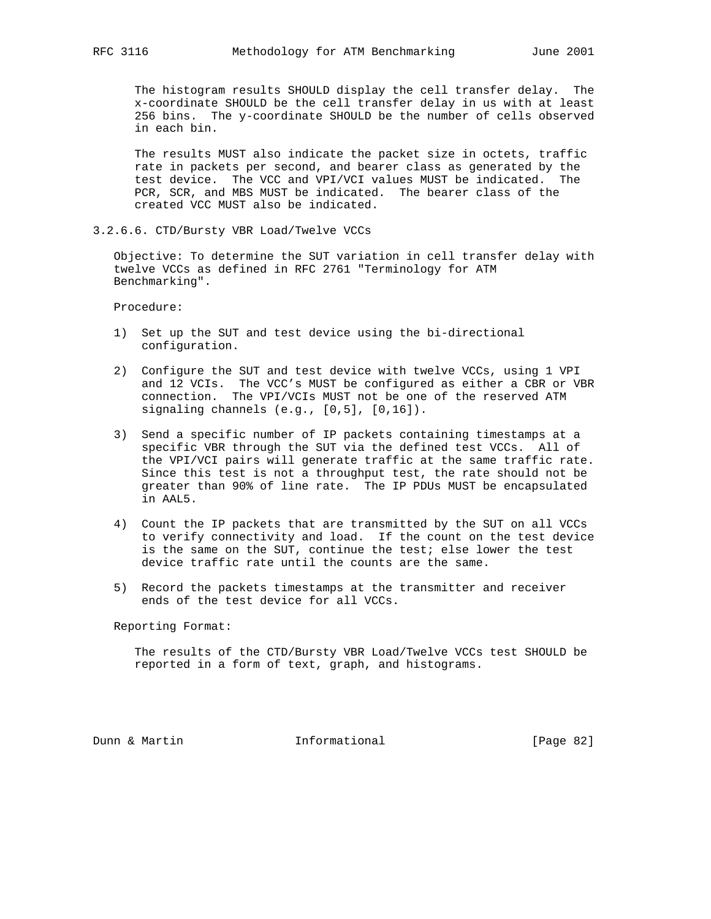The histogram results SHOULD display the cell transfer delay. The x-coordinate SHOULD be the cell transfer delay in us with at least 256 bins. The y-coordinate SHOULD be the number of cells observed in each bin.

 The results MUST also indicate the packet size in octets, traffic rate in packets per second, and bearer class as generated by the test device. The VCC and VPI/VCI values MUST be indicated. The PCR, SCR, and MBS MUST be indicated. The bearer class of the created VCC MUST also be indicated.

3.2.6.6. CTD/Bursty VBR Load/Twelve VCCs

 Objective: To determine the SUT variation in cell transfer delay with twelve VCCs as defined in RFC 2761 "Terminology for ATM Benchmarking".

Procedure:

- 1) Set up the SUT and test device using the bi-directional configuration.
- 2) Configure the SUT and test device with twelve VCCs, using 1 VPI and 12 VCIs. The VCC's MUST be configured as either a CBR or VBR connection. The VPI/VCIs MUST not be one of the reserved ATM signaling channels (e.g., [0,5], [0,16]).
- 3) Send a specific number of IP packets containing timestamps at a specific VBR through the SUT via the defined test VCCs. All of the VPI/VCI pairs will generate traffic at the same traffic rate. Since this test is not a throughput test, the rate should not be greater than 90% of line rate. The IP PDUs MUST be encapsulated in AAL5.
- 4) Count the IP packets that are transmitted by the SUT on all VCCs to verify connectivity and load. If the count on the test device is the same on the SUT, continue the test; else lower the test device traffic rate until the counts are the same.
- 5) Record the packets timestamps at the transmitter and receiver ends of the test device for all VCCs.

Reporting Format:

 The results of the CTD/Bursty VBR Load/Twelve VCCs test SHOULD be reported in a form of text, graph, and histograms.

Dunn & Martin Informational [Page 82]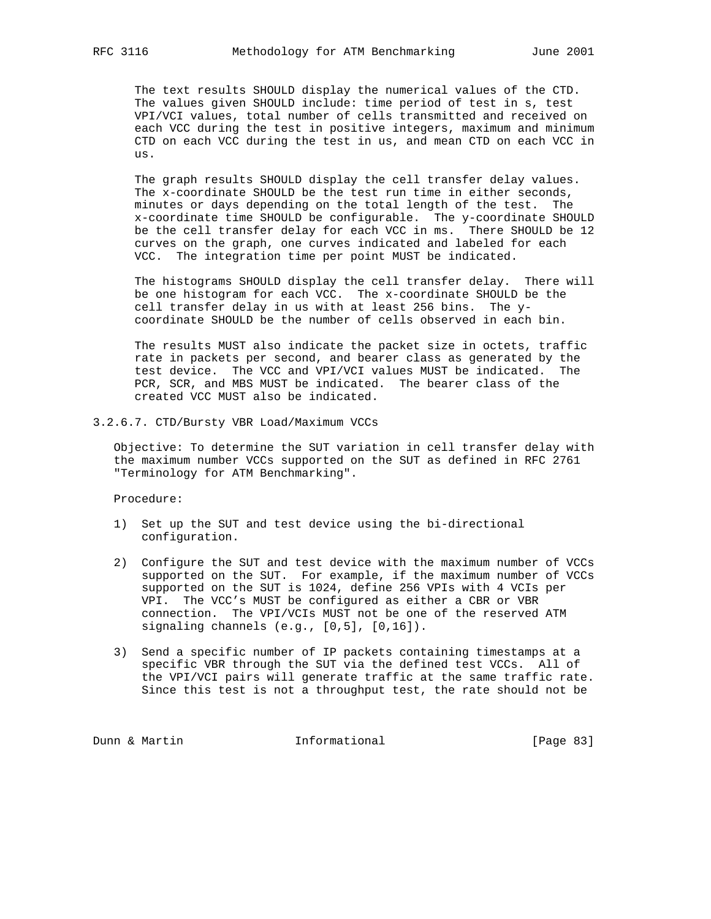The text results SHOULD display the numerical values of the CTD. The values given SHOULD include: time period of test in s, test VPI/VCI values, total number of cells transmitted and received on each VCC during the test in positive integers, maximum and minimum CTD on each VCC during the test in us, and mean CTD on each VCC in us.

 The graph results SHOULD display the cell transfer delay values. The x-coordinate SHOULD be the test run time in either seconds, minutes or days depending on the total length of the test. The x-coordinate time SHOULD be configurable. The y-coordinate SHOULD be the cell transfer delay for each VCC in ms. There SHOULD be 12 curves on the graph, one curves indicated and labeled for each VCC. The integration time per point MUST be indicated.

 The histograms SHOULD display the cell transfer delay. There will be one histogram for each VCC. The x-coordinate SHOULD be the cell transfer delay in us with at least 256 bins. The y coordinate SHOULD be the number of cells observed in each bin.

 The results MUST also indicate the packet size in octets, traffic rate in packets per second, and bearer class as generated by the test device. The VCC and VPI/VCI values MUST be indicated. The PCR, SCR, and MBS MUST be indicated. The bearer class of the created VCC MUST also be indicated.

3.2.6.7. CTD/Bursty VBR Load/Maximum VCCs

 Objective: To determine the SUT variation in cell transfer delay with the maximum number VCCs supported on the SUT as defined in RFC 2761 "Terminology for ATM Benchmarking".

Procedure:

- 1) Set up the SUT and test device using the bi-directional configuration.
- 2) Configure the SUT and test device with the maximum number of VCCs supported on the SUT. For example, if the maximum number of VCCs supported on the SUT is 1024, define 256 VPIs with 4 VCIs per VPI. The VCC's MUST be configured as either a CBR or VBR connection. The VPI/VCIs MUST not be one of the reserved ATM signaling channels (e.g., [0,5], [0,16]).
- 3) Send a specific number of IP packets containing timestamps at a specific VBR through the SUT via the defined test VCCs. All of the VPI/VCI pairs will generate traffic at the same traffic rate. Since this test is not a throughput test, the rate should not be

Dunn & Martin **Informational** [Page 83]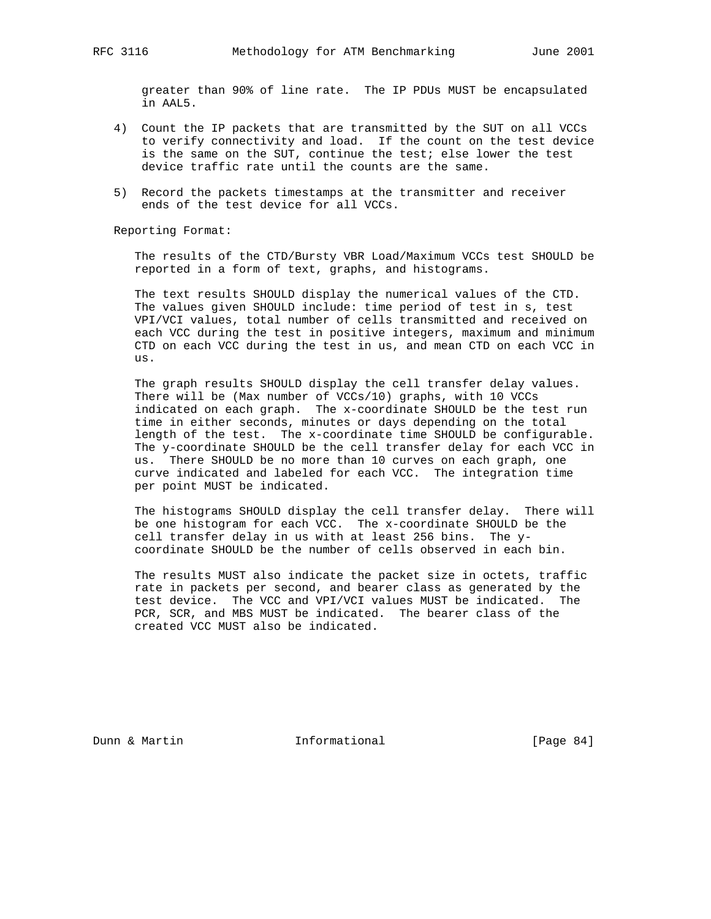greater than 90% of line rate. The IP PDUs MUST be encapsulated in AAL5.

- 4) Count the IP packets that are transmitted by the SUT on all VCCs to verify connectivity and load. If the count on the test device is the same on the SUT, continue the test; else lower the test device traffic rate until the counts are the same.
- 5) Record the packets timestamps at the transmitter and receiver ends of the test device for all VCCs.

Reporting Format:

 The results of the CTD/Bursty VBR Load/Maximum VCCs test SHOULD be reported in a form of text, graphs, and histograms.

 The text results SHOULD display the numerical values of the CTD. The values given SHOULD include: time period of test in s, test VPI/VCI values, total number of cells transmitted and received on each VCC during the test in positive integers, maximum and minimum CTD on each VCC during the test in us, and mean CTD on each VCC in us.

 The graph results SHOULD display the cell transfer delay values. There will be (Max number of VCCs/10) graphs, with 10 VCCs indicated on each graph. The x-coordinate SHOULD be the test run time in either seconds, minutes or days depending on the total length of the test. The x-coordinate time SHOULD be configurable. The y-coordinate SHOULD be the cell transfer delay for each VCC in us. There SHOULD be no more than 10 curves on each graph, one curve indicated and labeled for each VCC. The integration time per point MUST be indicated.

 The histograms SHOULD display the cell transfer delay. There will be one histogram for each VCC. The x-coordinate SHOULD be the cell transfer delay in us with at least 256 bins. The y coordinate SHOULD be the number of cells observed in each bin.

 The results MUST also indicate the packet size in octets, traffic rate in packets per second, and bearer class as generated by the test device. The VCC and VPI/VCI values MUST be indicated. The PCR, SCR, and MBS MUST be indicated. The bearer class of the created VCC MUST also be indicated.

Dunn & Martin **Informational** [Page 84]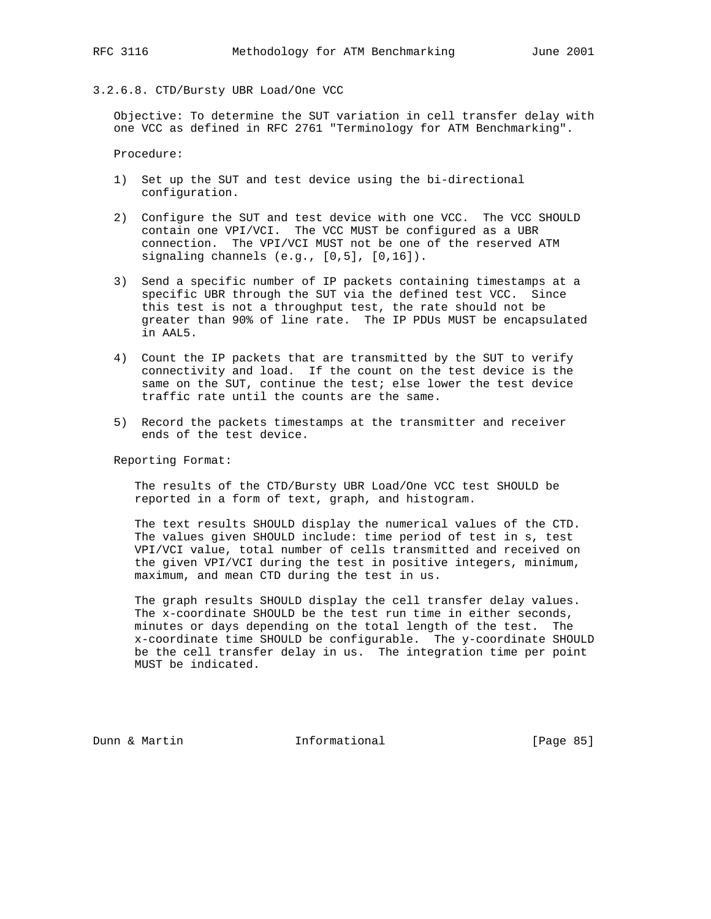## 3.2.6.8. CTD/Bursty UBR Load/One VCC

 Objective: To determine the SUT variation in cell transfer delay with one VCC as defined in RFC 2761 "Terminology for ATM Benchmarking".

Procedure:

- 1) Set up the SUT and test device using the bi-directional configuration.
- 2) Configure the SUT and test device with one VCC. The VCC SHOULD contain one VPI/VCI. The VCC MUST be configured as a UBR connection. The VPI/VCI MUST not be one of the reserved ATM signaling channels (e.g., [0,5], [0,16]).
- 3) Send a specific number of IP packets containing timestamps at a specific UBR through the SUT via the defined test VCC. Since this test is not a throughput test, the rate should not be greater than 90% of line rate. The IP PDUs MUST be encapsulated in AAL5.
- 4) Count the IP packets that are transmitted by the SUT to verify connectivity and load. If the count on the test device is the same on the SUT, continue the test; else lower the test device traffic rate until the counts are the same.
- 5) Record the packets timestamps at the transmitter and receiver ends of the test device.

Reporting Format:

 The results of the CTD/Bursty UBR Load/One VCC test SHOULD be reported in a form of text, graph, and histogram.

 The text results SHOULD display the numerical values of the CTD. The values given SHOULD include: time period of test in s, test VPI/VCI value, total number of cells transmitted and received on the given VPI/VCI during the test in positive integers, minimum, maximum, and mean CTD during the test in us.

 The graph results SHOULD display the cell transfer delay values. The x-coordinate SHOULD be the test run time in either seconds, minutes or days depending on the total length of the test. The x-coordinate time SHOULD be configurable. The y-coordinate SHOULD be the cell transfer delay in us. The integration time per point MUST be indicated.

Dunn & Martin **Informational** [Page 85]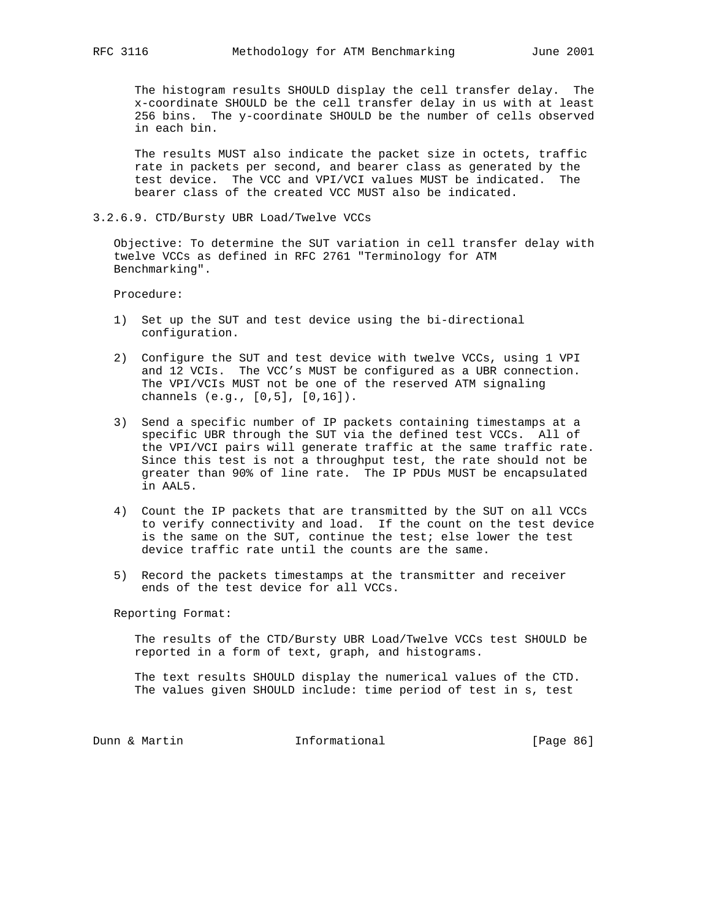The histogram results SHOULD display the cell transfer delay. The x-coordinate SHOULD be the cell transfer delay in us with at least 256 bins. The y-coordinate SHOULD be the number of cells observed in each bin.

 The results MUST also indicate the packet size in octets, traffic rate in packets per second, and bearer class as generated by the test device. The VCC and VPI/VCI values MUST be indicated. The bearer class of the created VCC MUST also be indicated.

3.2.6.9. CTD/Bursty UBR Load/Twelve VCCs

 Objective: To determine the SUT variation in cell transfer delay with twelve VCCs as defined in RFC 2761 "Terminology for ATM Benchmarking".

Procedure:

- 1) Set up the SUT and test device using the bi-directional configuration.
- 2) Configure the SUT and test device with twelve VCCs, using 1 VPI and 12 VCIs. The VCC's MUST be configured as a UBR connection. The VPI/VCIs MUST not be one of the reserved ATM signaling channels (e.g., [0,5], [0,16]).
- 3) Send a specific number of IP packets containing timestamps at a specific UBR through the SUT via the defined test VCCs. All of the VPI/VCI pairs will generate traffic at the same traffic rate. Since this test is not a throughput test, the rate should not be greater than 90% of line rate. The IP PDUs MUST be encapsulated in AAL5.
- 4) Count the IP packets that are transmitted by the SUT on all VCCs to verify connectivity and load. If the count on the test device is the same on the SUT, continue the test; else lower the test device traffic rate until the counts are the same.
- 5) Record the packets timestamps at the transmitter and receiver ends of the test device for all VCCs.

Reporting Format:

 The results of the CTD/Bursty UBR Load/Twelve VCCs test SHOULD be reported in a form of text, graph, and histograms.

 The text results SHOULD display the numerical values of the CTD. The values given SHOULD include: time period of test in s, test

Dunn & Martin **Informational** [Page 86]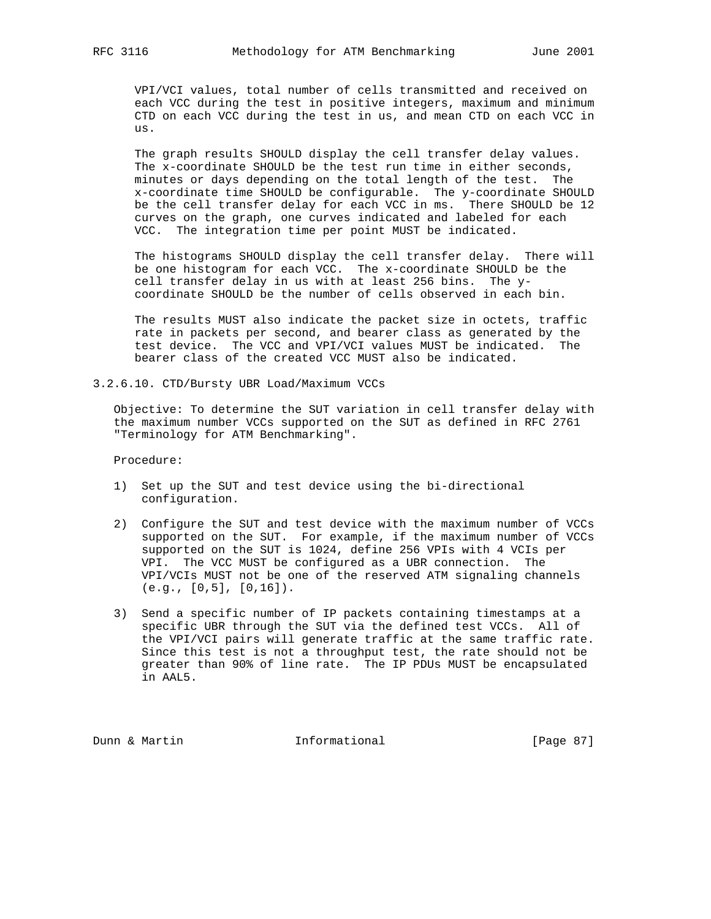VPI/VCI values, total number of cells transmitted and received on each VCC during the test in positive integers, maximum and minimum CTD on each VCC during the test in us, and mean CTD on each VCC in us.

 The graph results SHOULD display the cell transfer delay values. The x-coordinate SHOULD be the test run time in either seconds, minutes or days depending on the total length of the test. The x-coordinate time SHOULD be configurable. The y-coordinate SHOULD be the cell transfer delay for each VCC in ms. There SHOULD be 12 curves on the graph, one curves indicated and labeled for each VCC. The integration time per point MUST be indicated.

 The histograms SHOULD display the cell transfer delay. There will be one histogram for each VCC. The x-coordinate SHOULD be the cell transfer delay in us with at least 256 bins. The y coordinate SHOULD be the number of cells observed in each bin.

 The results MUST also indicate the packet size in octets, traffic rate in packets per second, and bearer class as generated by the test device. The VCC and VPI/VCI values MUST be indicated. The bearer class of the created VCC MUST also be indicated.

3.2.6.10. CTD/Bursty UBR Load/Maximum VCCs

 Objective: To determine the SUT variation in cell transfer delay with the maximum number VCCs supported on the SUT as defined in RFC 2761 "Terminology for ATM Benchmarking".

Procedure:

- 1) Set up the SUT and test device using the bi-directional configuration.
- 2) Configure the SUT and test device with the maximum number of VCCs supported on the SUT. For example, if the maximum number of VCCs supported on the SUT is 1024, define 256 VPIs with 4 VCIs per VPI. The VCC MUST be configured as a UBR connection. The VPI/VCIs MUST not be one of the reserved ATM signaling channels (e.g., [0,5], [0,16]).
- 3) Send a specific number of IP packets containing timestamps at a specific UBR through the SUT via the defined test VCCs. All of the VPI/VCI pairs will generate traffic at the same traffic rate. Since this test is not a throughput test, the rate should not be greater than 90% of line rate. The IP PDUs MUST be encapsulated in AAL5.

Dunn & Martin **Informational** [Page 87]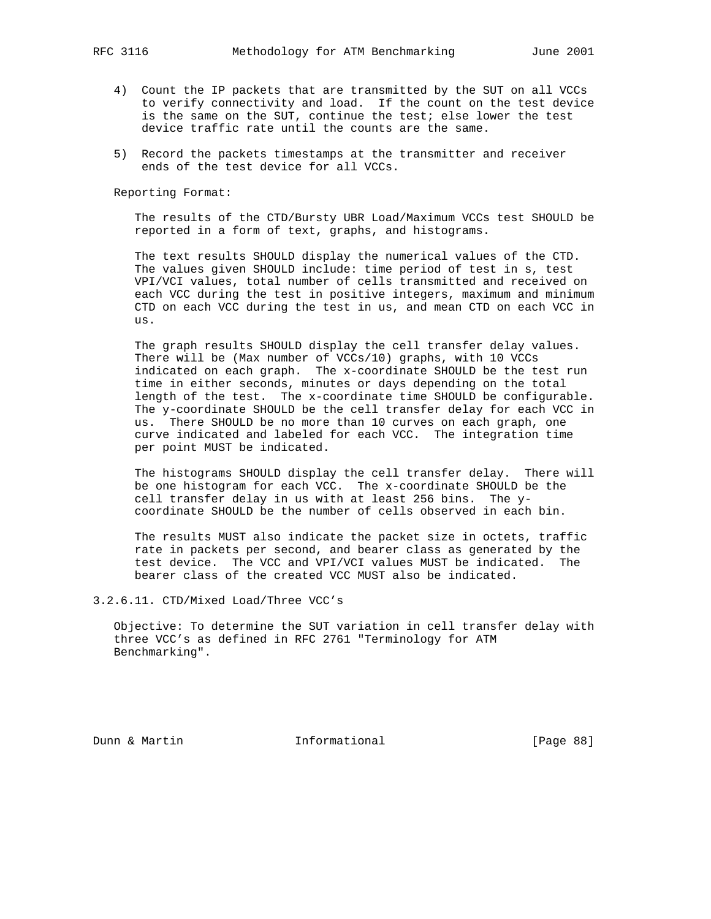- 4) Count the IP packets that are transmitted by the SUT on all VCCs to verify connectivity and load. If the count on the test device is the same on the SUT, continue the test; else lower the test device traffic rate until the counts are the same.
- 5) Record the packets timestamps at the transmitter and receiver ends of the test device for all VCCs.

 The results of the CTD/Bursty UBR Load/Maximum VCCs test SHOULD be reported in a form of text, graphs, and histograms.

 The text results SHOULD display the numerical values of the CTD. The values given SHOULD include: time period of test in s, test VPI/VCI values, total number of cells transmitted and received on each VCC during the test in positive integers, maximum and minimum CTD on each VCC during the test in us, and mean CTD on each VCC in us.

 The graph results SHOULD display the cell transfer delay values. There will be (Max number of VCCs/10) graphs, with 10 VCCs indicated on each graph. The x-coordinate SHOULD be the test run time in either seconds, minutes or days depending on the total length of the test. The x-coordinate time SHOULD be configurable. The y-coordinate SHOULD be the cell transfer delay for each VCC in us. There SHOULD be no more than 10 curves on each graph, one curve indicated and labeled for each VCC. The integration time per point MUST be indicated.

 The histograms SHOULD display the cell transfer delay. There will be one histogram for each VCC. The x-coordinate SHOULD be the cell transfer delay in us with at least 256 bins. The y coordinate SHOULD be the number of cells observed in each bin.

 The results MUST also indicate the packet size in octets, traffic rate in packets per second, and bearer class as generated by the test device. The VCC and VPI/VCI values MUST be indicated. The bearer class of the created VCC MUST also be indicated.

3.2.6.11. CTD/Mixed Load/Three VCC's

 Objective: To determine the SUT variation in cell transfer delay with three VCC's as defined in RFC 2761 "Terminology for ATM Benchmarking".

Dunn & Martin **Informational** [Page 88]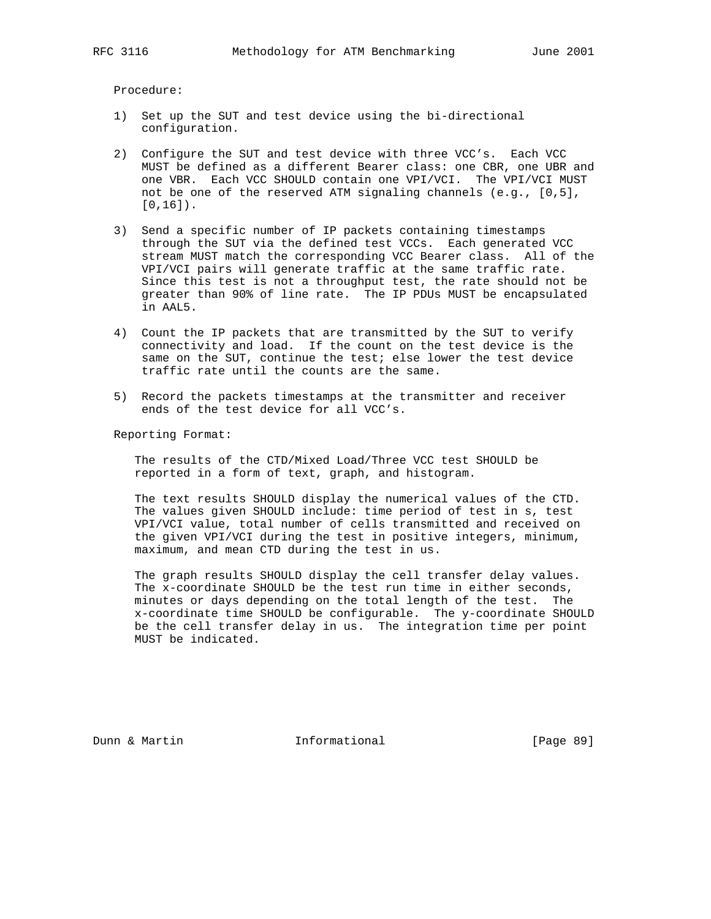Procedure:

- 1) Set up the SUT and test device using the bi-directional configuration.
- 2) Configure the SUT and test device with three VCC's. Each VCC MUST be defined as a different Bearer class: one CBR, one UBR and one VBR. Each VCC SHOULD contain one VPI/VCI. The VPI/VCI MUST not be one of the reserved ATM signaling channels (e.g., [0,5], [0,16]).
- 3) Send a specific number of IP packets containing timestamps through the SUT via the defined test VCCs. Each generated VCC stream MUST match the corresponding VCC Bearer class. All of the VPI/VCI pairs will generate traffic at the same traffic rate. Since this test is not a throughput test, the rate should not be greater than 90% of line rate. The IP PDUs MUST be encapsulated in AAL5.
- 4) Count the IP packets that are transmitted by the SUT to verify connectivity and load. If the count on the test device is the same on the SUT, continue the test; else lower the test device traffic rate until the counts are the same.
- 5) Record the packets timestamps at the transmitter and receiver ends of the test device for all VCC's.

Reporting Format:

 The results of the CTD/Mixed Load/Three VCC test SHOULD be reported in a form of text, graph, and histogram.

 The text results SHOULD display the numerical values of the CTD. The values given SHOULD include: time period of test in s, test VPI/VCI value, total number of cells transmitted and received on the given VPI/VCI during the test in positive integers, minimum, maximum, and mean CTD during the test in us.

 The graph results SHOULD display the cell transfer delay values. The x-coordinate SHOULD be the test run time in either seconds, minutes or days depending on the total length of the test. The x-coordinate time SHOULD be configurable. The y-coordinate SHOULD be the cell transfer delay in us. The integration time per point MUST be indicated.

Dunn & Martin Informational [Page 89]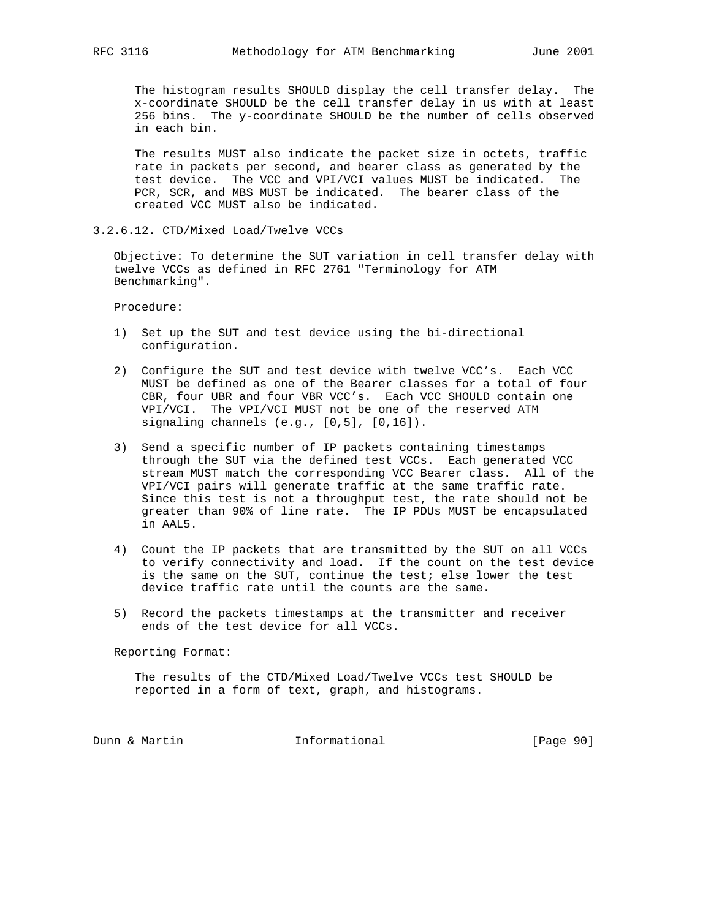The histogram results SHOULD display the cell transfer delay. The x-coordinate SHOULD be the cell transfer delay in us with at least 256 bins. The y-coordinate SHOULD be the number of cells observed in each bin.

 The results MUST also indicate the packet size in octets, traffic rate in packets per second, and bearer class as generated by the test device. The VCC and VPI/VCI values MUST be indicated. The PCR, SCR, and MBS MUST be indicated. The bearer class of the created VCC MUST also be indicated.

3.2.6.12. CTD/Mixed Load/Twelve VCCs

 Objective: To determine the SUT variation in cell transfer delay with twelve VCCs as defined in RFC 2761 "Terminology for ATM Benchmarking".

Procedure:

- 1) Set up the SUT and test device using the bi-directional configuration.
- 2) Configure the SUT and test device with twelve VCC's. Each VCC MUST be defined as one of the Bearer classes for a total of four CBR, four UBR and four VBR VCC's. Each VCC SHOULD contain one VPI/VCI. The VPI/VCI MUST not be one of the reserved ATM signaling channels (e.g., [0,5], [0,16]).
- 3) Send a specific number of IP packets containing timestamps through the SUT via the defined test VCCs. Each generated VCC stream MUST match the corresponding VCC Bearer class. All of the VPI/VCI pairs will generate traffic at the same traffic rate. Since this test is not a throughput test, the rate should not be greater than 90% of line rate. The IP PDUs MUST be encapsulated in AAL5.
- 4) Count the IP packets that are transmitted by the SUT on all VCCs to verify connectivity and load. If the count on the test device is the same on the SUT, continue the test; else lower the test device traffic rate until the counts are the same.
- 5) Record the packets timestamps at the transmitter and receiver ends of the test device for all VCCs.

Reporting Format:

 The results of the CTD/Mixed Load/Twelve VCCs test SHOULD be reported in a form of text, graph, and histograms.

Dunn & Martin **Informational** [Page 90]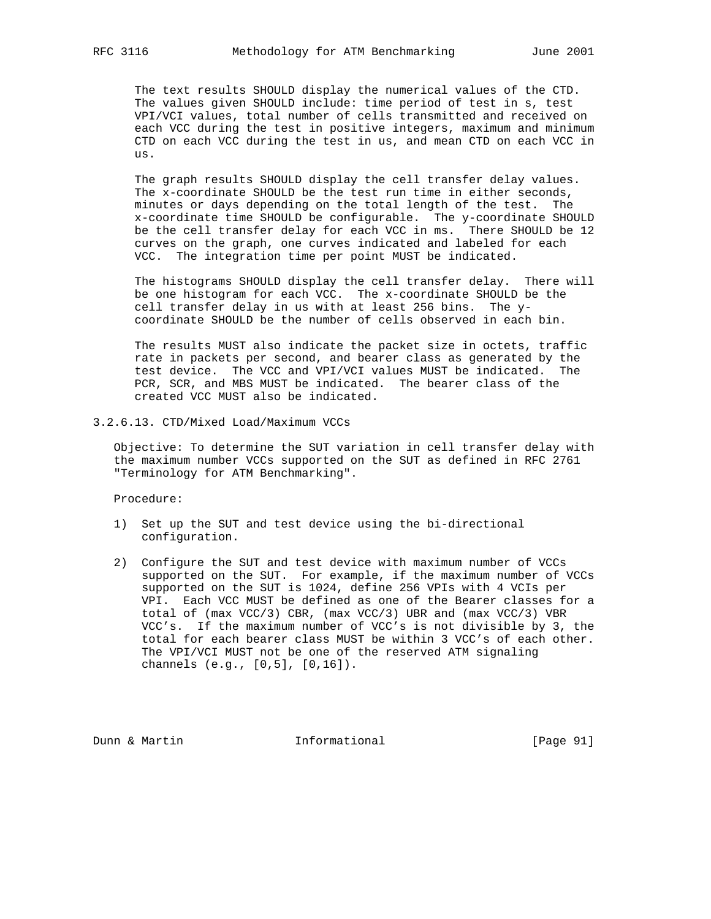The text results SHOULD display the numerical values of the CTD. The values given SHOULD include: time period of test in s, test VPI/VCI values, total number of cells transmitted and received on each VCC during the test in positive integers, maximum and minimum CTD on each VCC during the test in us, and mean CTD on each VCC in us.

 The graph results SHOULD display the cell transfer delay values. The x-coordinate SHOULD be the test run time in either seconds, minutes or days depending on the total length of the test. The x-coordinate time SHOULD be configurable. The y-coordinate SHOULD be the cell transfer delay for each VCC in ms. There SHOULD be 12 curves on the graph, one curves indicated and labeled for each VCC. The integration time per point MUST be indicated.

 The histograms SHOULD display the cell transfer delay. There will be one histogram for each VCC. The x-coordinate SHOULD be the cell transfer delay in us with at least 256 bins. The y coordinate SHOULD be the number of cells observed in each bin.

 The results MUST also indicate the packet size in octets, traffic rate in packets per second, and bearer class as generated by the test device. The VCC and VPI/VCI values MUST be indicated. The PCR, SCR, and MBS MUST be indicated. The bearer class of the created VCC MUST also be indicated.

3.2.6.13. CTD/Mixed Load/Maximum VCCs

 Objective: To determine the SUT variation in cell transfer delay with the maximum number VCCs supported on the SUT as defined in RFC 2761 "Terminology for ATM Benchmarking".

Procedure:

- 1) Set up the SUT and test device using the bi-directional configuration.
- 2) Configure the SUT and test device with maximum number of VCCs supported on the SUT. For example, if the maximum number of VCCs supported on the SUT is 1024, define 256 VPIs with 4 VCIs per VPI. Each VCC MUST be defined as one of the Bearer classes for a total of (max VCC/3) CBR, (max VCC/3) UBR and (max VCC/3) VBR VCC's. If the maximum number of VCC's is not divisible by 3, the total for each bearer class MUST be within 3 VCC's of each other. The VPI/VCI MUST not be one of the reserved ATM signaling channels (e.g., [0,5], [0,16]).

Dunn & Martin Informational [Page 91]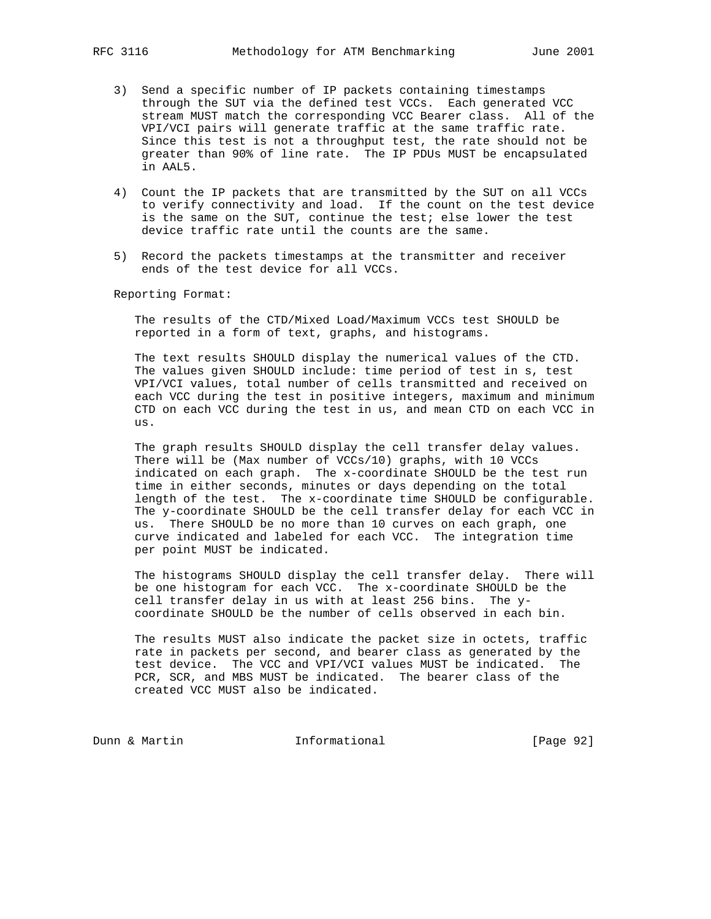- 3) Send a specific number of IP packets containing timestamps through the SUT via the defined test VCCs. Each generated VCC stream MUST match the corresponding VCC Bearer class. All of the VPI/VCI pairs will generate traffic at the same traffic rate. Since this test is not a throughput test, the rate should not be greater than 90% of line rate. The IP PDUs MUST be encapsulated in AAL5.
- 4) Count the IP packets that are transmitted by the SUT on all VCCs to verify connectivity and load. If the count on the test device is the same on the SUT, continue the test; else lower the test device traffic rate until the counts are the same.
- 5) Record the packets timestamps at the transmitter and receiver ends of the test device for all VCCs.

 The results of the CTD/Mixed Load/Maximum VCCs test SHOULD be reported in a form of text, graphs, and histograms.

 The text results SHOULD display the numerical values of the CTD. The values given SHOULD include: time period of test in s, test VPI/VCI values, total number of cells transmitted and received on each VCC during the test in positive integers, maximum and minimum CTD on each VCC during the test in us, and mean CTD on each VCC in us.

 The graph results SHOULD display the cell transfer delay values. There will be (Max number of VCCs/10) graphs, with 10 VCCs indicated on each graph. The x-coordinate SHOULD be the test run time in either seconds, minutes or days depending on the total length of the test. The x-coordinate time SHOULD be configurable. The y-coordinate SHOULD be the cell transfer delay for each VCC in us. There SHOULD be no more than 10 curves on each graph, one curve indicated and labeled for each VCC. The integration time per point MUST be indicated.

 The histograms SHOULD display the cell transfer delay. There will be one histogram for each VCC. The x-coordinate SHOULD be the cell transfer delay in us with at least 256 bins. The y coordinate SHOULD be the number of cells observed in each bin.

 The results MUST also indicate the packet size in octets, traffic rate in packets per second, and bearer class as generated by the test device. The VCC and VPI/VCI values MUST be indicated. The PCR, SCR, and MBS MUST be indicated. The bearer class of the created VCC MUST also be indicated.

Dunn & Martin **Informational** [Page 92]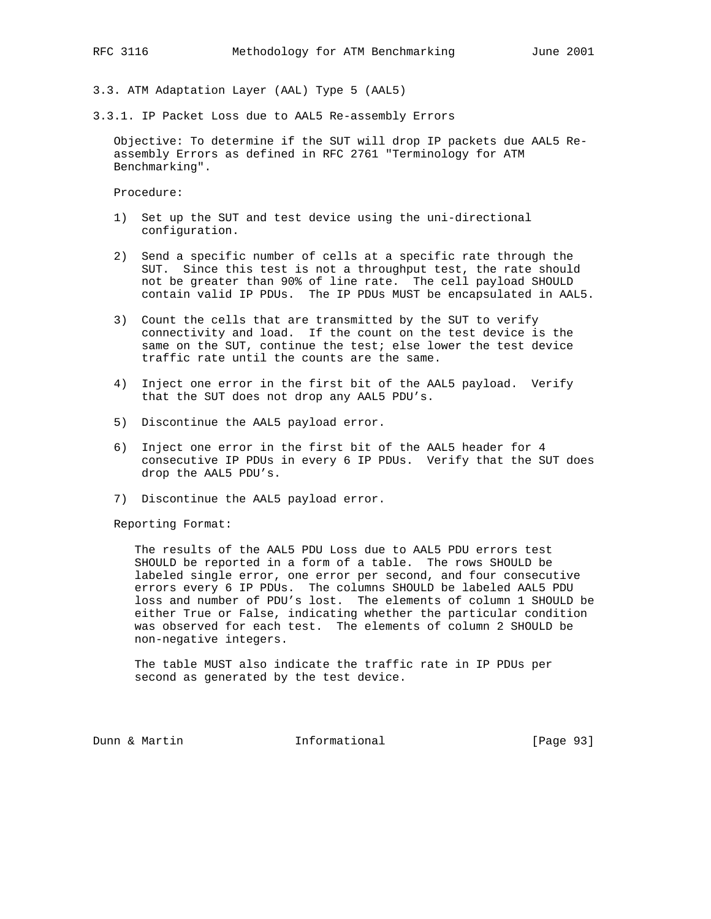3.3. ATM Adaptation Layer (AAL) Type 5 (AAL5)

3.3.1. IP Packet Loss due to AAL5 Re-assembly Errors

 Objective: To determine if the SUT will drop IP packets due AAL5 Re assembly Errors as defined in RFC 2761 "Terminology for ATM Benchmarking".

Procedure:

- 1) Set up the SUT and test device using the uni-directional configuration.
- 2) Send a specific number of cells at a specific rate through the SUT. Since this test is not a throughput test, the rate should not be greater than 90% of line rate. The cell payload SHOULD contain valid IP PDUs. The IP PDUs MUST be encapsulated in AAL5.
- 3) Count the cells that are transmitted by the SUT to verify connectivity and load. If the count on the test device is the same on the SUT, continue the test; else lower the test device traffic rate until the counts are the same.
- 4) Inject one error in the first bit of the AAL5 payload. Verify that the SUT does not drop any AAL5 PDU's.
- 5) Discontinue the AAL5 payload error.
- 6) Inject one error in the first bit of the AAL5 header for 4 consecutive IP PDUs in every 6 IP PDUs. Verify that the SUT does drop the AAL5 PDU's.
- 7) Discontinue the AAL5 payload error.

Reporting Format:

 The results of the AAL5 PDU Loss due to AAL5 PDU errors test SHOULD be reported in a form of a table. The rows SHOULD be labeled single error, one error per second, and four consecutive errors every 6 IP PDUs. The columns SHOULD be labeled AAL5 PDU loss and number of PDU's lost. The elements of column 1 SHOULD be either True or False, indicating whether the particular condition was observed for each test. The elements of column 2 SHOULD be non-negative integers.

 The table MUST also indicate the traffic rate in IP PDUs per second as generated by the test device.

Dunn & Martin Informational [Page 93]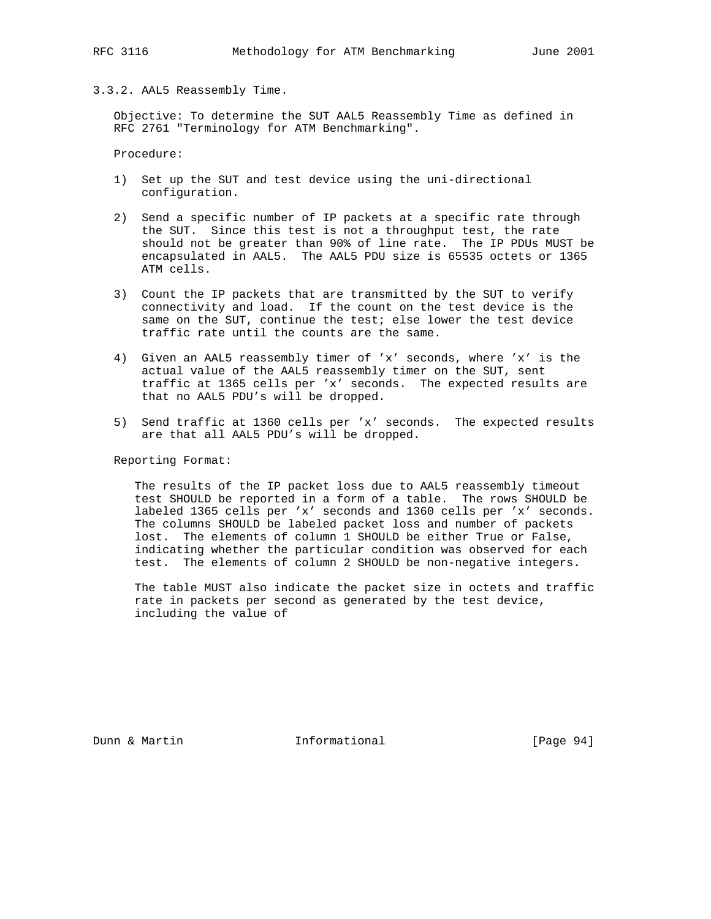## 3.3.2. AAL5 Reassembly Time.

 Objective: To determine the SUT AAL5 Reassembly Time as defined in RFC 2761 "Terminology for ATM Benchmarking".

Procedure:

- 1) Set up the SUT and test device using the uni-directional configuration.
- 2) Send a specific number of IP packets at a specific rate through the SUT. Since this test is not a throughput test, the rate should not be greater than 90% of line rate. The IP PDUs MUST be encapsulated in AAL5. The AAL5 PDU size is 65535 octets or 1365 ATM cells.
- 3) Count the IP packets that are transmitted by the SUT to verify connectivity and load. If the count on the test device is the same on the SUT, continue the test; else lower the test device traffic rate until the counts are the same.
- 4) Given an AAL5 reassembly timer of 'x' seconds, where 'x' is the actual value of the AAL5 reassembly timer on the SUT, sent traffic at 1365 cells per 'x' seconds. The expected results are that no AAL5 PDU's will be dropped.
- 5) Send traffic at 1360 cells per 'x' seconds. The expected results are that all AAL5 PDU's will be dropped.

Reporting Format:

 The results of the IP packet loss due to AAL5 reassembly timeout test SHOULD be reported in a form of a table. The rows SHOULD be labeled 1365 cells per 'x' seconds and 1360 cells per 'x' seconds. The columns SHOULD be labeled packet loss and number of packets lost. The elements of column 1 SHOULD be either True or False, indicating whether the particular condition was observed for each test. The elements of column 2 SHOULD be non-negative integers.

 The table MUST also indicate the packet size in octets and traffic rate in packets per second as generated by the test device, including the value of

Dunn & Martin **Informational** [Page 94]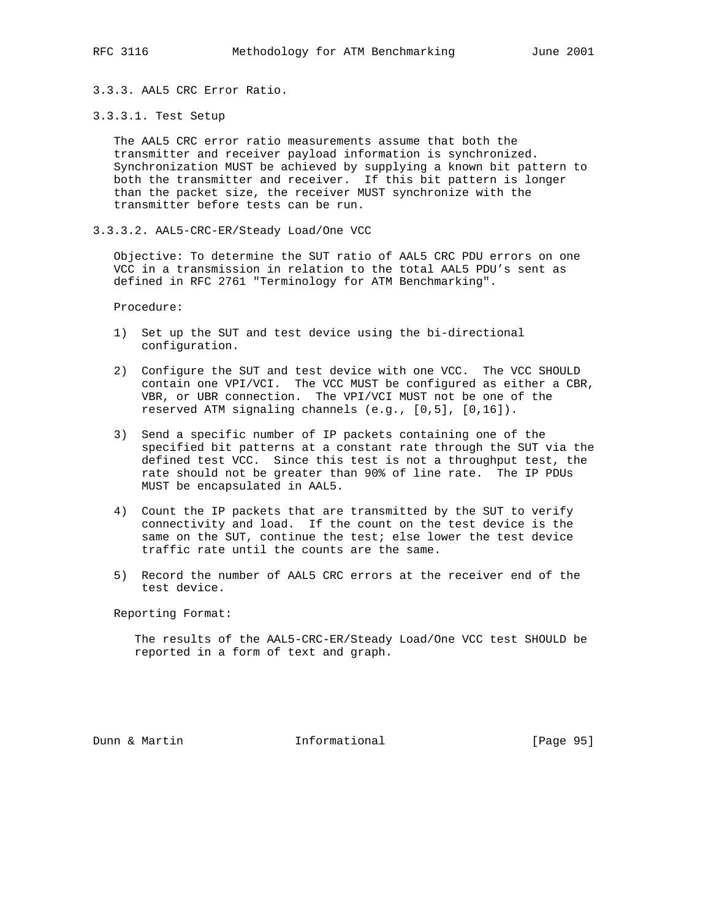3.3.3. AAL5 CRC Error Ratio.

## 3.3.3.1. Test Setup

 The AAL5 CRC error ratio measurements assume that both the transmitter and receiver payload information is synchronized. Synchronization MUST be achieved by supplying a known bit pattern to both the transmitter and receiver. If this bit pattern is longer than the packet size, the receiver MUST synchronize with the transmitter before tests can be run.

3.3.3.2. AAL5-CRC-ER/Steady Load/One VCC

 Objective: To determine the SUT ratio of AAL5 CRC PDU errors on one VCC in a transmission in relation to the total AAL5 PDU's sent as defined in RFC 2761 "Terminology for ATM Benchmarking".

Procedure:

- 1) Set up the SUT and test device using the bi-directional configuration.
- 2) Configure the SUT and test device with one VCC. The VCC SHOULD contain one VPI/VCI. The VCC MUST be configured as either a CBR, VBR, or UBR connection. The VPI/VCI MUST not be one of the reserved ATM signaling channels (e.g., [0,5], [0,16]).
- 3) Send a specific number of IP packets containing one of the specified bit patterns at a constant rate through the SUT via the defined test VCC. Since this test is not a throughput test, the rate should not be greater than 90% of line rate. The IP PDUs MUST be encapsulated in AAL5.
- 4) Count the IP packets that are transmitted by the SUT to verify connectivity and load. If the count on the test device is the same on the SUT, continue the test; else lower the test device traffic rate until the counts are the same.
- 5) Record the number of AAL5 CRC errors at the receiver end of the test device.

Reporting Format:

 The results of the AAL5-CRC-ER/Steady Load/One VCC test SHOULD be reported in a form of text and graph.

Dunn & Martin Informational [Page 95]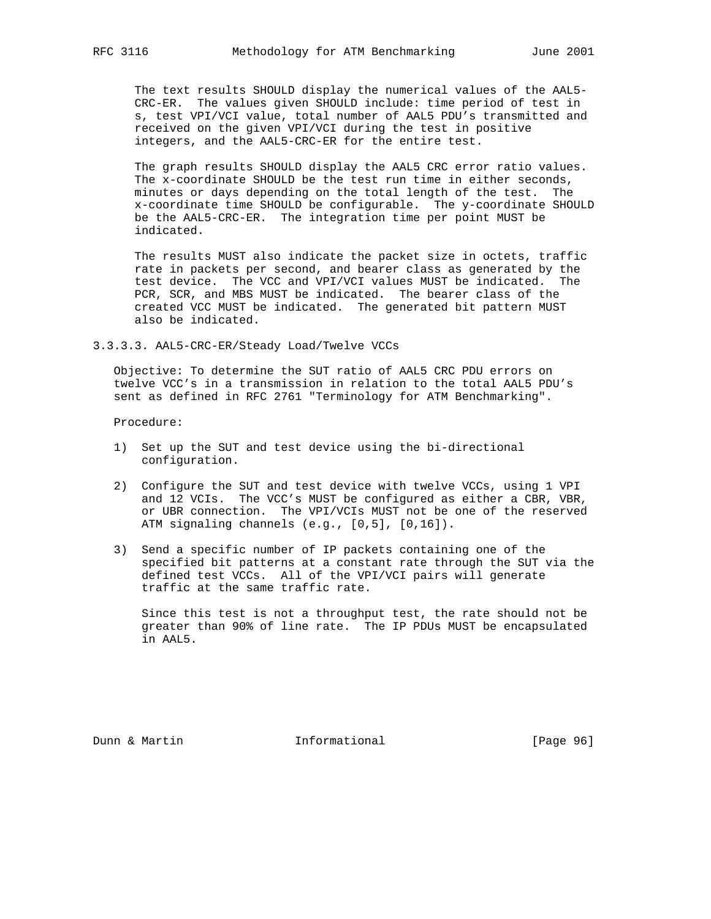The text results SHOULD display the numerical values of the AAL5- CRC-ER. The values given SHOULD include: time period of test in s, test VPI/VCI value, total number of AAL5 PDU's transmitted and received on the given VPI/VCI during the test in positive integers, and the AAL5-CRC-ER for the entire test.

 The graph results SHOULD display the AAL5 CRC error ratio values. The x-coordinate SHOULD be the test run time in either seconds, minutes or days depending on the total length of the test. The x-coordinate time SHOULD be configurable. The y-coordinate SHOULD be the AAL5-CRC-ER. The integration time per point MUST be indicated.

 The results MUST also indicate the packet size in octets, traffic rate in packets per second, and bearer class as generated by the test device. The VCC and VPI/VCI values MUST be indicated. The PCR, SCR, and MBS MUST be indicated. The bearer class of the created VCC MUST be indicated. The generated bit pattern MUST also be indicated.

3.3.3.3. AAL5-CRC-ER/Steady Load/Twelve VCCs

 Objective: To determine the SUT ratio of AAL5 CRC PDU errors on twelve VCC's in a transmission in relation to the total AAL5 PDU's sent as defined in RFC 2761 "Terminology for ATM Benchmarking".

Procedure:

- 1) Set up the SUT and test device using the bi-directional configuration.
- 2) Configure the SUT and test device with twelve VCCs, using 1 VPI and 12 VCIs. The VCC's MUST be configured as either a CBR, VBR, or UBR connection. The VPI/VCIs MUST not be one of the reserved ATM signaling channels (e.g., [0,5], [0,16]).
- 3) Send a specific number of IP packets containing one of the specified bit patterns at a constant rate through the SUT via the defined test VCCs. All of the VPI/VCI pairs will generate traffic at the same traffic rate.

 Since this test is not a throughput test, the rate should not be greater than 90% of line rate. The IP PDUs MUST be encapsulated in AAL5.

Dunn & Martin Informational [Page 96]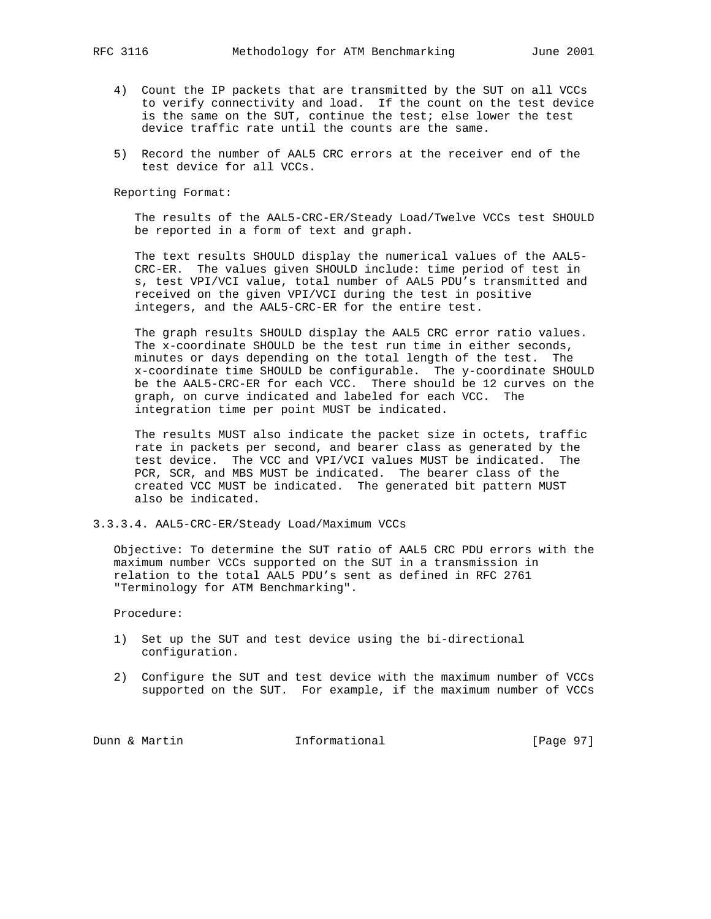- 4) Count the IP packets that are transmitted by the SUT on all VCCs to verify connectivity and load. If the count on the test device is the same on the SUT, continue the test; else lower the test device traffic rate until the counts are the same.
- 5) Record the number of AAL5 CRC errors at the receiver end of the test device for all VCCs.

 The results of the AAL5-CRC-ER/Steady Load/Twelve VCCs test SHOULD be reported in a form of text and graph.

 The text results SHOULD display the numerical values of the AAL5- CRC-ER. The values given SHOULD include: time period of test in s, test VPI/VCI value, total number of AAL5 PDU's transmitted and received on the given VPI/VCI during the test in positive integers, and the AAL5-CRC-ER for the entire test.

 The graph results SHOULD display the AAL5 CRC error ratio values. The x-coordinate SHOULD be the test run time in either seconds, minutes or days depending on the total length of the test. The x-coordinate time SHOULD be configurable. The y-coordinate SHOULD be the AAL5-CRC-ER for each VCC. There should be 12 curves on the graph, on curve indicated and labeled for each VCC. The integration time per point MUST be indicated.

 The results MUST also indicate the packet size in octets, traffic rate in packets per second, and bearer class as generated by the test device. The VCC and VPI/VCI values MUST be indicated. The PCR, SCR, and MBS MUST be indicated. The bearer class of the created VCC MUST be indicated. The generated bit pattern MUST also be indicated.

3.3.3.4. AAL5-CRC-ER/Steady Load/Maximum VCCs

 Objective: To determine the SUT ratio of AAL5 CRC PDU errors with the maximum number VCCs supported on the SUT in a transmission in relation to the total AAL5 PDU's sent as defined in RFC 2761 "Terminology for ATM Benchmarking".

Procedure:

- 1) Set up the SUT and test device using the bi-directional configuration.
- 2) Configure the SUT and test device with the maximum number of VCCs supported on the SUT. For example, if the maximum number of VCCs

Dunn & Martin **Informational** [Page 97]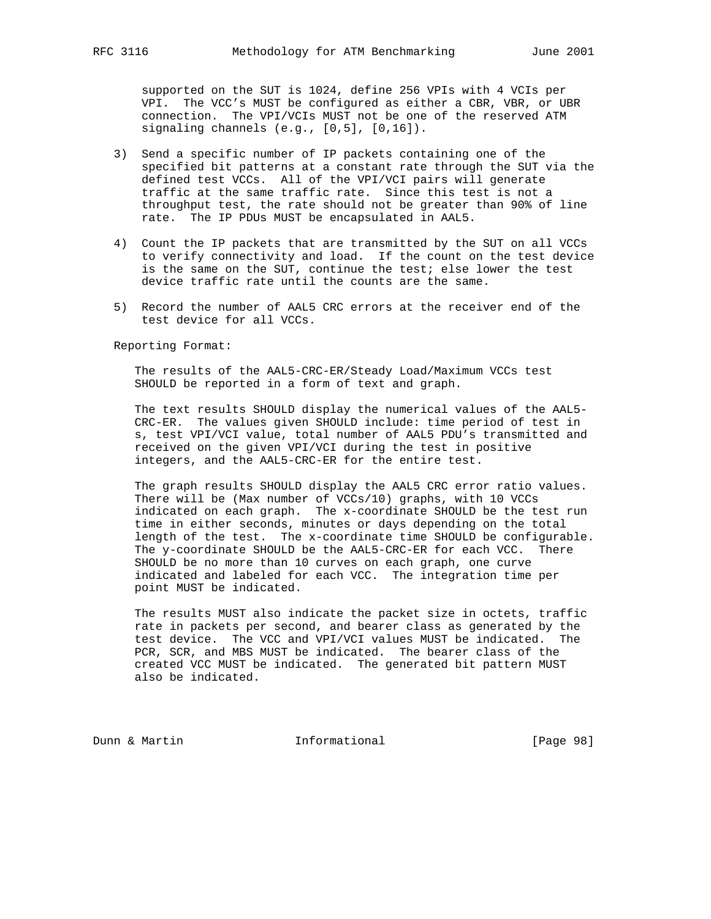supported on the SUT is 1024, define 256 VPIs with 4 VCIs per VPI. The VCC's MUST be configured as either a CBR, VBR, or UBR connection. The VPI/VCIs MUST not be one of the reserved ATM signaling channels (e.g., [0,5], [0,16]).

- 3) Send a specific number of IP packets containing one of the specified bit patterns at a constant rate through the SUT via the defined test VCCs. All of the VPI/VCI pairs will generate traffic at the same traffic rate. Since this test is not a throughput test, the rate should not be greater than 90% of line rate. The IP PDUs MUST be encapsulated in AAL5.
- 4) Count the IP packets that are transmitted by the SUT on all VCCs to verify connectivity and load. If the count on the test device is the same on the SUT, continue the test; else lower the test device traffic rate until the counts are the same.
- 5) Record the number of AAL5 CRC errors at the receiver end of the test device for all VCCs.

Reporting Format:

 The results of the AAL5-CRC-ER/Steady Load/Maximum VCCs test SHOULD be reported in a form of text and graph.

 The text results SHOULD display the numerical values of the AAL5- CRC-ER. The values given SHOULD include: time period of test in s, test VPI/VCI value, total number of AAL5 PDU's transmitted and received on the given VPI/VCI during the test in positive integers, and the AAL5-CRC-ER for the entire test.

 The graph results SHOULD display the AAL5 CRC error ratio values. There will be (Max number of VCCs/10) graphs, with 10 VCCs indicated on each graph. The x-coordinate SHOULD be the test run time in either seconds, minutes or days depending on the total length of the test. The x-coordinate time SHOULD be configurable. The y-coordinate SHOULD be the AAL5-CRC-ER for each VCC. There SHOULD be no more than 10 curves on each graph, one curve indicated and labeled for each VCC. The integration time per point MUST be indicated.

 The results MUST also indicate the packet size in octets, traffic rate in packets per second, and bearer class as generated by the test device. The VCC and VPI/VCI values MUST be indicated. The PCR, SCR, and MBS MUST be indicated. The bearer class of the created VCC MUST be indicated. The generated bit pattern MUST also be indicated.

Dunn & Martin **Informational** [Page 98]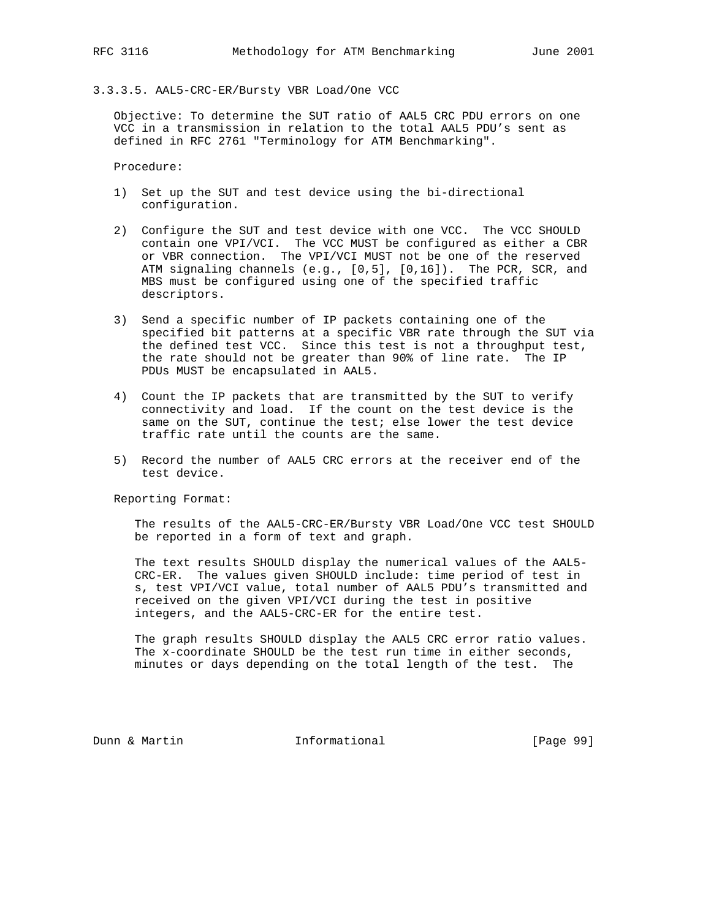## 3.3.3.5. AAL5-CRC-ER/Bursty VBR Load/One VCC

 Objective: To determine the SUT ratio of AAL5 CRC PDU errors on one VCC in a transmission in relation to the total AAL5 PDU's sent as defined in RFC 2761 "Terminology for ATM Benchmarking".

Procedure:

- 1) Set up the SUT and test device using the bi-directional configuration.
- 2) Configure the SUT and test device with one VCC. The VCC SHOULD contain one VPI/VCI. The VCC MUST be configured as either a CBR or VBR connection. The VPI/VCI MUST not be one of the reserved ATM signaling channels (e.g., [0,5], [0,16]). The PCR, SCR, and MBS must be configured using one of the specified traffic descriptors.
- 3) Send a specific number of IP packets containing one of the specified bit patterns at a specific VBR rate through the SUT via the defined test VCC. Since this test is not a throughput test, the rate should not be greater than 90% of line rate. The IP PDUs MUST be encapsulated in AAL5.
- 4) Count the IP packets that are transmitted by the SUT to verify connectivity and load. If the count on the test device is the same on the SUT, continue the test; else lower the test device traffic rate until the counts are the same.
- 5) Record the number of AAL5 CRC errors at the receiver end of the test device.

Reporting Format:

 The results of the AAL5-CRC-ER/Bursty VBR Load/One VCC test SHOULD be reported in a form of text and graph.

 The text results SHOULD display the numerical values of the AAL5- CRC-ER. The values given SHOULD include: time period of test in s, test VPI/VCI value, total number of AAL5 PDU's transmitted and received on the given VPI/VCI during the test in positive integers, and the AAL5-CRC-ER for the entire test.

 The graph results SHOULD display the AAL5 CRC error ratio values. The x-coordinate SHOULD be the test run time in either seconds, minutes or days depending on the total length of the test. The

Dunn & Martin **Informational** [Page 99]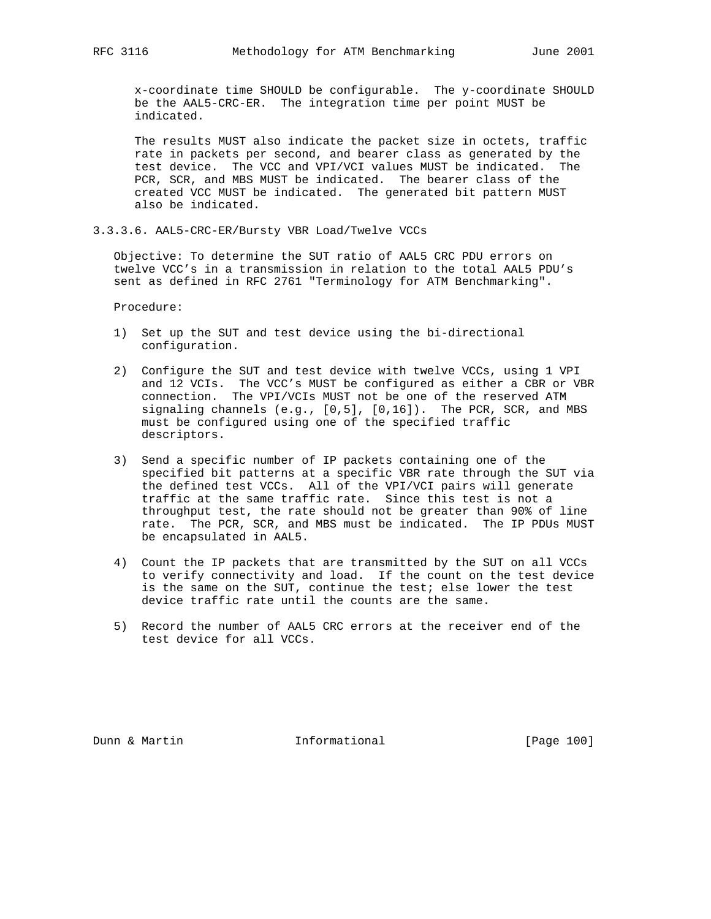x-coordinate time SHOULD be configurable. The y-coordinate SHOULD be the AAL5-CRC-ER. The integration time per point MUST be indicated.

 The results MUST also indicate the packet size in octets, traffic rate in packets per second, and bearer class as generated by the test device. The VCC and VPI/VCI values MUST be indicated. The PCR, SCR, and MBS MUST be indicated. The bearer class of the created VCC MUST be indicated. The generated bit pattern MUST also be indicated.

3.3.3.6. AAL5-CRC-ER/Bursty VBR Load/Twelve VCCs

 Objective: To determine the SUT ratio of AAL5 CRC PDU errors on twelve VCC's in a transmission in relation to the total AAL5 PDU's sent as defined in RFC 2761 "Terminology for ATM Benchmarking".

Procedure:

- 1) Set up the SUT and test device using the bi-directional configuration.
- 2) Configure the SUT and test device with twelve VCCs, using 1 VPI and 12 VCIs. The VCC's MUST be configured as either a CBR or VBR connection. The VPI/VCIs MUST not be one of the reserved ATM signaling channels (e.g., [0,5], [0,16]). The PCR, SCR, and MBS must be configured using one of the specified traffic descriptors.
- 3) Send a specific number of IP packets containing one of the specified bit patterns at a specific VBR rate through the SUT via the defined test VCCs. All of the VPI/VCI pairs will generate traffic at the same traffic rate. Since this test is not a throughput test, the rate should not be greater than 90% of line rate. The PCR, SCR, and MBS must be indicated. The IP PDUs MUST be encapsulated in AAL5.
- 4) Count the IP packets that are transmitted by the SUT on all VCCs to verify connectivity and load. If the count on the test device is the same on the SUT, continue the test; else lower the test device traffic rate until the counts are the same.
- 5) Record the number of AAL5 CRC errors at the receiver end of the test device for all VCCs.

Dunn & Martin **Informational** [Page 100]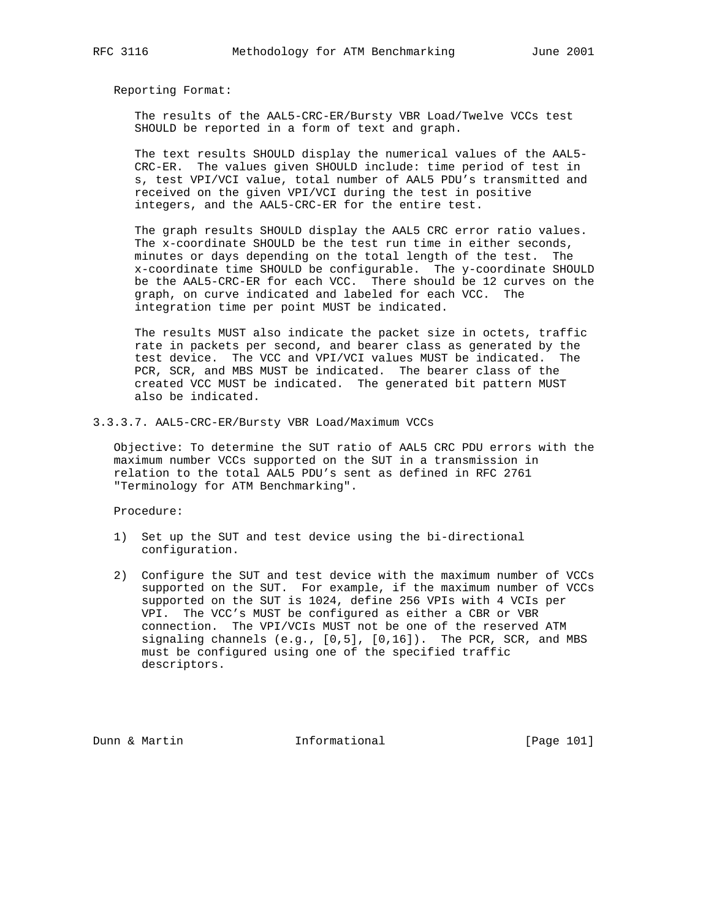The results of the AAL5-CRC-ER/Bursty VBR Load/Twelve VCCs test SHOULD be reported in a form of text and graph.

 The text results SHOULD display the numerical values of the AAL5- CRC-ER. The values given SHOULD include: time period of test in s, test VPI/VCI value, total number of AAL5 PDU's transmitted and received on the given VPI/VCI during the test in positive integers, and the AAL5-CRC-ER for the entire test.

 The graph results SHOULD display the AAL5 CRC error ratio values. The x-coordinate SHOULD be the test run time in either seconds, minutes or days depending on the total length of the test. The x-coordinate time SHOULD be configurable. The y-coordinate SHOULD be the AAL5-CRC-ER for each VCC. There should be 12 curves on the graph, on curve indicated and labeled for each VCC. The integration time per point MUST be indicated.

 The results MUST also indicate the packet size in octets, traffic rate in packets per second, and bearer class as generated by the test device. The VCC and VPI/VCI values MUST be indicated. The PCR, SCR, and MBS MUST be indicated. The bearer class of the created VCC MUST be indicated. The generated bit pattern MUST also be indicated.

3.3.3.7. AAL5-CRC-ER/Bursty VBR Load/Maximum VCCs

 Objective: To determine the SUT ratio of AAL5 CRC PDU errors with the maximum number VCCs supported on the SUT in a transmission in relation to the total AAL5 PDU's sent as defined in RFC 2761 "Terminology for ATM Benchmarking".

Procedure:

- 1) Set up the SUT and test device using the bi-directional configuration.
- 2) Configure the SUT and test device with the maximum number of VCCs supported on the SUT. For example, if the maximum number of VCCs supported on the SUT is 1024, define 256 VPIs with 4 VCIs per VPI. The VCC's MUST be configured as either a CBR or VBR connection. The VPI/VCIs MUST not be one of the reserved ATM signaling channels  $(e.g., [0,5], [0,16])$ . The PCR, SCR, and MBS must be configured using one of the specified traffic descriptors.

Dunn & Martin **Informational** [Page 101]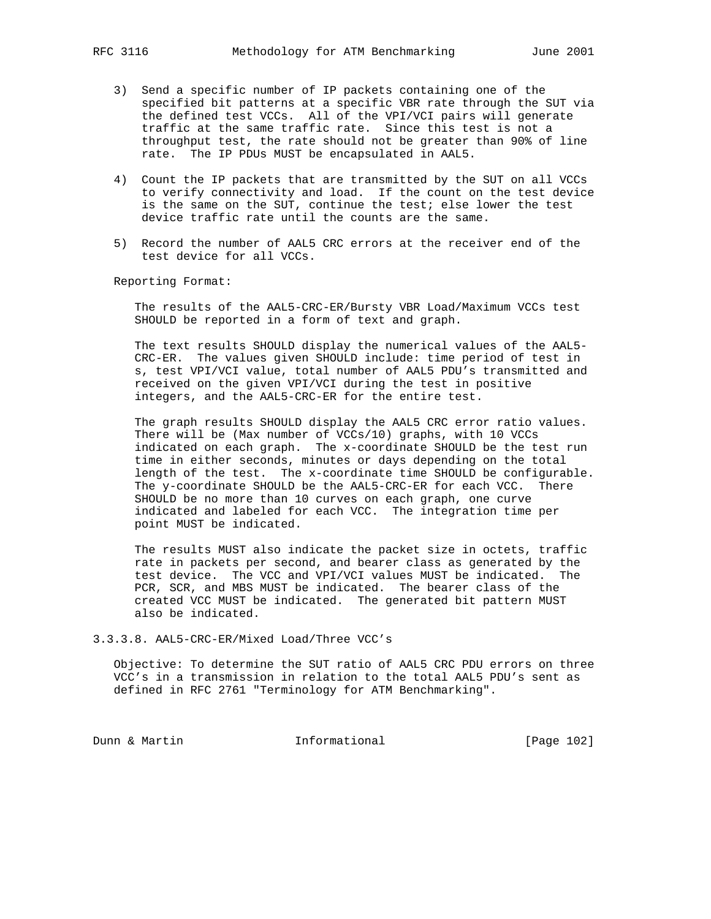- 3) Send a specific number of IP packets containing one of the specified bit patterns at a specific VBR rate through the SUT via the defined test VCCs. All of the VPI/VCI pairs will generate traffic at the same traffic rate. Since this test is not a throughput test, the rate should not be greater than 90% of line rate. The IP PDUs MUST be encapsulated in AAL5.
- 4) Count the IP packets that are transmitted by the SUT on all VCCs to verify connectivity and load. If the count on the test device is the same on the SUT, continue the test; else lower the test device traffic rate until the counts are the same.
- 5) Record the number of AAL5 CRC errors at the receiver end of the test device for all VCCs.

 The results of the AAL5-CRC-ER/Bursty VBR Load/Maximum VCCs test SHOULD be reported in a form of text and graph.

 The text results SHOULD display the numerical values of the AAL5- CRC-ER. The values given SHOULD include: time period of test in s, test VPI/VCI value, total number of AAL5 PDU's transmitted and received on the given VPI/VCI during the test in positive integers, and the AAL5-CRC-ER for the entire test.

 The graph results SHOULD display the AAL5 CRC error ratio values. There will be (Max number of VCCs/10) graphs, with 10 VCCs indicated on each graph. The x-coordinate SHOULD be the test run time in either seconds, minutes or days depending on the total length of the test. The x-coordinate time SHOULD be configurable. The y-coordinate SHOULD be the AAL5-CRC-ER for each VCC. There SHOULD be no more than 10 curves on each graph, one curve indicated and labeled for each VCC. The integration time per point MUST be indicated.

 The results MUST also indicate the packet size in octets, traffic rate in packets per second, and bearer class as generated by the test device. The VCC and VPI/VCI values MUST be indicated. The PCR, SCR, and MBS MUST be indicated. The bearer class of the created VCC MUST be indicated. The generated bit pattern MUST also be indicated.

3.3.3.8. AAL5-CRC-ER/Mixed Load/Three VCC's

 Objective: To determine the SUT ratio of AAL5 CRC PDU errors on three VCC's in a transmission in relation to the total AAL5 PDU's sent as defined in RFC 2761 "Terminology for ATM Benchmarking".

Dunn & Martin **Informational** [Page 102]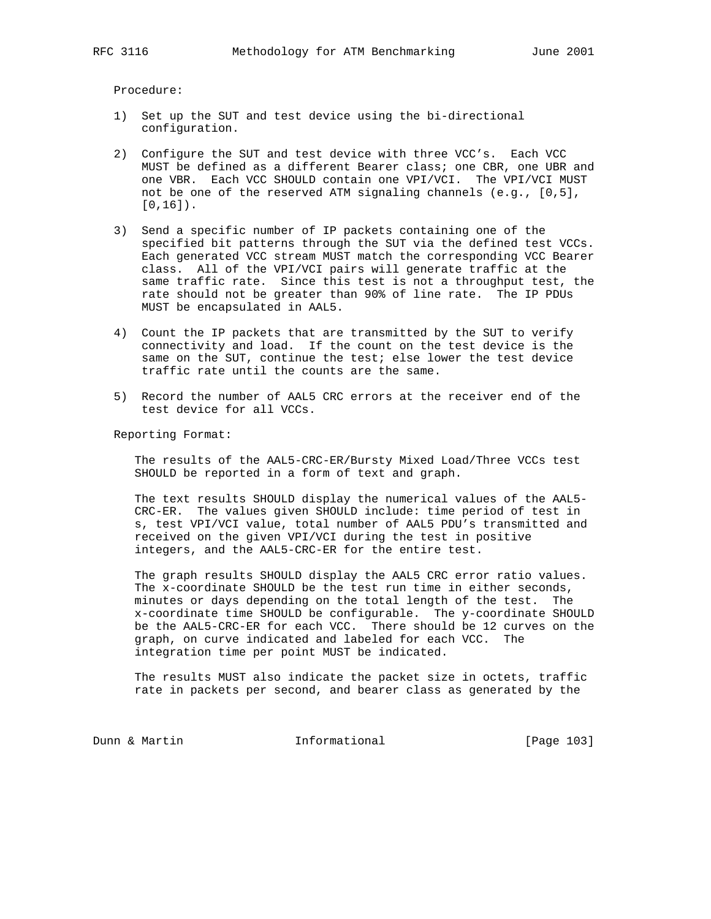Procedure:

- 1) Set up the SUT and test device using the bi-directional configuration.
- 2) Configure the SUT and test device with three VCC's. Each VCC MUST be defined as a different Bearer class; one CBR, one UBR and one VBR. Each VCC SHOULD contain one VPI/VCI. The VPI/VCI MUST not be one of the reserved ATM signaling channels (e.g., [0,5], [0,16]).
- 3) Send a specific number of IP packets containing one of the specified bit patterns through the SUT via the defined test VCCs. Each generated VCC stream MUST match the corresponding VCC Bearer class. All of the VPI/VCI pairs will generate traffic at the same traffic rate. Since this test is not a throughput test, the rate should not be greater than 90% of line rate. The IP PDUs MUST be encapsulated in AAL5.
- 4) Count the IP packets that are transmitted by the SUT to verify connectivity and load. If the count on the test device is the same on the SUT, continue the test; else lower the test device traffic rate until the counts are the same.
- 5) Record the number of AAL5 CRC errors at the receiver end of the test device for all VCCs.

Reporting Format:

 The results of the AAL5-CRC-ER/Bursty Mixed Load/Three VCCs test SHOULD be reported in a form of text and graph.

 The text results SHOULD display the numerical values of the AAL5- CRC-ER. The values given SHOULD include: time period of test in s, test VPI/VCI value, total number of AAL5 PDU's transmitted and received on the given VPI/VCI during the test in positive integers, and the AAL5-CRC-ER for the entire test.

 The graph results SHOULD display the AAL5 CRC error ratio values. The x-coordinate SHOULD be the test run time in either seconds, minutes or days depending on the total length of the test. The x-coordinate time SHOULD be configurable. The y-coordinate SHOULD be the AAL5-CRC-ER for each VCC. There should be 12 curves on the graph, on curve indicated and labeled for each VCC. The integration time per point MUST be indicated.

 The results MUST also indicate the packet size in octets, traffic rate in packets per second, and bearer class as generated by the

Dunn & Martin **Informational** [Page 103]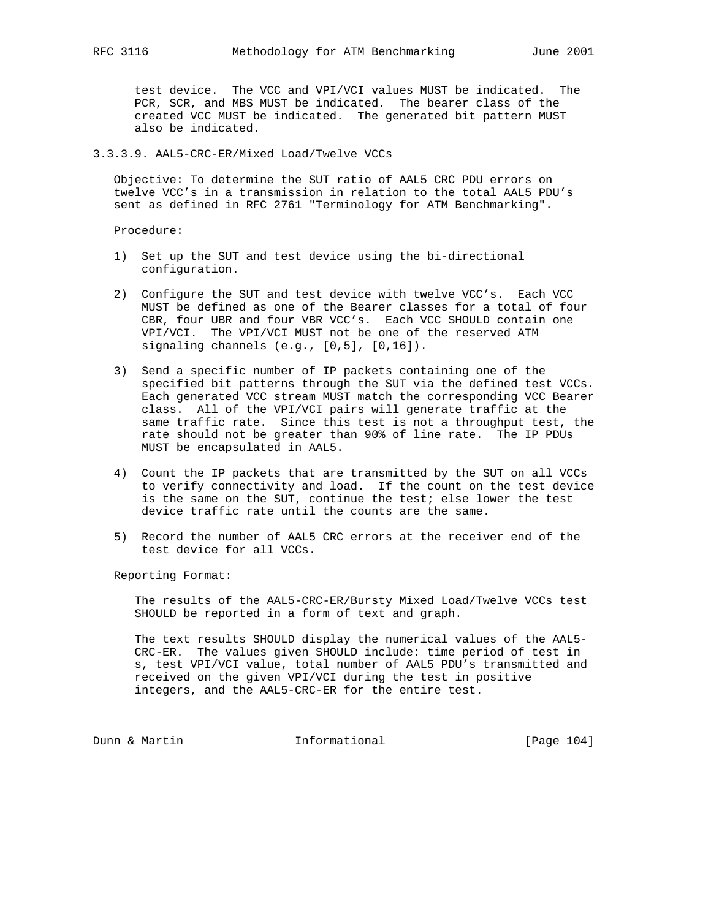test device. The VCC and VPI/VCI values MUST be indicated. The PCR, SCR, and MBS MUST be indicated. The bearer class of the created VCC MUST be indicated. The generated bit pattern MUST also be indicated.

#### 3.3.3.9. AAL5-CRC-ER/Mixed Load/Twelve VCCs

 Objective: To determine the SUT ratio of AAL5 CRC PDU errors on twelve VCC's in a transmission in relation to the total AAL5 PDU's sent as defined in RFC 2761 "Terminology for ATM Benchmarking".

Procedure:

- 1) Set up the SUT and test device using the bi-directional configuration.
- 2) Configure the SUT and test device with twelve VCC's. Each VCC MUST be defined as one of the Bearer classes for a total of four CBR, four UBR and four VBR VCC's. Each VCC SHOULD contain one VPI/VCI. The VPI/VCI MUST not be one of the reserved ATM signaling channels (e.g., [0,5], [0,16]).
- 3) Send a specific number of IP packets containing one of the specified bit patterns through the SUT via the defined test VCCs. Each generated VCC stream MUST match the corresponding VCC Bearer class. All of the VPI/VCI pairs will generate traffic at the same traffic rate. Since this test is not a throughput test, the rate should not be greater than 90% of line rate. The IP PDUs MUST be encapsulated in AAL5.
- 4) Count the IP packets that are transmitted by the SUT on all VCCs to verify connectivity and load. If the count on the test device is the same on the SUT, continue the test; else lower the test device traffic rate until the counts are the same.
- 5) Record the number of AAL5 CRC errors at the receiver end of the test device for all VCCs.

Reporting Format:

 The results of the AAL5-CRC-ER/Bursty Mixed Load/Twelve VCCs test SHOULD be reported in a form of text and graph.

 The text results SHOULD display the numerical values of the AAL5- CRC-ER. The values given SHOULD include: time period of test in s, test VPI/VCI value, total number of AAL5 PDU's transmitted and received on the given VPI/VCI during the test in positive integers, and the AAL5-CRC-ER for the entire test.

Dunn & Martin **Informational** [Page 104]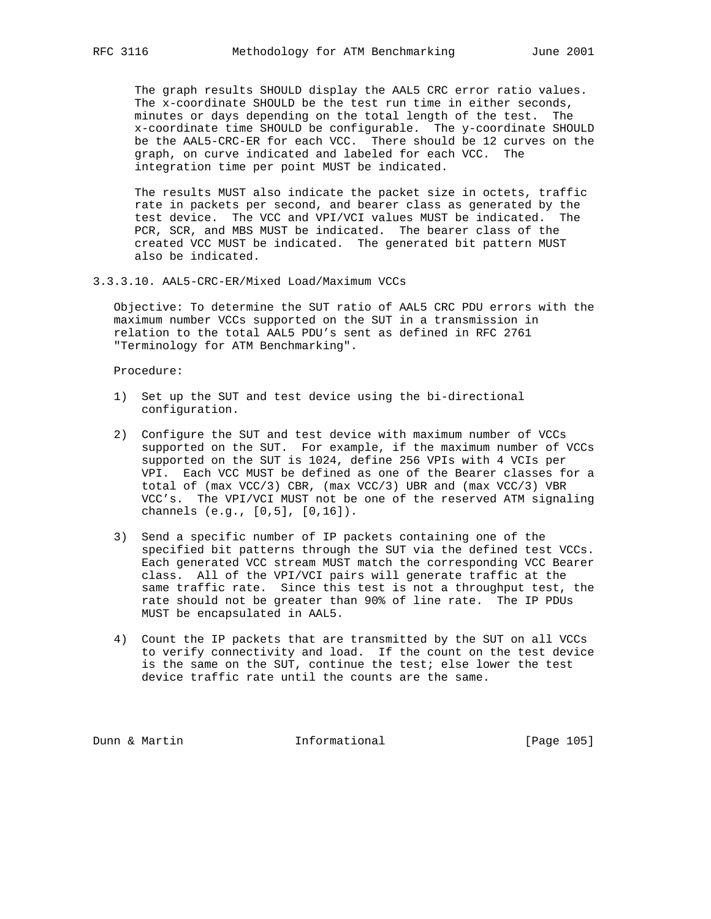The graph results SHOULD display the AAL5 CRC error ratio values. The x-coordinate SHOULD be the test run time in either seconds, minutes or days depending on the total length of the test. The x-coordinate time SHOULD be configurable. The y-coordinate SHOULD be the AAL5-CRC-ER for each VCC. There should be 12 curves on the graph, on curve indicated and labeled for each VCC. The integration time per point MUST be indicated.

 The results MUST also indicate the packet size in octets, traffic rate in packets per second, and bearer class as generated by the test device. The VCC and VPI/VCI values MUST be indicated. The PCR, SCR, and MBS MUST be indicated. The bearer class of the created VCC MUST be indicated. The generated bit pattern MUST also be indicated.

3.3.3.10. AAL5-CRC-ER/Mixed Load/Maximum VCCs

 Objective: To determine the SUT ratio of AAL5 CRC PDU errors with the maximum number VCCs supported on the SUT in a transmission in relation to the total AAL5 PDU's sent as defined in RFC 2761 "Terminology for ATM Benchmarking".

#### Procedure:

- 1) Set up the SUT and test device using the bi-directional configuration.
- 2) Configure the SUT and test device with maximum number of VCCs supported on the SUT. For example, if the maximum number of VCCs supported on the SUT is 1024, define 256 VPIs with 4 VCIs per VPI. Each VCC MUST be defined as one of the Bearer classes for a total of (max VCC/3) CBR, (max VCC/3) UBR and (max VCC/3) VBR VCC's. The VPI/VCI MUST not be one of the reserved ATM signaling channels (e.g., [0,5], [0,16]).
- 3) Send a specific number of IP packets containing one of the specified bit patterns through the SUT via the defined test VCCs. Each generated VCC stream MUST match the corresponding VCC Bearer class. All of the VPI/VCI pairs will generate traffic at the same traffic rate. Since this test is not a throughput test, the rate should not be greater than 90% of line rate. The IP PDUs MUST be encapsulated in AAL5.
- 4) Count the IP packets that are transmitted by the SUT on all VCCs to verify connectivity and load. If the count on the test device is the same on the SUT, continue the test; else lower the test device traffic rate until the counts are the same.

Dunn & Martin **Informational** [Page 105]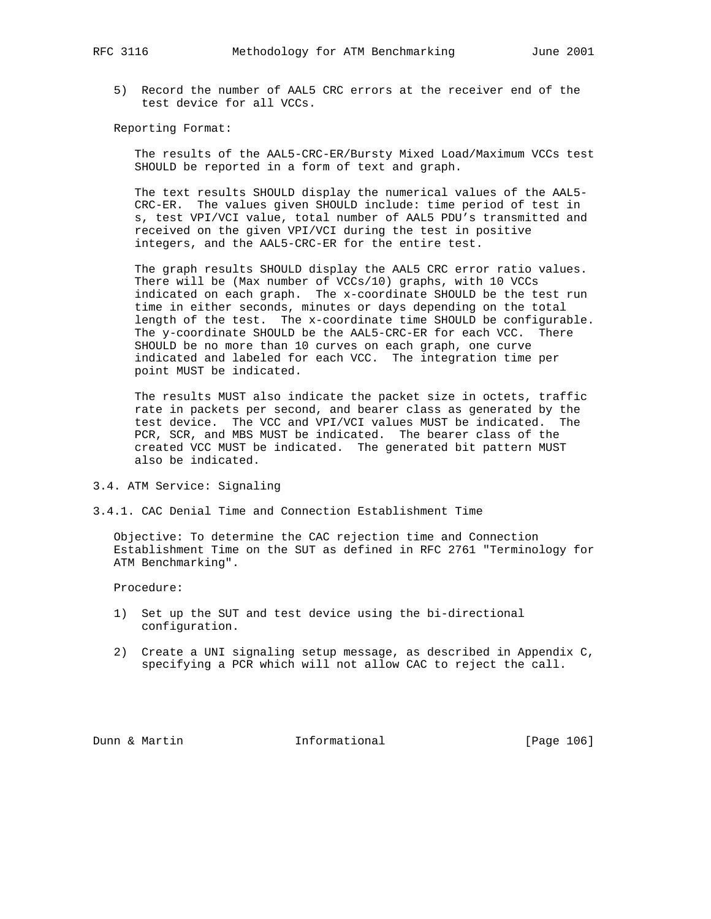5) Record the number of AAL5 CRC errors at the receiver end of the test device for all VCCs.

Reporting Format:

 The results of the AAL5-CRC-ER/Bursty Mixed Load/Maximum VCCs test SHOULD be reported in a form of text and graph.

 The text results SHOULD display the numerical values of the AAL5- CRC-ER. The values given SHOULD include: time period of test in s, test VPI/VCI value, total number of AAL5 PDU's transmitted and received on the given VPI/VCI during the test in positive integers, and the AAL5-CRC-ER for the entire test.

 The graph results SHOULD display the AAL5 CRC error ratio values. There will be (Max number of VCCs/10) graphs, with 10 VCCs indicated on each graph. The x-coordinate SHOULD be the test run time in either seconds, minutes or days depending on the total length of the test. The x-coordinate time SHOULD be configurable. The y-coordinate SHOULD be the AAL5-CRC-ER for each VCC. There SHOULD be no more than 10 curves on each graph, one curve indicated and labeled for each VCC. The integration time per point MUST be indicated.

 The results MUST also indicate the packet size in octets, traffic rate in packets per second, and bearer class as generated by the test device. The VCC and VPI/VCI values MUST be indicated. The PCR, SCR, and MBS MUST be indicated. The bearer class of the created VCC MUST be indicated. The generated bit pattern MUST also be indicated.

- 3.4. ATM Service: Signaling
- 3.4.1. CAC Denial Time and Connection Establishment Time

 Objective: To determine the CAC rejection time and Connection Establishment Time on the SUT as defined in RFC 2761 "Terminology for ATM Benchmarking".

Procedure:

- 1) Set up the SUT and test device using the bi-directional configuration.
- 2) Create a UNI signaling setup message, as described in Appendix C, specifying a PCR which will not allow CAC to reject the call.

Dunn & Martin **Informational** [Page 106]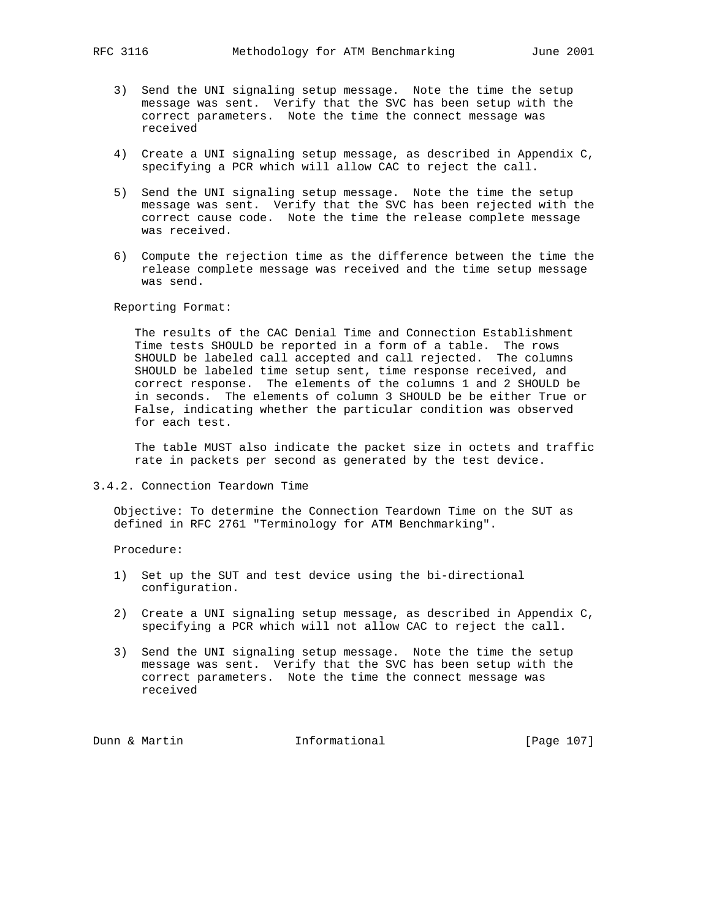- 3) Send the UNI signaling setup message. Note the time the setup message was sent. Verify that the SVC has been setup with the correct parameters. Note the time the connect message was received
- 4) Create a UNI signaling setup message, as described in Appendix C, specifying a PCR which will allow CAC to reject the call.
- 5) Send the UNI signaling setup message. Note the time the setup message was sent. Verify that the SVC has been rejected with the correct cause code. Note the time the release complete message was received.
- 6) Compute the rejection time as the difference between the time the release complete message was received and the time setup message was send.

 The results of the CAC Denial Time and Connection Establishment Time tests SHOULD be reported in a form of a table. The rows SHOULD be labeled call accepted and call rejected. The columns SHOULD be labeled time setup sent, time response received, and correct response. The elements of the columns 1 and 2 SHOULD be in seconds. The elements of column 3 SHOULD be be either True or False, indicating whether the particular condition was observed for each test.

 The table MUST also indicate the packet size in octets and traffic rate in packets per second as generated by the test device.

3.4.2. Connection Teardown Time

 Objective: To determine the Connection Teardown Time on the SUT as defined in RFC 2761 "Terminology for ATM Benchmarking".

Procedure:

- 1) Set up the SUT and test device using the bi-directional configuration.
- 2) Create a UNI signaling setup message, as described in Appendix C, specifying a PCR which will not allow CAC to reject the call.
- 3) Send the UNI signaling setup message. Note the time the setup message was sent. Verify that the SVC has been setup with the correct parameters. Note the time the connect message was received

Dunn & Martin **Informational** [Page 107]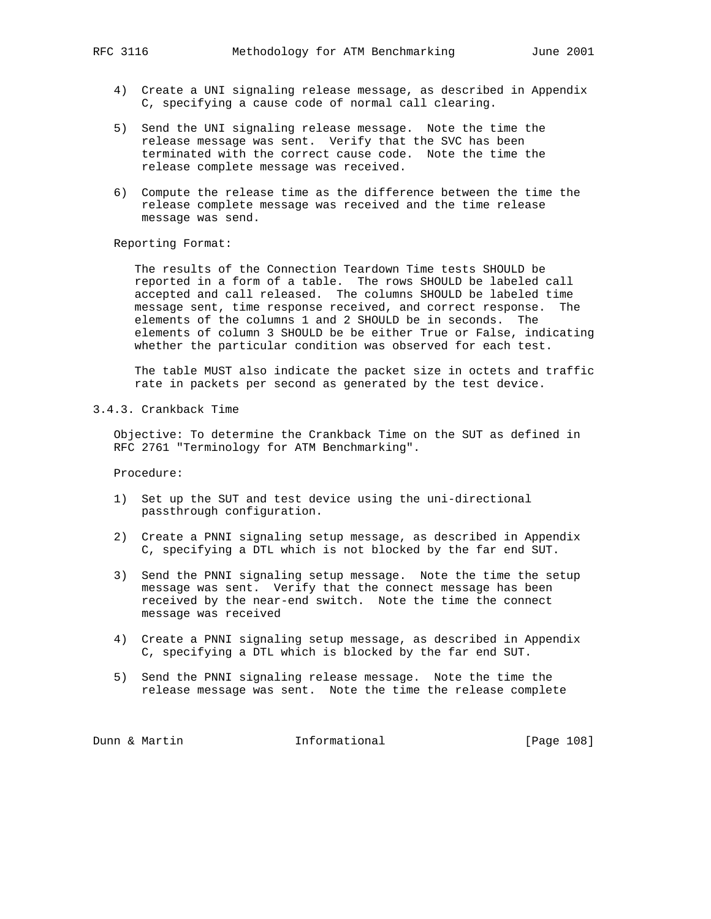- 4) Create a UNI signaling release message, as described in Appendix C, specifying a cause code of normal call clearing.
- 5) Send the UNI signaling release message. Note the time the release message was sent. Verify that the SVC has been terminated with the correct cause code. Note the time the release complete message was received.
- 6) Compute the release time as the difference between the time the release complete message was received and the time release message was send.

 The results of the Connection Teardown Time tests SHOULD be reported in a form of a table. The rows SHOULD be labeled call accepted and call released. The columns SHOULD be labeled time message sent, time response received, and correct response. The elements of the columns 1 and 2 SHOULD be in seconds. The elements of column 3 SHOULD be be either True or False, indicating whether the particular condition was observed for each test.

 The table MUST also indicate the packet size in octets and traffic rate in packets per second as generated by the test device.

#### 3.4.3. Crankback Time

 Objective: To determine the Crankback Time on the SUT as defined in RFC 2761 "Terminology for ATM Benchmarking".

Procedure:

- 1) Set up the SUT and test device using the uni-directional passthrough configuration.
- 2) Create a PNNI signaling setup message, as described in Appendix C, specifying a DTL which is not blocked by the far end SUT.
- 3) Send the PNNI signaling setup message. Note the time the setup message was sent. Verify that the connect message has been received by the near-end switch. Note the time the connect message was received
- 4) Create a PNNI signaling setup message, as described in Appendix C, specifying a DTL which is blocked by the far end SUT.
- 5) Send the PNNI signaling release message. Note the time the release message was sent. Note the time the release complete

Dunn & Martin **Informational** [Page 108]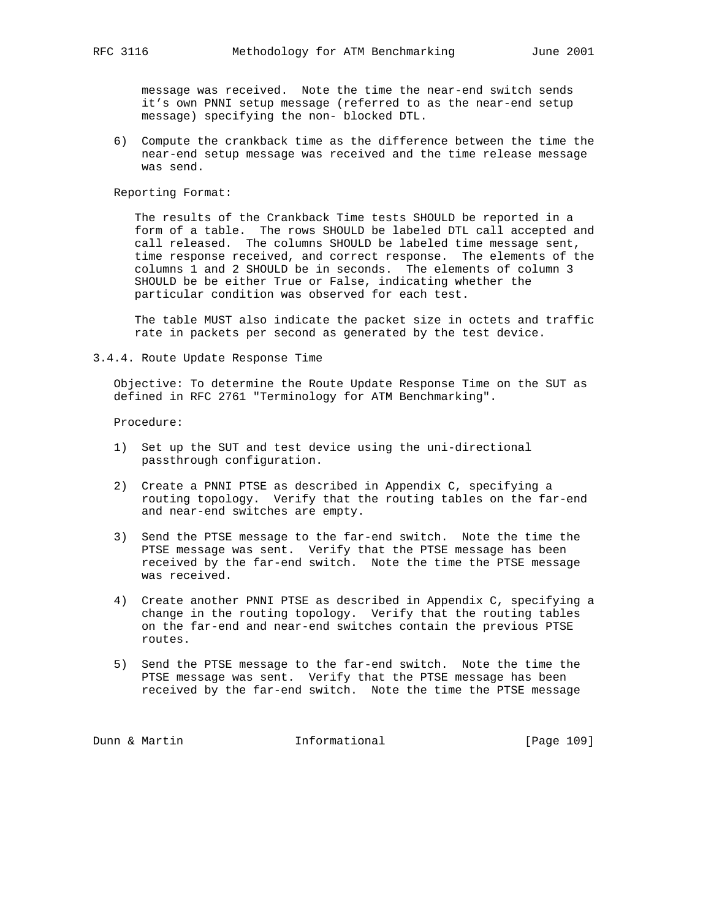message was received. Note the time the near-end switch sends it's own PNNI setup message (referred to as the near-end setup message) specifying the non- blocked DTL.

 6) Compute the crankback time as the difference between the time the near-end setup message was received and the time release message was send.

Reporting Format:

 The results of the Crankback Time tests SHOULD be reported in a form of a table. The rows SHOULD be labeled DTL call accepted and call released. The columns SHOULD be labeled time message sent, time response received, and correct response. The elements of the columns 1 and 2 SHOULD be in seconds. The elements of column 3 SHOULD be be either True or False, indicating whether the particular condition was observed for each test.

 The table MUST also indicate the packet size in octets and traffic rate in packets per second as generated by the test device.

3.4.4. Route Update Response Time

 Objective: To determine the Route Update Response Time on the SUT as defined in RFC 2761 "Terminology for ATM Benchmarking".

Procedure:

- 1) Set up the SUT and test device using the uni-directional passthrough configuration.
- 2) Create a PNNI PTSE as described in Appendix C, specifying a routing topology. Verify that the routing tables on the far-end and near-end switches are empty.
- 3) Send the PTSE message to the far-end switch. Note the time the PTSE message was sent. Verify that the PTSE message has been received by the far-end switch. Note the time the PTSE message was received.
- 4) Create another PNNI PTSE as described in Appendix C, specifying a change in the routing topology. Verify that the routing tables on the far-end and near-end switches contain the previous PTSE routes.
- 5) Send the PTSE message to the far-end switch. Note the time the PTSE message was sent. Verify that the PTSE message has been received by the far-end switch. Note the time the PTSE message

Dunn & Martin **Informational** [Page 109]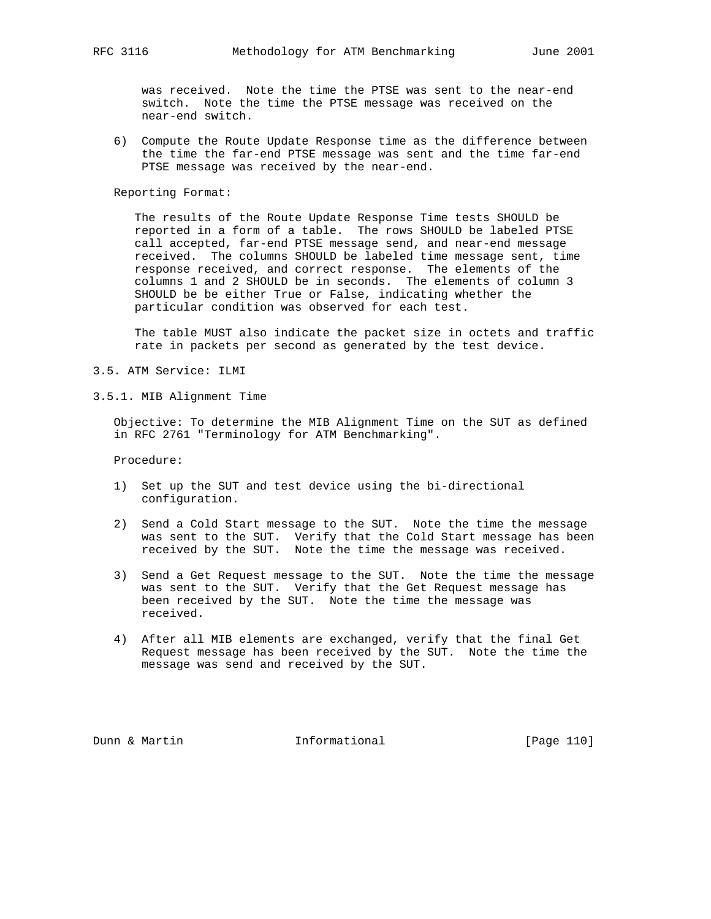was received. Note the time the PTSE was sent to the near-end switch. Note the time the PTSE message was received on the near-end switch.

 6) Compute the Route Update Response time as the difference between the time the far-end PTSE message was sent and the time far-end PTSE message was received by the near-end.

Reporting Format:

 The results of the Route Update Response Time tests SHOULD be reported in a form of a table. The rows SHOULD be labeled PTSE call accepted, far-end PTSE message send, and near-end message received. The columns SHOULD be labeled time message sent, time response received, and correct response. The elements of the columns 1 and 2 SHOULD be in seconds. The elements of column 3 SHOULD be be either True or False, indicating whether the particular condition was observed for each test.

 The table MUST also indicate the packet size in octets and traffic rate in packets per second as generated by the test device.

- 3.5. ATM Service: ILMI
- 3.5.1. MIB Alignment Time

 Objective: To determine the MIB Alignment Time on the SUT as defined in RFC 2761 "Terminology for ATM Benchmarking".

Procedure:

- 1) Set up the SUT and test device using the bi-directional configuration.
- 2) Send a Cold Start message to the SUT. Note the time the message was sent to the SUT. Verify that the Cold Start message has been received by the SUT. Note the time the message was received.
- 3) Send a Get Request message to the SUT. Note the time the message was sent to the SUT. Verify that the Get Request message has been received by the SUT. Note the time the message was received.
- 4) After all MIB elements are exchanged, verify that the final Get Request message has been received by the SUT. Note the time the message was send and received by the SUT.

Dunn & Martin **Informational** [Page 110]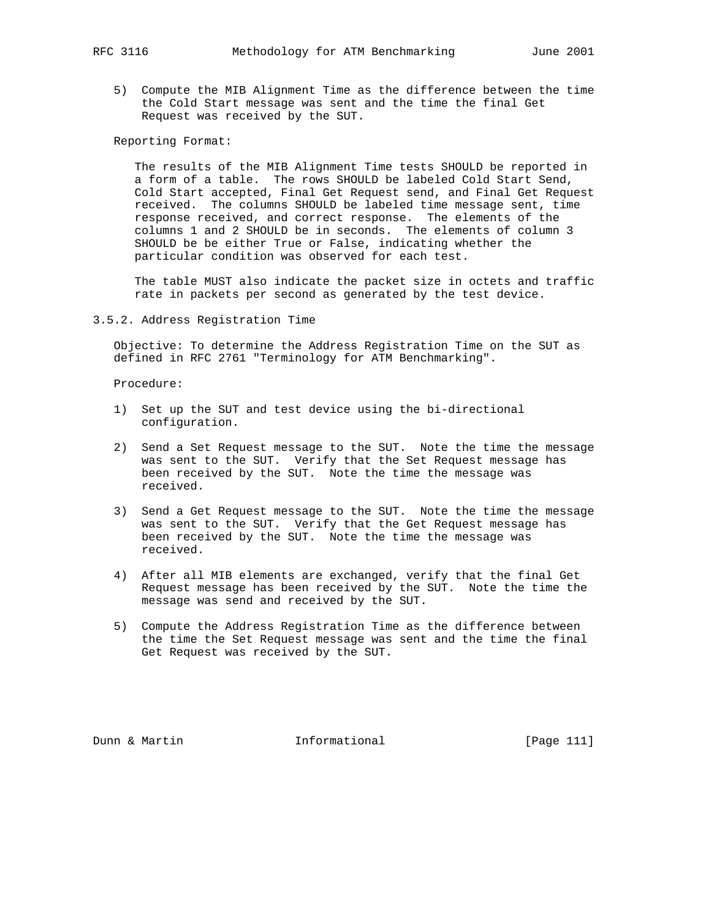5) Compute the MIB Alignment Time as the difference between the time the Cold Start message was sent and the time the final Get Request was received by the SUT.

Reporting Format:

 The results of the MIB Alignment Time tests SHOULD be reported in a form of a table. The rows SHOULD be labeled Cold Start Send, Cold Start accepted, Final Get Request send, and Final Get Request received. The columns SHOULD be labeled time message sent, time response received, and correct response. The elements of the columns 1 and 2 SHOULD be in seconds. The elements of column 3 SHOULD be be either True or False, indicating whether the particular condition was observed for each test.

 The table MUST also indicate the packet size in octets and traffic rate in packets per second as generated by the test device.

3.5.2. Address Registration Time

 Objective: To determine the Address Registration Time on the SUT as defined in RFC 2761 "Terminology for ATM Benchmarking".

Procedure:

- 1) Set up the SUT and test device using the bi-directional configuration.
- 2) Send a Set Request message to the SUT. Note the time the message was sent to the SUT. Verify that the Set Request message has been received by the SUT. Note the time the message was received.
- 3) Send a Get Request message to the SUT. Note the time the message was sent to the SUT. Verify that the Get Request message has been received by the SUT. Note the time the message was received.
- 4) After all MIB elements are exchanged, verify that the final Get Request message has been received by the SUT. Note the time the message was send and received by the SUT.
- 5) Compute the Address Registration Time as the difference between the time the Set Request message was sent and the time the final Get Request was received by the SUT.

Dunn & Martin **Informational** [Page 111]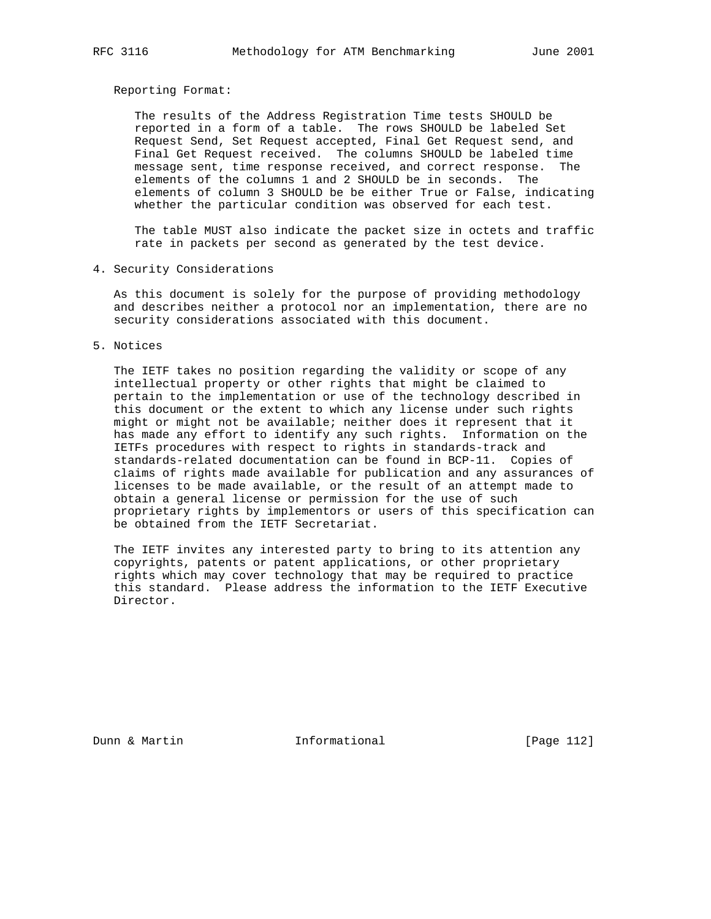Reporting Format:

 The results of the Address Registration Time tests SHOULD be reported in a form of a table. The rows SHOULD be labeled Set Request Send, Set Request accepted, Final Get Request send, and Final Get Request received. The columns SHOULD be labeled time message sent, time response received, and correct response. The elements of the columns 1 and 2 SHOULD be in seconds. The elements of column 3 SHOULD be be either True or False, indicating whether the particular condition was observed for each test.

 The table MUST also indicate the packet size in octets and traffic rate in packets per second as generated by the test device.

4. Security Considerations

 As this document is solely for the purpose of providing methodology and describes neither a protocol nor an implementation, there are no security considerations associated with this document.

5. Notices

 The IETF takes no position regarding the validity or scope of any intellectual property or other rights that might be claimed to pertain to the implementation or use of the technology described in this document or the extent to which any license under such rights might or might not be available; neither does it represent that it has made any effort to identify any such rights. Information on the IETFs procedures with respect to rights in standards-track and standards-related documentation can be found in BCP-11. Copies of claims of rights made available for publication and any assurances of licenses to be made available, or the result of an attempt made to obtain a general license or permission for the use of such proprietary rights by implementors or users of this specification can be obtained from the IETF Secretariat.

 The IETF invites any interested party to bring to its attention any copyrights, patents or patent applications, or other proprietary rights which may cover technology that may be required to practice this standard. Please address the information to the IETF Executive Director.

Dunn & Martin **Informational** [Page 112]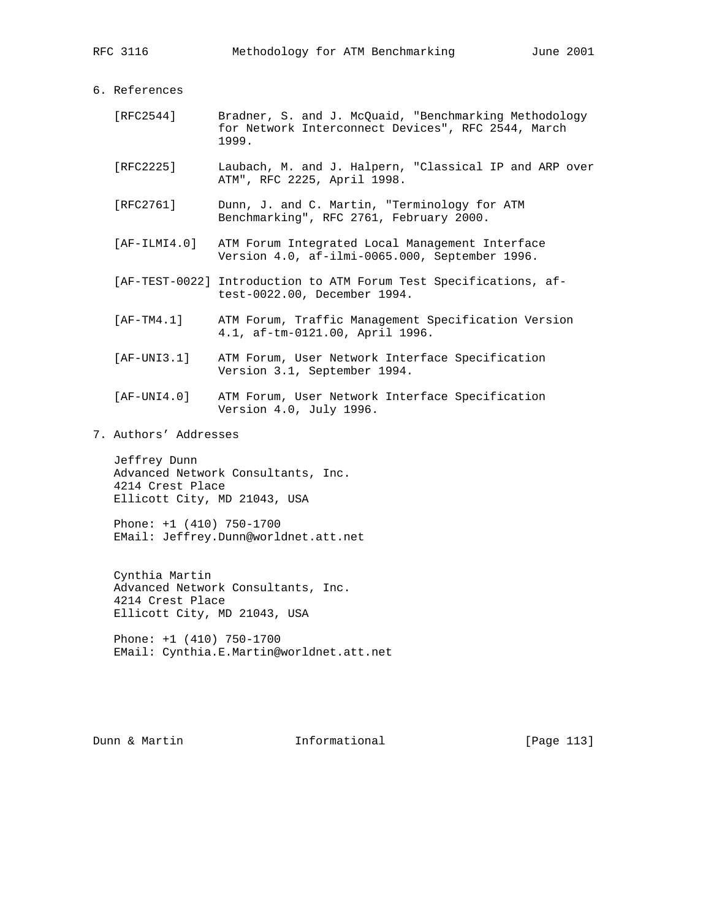| References |
|------------|
|            |

| [RFC2544] |       |  | Bradner, S. and J. McQuaid, "Benchmarking Methodology |
|-----------|-------|--|-------------------------------------------------------|
|           |       |  | for Network Interconnect Devices", RFC 2544, March    |
|           | 1999. |  |                                                       |

- [RFC2225] Laubach, M. and J. Halpern, "Classical IP and ARP over ATM", RFC 2225, April 1998.
- [RFC2761] Dunn, J. and C. Martin, "Terminology for ATM Benchmarking", RFC 2761, February 2000.
- [AF-ILMI4.0] ATM Forum Integrated Local Management Interface Version 4.0, af-ilmi-0065.000, September 1996.
- [AF-TEST-0022] Introduction to ATM Forum Test Specifications, af test-0022.00, December 1994.
- [AF-TM4.1] ATM Forum, Traffic Management Specification Version 4.1, af-tm-0121.00, April 1996.
- [AF-UNI3.1] ATM Forum, User Network Interface Specification Version 3.1, September 1994.
- [AF-UNI4.0] ATM Forum, User Network Interface Specification Version 4.0, July 1996.
- 7. Authors' Addresses

 Jeffrey Dunn Advanced Network Consultants, Inc. 4214 Crest Place Ellicott City, MD 21043, USA

 Phone: +1 (410) 750-1700 EMail: Jeffrey.Dunn@worldnet.att.net

 Cynthia Martin Advanced Network Consultants, Inc. 4214 Crest Place Ellicott City, MD 21043, USA

 Phone: +1 (410) 750-1700 EMail: Cynthia.E.Martin@worldnet.att.net

Dunn & Martin **Informational** [Page 113]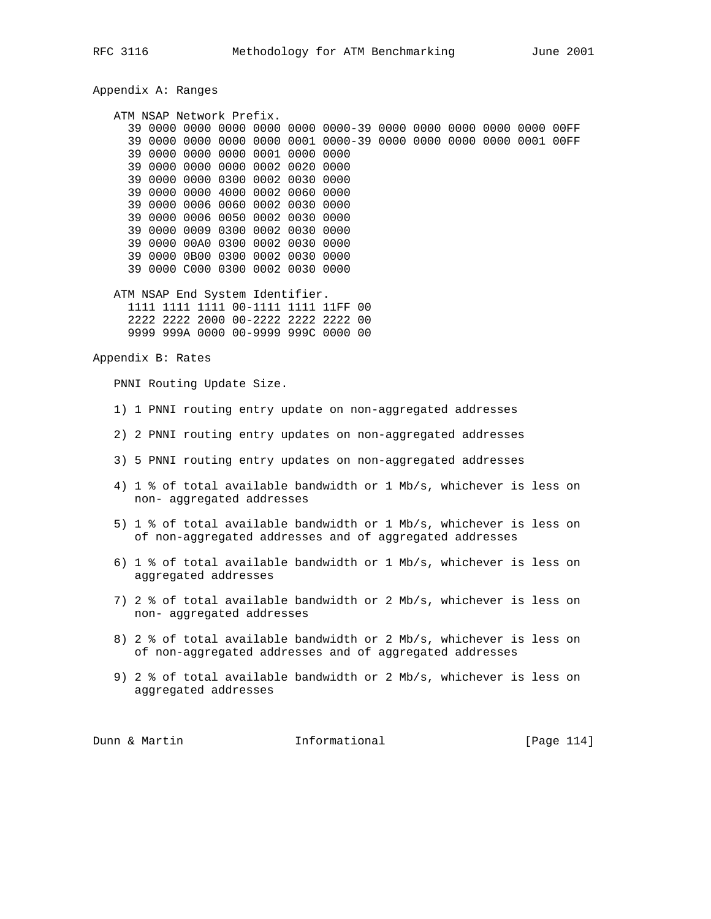Appendix A: Ranges

 ATM NSAP Network Prefix. 39 0000 0000 0000 0000 0000 0000-39 0000 0000 0000 0000 0000 00FF 39 0000 0000 0000 0000 0001 0000-39 0000 0000 0000 0000 0001 00FF 39 0000 0000 0000 0001 0000 0000 39 0000 0000 0000 0002 0020 0000 39 0000 0000 0300 0002 0030 0000 39 0000 0000 4000 0002 0060 0000 39 0000 0006 0060 0002 0030 0000 39 0000 0006 0050 0002 0030 0000 39 0000 0009 0300 0002 0030 0000 39 0000 00A0 0300 0002 0030 0000 39 0000 0B00 0300 0002 0030 0000 39 0000 C000 0300 0002 0030 0000 ATM NSAP End System Identifier. 1111 1111 1111 00-1111 1111 11FF 00 2222 2222 2000 00-2222 2222 2222 00 9999 999A 0000 00-9999 999C 0000 00 Appendix B: Rates PNNI Routing Update Size. 1) 1 PNNI routing entry update on non-aggregated addresses 2) 2 PNNI routing entry updates on non-aggregated addresses 3) 5 PNNI routing entry updates on non-aggregated addresses 4) 1 % of total available bandwidth or 1 Mb/s, whichever is less on non- aggregated addresses 5) 1 % of total available bandwidth or 1 Mb/s, whichever is less on of non-aggregated addresses and of aggregated addresses 6) 1 % of total available bandwidth or 1 Mb/s, whichever is less on aggregated addresses 7) 2 % of total available bandwidth or 2 Mb/s, whichever is less on non- aggregated addresses 8) 2 % of total available bandwidth or 2 Mb/s, whichever is less on of non-aggregated addresses and of aggregated addresses 9) 2 % of total available bandwidth or 2 Mb/s, whichever is less on aggregated addresses Dunn & Martin **Informational** [Page 114]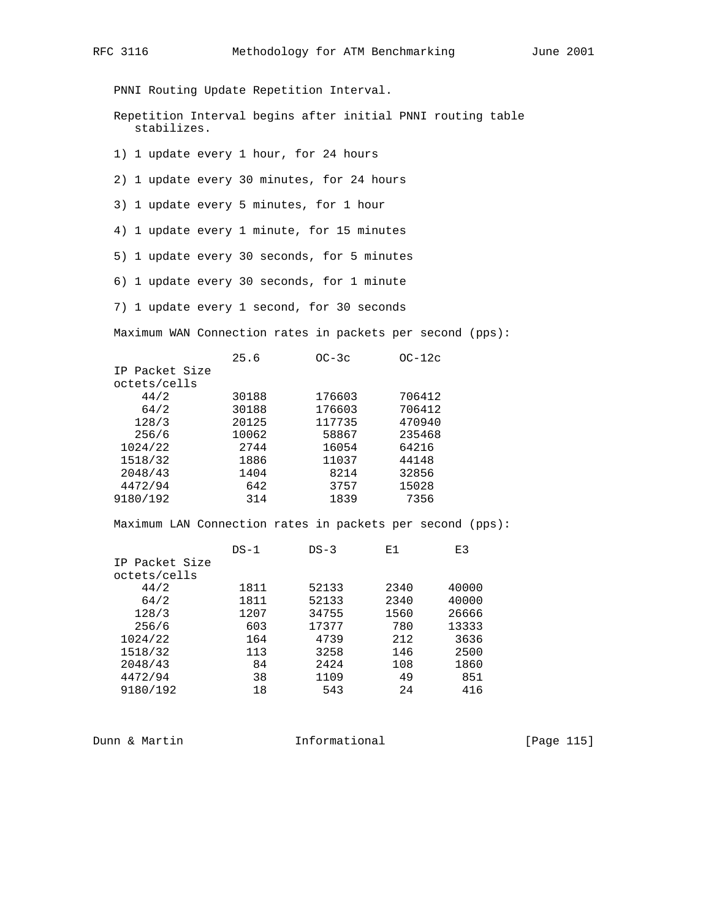PNNI Routing Update Repetition Interval.

 Repetition Interval begins after initial PNNI routing table stabilizes.

1) 1 update every 1 hour, for 24 hours

2) 1 update every 30 minutes, for 24 hours

3) 1 update every 5 minutes, for 1 hour

4) 1 update every 1 minute, for 15 minutes

5) 1 update every 30 seconds, for 5 minutes

6) 1 update every 30 seconds, for 1 minute

7) 1 update every 1 second, for 30 seconds

Maximum WAN Connection rates in packets per second (pps):

|                | 25.6  | $OC-3c$ | $OC-12c$ |
|----------------|-------|---------|----------|
| IP Packet Size |       |         |          |
| octets/cells   |       |         |          |
| 44/2           | 30188 | 176603  | 706412   |
| 64/2           | 30188 | 176603  | 706412   |
| 128/3          | 20125 | 117735  | 470940   |
| 256/6          | 10062 | 58867   | 235468   |
| 1024/22        | 2744  | 16054   | 64216    |
| 1518/32        | 1886  | 11037   | 44148    |
| 2048/43        | 1404  | 8214    | 32856    |
| 4472/94        | 642   | 3757    | 15028    |
| 9180/192       | 314   | 1839    | 7356     |

Maximum LAN Connection rates in packets per second (pps):

| $DS-1$ | $DS-3$ | Ε1   | E3    |
|--------|--------|------|-------|
|        |        |      |       |
|        |        |      |       |
| 1811   | 52133  | 2340 | 40000 |
| 1811   | 52133  | 2340 | 40000 |
| 1207   | 34755  | 1560 | 26666 |
| 603    | 17377  | 780  | 13333 |
| 164    | 4739   | 212  | 3636  |
| 113    | 3258   | 146  | 2500  |
| 84     | 2424   | 108  | 1860  |
| 38     | 1109   | 49   | 851   |
| 18     | 543    | 24   | 416   |
|        |        |      |       |

Dunn & Martin **Informational** [Page 115]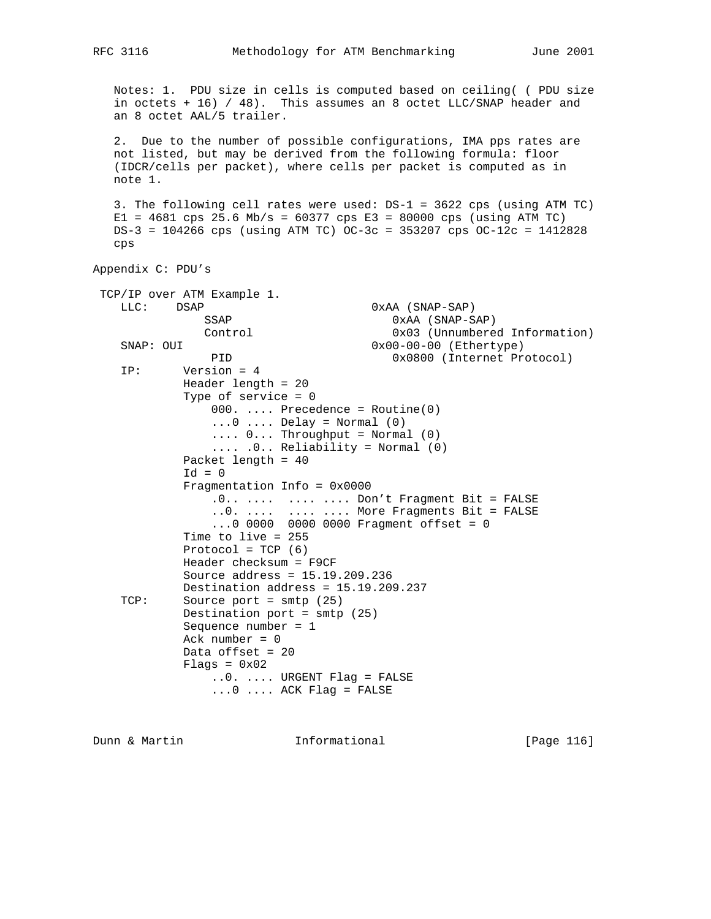Notes: 1. PDU size in cells is computed based on ceiling( ( PDU size in octets + 16) / 48). This assumes an 8 octet LLC/SNAP header and an 8 octet AAL/5 trailer. 2. Due to the number of possible configurations, IMA pps rates are not listed, but may be derived from the following formula: floor (IDCR/cells per packet), where cells per packet is computed as in note 1. 3. The following cell rates were used: DS-1 = 3622 cps (using ATM TC)  $E1 = 4681$  cps 25.6 Mb/s = 60377 cps  $E3 = 80000$  cps (using ATM TC) DS-3 = 104266 cps (using ATM TC) OC-3c = 353207 cps OC-12c = 1412828 cps Appendix C: PDU's TCP/IP over ATM Example 1. LLC: DSAP 0xAA (SNAP-SAP) SSAP 0xAA (SNAP-SAP)<br>Control 0x03 (Unnumbered Control 0x03 (Unnumbered Information)<br>SNAP: OUI 0x00-00-00 (Ethertype)  $0x00-00-00$  (Ethertype) PID 0x0800 (Internet Protocol) IP: Version = 4 Header length = 20 Type of service = 0 000. .... Precedence = Routine(0)  $\ldots$ 0  $\ldots$ . Delay = Normal (0) .... 0... Throughput = Normal (0) .... .0.. Reliability = Normal (0) Packet length = 40  $Id = 0$  Fragmentation Info = 0x0000 .0.. .... .... .... Don't Fragment Bit = FALSE ..0. .... .... .... More Fragments Bit = FALSE ...0 0000 0000 0000 Fragment offset = 0 Time to live = 255 Protocol =  $TCP (6)$  Header checksum = F9CF Source address = 15.19.209.236 Destination address = 15.19.209.237 TCP: Source port = smtp (25) Destination port = smtp (25) Sequence number = 1 Ack number = 0 Data offset = 20  $F$ lags =  $0x02$  ..0. .... URGENT Flag = FALSE ...0 .... ACK Flag = FALSE

Dunn & Martin **Informational** [Page 116]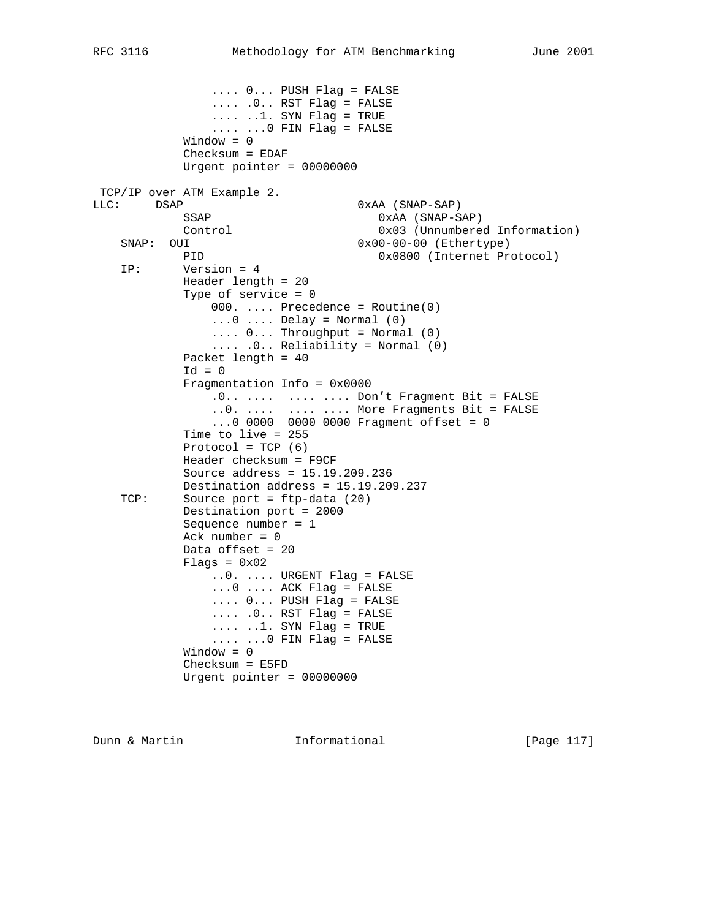.... 0... PUSH Flag = FALSE .... .0.. RST Flag = FALSE  $\ldots$  .1. SYN Flag = TRUE .... ...0 FIN Flag = FALSE Window = 0 Checksum = EDAF Urgent pointer = 00000000 TCP/IP over ATM Example 2. LLC: DSAP 0xAA (SNAP-SAP) SSAP 0xAA (SNAP-SAP) Control 0x03 (Unnumbered Information)<br>SNAP: OUI 0x00-00-00 (Ethertype)  $0x00-00-00$  (Ethertype) PID 0x0800 (Internet Protocol) IP: Version = 4 Header length = 20 Type of service = 0  $000.$  .... Precedence = Routine(0)  $\ldots$ 0  $\ldots$ . Delay = Normal (0)  $\ldots$  0... Throughput = Normal (0) .... .0.. Reliability = Normal (0) Packet length = 40  $Id = 0$  Fragmentation Info = 0x0000 .0.. .... .... .... Don't Fragment Bit = FALSE ..0. .... .... .... More Fragments Bit = FALSE ...0 0000 0000 0000 Fragment offset = 0 Time to live = 255 Protocol =  $TCP (6)$  Header checksum = F9CF Source address = 15.19.209.236 Destination address = 15.19.209.237 TCP: Source port = ftp-data (20) Destination port = 2000 Sequence number = 1 Ack number  $= 0$  Data offset = 20  $Flags = 0x02$  ..0. .... URGENT Flag = FALSE ...0 .... ACK Flag = FALSE .... 0... PUSH Flag = FALSE .... .0.. RST Flag = FALSE .... ..1. SYN Flag = TRUE  $\ldots$   $\ldots$  .  $\ldots$  FIN Flag = FALSE Window = 0 Checksum = E5FD Urgent pointer = 00000000

Dunn & Martin **Informational** [Page 117]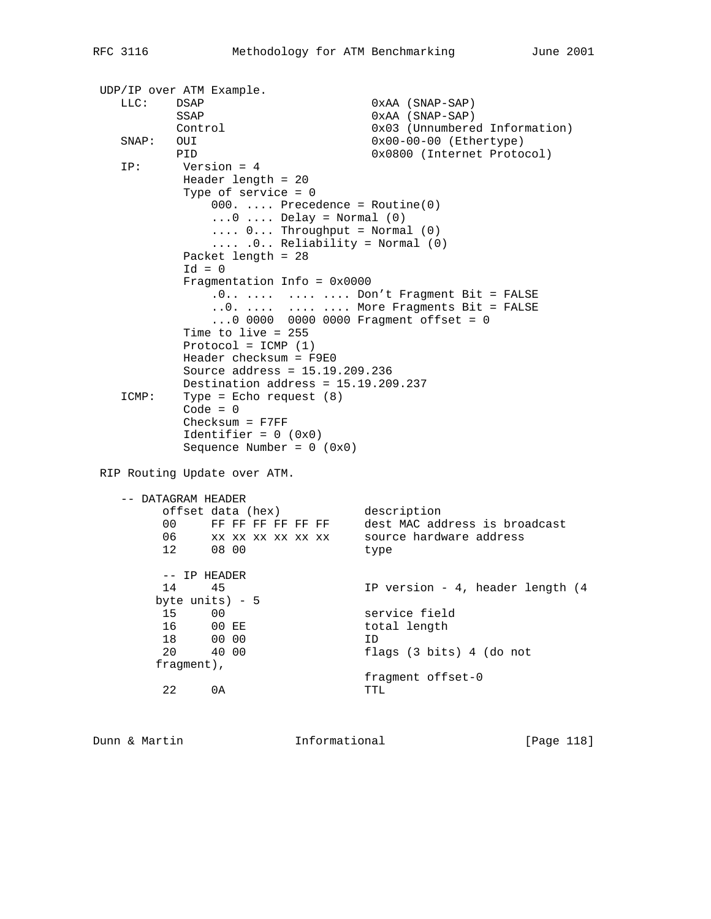```
 UDP/IP over ATM Example.
  LLC: DSAP 0xAA (SNAP-SAP)
          SSAP 0xAA (SNAP-SAP)
                                0x03 (Unnumbered Information)
   SNAP: OUI 0x00-00-00 (Ethertype)<br>PID 0x0800 (Internet Proto
                                0x0800 (Internet Protocol)
    IP: Version = 4
           Header length = 20
           Type of service = 0
               000. .... Precedence = Routine(0)
              \ldots0 \ldots Delay = Normal (0)
              \ldots 0... Throughput = Normal (0)
               .... .0.. Reliability = Normal (0)
           Packet length = 28
          Id = 0 Fragmentation Info = 0x0000
              .0.. .... .... .... Don't Fragment Bit = FALSE
               ..0. .... .... .... More Fragments Bit = FALSE
               ...0 0000 0000 0000 Fragment offset = 0
           Time to live = 255
          Protocol = ICMP (1) Header checksum = F9E0
           Source address = 15.19.209.236
           Destination address = 15.19.209.237
    ICMP: Type = Echo request (8)
          Code = 0 Checksum = F7FF
          Identifier = 0 (0x0)Sequence Number = 0 (0x0) RIP Routing Update over ATM.
    -- DATAGRAM HEADER
 offset data (hex) description
 00 FF FF FF FF FF FF dest MAC address is broadcast
 06 xx xx xx xx xx xx source hardware address
 12 08 00 type
         -- IP HEADER
         14 45 IP version - 4, header length (4
        byte units) - 5
 15 00 service field
16 00 EE total length
        16 00 EE<br>18 00 00<br>20 40 00
 20 40 00 flags (3 bits) 4 (do not
        fragment),
                             fragment offset-0
         22 0A TTL
```
Dunn & Martin **Informational** [Page 118]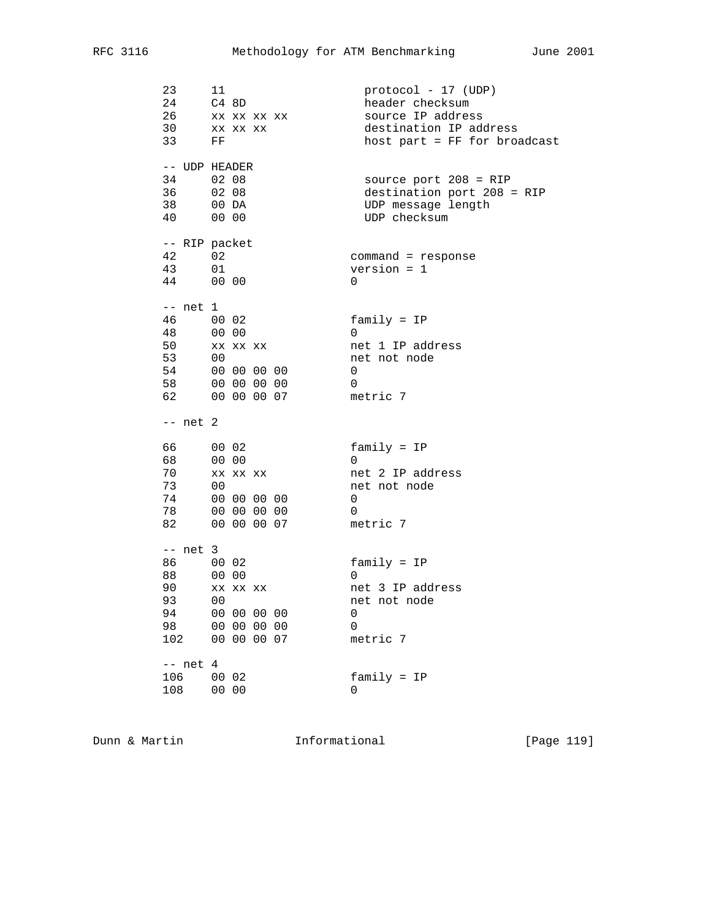| 23<br>24<br>26<br>33 FF                                         | 11<br>C4 8D<br>XX XX XX XX<br>30 xx xx xx                                      | $protocol - 17 (UDP)$<br>header checksum<br>source IP address<br>destination IP address<br>host part = FF for broadcast |
|-----------------------------------------------------------------|--------------------------------------------------------------------------------|-------------------------------------------------------------------------------------------------------------------------|
| -- UDP HEADER<br>34 02 08<br>36 02 08<br>38 00 DA<br>40 00 00   |                                                                                | source port $208 = RIP$<br>destination port 208 = RIP<br>UDP message length<br>UDP checksum                             |
| -- RIP packet<br>42 and $\overline{a}$<br>43 01<br>44 00 00     | 02                                                                             | $command = response$<br>$version = 1$<br>$\Omega$                                                                       |
| -- net 1<br>46 00 02<br>48<br>50<br>53 00                       | $00\quad 00$<br>XX XX XX<br>54 00 00 00 00<br>58 00 00 00 00<br>62 00 00 00 07 | $family = IP$<br>0<br>net 1 IP address<br>net not node<br>0<br>0<br>metric 7                                            |
| $--$ net $2$                                                    |                                                                                |                                                                                                                         |
| 66 00 02<br>68 00 00<br>73<br>74<br>78<br>82 and $\overline{a}$ | 70 xx xx xx<br>00<br>00 00 00 00<br>00 00 00 00<br>00 00 00 07                 | $family = IP$<br>0<br>net 2 IP address<br>net not node<br>0<br>$\Omega$<br>metric 7                                     |
| $--$ net 3<br>86 00 02<br>88<br>90<br>93<br>94<br>98<br>102     | 00 00<br>XX XX XX<br>00<br>00 00 00 00<br>00 00 00 00<br>00 00 00 07           | $family = IP$<br>0<br>net 3 IP address<br>net not node<br>0<br>0<br>metric 7                                            |
| $--$ net 4<br>106<br>108                                        | 00 02<br>00 00                                                                 | $family = IP$<br>0                                                                                                      |

Dunn & Martin **Informational** [Page 119]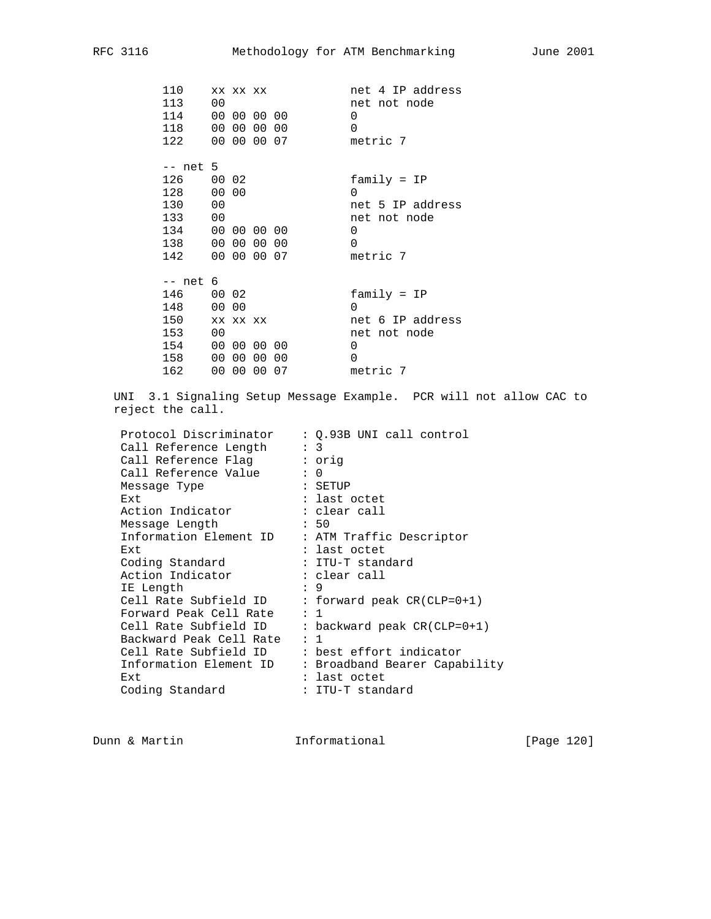| 110<br>113<br>114<br>118<br>122                                             | 00                      | XX XX XX | 00 00 00 00<br>00 00 00 00<br>00 00 00 07 | net 4 IP address<br>net not node<br>$\Omega$<br>$\Omega$<br>metric 7                       |
|-----------------------------------------------------------------------------|-------------------------|----------|-------------------------------------------|--------------------------------------------------------------------------------------------|
| -- net 5<br>126 00 02<br>128<br>130<br>133<br>134 00 00 00 00<br>138<br>142 | 00 00<br>00<br>00<br>00 |          | 00 00 00<br>00 00 00 07                   | $family = IP$<br>0<br>net 5 IP address<br>net not node<br>0<br>$\Omega$<br>metric 7        |
| -- net 6<br>146 00 02<br>148<br>150<br>153<br>154<br>158<br>162             | 00 00<br>00<br>00       | XX XX XX | 00 00 00 00<br>00 00 00<br>00 00 00 07    | $family = IP$<br>$\Omega$<br>net 6 IP address<br>net not node<br>0<br>$\Omega$<br>metric 7 |

 UNI 3.1 Signaling Setup Message Example. PCR will not allow CAC to reject the call.

| Protocol Discriminator  | : Q.93B UNI call control       |
|-------------------------|--------------------------------|
| Call Reference Length   | : 3                            |
| Call Reference Flaq     | : orig                         |
| Call Reference Value    | $\colon 0$                     |
| Message Type            | : SETUP                        |
| Ext                     | : last octet                   |
| Action Indicator        | : clear call                   |
| Message Length          | : 50                           |
| Information Element ID  | : ATM Traffic Descriptor       |
| Ext                     | : last octet                   |
| Coding Standard         | : ITU-T standard               |
| Action Indicator        | : clear call                   |
| IE Length               | : 9                            |
| Cell Rate Subfield ID   | : forward peak CR(CLP=0+1)     |
| Forward Peak Cell Rate  | : 1                            |
| Cell Rate Subfield ID   | : backward peak $CR$ (CLP=0+1) |
| Backward Peak Cell Rate | : 1                            |
| Cell Rate Subfield ID   | : best effort indicator        |
| Information Element ID  | : Broadband Bearer Capability  |
| Ext                     | : last octet                   |
| Coding Standard         | : ITU-T standard               |
|                         |                                |

Dunn & Martin **Informational** [Page 120]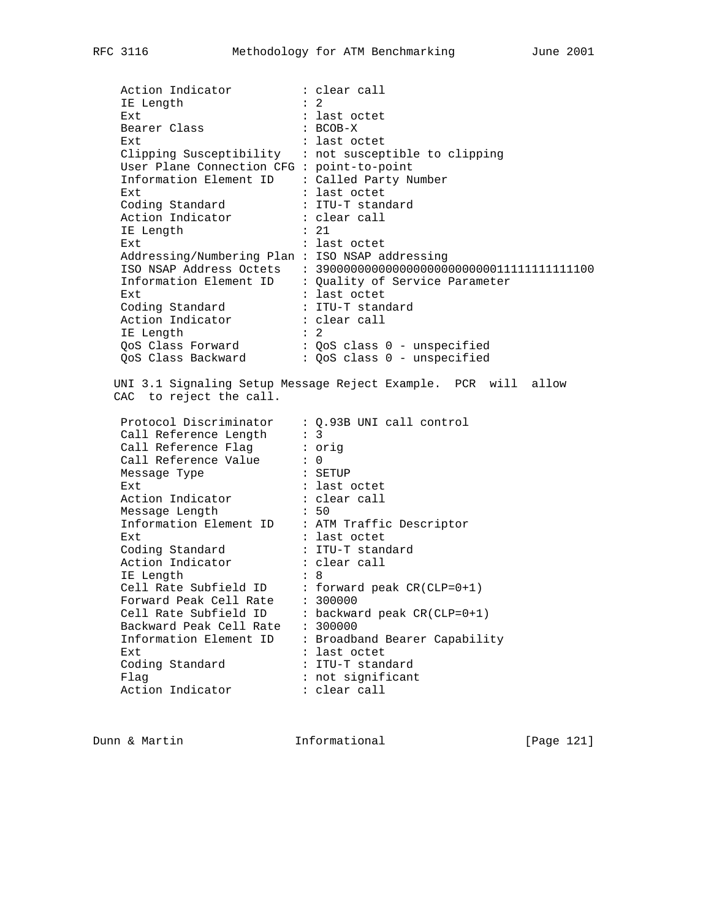Action Indicator : clear call<br>IE Length : 2 IE Length<br>- 2 Ext  $\overline{\phantom{a}}$  : last octet<br>Bearer Class : BCOB-X Bearer Class Ext : last octet Clipping Susceptibility : not susceptible to clipping User Plane Connection CFG : point-to-point Information Element ID : Called Party Number Ext : last octet Coding Standard : ITU-T standard Action Indicator : clear call IE Length : 21 Ext : last octet Addressing/Numbering Plan : ISO NSAP addressing ISO NSAP Address Octets : 3900000000000000000000000011111111111100 Information Element ID : Quality of Service Parameter Ext : last octet Coding Standard : ITU-T standard Action Indicator : clear call IE Length : 2 QoS Class Forward : QoS class 0 - unspecified QoS Class Backward : QoS class 0 - unspecified UNI 3.1 Signaling Setup Message Reject Example. PCR will allow CAC to reject the call. Protocol Discriminator : Q.93B UNI call control Call Reference Length : 3 Call Reference Flag : orig Call Reference Value : 0 Message Type  $\qquad \qquad :$  SETUP Ext : last octet Action Indicator : clear call Message Length : 50 Information Element ID : ATM Traffic Descriptor Ext : last octet Coding Standard : ITU-T standard Action Indicator : clear call IE Length : 8 Cell Rate Subfield ID : forward peak CR(CLP=0+1) Forward Peak Cell Rate : 300000 Cell Rate Subfield ID : backward peak CR(CLP=0+1) Backward Peak Cell Rate : 300000 Information Element ID : Broadband Bearer Capability<br>Ext : last octet Ext : last octet Coding Standard : ITU-T standard Flag : not significant Action Indicator : clear call

Dunn & Martin **Informational** [Page 121]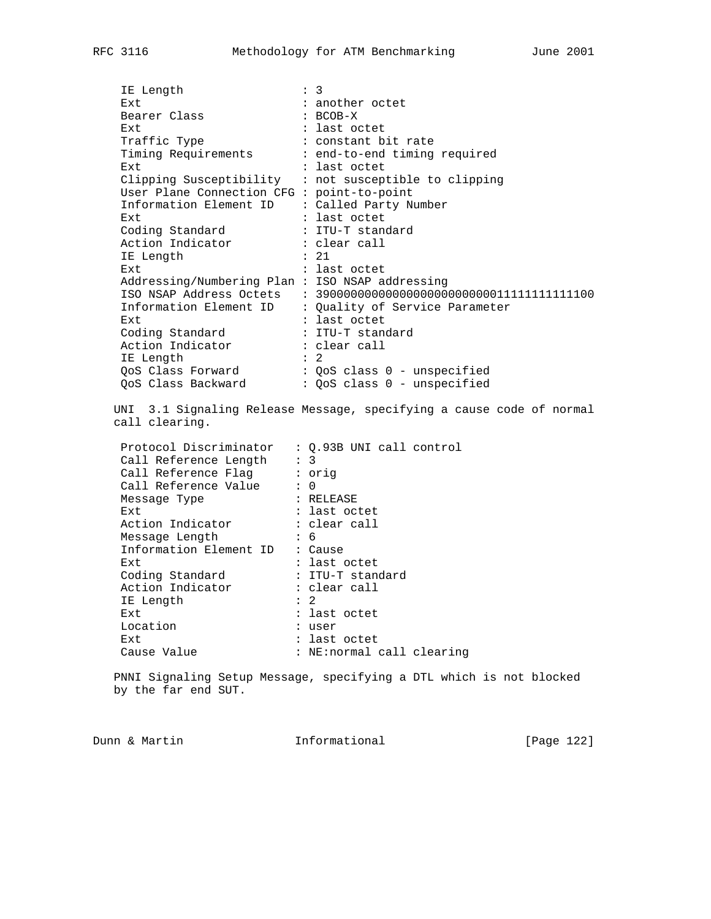IE Length : 3<br>: 3<br>: ar Ext : another octet Bearer Class : BCOB-X Ext : last octet Traffic Type  $\qquad \qquad : \qquad \text{constant}$  bit rate Timing Requirements : end-to-end timing required Ext : last octet Clipping Susceptibility : not susceptible to clipping User Plane Connection CFG : point-to-point Information Element ID : Called Party Number Ext : last octet Coding Standard : ITU-T standard Action Indicator : clear call IE Length : 21 Ext : last octet Addressing/Numbering Plan : ISO NSAP addressing ISO NSAP Address Octets : 3900000000000000000000000011111111111100 Information Element ID : Quality of Service Parameter Ext : last octet Coding Standard : ITU-T standard Action Indicator : clear call IE Length : 2 QoS Class Forward : QoS class 0 - unspecified QoS Class Backward : QoS class 0 - unspecified UNI 3.1 Signaling Release Message, specifying a cause code of normal call clearing. Protocol Discriminator : Q.93B UNI call control Call Reference Length : 3 Call Reference Flag : orig Call Reference Value : 0 Message Type : RELEASE Ext : last octet Action Indicator : clear call Message Length : 6 Information Element ID : Cause Ext : last octet Coding Standard : ITU-T standard Action Indicator : clear call IE Length : 2 IE Length  $\qquad \qquad : 2$ <br>Ext  $\qquad \qquad : \text{last octet}$  Location : user Ext : last octet Cause Value : NE: normal call clearing

 PNNI Signaling Setup Message, specifying a DTL which is not blocked by the far end SUT.

Dunn & Martin **Informational Informational** [Page 122]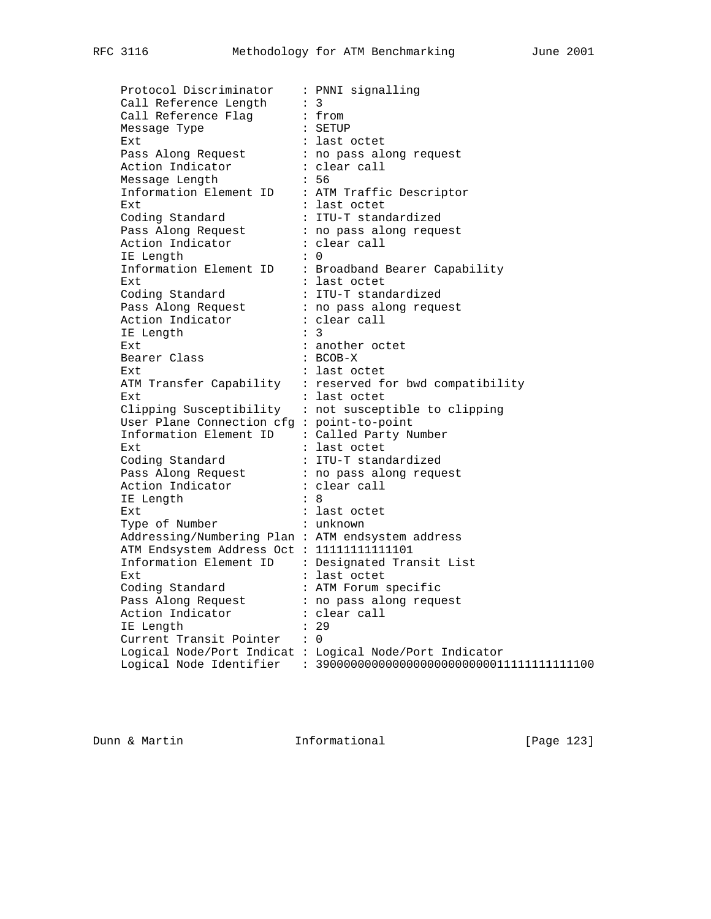Protocol Discriminator : PNNI signalling Call Reference Length : 3 Call Reference Flag : from Message Type : SETUP Ext : last octet Pass Along Request : no pass along request Action Indicator : clear call Message Length : 56 Message Length : 56<br>
Information Element ID : ATM Traffic Descriptor Ext : last octet Coding Standard : ITU-T standardized Pass Along Request : no pass along request Action Indicator : clear call IE Length : 0 Information Element ID : Broadband Bearer Capability Ext : last octet Coding Standard : ITU-T standardized Pass Along Request : no pass along request Action Indicator : clear call IE Length : 3 Ext : another octet Bearer Class : BCOB-X Ext : last octet ATM Transfer Capability : reserved for bwd compatibility Ext : last octet Clipping Susceptibility : not susceptible to clipping User Plane Connection cfg : point-to-point Information Element ID : Called Party Number Ext : last octet Coding Standard : ITU-T standardized Pass Along Request : no pass along request Action Indicator : clear call IE Length : 8 Ext : last octet Type of Number : unknown Addressing/Numbering Plan : ATM endsystem address ATM Endsystem Address Oct : 11111111111101 Information Element ID : Designated Transit List Ext : last octet Coding Standard : ATM Forum specific Pass Along Request : no pass along request Action Indicator : clear call IE Length : 29 Current Transit Pointer : 0 Logical Node/Port Indicat : Logical Node/Port Indicator Logical Node Identifier : 3900000000000000000000000011111111111100

Dunn & Martin **Informational Informational** [Page 123]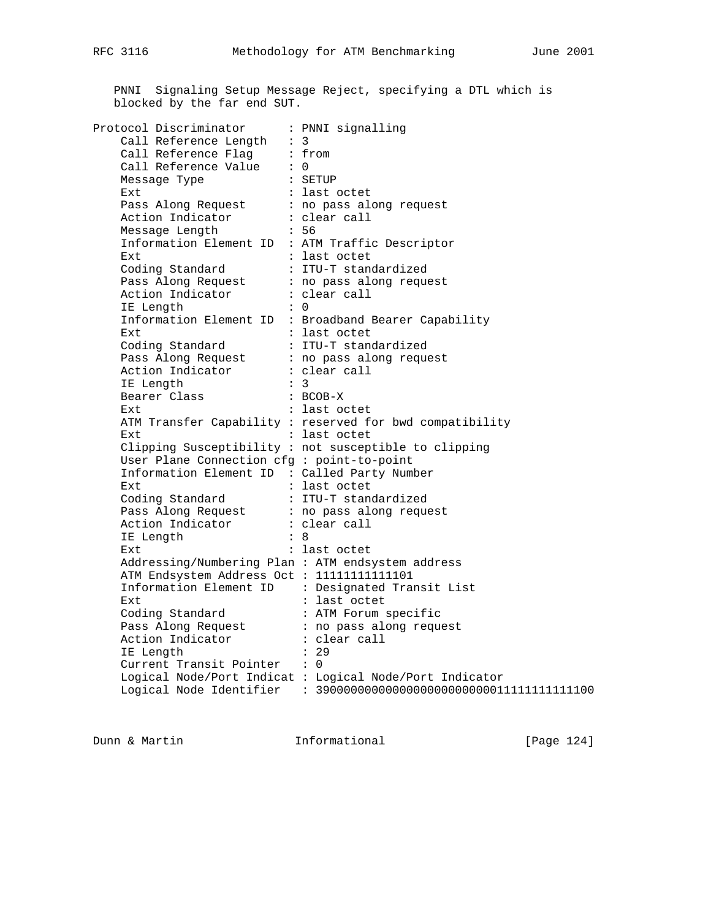PNNI Signaling Setup Message Reject, specifying a DTL which is blocked by the far end SUT.

| Protocol Discriminator                            | : PNNI signalling                                        |
|---------------------------------------------------|----------------------------------------------------------|
| Call Reference Length $: 3$                       |                                                          |
| Call Reference Flaq                               | : from                                                   |
| Call Reference Value                              | $\colon 0$                                               |
| Message Type                                      | : SETUP                                                  |
| Ext                                               | : last octet                                             |
| Pass Along Request                                | : no pass along request                                  |
| Action Indicator                                  | : clear call                                             |
| Message Length                                    | : 56                                                     |
| Information Element ID : ATM Traffic Descriptor   |                                                          |
| Ext.                                              | : last octet                                             |
| Coding Standard                                   | : ITU-T standardized                                     |
| Pass Along Request : no pass along request        |                                                          |
| Action Indicator : clear call                     |                                                          |
| IE Length                                         | $\colon 0$                                               |
|                                                   | Information Element ID : Broadband Bearer Capability     |
| Ext.                                              | : last octet                                             |
| Coding Standard                                   | : ITU-T standardized                                     |
| Pass Along Request : no pass along request        |                                                          |
| Action Indicator                                  | : clear call                                             |
| IE Length                                         | $\colon$ 3                                               |
| Bearer Class                                      | $: BCOB-X$                                               |
| Ext.                                              | : last octet                                             |
|                                                   | ATM Transfer Capability : reserved for bwd compatibility |
| Ext                                               | : last octet                                             |
|                                                   | Clipping Susceptibility : not susceptible to clipping    |
| User Plane Connection cfg : point-to-point        |                                                          |
| Information Element ID : Called Party Number      |                                                          |
| Ext                                               | : last octet                                             |
| Coding Standard                                   | : ITU-T standardized                                     |
| Pass Along Request : no pass along request        |                                                          |
| Action Indicator                                  | : clear call                                             |
| IE Length                                         | $\mathbf{R}$ :                                           |
| Ext                                               | : last octet                                             |
| Addressing/Numbering Plan : ATM endsystem address |                                                          |
| ATM Endsystem Address Oct : 11111111111101        |                                                          |
|                                                   | Information Element ID : Designated Transit List         |
| <b>Ext</b>                                        | : last octet                                             |
| Coding Standard                                   | : ATM Forum specific                                     |
| Pass Along Request                                | : no pass along request                                  |
| Action Indicator                                  | : clear call                                             |
| IE Length                                         | : 29                                                     |
| Current Transit Pointer : 0                       |                                                          |
|                                                   | Logical Node/Port Indicat : Logical Node/Port Indicator  |
| Logical Node Identifier                           | $: 390000000000000000000000001111111111100$              |

Dunn & Martin **Informational** [Page 124]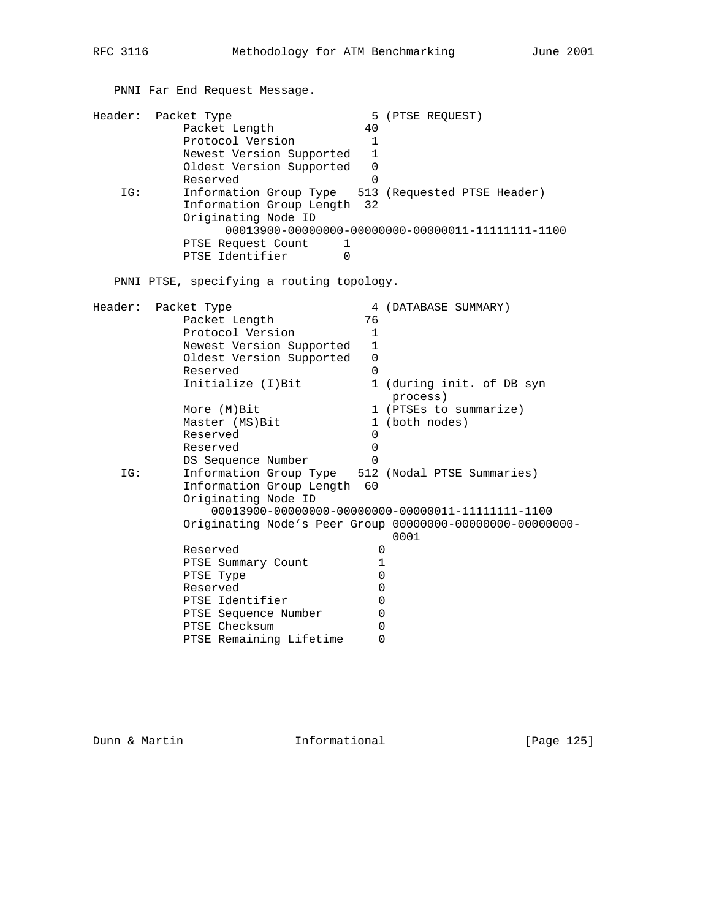PNNI Far End Request Message.

|         | Header: Packet Type                                |              | 5 (PTSE REQUEST)          |
|---------|----------------------------------------------------|--------------|---------------------------|
|         | Packet Length                                      | 40           |                           |
|         | Protocol Version                                   | $\mathbf{1}$ |                           |
|         | Newest Version Supported                           | 1            |                           |
|         | Oldest Version Supported                           | 0            |                           |
|         | Reserved                                           | $\Omega$     |                           |
| IG:     | Information Group Type 513 (Requested PTSE Header) |              |                           |
|         | Information Group Length 32                        |              |                           |
|         | Originating Node ID                                |              |                           |
|         |                                                    |              |                           |
|         | PTSE Request Count<br>1                            |              |                           |
|         | PTSE Identifier<br>$\Omega$                        |              |                           |
|         |                                                    |              |                           |
|         | PNNI PTSE, specifying a routing topology.          |              |                           |
|         |                                                    |              |                           |
| Header: | Packet Type                                        |              | 4 (DATABASE SUMMARY)      |
|         | Packet Length                                      | 76           |                           |
|         | Protocol Version                                   | 1            |                           |
|         | Newest Version Supported                           | $\mathbf{1}$ |                           |
|         | Oldest Version Supported                           | 0            |                           |
|         | Reserved                                           | 0            |                           |
|         | Initialize (I) Bit                                 |              | 1 (during init. of DB syn |
|         |                                                    |              | process)                  |
|         | More (M) Bit                                       |              | 1 (PTSEs to summarize)    |
|         | Master (MS) Bit                                    |              | 1 (both nodes)            |
|         | Reserved                                           | 0            |                           |
|         | Reserved                                           | $\mathbf 0$  |                           |
|         | DS Sequence Number                                 | $\Omega$     |                           |
| IG:     | Information Group Type 512 (Nodal PTSE Summaries)  |              |                           |
|         | Information Group Length                           | 60           |                           |
|         | Originating Node ID                                |              |                           |
|         |                                                    |              |                           |

 0001 Reserved 0 PTSE Summary Count 1 PTSE Type  $0$ Reserved 0 PTSE Identifier 0 PTSE Sequence Number 0 PTSE Checksum 0

PTSE Remaining Lifetime 0

Dunn & Martin **Informational** [Page 125]

Originating Node's Peer Group 00000000-00000000-00000000-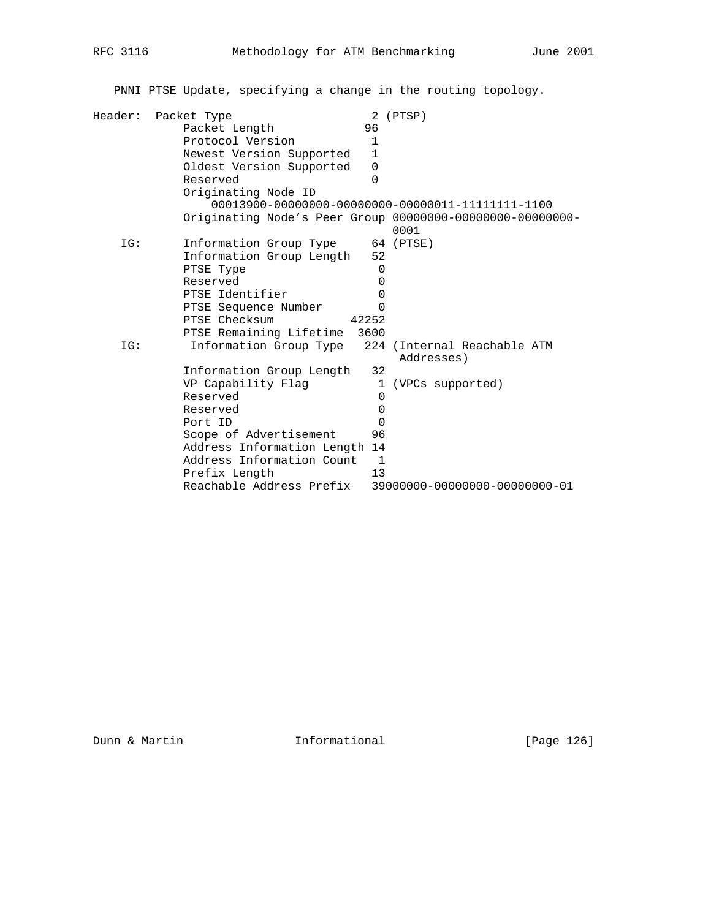PNNI PTSE Update, specifying a change in the routing topology.

| Header: | Packet Type                   | 2 (PTSP)                                                   |
|---------|-------------------------------|------------------------------------------------------------|
|         | Packet Length                 | 96                                                         |
|         | Protocol Version              | 1                                                          |
|         | Newest Version Supported      | $\mathbf{1}$                                               |
|         | Oldest Version Supported      | $\Omega$                                                   |
|         | Reserved                      | 0                                                          |
|         | Originating Node ID           |                                                            |
|         |                               |                                                            |
|         |                               | Originating Node's Peer Group 00000000-00000000-000000000- |
|         |                               | 0001                                                       |
| IG:     | Information Group Type        | 64 (PTSE)                                                  |
|         | Information Group Length      | 52                                                         |
|         | PTSE Type                     | $\Omega$                                                   |
|         | Reserved                      | 0                                                          |
|         | PTSE Identifier               | 0                                                          |
|         | PTSE Sequence Number          | 0                                                          |
|         | PTSE Checksum                 | 42252                                                      |
|         | PTSE Remaining Lifetime       | 3600                                                       |
| IG:     | Information Group Type        | 224<br>(Internal Reachable ATM<br>Addresses)               |
|         | Information Group Length      | 32                                                         |
|         | VP Capability Flag            | $\mathbf{1}$<br>(VPCs supported)                           |
|         | Reserved                      | 0                                                          |
|         | Reserved                      | 0                                                          |
|         | Port ID                       | $\Omega$                                                   |
|         | Scope of Advertisement        | 96                                                         |
|         | Address Information Length 14 |                                                            |
|         | Address Information Count     | 1                                                          |
|         | Prefix Length                 | 13                                                         |
|         | Reachable Address Prefix      | 39000000-00000000-00000000-01                              |
|         |                               |                                                            |

Dunn & Martin **Informational** [Page 126]